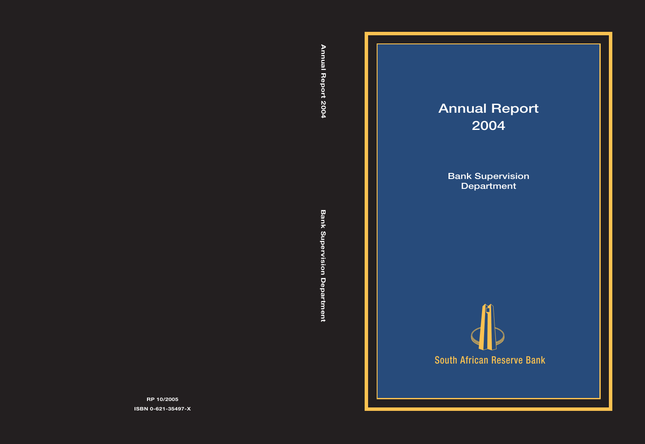# **Annual Report 2004**

**Bank Supervision Department**

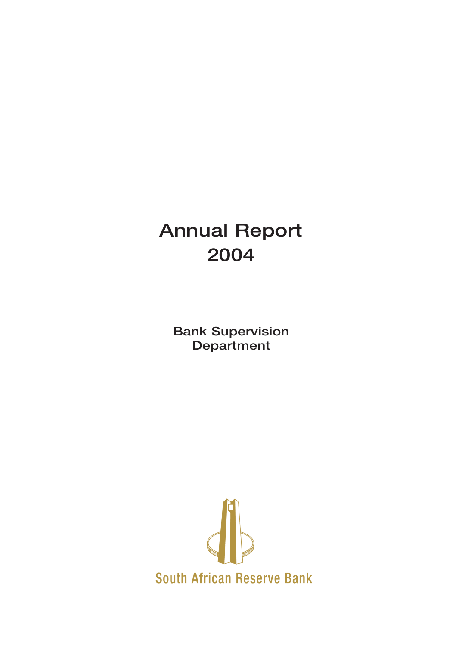# **Annual Report 2004**

**Bank Supervision Department**

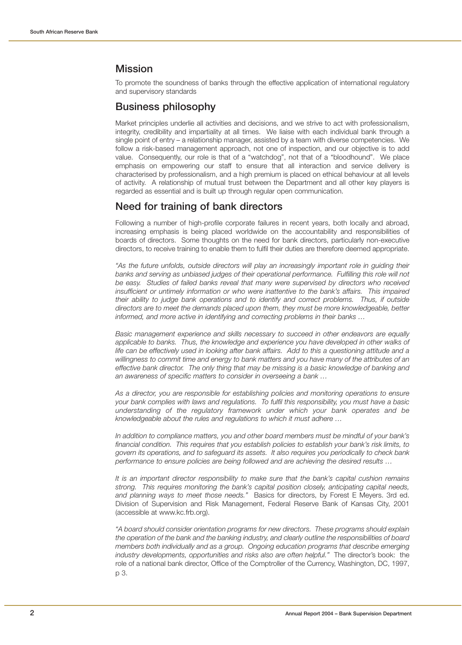## **Mission**

To promote the soundness of banks through the effective application of international regulatory and supervisory standards

## **Business philosophy**

Market principles underlie all activities and decisions, and we strive to act with professionalism, integrity, credibility and impartiality at all times. We liaise with each individual bank through a single point of entry – a relationship manager, assisted by a team with diverse competencies. We follow a risk-based management approach, not one of inspection, and our objective is to add value. Consequently, our role is that of a "watchdog", not that of a "bloodhound". We place emphasis on empowering our staff to ensure that all interaction and service delivery is characterised by professionalism, and a high premium is placed on ethical behaviour at all levels of activity. A relationship of mutual trust between the Department and all other key players is regarded as essential and is built up through regular open communication.

## **Need for training of bank directors**

Following a number of high-profile corporate failures in recent years, both locally and abroad, increasing emphasis is being placed worldwide on the accountability and responsibilities of boards of directors. Some thoughts on the need for bank directors, particularly non-executive directors, to receive training to enable them to fulfil their duties are therefore deemed appropriate.

"As the future unfolds, outside directors will play an increasingly important role in guiding their banks and serving as unbiased judges of their operational performance. Fulfilling this role will not be easy. Studies of failed banks reveal that many were supervised by directors who received insufficient or untimely information or who were inattentive to the bank's affairs. This impaired their ability to judge bank operations and to identify and correct problems. Thus, if outside directors are to meet the demands placed upon them, they must be more knowledgeable, better informed, and more active in identifying and correcting problems in their banks …

Basic management experience and skills necessary to succeed in other endeavors are equally applicable to banks. Thus, the knowledge and experience you have developed in other walks of life can be effectively used in looking after bank affairs. Add to this a questioning attitude and a willingness to commit time and energy to bank matters and you have many of the attributes of an effective bank director. The only thing that may be missing is a basic knowledge of banking and an awareness of specific matters to consider in overseeing a bank …

As a director, you are responsible for establishing policies and monitoring operations to ensure your bank complies with laws and regulations. To fulfil this responsibility, you must have a basic understanding of the regulatory framework under which your bank operates and be knowledgeable about the rules and regulations to which it must adhere …

In addition to compliance matters, you and other board members must be mindful of your bank's financial condition. This requires that you establish policies to establish your bank's risk limits, to govern its operations, and to safeguard its assets. It also requires you periodically to check bank performance to ensure policies are being followed and are achieving the desired results …

It is an important director responsibility to make sure that the bank's capital cushion remains strong. This requires monitoring the bank's capital position closely, anticipating capital needs, and planning ways to meet those needs." Basics for directors, by Forest E Meyers. 3rd ed. Division of Supervision and Risk Management, Federal Reserve Bank of Kansas City, 2001 (accessible at www.kc.frb.org).

"A board should consider orientation programs for new directors. These programs should explain the operation of the bank and the banking industry, and clearly outline the responsibilities of board members both individually and as a group. Ongoing education programs that describe emerging industry developments, opportunities and risks also are often helpful." The director's book: the role of a national bank director, Office of the Comptroller of the Currency, Washington, DC, 1997, p 3.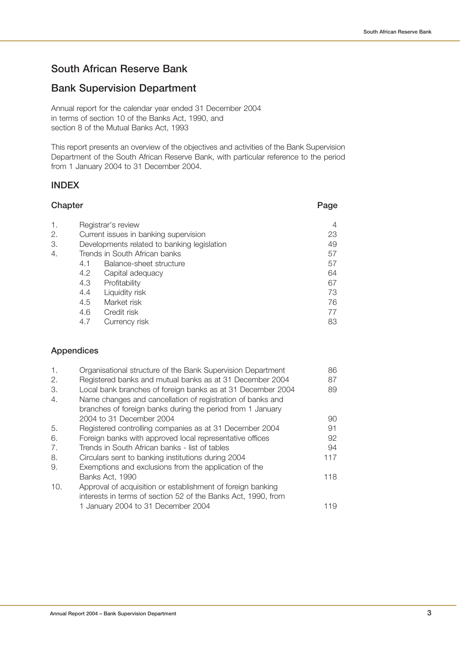## **South African Reserve Bank**

## **Bank Supervision Department**

Annual report for the calendar year ended 31 December 2004 in terms of section 10 of the Banks Act, 1990, and section 8 of the Mutual Banks Act, 1993

This report presents an overview of the objectives and activities of the Bank Supervision Department of the South African Reserve Bank, with particular reference to the period from 1 January 2004 to 31 December 2004.

## **INDEX**

| Chapter |                               | Page                                        |    |
|---------|-------------------------------|---------------------------------------------|----|
| 1.      |                               | Registrar's review                          | 4  |
| 2.      |                               | Current issues in banking supervision       | 23 |
| 3.      |                               | Developments related to banking legislation | 49 |
| 4.      | Trends in South African banks |                                             | 57 |
|         | 4.1                           | Balance-sheet structure                     | 57 |
|         | 4.2                           | Capital adequacy                            | 64 |
|         | 4.3                           | Profitability                               | 67 |
|         | 4.4                           | Liquidity risk                              | 73 |
|         | 4.5                           | Market risk                                 | 76 |
|         | 4.6                           | Credit risk                                 | 77 |
|         | 4.7                           | Currency risk                               | 83 |

## **Appendices**

| $\mathbf{1}$ . | Organisational structure of the Bank Supervision Department   | 86  |
|----------------|---------------------------------------------------------------|-----|
| 2.             | Registered banks and mutual banks as at 31 December 2004      | 87  |
| З.             | Local bank branches of foreign banks as at 31 December 2004   | 89  |
| 4.             | Name changes and cancellation of registration of banks and    |     |
|                | branches of foreign banks during the period from 1 January    |     |
|                | 2004 to 31 December 2004                                      | 90  |
| 5.             | Registered controlling companies as at 31 December 2004       | 91  |
| 6.             | Foreign banks with approved local representative offices      | 92  |
| 7.             | Trends in South African banks - list of tables                | 94  |
| 8.             | Circulars sent to banking institutions during 2004            | 117 |
| 9.             | Exemptions and exclusions from the application of the         |     |
|                | Banks Act, 1990                                               | 118 |
| 10.            | Approval of acquisition or establishment of foreign banking   |     |
|                | interests in terms of section 52 of the Banks Act, 1990, from |     |
|                | 1 January 2004 to 31 December 2004                            | 119 |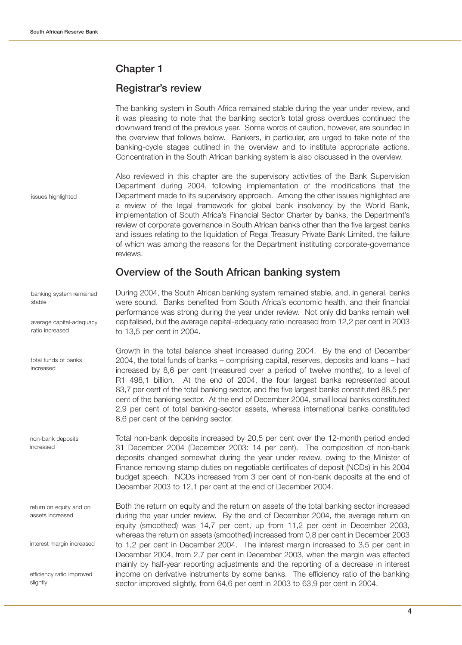## **Chapter 1**

## **Registrar's review**

|                                             | The banking system in South Africa remained stable during the year under review, and<br>it was pleasing to note that the banking sector's total gross overdues continued the<br>downward trend of the previous year. Some words of caution, however, are sounded in<br>the overview that follows below. Bankers, in particular, are urged to take note of the<br>banking-cycle stages outlined in the overview and to institute appropriate actions.<br>Concentration in the South African banking system is also discussed in the overview.                                                                                                                                                                                      |
|---------------------------------------------|-----------------------------------------------------------------------------------------------------------------------------------------------------------------------------------------------------------------------------------------------------------------------------------------------------------------------------------------------------------------------------------------------------------------------------------------------------------------------------------------------------------------------------------------------------------------------------------------------------------------------------------------------------------------------------------------------------------------------------------|
| issues highlighted                          | Also reviewed in this chapter are the supervisory activities of the Bank Supervision<br>Department during 2004, following implementation of the modifications that the<br>Department made to its supervisory approach. Among the other issues highlighted are<br>a review of the legal framework for global bank insolvency by the World Bank,<br>implementation of South Africa's Financial Sector Charter by banks, the Department's<br>review of corporate governance in South African banks other than the five largest banks<br>and issues relating to the liquidation of Regal Treasury Private Bank Limited, the failure<br>of which was among the reasons for the Department instituting corporate-governance<br>reviews. |
|                                             | Overview of the South African banking system                                                                                                                                                                                                                                                                                                                                                                                                                                                                                                                                                                                                                                                                                      |
| banking system remained<br>stable           | During 2004, the South African banking system remained stable, and, in general, banks<br>were sound. Banks benefited from South Africa's economic health, and their financial<br>performance was strong during the year under review. Not only did banks remain well                                                                                                                                                                                                                                                                                                                                                                                                                                                              |
| average capital-adequacy<br>ratio increased | capitalised, but the average capital-adequacy ratio increased from 12,2 per cent in 2003<br>to 13,5 per cent in 2004.                                                                                                                                                                                                                                                                                                                                                                                                                                                                                                                                                                                                             |
| total funds of banks<br>increased           | Growth in the total balance sheet increased during 2004. By the end of December<br>2004, the total funds of banks - comprising capital, reserves, deposits and loans - had<br>increased by 8,6 per cent (measured over a period of twelve months), to a level of<br>R1 498,1 billion. At the end of 2004, the four largest banks represented about<br>83,7 per cent of the total banking sector, and the five largest banks constituted 88,5 per<br>cent of the banking sector. At the end of December 2004, small local banks constituted<br>2,9 per cent of total banking-sector assets, whereas international banks constituted<br>8,6 per cent of the banking sector.                                                         |
| non-bank deposits<br>increased              | Total non-bank deposits increased by 20,5 per cent over the 12-month period ended<br>31 December 2004 (December 2003: 14 per cent). The composition of non-bank<br>deposits changed somewhat during the year under review, owing to the Minister of<br>Finance removing stamp duties on negotiable certificates of deposit (NCDs) in his 2004<br>budget speech. NCDs increased from 3 per cent of non-bank deposits at the end of<br>December 2003 to 12,1 per cent at the end of December 2004.                                                                                                                                                                                                                                  |
| return on equity and on<br>assets increased | Both the return on equity and the return on assets of the total banking sector increased<br>during the year under review. By the end of December 2004, the average return on<br>equity (smoothed) was 14,7 per cent, up from 11,2 per cent in December 2003,<br>whereas the return on assets (smoothed) increased from 0,8 per cent in December 2003                                                                                                                                                                                                                                                                                                                                                                              |
| interest margin increased                   | to 1,2 per cent in December 2004. The interest margin increased to 3,5 per cent in<br>December 2004, from 2,7 per cent in December 2003, when the margin was affected<br>mainly by half-year reporting adjustments and the reporting of a decrease in interest                                                                                                                                                                                                                                                                                                                                                                                                                                                                    |
| efficiency ratio improved<br>slightly       | income on derivative instruments by some banks. The efficiency ratio of the banking<br>sector improved slightly, from 64,6 per cent in 2003 to 63,9 per cent in 2004.                                                                                                                                                                                                                                                                                                                                                                                                                                                                                                                                                             |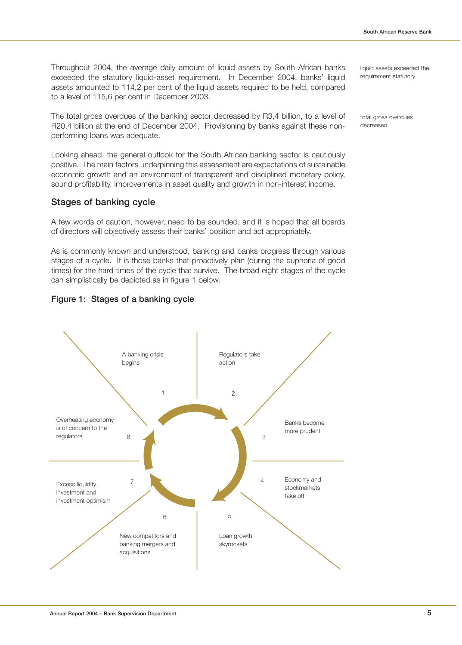Throughout 2004, the average daily amount of liquid assets by South African banks exceeded the statutory liquid-asset requirement. In December 2004, banks' liquid assets amounted to 114,2 per cent of the liquid assets required to be held, compared to a level of 115,6 per cent in December 2003.

The total gross overdues of the banking sector decreased by R3,4 billion, to a level of R20,4 billion at the end of December 2004. Provisioning by banks against these nonperforming loans was adequate.

Looking ahead, the general outlook for the South African banking sector is cautiously positive. The main factors underpinning this assessment are expectations of sustainable economic growth and an environment of transparent and disciplined monetary policy, sound profitability, improvements in asset quality and growth in non-interest income.

## **Stages of banking cycle**

A few words of caution, however, need to be sounded, and it is hoped that all boards of directors will objectively assess their banks' position and act appropriately.

As is commonly known and understood, banking and banks progress through various stages of a cycle. It is those banks that proactively plan (during the euphoria of good times) for the hard times of the cycle that survive. The broad eight stages of the cycle can simplistically be depicted as in figure 1 below.





liquid assets exceeded the requirement statutory

total gross overdues decreased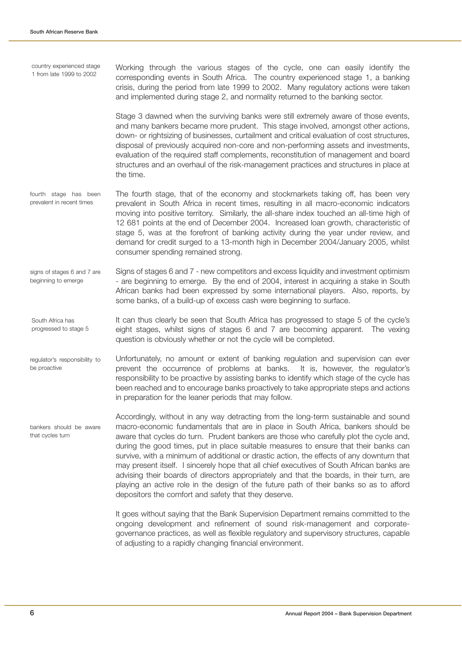| country experienced stage<br>1 from late 1999 to 2002 | Working through the various stages of the cycle, one can easily identify the<br>corresponding events in South Africa. The country experienced stage 1, a banking<br>crisis, during the period from late 1999 to 2002. Many regulatory actions were taken<br>and implemented during stage 2, and normality returned to the banking sector.                                                                                                                                                                                                                                                                                                                                                                                                                                                         |
|-------------------------------------------------------|---------------------------------------------------------------------------------------------------------------------------------------------------------------------------------------------------------------------------------------------------------------------------------------------------------------------------------------------------------------------------------------------------------------------------------------------------------------------------------------------------------------------------------------------------------------------------------------------------------------------------------------------------------------------------------------------------------------------------------------------------------------------------------------------------|
|                                                       | Stage 3 dawned when the surviving banks were still extremely aware of those events,<br>and many bankers became more prudent. This stage involved, amongst other actions,<br>down- or rightsizing of businesses, curtailment and critical evaluation of cost structures,<br>disposal of previously acquired non-core and non-performing assets and investments,<br>evaluation of the required staff complements, reconstitution of management and board<br>structures and an overhaul of the risk-management practices and structures in place at<br>the time.                                                                                                                                                                                                                                     |
| fourth stage has been<br>prevalent in recent times    | The fourth stage, that of the economy and stockmarkets taking off, has been very<br>prevalent in South Africa in recent times, resulting in all macro-economic indicators<br>moving into positive territory. Similarly, the all-share index touched an all-time high of<br>12 681 points at the end of December 2004. Increased loan growth, characteristic of<br>stage 5, was at the forefront of banking activity during the year under review, and<br>demand for credit surged to a 13-month high in December 2004/January 2005, whilst<br>consumer spending remained strong.                                                                                                                                                                                                                  |
| signs of stages 6 and 7 are<br>beginning to emerge    | Signs of stages 6 and 7 - new competitors and excess liquidity and investment optimism<br>- are beginning to emerge. By the end of 2004, interest in acquiring a stake in South<br>African banks had been expressed by some international players. Also, reports, by<br>some banks, of a build-up of excess cash were beginning to surface.                                                                                                                                                                                                                                                                                                                                                                                                                                                       |
| South Africa has<br>progressed to stage 5             | It can thus clearly be seen that South Africa has progressed to stage 5 of the cycle's<br>eight stages, whilst signs of stages 6 and 7 are becoming apparent. The vexing<br>question is obviously whether or not the cycle will be completed.                                                                                                                                                                                                                                                                                                                                                                                                                                                                                                                                                     |
| regulator's responsibility to<br>be proactive         | Unfortunately, no amount or extent of banking regulation and supervision can ever<br>prevent the occurrence of problems at banks. It is, however, the regulator's<br>responsibility to be proactive by assisting banks to identify which stage of the cycle has<br>been reached and to encourage banks proactively to take appropriate steps and actions<br>in preparation for the leaner periods that may follow.                                                                                                                                                                                                                                                                                                                                                                                |
| bankers should be aware<br>that cycles turn           | Accordingly, without in any way detracting from the long-term sustainable and sound<br>macro-economic fundamentals that are in place in South Africa, bankers should be<br>aware that cycles do turn. Prudent bankers are those who carefully plot the cycle and,<br>during the good times, put in place suitable measures to ensure that their banks can<br>survive, with a minimum of additional or drastic action, the effects of any downturn that<br>may present itself. I sincerely hope that all chief executives of South African banks are<br>advising their boards of directors appropriately and that the boards, in their turn, are<br>playing an active role in the design of the future path of their banks so as to afford<br>depositors the comfort and safety that they deserve. |
|                                                       | It goes without saying that the Bank Supervision Department remains committed to the<br>ongoing development and refinement of sound risk-management and corporate-<br>governance practices, as well as flexible regulatory and supervisory structures, capable<br>of adjusting to a rapidly changing financial environment.                                                                                                                                                                                                                                                                                                                                                                                                                                                                       |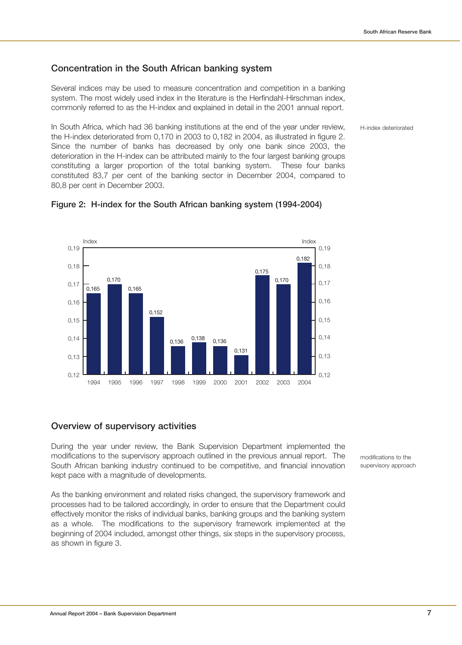H-index deteriorated

## **Concentration in the South African banking system**

Several indices may be used to measure concentration and competition in a banking system. The most widely used index in the literature is the Herfindahl-Hirschman index, commonly referred to as the H-index and explained in detail in the 2001 annual report.

In South Africa, which had 36 banking institutions at the end of the year under review, the H-index deteriorated from 0,170 in 2003 to 0,182 in 2004, as illustrated in figure 2. Since the number of banks has decreased by only one bank since 2003, the deterioration in the H-index can be attributed mainly to the four largest banking groups constituting a larger proportion of the total banking system. These four banks constituted 83,7 per cent of the banking sector in December 2004, compared to 80,8 per cent in December 2003.



## **Figure 2: H-index for the South African banking system (1994-2004)**

## **Overview of supervisory activities**

During the year under review, the Bank Supervision Department implemented the modifications to the supervisory approach outlined in the previous annual report. The South African banking industry continued to be competitive, and financial innovation kept pace with a magnitude of developments.

As the banking environment and related risks changed, the supervisory framework and processes had to be tailored accordingly, in order to ensure that the Department could effectively monitor the risks of individual banks, banking groups and the banking system as a whole. The modifications to the supervisory framework implemented at the beginning of 2004 included, amongst other things, six steps in the supervisory process, as shown in figure 3.

modifications to the supervisory approach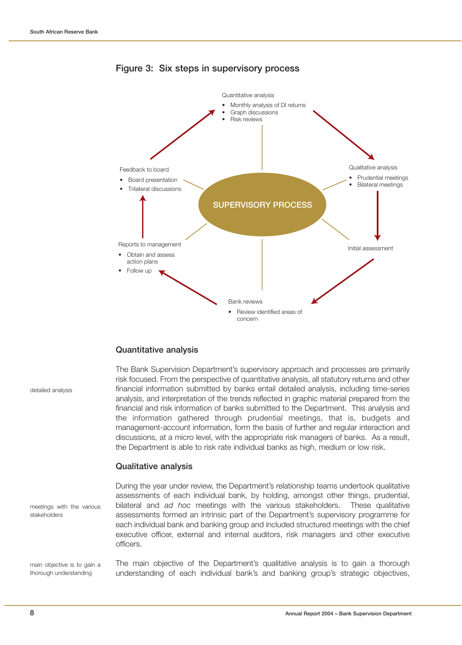

## **Figure 3: Six steps in supervisory process**

## **Quantitative analysis**

| detailed analysis                                     | The Bank Supervision Department's supervisory approach and processes are primarily<br>risk focused. From the perspective of quantitative analysis, all statutory returns and other<br>financial information submitted by banks entail detailed analysis, including time-series<br>analysis, and interpretation of the trends reflected in graphic material prepared from the<br>financial and risk information of banks submitted to the Department. This analysis and<br>the information gathered through prudential meetings, that is, budgets and<br>management-account information, form the basis of further and regular interaction and<br>discussions, at a micro level, with the appropriate risk managers of banks. As a result,<br>the Department is able to risk rate individual banks as high, medium or low risk. |
|-------------------------------------------------------|--------------------------------------------------------------------------------------------------------------------------------------------------------------------------------------------------------------------------------------------------------------------------------------------------------------------------------------------------------------------------------------------------------------------------------------------------------------------------------------------------------------------------------------------------------------------------------------------------------------------------------------------------------------------------------------------------------------------------------------------------------------------------------------------------------------------------------|
|                                                       | <b>Qualitative analysis</b>                                                                                                                                                                                                                                                                                                                                                                                                                                                                                                                                                                                                                                                                                                                                                                                                    |
| meetings with the various<br>stakeholders             | During the year under review, the Department's relationship teams undertook qualitative<br>assessments of each individual bank, by holding, amongst other things, prudential,<br>bilateral and ad hoc meetings with the various stakeholders. These qualitative<br>assessments formed an intrinsic part of the Department's supervisory programme for<br>each individual bank and banking group and included structured meetings with the chief<br>executive officer, external and internal auditors, risk managers and other executive<br>officers.                                                                                                                                                                                                                                                                           |
| main objective is to gain a<br>thorough understanding | The main objective of the Department's qualitative analysis is to gain a thorough<br>understanding of each individual bank's and banking group's strategic objectives,                                                                                                                                                                                                                                                                                                                                                                                                                                                                                                                                                                                                                                                         |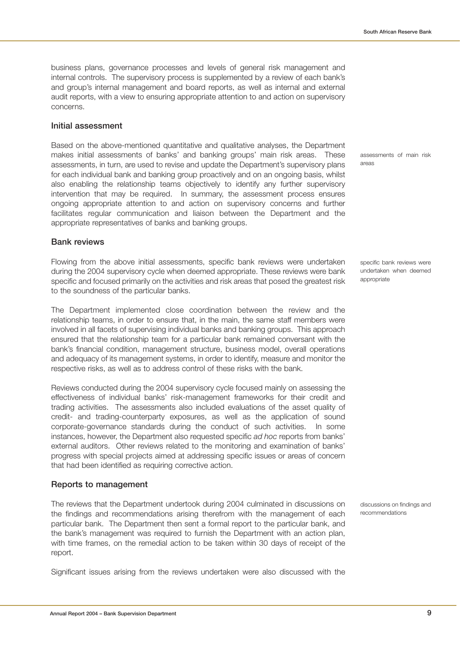business plans, governance processes and levels of general risk management and internal controls. The supervisory process is supplemented by a review of each bank's and group's internal management and board reports, as well as internal and external audit reports, with a view to ensuring appropriate attention to and action on supervisory concerns.

## **Initial assessment**

Based on the above-mentioned quantitative and qualitative analyses, the Department makes initial assessments of banks' and banking groups' main risk areas. These assessments, in turn, are used to revise and update the Department's supervisory plans for each individual bank and banking group proactively and on an ongoing basis, whilst also enabling the relationship teams objectively to identify any further supervisory intervention that may be required. In summary, the assessment process ensures ongoing appropriate attention to and action on supervisory concerns and further facilitates regular communication and liaison between the Department and the appropriate representatives of banks and banking groups.

## **Bank reviews**

Flowing from the above initial assessments, specific bank reviews were undertaken during the 2004 supervisory cycle when deemed appropriate. These reviews were bank specific and focused primarily on the activities and risk areas that posed the greatest risk to the soundness of the particular banks.

The Department implemented close coordination between the review and the relationship teams, in order to ensure that, in the main, the same staff members were involved in all facets of supervising individual banks and banking groups. This approach ensured that the relationship team for a particular bank remained conversant with the bank's financial condition, management structure, business model, overall operations and adequacy of its management systems, in order to identify, measure and monitor the respective risks, as well as to address control of these risks with the bank.

Reviews conducted during the 2004 supervisory cycle focused mainly on assessing the effectiveness of individual banks' risk-management frameworks for their credit and trading activities. The assessments also included evaluations of the asset quality of credit- and trading-counterparty exposures, as well as the application of sound corporate-governance standards during the conduct of such activities. In some instances, however, the Department also requested specific ad hoc reports from banks' external auditors. Other reviews related to the monitoring and examination of banks' progress with special projects aimed at addressing specific issues or areas of concern that had been identified as requiring corrective action.

## **Reports to management**

The reviews that the Department undertook during 2004 culminated in discussions on the findings and recommendations arising therefrom with the management of each particular bank. The Department then sent a formal report to the particular bank, and the bank's management was required to furnish the Department with an action plan, with time frames, on the remedial action to be taken within 30 days of receipt of the report.

Significant issues arising from the reviews undertaken were also discussed with the

assessments of main risk areas

specific bank reviews were undertaken when deemed appropriate

discussions on findings and recommendations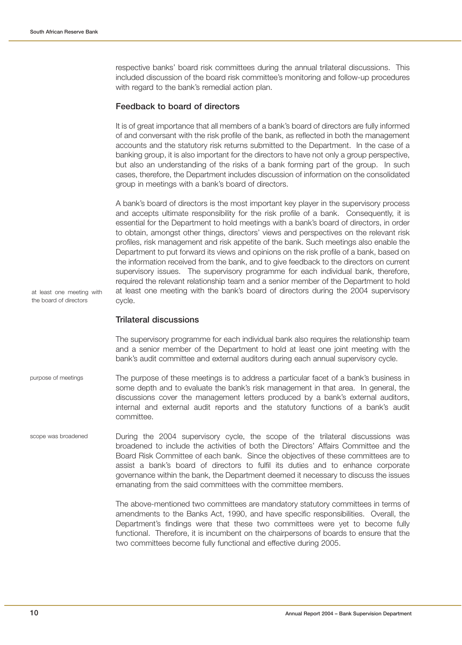at least one meeting with the board of directors

respective banks' board risk committees during the annual trilateral discussions. This included discussion of the board risk committee's monitoring and follow-up procedures with regard to the bank's remedial action plan.

## **Feedback to board of directors**

It is of great importance that all members of a bank's board of directors are fully informed of and conversant with the risk profile of the bank, as reflected in both the management accounts and the statutory risk returns submitted to the Department. In the case of a banking group, it is also important for the directors to have not only a group perspective, but also an understanding of the risks of a bank forming part of the group. In such cases, therefore, the Department includes discussion of information on the consolidated group in meetings with a bank's board of directors.

A bank's board of directors is the most important key player in the supervisory process and accepts ultimate responsibility for the risk profile of a bank. Consequently, it is essential for the Department to hold meetings with a bank's board of directors, in order to obtain, amongst other things, directors' views and perspectives on the relevant risk profiles, risk management and risk appetite of the bank. Such meetings also enable the Department to put forward its views and opinions on the risk profile of a bank, based on the information received from the bank, and to give feedback to the directors on current supervisory issues. The supervisory programme for each individual bank, therefore, required the relevant relationship team and a senior member of the Department to hold at least one meeting with the bank's board of directors during the 2004 supervisory cycle.

#### **Trilateral discussions**

The supervisory programme for each individual bank also requires the relationship team and a senior member of the Department to hold at least one joint meeting with the bank's audit committee and external auditors during each annual supervisory cycle.

- The purpose of these meetings is to address a particular facet of a bank's business in some depth and to evaluate the bank's risk management in that area. In general, the discussions cover the management letters produced by a bank's external auditors, internal and external audit reports and the statutory functions of a bank's audit committee. purpose of meetings
- During the 2004 supervisory cycle, the scope of the trilateral discussions was broadened to include the activities of both the Directors' Affairs Committee and the Board Risk Committee of each bank. Since the objectives of these committees are to assist a bank's board of directors to fulfil its duties and to enhance corporate governance within the bank, the Department deemed it necessary to discuss the issues emanating from the said committees with the committee members. scope was broadened

The above-mentioned two committees are mandatory statutory committees in terms of amendments to the Banks Act, 1990, and have specific responsibilities. Overall, the Department's findings were that these two committees were yet to become fully functional. Therefore, it is incumbent on the chairpersons of boards to ensure that the two committees become fully functional and effective during 2005.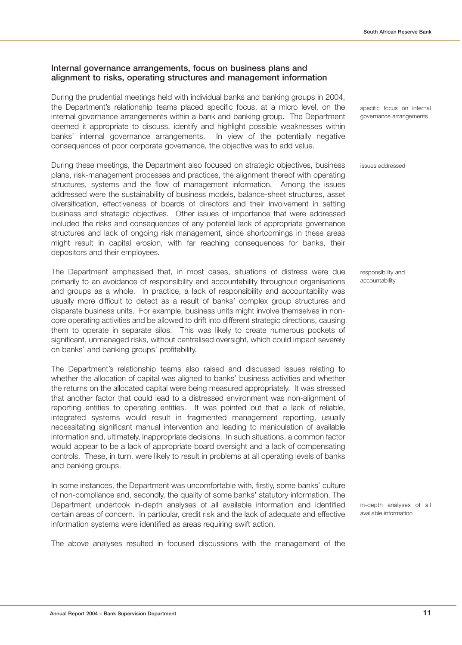## **Internal governance arrangements, focus on business plans and alignment to risks, operating structures and management information**

During the prudential meetings held with individual banks and banking groups in 2004, the Department's relationship teams placed specific focus, at a micro level, on the internal governance arrangements within a bank and banking group. The Department deemed it appropriate to discuss, identify and highlight possible weaknesses within banks' internal governance arrangements. In view of the potentially negative consequences of poor corporate governance, the objective was to add value.

During these meetings, the Department also focused on strategic objectives, business plans, risk-management processes and practices, the alignment thereof with operating structures, systems and the flow of management information. Among the issues addressed were the sustainability of business models, balance-sheet structures, asset diversification, effectiveness of boards of directors and their involvement in setting business and strategic objectives. Other issues of importance that were addressed included the risks and consequences of any potential lack of appropriate governance structures and lack of ongoing risk management, since shortcomings in these areas might result in capital erosion, with far reaching consequences for banks, their depositors and their employees.

The Department emphasised that, in most cases, situations of distress were due primarily to an avoidance of responsibility and accountability throughout organisations and groups as a whole. In practice, a lack of responsibility and accountability was usually more difficult to detect as a result of banks' complex group structures and disparate business units. For example, business units might involve themselves in noncore operating activities and be allowed to drift into different strategic directions, causing them to operate in separate silos. This was likely to create numerous pockets of significant, unmanaged risks, without centralised oversight, which could impact severely on banks' and banking groups' profitability.

The Department's relationship teams also raised and discussed issues relating to whether the allocation of capital was aligned to banks' business activities and whether the returns on the allocated capital were being measured appropriately. It was stressed that another factor that could lead to a distressed environment was non-alignment of reporting entities to operating entities. It was pointed out that a lack of reliable, integrated systems would result in fragmented management reporting, usually necessitating significant manual intervention and leading to manipulation of available information and, ultimately, inappropriate decisions. In such situations, a common factor would appear to be a lack of appropriate board oversight and a lack of compensating controls. These, in turn, were likely to result in problems at all operating levels of banks and banking groups.

In some instances, the Department was uncomfortable with, firstly, some banks' culture of non-compliance and, secondly, the quality of some banks' statutory information. The Department undertook in-depth analyses of all available information and identified certain areas of concern. In particular, credit risk and the lack of adequate and effective information systems were identified as areas requiring swift action.

The above analyses resulted in focused discussions with the management of the

specific focus on internal governance arrangements

issues addressed

responsibility and accountability

in-depth analyses of all available information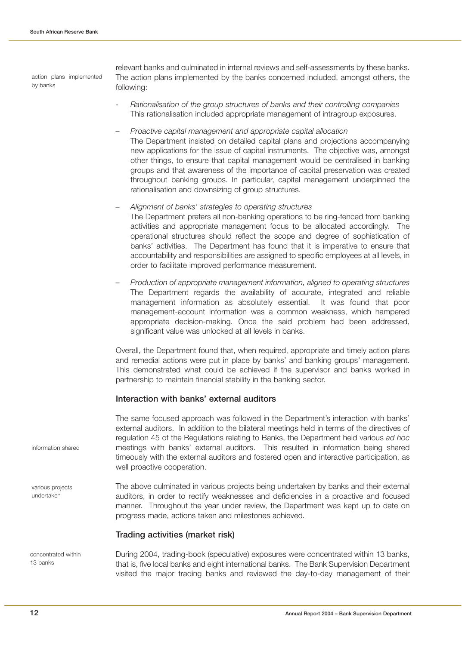action plans implemented by banks

relevant banks and culminated in internal reviews and self-assessments by these banks. The action plans implemented by the banks concerned included, amongst others, the following:

- Rationalisation of the group structures of banks and their controlling companies This rationalisation included appropriate management of intragroup exposures.
- Proactive capital management and appropriate capital allocation The Department insisted on detailed capital plans and projections accompanying new applications for the issue of capital instruments. The objective was, amongst other things, to ensure that capital management would be centralised in banking groups and that awareness of the importance of capital preservation was created throughout banking groups. In particular, capital management underpinned the rationalisation and downsizing of group structures.
- Alignment of banks' strategies to operating structures The Department prefers all non-banking operations to be ring-fenced from banking activities and appropriate management focus to be allocated accordingly. The operational structures should reflect the scope and degree of sophistication of banks' activities. The Department has found that it is imperative to ensure that accountability and responsibilities are assigned to specific employees at all levels, in order to facilitate improved performance measurement.
- Production of appropriate management information, aligned to operating structures The Department regards the availability of accurate, integrated and reliable management information as absolutely essential. It was found that poor management-account information was a common weakness, which hampered appropriate decision-making. Once the said problem had been addressed, significant value was unlocked at all levels in banks.

Overall, the Department found that, when required, appropriate and timely action plans and remedial actions were put in place by banks' and banking groups' management. This demonstrated what could be achieved if the supervisor and banks worked in partnership to maintain financial stability in the banking sector.

## **Interaction with banks' external auditors**

The same focused approach was followed in the Department's interaction with banks' external auditors. In addition to the bilateral meetings held in terms of the directives of regulation 45 of the Regulations relating to Banks, the Department held various ad hoc meetings with banks' external auditors. This resulted in information being shared timeously with the external auditors and fostered open and interactive participation, as well proactive cooperation. The above culminated in various projects being undertaken by banks and their external auditors, in order to rectify weaknesses and deficiencies in a proactive and focused manner. Throughout the year under review, the Department was kept up to date on progress made, actions taken and milestones achieved. information shared various projects undertaken

## **Trading activities (market risk)**

During 2004, trading-book (speculative) exposures were concentrated within 13 banks, that is, five local banks and eight international banks. The Bank Supervision Department visited the major trading banks and reviewed the day-to-day management of their concentrated within 13 banks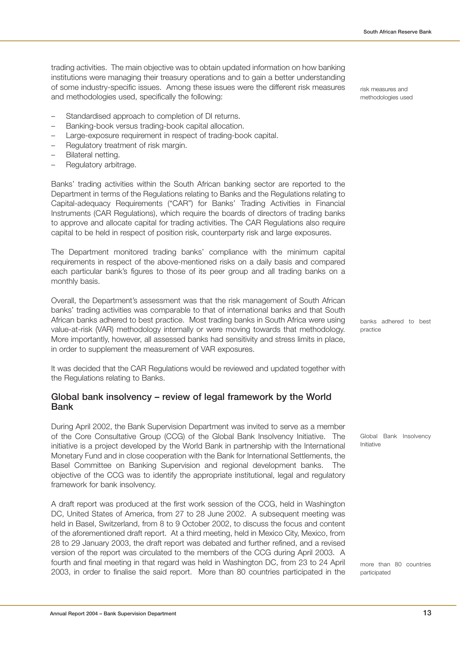trading activities. The main objective was to obtain updated information on how banking institutions were managing their treasury operations and to gain a better understanding of some industry-specific issues. Among these issues were the different risk measures and methodologies used, specifically the following:

- Standardised approach to completion of DI returns.
- Banking-book versus trading-book capital allocation.
- Large-exposure requirement in respect of trading-book capital.
- Regulatory treatment of risk margin.
- Bilateral netting.
- Regulatory arbitrage.

Banks' trading activities within the South African banking sector are reported to the Department in terms of the Regulations relating to Banks and the Regulations relating to Capital-adequacy Requirements ("CAR") for Banks' Trading Activities in Financial Instruments (CAR Regulations), which require the boards of directors of trading banks to approve and allocate capital for trading activities. The CAR Regulations also require capital to be held in respect of position risk, counterparty risk and large exposures.

The Department monitored trading banks' compliance with the minimum capital requirements in respect of the above-mentioned risks on a daily basis and compared each particular bank's figures to those of its peer group and all trading banks on a monthly basis.

Overall, the Department's assessment was that the risk management of South African banks' trading activities was comparable to that of international banks and that South African banks adhered to best practice. Most trading banks in South Africa were using value-at-risk (VAR) methodology internally or were moving towards that methodology. More importantly, however, all assessed banks had sensitivity and stress limits in place, in order to supplement the measurement of VAR exposures.

It was decided that the CAR Regulations would be reviewed and updated together with the Regulations relating to Banks.

## **Global bank insolvency – review of legal framework by the World Bank**

During April 2002, the Bank Supervision Department was invited to serve as a member of the Core Consultative Group (CCG) of the Global Bank Insolvency Initiative. The initiative is a project developed by the World Bank in partnership with the International Monetary Fund and in close cooperation with the Bank for International Settlements, the Basel Committee on Banking Supervision and regional development banks. The objective of the CCG was to identify the appropriate institutional, legal and regulatory framework for bank insolvency.

A draft report was produced at the first work session of the CCG, held in Washington DC, United States of America, from 27 to 28 June 2002. A subsequent meeting was held in Basel, Switzerland, from 8 to 9 October 2002, to discuss the focus and content of the aforementioned draft report. At a third meeting, held in Mexico City, Mexico, from 28 to 29 January 2003, the draft report was debated and further refined, and a revised version of the report was circulated to the members of the CCG during April 2003. A fourth and final meeting in that regard was held in Washington DC, from 23 to 24 April 2003, in order to finalise the said report. More than 80 countries participated in the risk measures and methodologies used

banks adhered to best practice

Global Bank Insolvency Initiative

more than 80 countries participated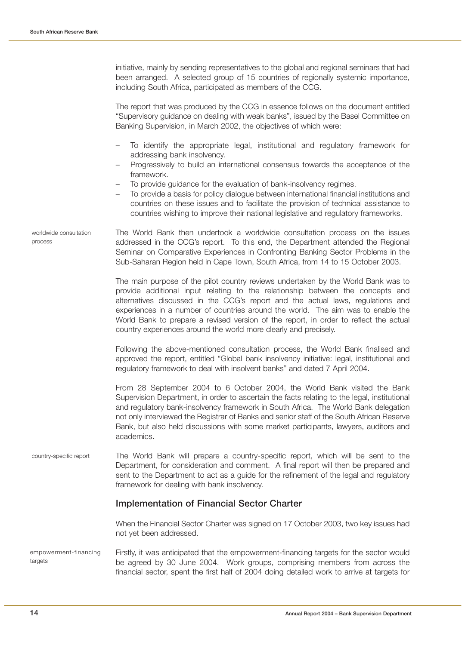initiative, mainly by sending representatives to the global and regional seminars that had been arranged. A selected group of 15 countries of regionally systemic importance, including South Africa, participated as members of the CCG.

The report that was produced by the CCG in essence follows on the document entitled "Supervisory guidance on dealing with weak banks", issued by the Basel Committee on Banking Supervision, in March 2002, the objectives of which were:

- To identify the appropriate legal, institutional and regulatory framework for addressing bank insolvency.
- Progressively to build an international consensus towards the acceptance of the framework.
- To provide guidance for the evaluation of bank-insolvency regimes.
- To provide a basis for policy dialogue between international financial institutions and countries on these issues and to facilitate the provision of technical assistance to countries wishing to improve their national legislative and regulatory frameworks.

The World Bank then undertook a worldwide consultation process on the issues addressed in the CCG's report. To this end, the Department attended the Regional Seminar on Comparative Experiences in Confronting Banking Sector Problems in the Sub-Saharan Region held in Cape Town, South Africa, from 14 to 15 October 2003. worldwide consultation process

> The main purpose of the pilot country reviews undertaken by the World Bank was to provide additional input relating to the relationship between the concepts and alternatives discussed in the CCG's report and the actual laws, regulations and experiences in a number of countries around the world. The aim was to enable the World Bank to prepare a revised version of the report, in order to reflect the actual country experiences around the world more clearly and precisely.

> Following the above-mentioned consultation process, the World Bank finalised and approved the report, entitled "Global bank insolvency initiative: legal, institutional and regulatory framework to deal with insolvent banks" and dated 7 April 2004.

> From 28 September 2004 to 6 October 2004, the World Bank visited the Bank Supervision Department, in order to ascertain the facts relating to the legal, institutional and regulatory bank-insolvency framework in South Africa. The World Bank delegation not only interviewed the Registrar of Banks and senior staff of the South African Reserve Bank, but also held discussions with some market participants, lawyers, auditors and academics.

The World Bank will prepare a country-specific report, which will be sent to the Department, for consideration and comment. A final report will then be prepared and sent to the Department to act as a guide for the refinement of the legal and regulatory framework for dealing with bank insolvency. country-specific report

## **Implementation of Financial Sector Charter**

When the Financial Sector Charter was signed on 17 October 2003, two key issues had not yet been addressed.

Firstly, it was anticipated that the empowerment-financing targets for the sector would be agreed by 30 June 2004. Work groups, comprising members from across the financial sector, spent the first half of 2004 doing detailed work to arrive at targets for empowerment-financing targets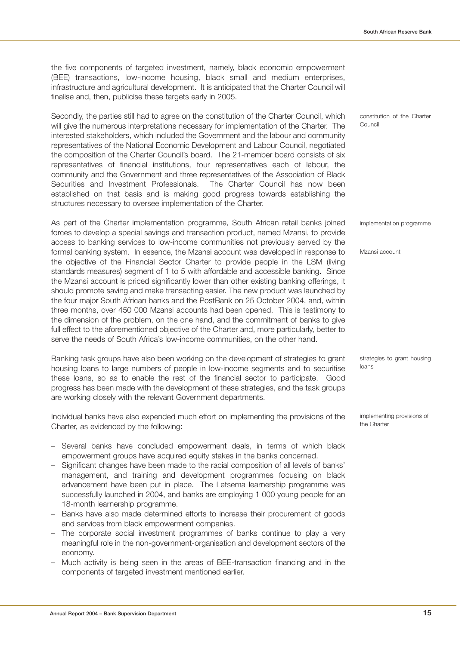the five components of targeted investment, namely, black economic empowerment (BEE) transactions, low-income housing, black small and medium enterprises, infrastructure and agricultural development. It is anticipated that the Charter Council will finalise and, then, publicise these targets early in 2005.

Secondly, the parties still had to agree on the constitution of the Charter Council, which will give the numerous interpretations necessary for implementation of the Charter. The interested stakeholders, which included the Government and the labour and community representatives of the National Economic Development and Labour Council, negotiated the composition of the Charter Council's board. The 21-member board consists of six representatives of financial institutions, four representatives each of labour, the community and the Government and three representatives of the Association of Black Securities and Investment Professionals. The Charter Council has now been established on that basis and is making good progress towards establishing the structures necessary to oversee implementation of the Charter.

As part of the Charter implementation programme, South African retail banks joined forces to develop a special savings and transaction product, named Mzansi, to provide access to banking services to low-income communities not previously served by the formal banking system. In essence, the Mzansi account was developed in response to the objective of the Financial Sector Charter to provide people in the LSM (living standards measures) segment of 1 to 5 with affordable and accessible banking. Since the Mzansi account is priced significantly lower than other existing banking offerings, it should promote saving and make transacting easier. The new product was launched by the four major South African banks and the PostBank on 25 October 2004, and, within three months, over 450 000 Mzansi accounts had been opened. This is testimony to the dimension of the problem, on the one hand, and the commitment of banks to give full effect to the aforementioned objective of the Charter and, more particularly, better to serve the needs of South Africa's low-income communities, on the other hand.

Banking task groups have also been working on the development of strategies to grant housing loans to large numbers of people in low-income segments and to securitise these loans, so as to enable the rest of the financial sector to participate. Good progress has been made with the development of these strategies, and the task groups are working closely with the relevant Government departments.

Individual banks have also expended much effort on implementing the provisions of the Charter, as evidenced by the following:

- Several banks have concluded empowerment deals, in terms of which black empowerment groups have acquired equity stakes in the banks concerned.
- Significant changes have been made to the racial composition of all levels of banks' management, and training and development programmes focusing on black advancement have been put in place. The Letsema learnership programme was successfully launched in 2004, and banks are employing 1 000 young people for an 18-month learnership programme.
- Banks have also made determined efforts to increase their procurement of goods and services from black empowerment companies.
- The corporate social investment programmes of banks continue to play a very meaningful role in the non-government-organisation and development sectors of the economy.
- Much activity is being seen in the areas of BEE-transaction financing and in the components of targeted investment mentioned earlier.

constitution of the Charter Council

implementation programme

Mzansi account

strategies to grant housing loans

implementing provisions of the Charter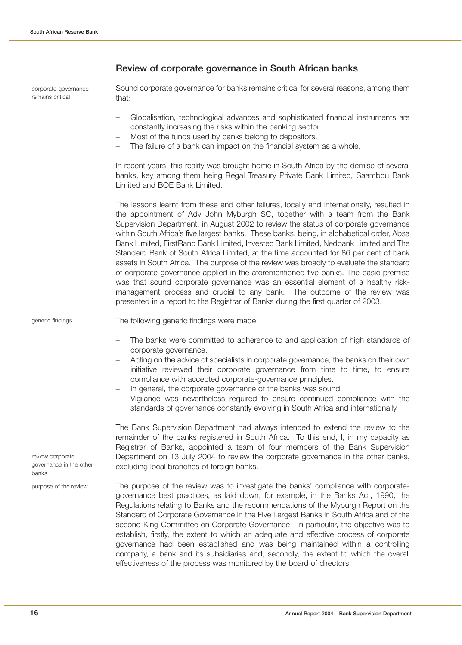|                                                      | Review of corporate governance in South African banks                                                                                                                                                                                                                                                                                                                                                                                                                                                                                                                                                                                                                                                                                                                                                                                                                                                                                                                              |
|------------------------------------------------------|------------------------------------------------------------------------------------------------------------------------------------------------------------------------------------------------------------------------------------------------------------------------------------------------------------------------------------------------------------------------------------------------------------------------------------------------------------------------------------------------------------------------------------------------------------------------------------------------------------------------------------------------------------------------------------------------------------------------------------------------------------------------------------------------------------------------------------------------------------------------------------------------------------------------------------------------------------------------------------|
| corporate governance<br>remains critical             | Sound corporate governance for banks remains critical for several reasons, among them<br>that:                                                                                                                                                                                                                                                                                                                                                                                                                                                                                                                                                                                                                                                                                                                                                                                                                                                                                     |
|                                                      | Globalisation, technological advances and sophisticated financial instruments are<br>constantly increasing the risks within the banking sector.<br>Most of the funds used by banks belong to depositors.<br>$\overline{\phantom{m}}$<br>The failure of a bank can impact on the financial system as a whole.                                                                                                                                                                                                                                                                                                                                                                                                                                                                                                                                                                                                                                                                       |
|                                                      | In recent years, this reality was brought home in South Africa by the demise of several<br>banks, key among them being Regal Treasury Private Bank Limited, Saambou Bank<br>Limited and BOE Bank Limited.                                                                                                                                                                                                                                                                                                                                                                                                                                                                                                                                                                                                                                                                                                                                                                          |
|                                                      | The lessons learnt from these and other failures, locally and internationally, resulted in<br>the appointment of Adv John Myburgh SC, together with a team from the Bank<br>Supervision Department, in August 2002 to review the status of corporate governance<br>within South Africa's five largest banks. These banks, being, in alphabetical order, Absa<br>Bank Limited, FirstRand Bank Limited, Investec Bank Limited, Nedbank Limited and The<br>Standard Bank of South Africa Limited, at the time accounted for 86 per cent of bank<br>assets in South Africa. The purpose of the review was broadly to evaluate the standard<br>of corporate governance applied in the aforementioned five banks. The basic premise<br>was that sound corporate governance was an essential element of a healthy risk-<br>management process and crucial to any bank. The outcome of the review was<br>presented in a report to the Registrar of Banks during the first quarter of 2003. |
| generic findings                                     | The following generic findings were made:                                                                                                                                                                                                                                                                                                                                                                                                                                                                                                                                                                                                                                                                                                                                                                                                                                                                                                                                          |
|                                                      | The banks were committed to adherence to and application of high standards of<br>corporate governance.<br>Acting on the advice of specialists in corporate governance, the banks on their own<br>initiative reviewed their corporate governance from time to time, to ensure<br>compliance with accepted corporate-governance principles.<br>In general, the corporate governance of the banks was sound.<br>Vigilance was nevertheless required to ensure continued compliance with the<br>standards of governance constantly evolving in South Africa and internationally.                                                                                                                                                                                                                                                                                                                                                                                                       |
| review corporate<br>governance in the other<br>banks | The Bank Supervision Department had always intended to extend the review to the<br>remainder of the banks registered in South Africa. To this end, I, in my capacity as<br>Registrar of Banks, appointed a team of four members of the Bank Supervision<br>Department on 13 July 2004 to review the corporate governance in the other banks,<br>excluding local branches of foreign banks.                                                                                                                                                                                                                                                                                                                                                                                                                                                                                                                                                                                         |
| purpose of the review                                | The purpose of the review was to investigate the banks' compliance with corporate-<br>governance best practices, as laid down, for example, in the Banks Act, 1990, the<br>Regulations relating to Banks and the recommendations of the Myburgh Report on the                                                                                                                                                                                                                                                                                                                                                                                                                                                                                                                                                                                                                                                                                                                      |

Standard of Corporate Governance in the Five Largest Banks in South Africa and of the second King Committee on Corporate Governance. In particular, the objective was to establish, firstly, the extent to which an adequate and effective process of corporate governance had been established and was being maintained within a controlling company, a bank and its subsidiaries and, secondly, the extent to which the overall

effectiveness of the process was monitored by the board of directors.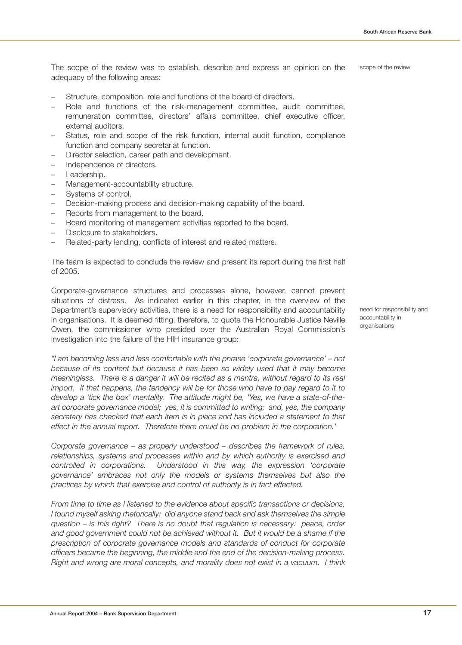The scope of the review was to establish, describe and express an opinion on the adequacy of the following areas: scope of the review

- Structure, composition, role and functions of the board of directors.
- Role and functions of the risk-management committee, audit committee, remuneration committee, directors' affairs committee, chief executive officer, external auditors.
- Status, role and scope of the risk function, internal audit function, compliance function and company secretariat function.
- Director selection, career path and development.
- Independence of directors.
- Leadership.
- Management-accountability structure.
- Systems of control.
- Decision-making process and decision-making capability of the board.
- Reports from management to the board.
- Board monitoring of management activities reported to the board.
- Disclosure to stakeholders.
- Related-party lending, conflicts of interest and related matters.

The team is expected to conclude the review and present its report during the first half of 2005.

Corporate-governance structures and processes alone, however, cannot prevent situations of distress. As indicated earlier in this chapter, in the overview of the Department's supervisory activities, there is a need for responsibility and accountability in organisations. It is deemed fitting, therefore, to quote the Honourable Justice Neville Owen, the commissioner who presided over the Australian Royal Commission's investigation into the failure of the HIH insurance group:

"I am becoming less and less comfortable with the phrase 'corporate governance' – not because of its content but because it has been so widely used that it may become meaningless. There is a danger it will be recited as a mantra, without regard to its real import. If that happens, the tendency will be for those who have to pay regard to it to develop a 'tick the box' mentality. The attitude might be, 'Yes, we have a state-of-theart corporate governance model; yes, it is committed to writing; and, yes, the company secretary has checked that each item is in place and has included a statement to that effect in the annual report. Therefore there could be no problem in the corporation.'

Corporate governance – as properly understood – describes the framework of rules, relationships, systems and processes within and by which authority is exercised and controlled in corporations. Understood in this way, the expression 'corporate governance' embraces not only the models or systems themselves but also the practices by which that exercise and control of authority is in fact effected.

From time to time as I listened to the evidence about specific transactions or decisions, I found myself asking rhetorically: did anyone stand back and ask themselves the simple question – is this right? There is no doubt that regulation is necessary: peace, order and good government could not be achieved without it. But it would be a shame if the prescription of corporate governance models and standards of conduct for corporate officers became the beginning, the middle and the end of the decision-making process. Right and wrong are moral concepts, and morality does not exist in a vacuum. I think need for responsibility and accountability in organisations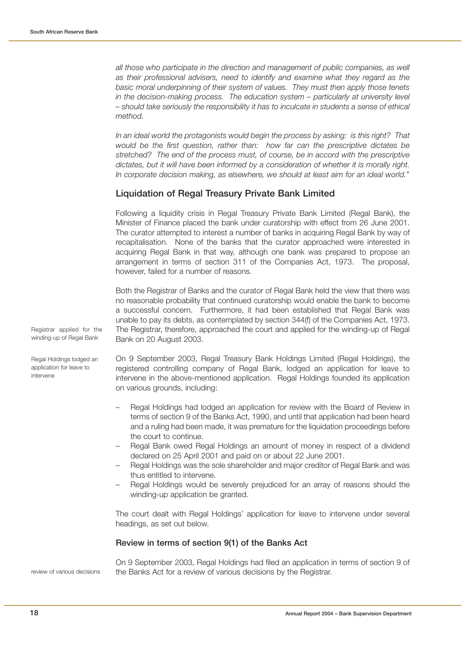all those who participate in the direction and management of public companies, as well as their professional advisers, need to identify and examine what they regard as the basic moral underpinning of their system of values. They must then apply those tenets in the decision-making process. The education system – particularly at university level – should take seriously the responsibility it has to inculcate in students a sense of ethical method.

In an ideal world the protagonists would begin the process by asking: is this right? That would be the first question, rather than: how far can the prescriptive dictates be stretched? The end of the process must, of course, be in accord with the prescriptive dictates, but it will have been informed by a consideration of whether it is morally right. In corporate decision making, as elsewhere, we should at least aim for an ideal world."

## **Liquidation of Regal Treasury Private Bank Limited**

Following a liquidity crisis in Regal Treasury Private Bank Limited (Regal Bank), the Minister of Finance placed the bank under curatorship with effect from 26 June 2001. The curator attempted to interest a number of banks in acquiring Regal Bank by way of recapitalisation. None of the banks that the curator approached were interested in acquiring Regal Bank in that way, although one bank was prepared to propose an arrangement in terms of section 311 of the Companies Act, 1973. The proposal, however, failed for a number of reasons.

Both the Registrar of Banks and the curator of Regal Bank held the view that there was no reasonable probability that continued curatorship would enable the bank to become a successful concern. Furthermore, it had been established that Regal Bank was unable to pay its debts, as contemplated by section 344(f) of the Companies Act, 1973. The Registrar, therefore, approached the court and applied for the winding-up of Regal Bank on 20 August 2003.

On 9 September 2003, Regal Treasury Bank Holdings Limited (Regal Holdings), the registered controlling company of Regal Bank, lodged an application for leave to intervene in the above-mentioned application. Regal Holdings founded its application on various grounds, including:

- Regal Holdings had lodged an application for review with the Board of Review in terms of section 9 of the Banks Act, 1990, and until that application had been heard and a ruling had been made, it was premature for the liquidation proceedings before the court to continue.
- Regal Bank owed Regal Holdings an amount of money in respect of a dividend declared on 25 April 2001 and paid on or about 22 June 2001.
- Regal Holdings was the sole shareholder and major creditor of Regal Bank and was thus entitled to intervene.
- Regal Holdings would be severely prejudiced for an array of reasons should the winding-up application be granted.

The court dealt with Regal Holdings' application for leave to intervene under several headings, as set out below.

#### **Review in terms of section 9(1) of the Banks Act**

review of various decisions

On 9 September 2003, Regal Holdings had filed an application in terms of section 9 of the Banks Act for a review of various decisions by the Registrar.

Registrar applied for the winding-up of Regal Bank

Regal Holdings lodged an application for leave to intervene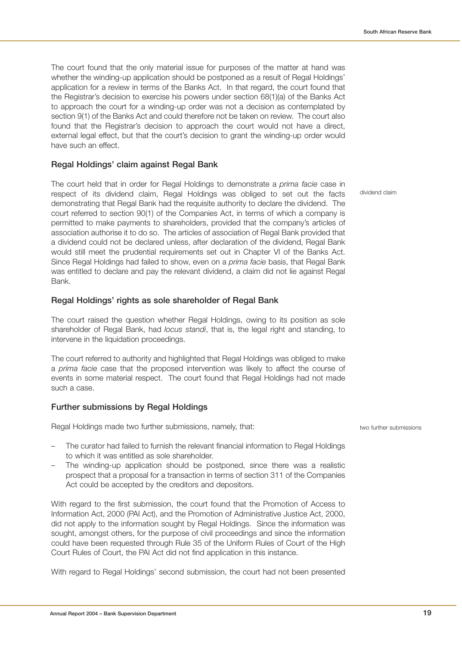The court found that the only material issue for purposes of the matter at hand was whether the winding-up application should be postponed as a result of Regal Holdings' application for a review in terms of the Banks Act. In that regard, the court found that the Registrar's decision to exercise his powers under section 68(1)(a) of the Banks Act to approach the court for a winding-up order was not a decision as contemplated by section 9(1) of the Banks Act and could therefore not be taken on review. The court also found that the Registrar's decision to approach the court would not have a direct, external legal effect, but that the court's decision to grant the winding-up order would have such an effect.

## **Regal Holdings' claim against Regal Bank**

The court held that in order for Regal Holdings to demonstrate a prima facie case in respect of its dividend claim, Regal Holdings was obliged to set out the facts demonstrating that Regal Bank had the requisite authority to declare the dividend. The court referred to section 90(1) of the Companies Act, in terms of which a company is permitted to make payments to shareholders, provided that the company's articles of association authorise it to do so. The articles of association of Regal Bank provided that a dividend could not be declared unless, after declaration of the dividend, Regal Bank would still meet the prudential requirements set out in Chapter VI of the Banks Act. Since Regal Holdings had failed to show, even on a prima facie basis, that Regal Bank was entitled to declare and pay the relevant dividend, a claim did not lie against Regal Bank.

## **Regal Holdings' rights as sole shareholder of Regal Bank**

The court raised the question whether Regal Holdings, owing to its position as sole shareholder of Regal Bank, had locus standi, that is, the legal right and standing, to intervene in the liquidation proceedings.

The court referred to authority and highlighted that Regal Holdings was obliged to make a prima facie case that the proposed intervention was likely to affect the course of events in some material respect. The court found that Regal Holdings had not made such a case.

## **Further submissions by Regal Holdings**

Regal Holdings made two further submissions, namely, that:

- The curator had failed to furnish the relevant financial information to Regal Holdings to which it was entitled as sole shareholder.
- The winding-up application should be postponed, since there was a realistic prospect that a proposal for a transaction in terms of section 311 of the Companies Act could be accepted by the creditors and depositors.

With regard to the first submission, the court found that the Promotion of Access to Information Act, 2000 (PAI Act), and the Promotion of Administrative Justice Act, 2000, did not apply to the information sought by Regal Holdings. Since the information was sought, amongst others, for the purpose of civil proceedings and since the information could have been requested through Rule 35 of the Uniform Rules of Court of the High Court Rules of Court, the PAI Act did not find application in this instance.

With regard to Regal Holdings' second submission, the court had not been presented

dividend claim

two further submissions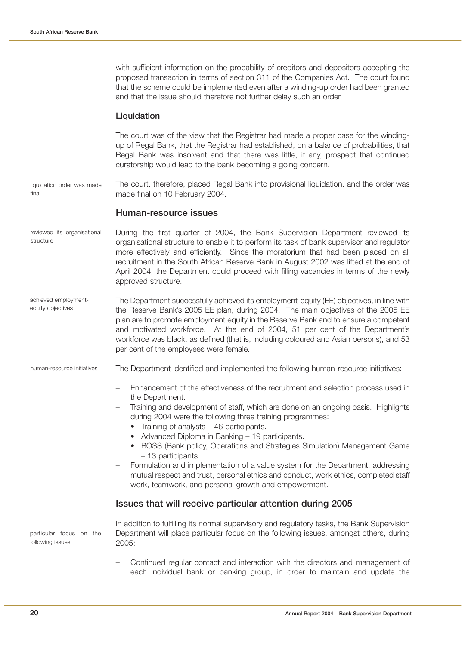with sufficient information on the probability of creditors and depositors accepting the proposed transaction in terms of section 311 of the Companies Act. The court found that the scheme could be implemented even after a winding-up order had been granted and that the issue should therefore not further delay such an order.

## **Liquidation**

The court was of the view that the Registrar had made a proper case for the windingup of Regal Bank, that the Registrar had established, on a balance of probabilities, that Regal Bank was insolvent and that there was little, if any, prospect that continued curatorship would lead to the bank becoming a going concern.

The court, therefore, placed Regal Bank into provisional liquidation, and the order was made final on 10 February 2004. liquidation order was made final

#### **Human-resource issues**

- During the first quarter of 2004, the Bank Supervision Department reviewed its organisational structure to enable it to perform its task of bank supervisor and regulator more effectively and efficiently. Since the moratorium that had been placed on all recruitment in the South African Reserve Bank in August 2002 was lifted at the end of April 2004, the Department could proceed with filling vacancies in terms of the newly approved structure. reviewed its organisational structure
- The Department successfully achieved its employment-equity (EE) objectives, in line with the Reserve Bank's 2005 EE plan, during 2004. The main objectives of the 2005 EE plan are to promote employment equity in the Reserve Bank and to ensure a competent and motivated workforce. At the end of 2004, 51 per cent of the Department's workforce was black, as defined (that is, including coloured and Asian persons), and 53 per cent of the employees were female. achieved employmentequity objectives

The Department identified and implemented the following human-resource initiatives: human-resource initiatives

- Enhancement of the effectiveness of the recruitment and selection process used in the Department.
- Training and development of staff, which are done on an ongoing basis. Highlights during 2004 were the following three training programmes:
	- Training of analysts 46 participants.
	- Advanced Diploma in Banking 19 participants.
	- BOSS (Bank policy, Operations and Strategies Simulation) Management Game – 13 participants.
- Formulation and implementation of a value system for the Department, addressing mutual respect and trust, personal ethics and conduct, work ethics, completed staff work, teamwork, and personal growth and empowerment.

#### **Issues that will receive particular attention during 2005**

particular focus on the following issues

In addition to fulfilling its normal supervisory and regulatory tasks, the Bank Supervision Department will place particular focus on the following issues, amongst others, during 2005:

– Continued regular contact and interaction with the directors and management of each individual bank or banking group, in order to maintain and update the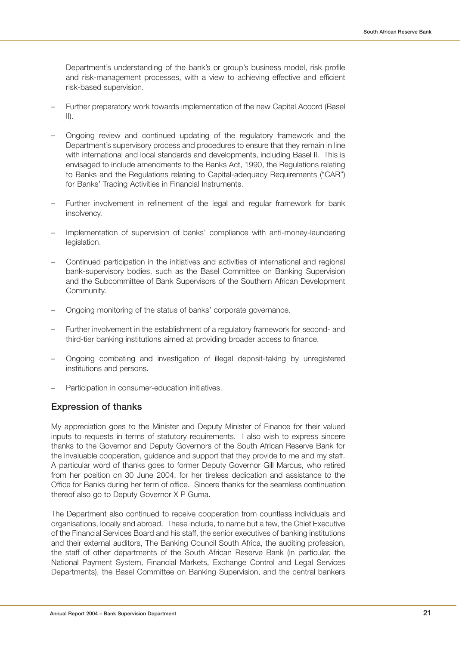Department's understanding of the bank's or group's business model, risk profile and risk-management processes, with a view to achieving effective and efficient risk-based supervision.

- Further preparatory work towards implementation of the new Capital Accord (Basel  $\vert \vert \vert$ .
- Ongoing review and continued updating of the regulatory framework and the Department's supervisory process and procedures to ensure that they remain in line with international and local standards and developments, including Basel II. This is envisaged to include amendments to the Banks Act, 1990, the Regulations relating to Banks and the Regulations relating to Capital-adequacy Requirements ("CAR") for Banks' Trading Activities in Financial Instruments.
- Further involvement in refinement of the legal and regular framework for bank insolvency.
- Implementation of supervision of banks' compliance with anti-money-laundering legislation.
- Continued participation in the initiatives and activities of international and regional bank-supervisory bodies, such as the Basel Committee on Banking Supervision and the Subcommittee of Bank Supervisors of the Southern African Development Community.
- Ongoing monitoring of the status of banks' corporate governance.
- Further involvement in the establishment of a regulatory framework for second- and third-tier banking institutions aimed at providing broader access to finance.
- Ongoing combating and investigation of illegal deposit-taking by unregistered institutions and persons.
- Participation in consumer-education initiatives.

## **Expression of thanks**

My appreciation goes to the Minister and Deputy Minister of Finance for their valued inputs to requests in terms of statutory requirements. I also wish to express sincere thanks to the Governor and Deputy Governors of the South African Reserve Bank for the invaluable cooperation, guidance and support that they provide to me and my staff. A particular word of thanks goes to former Deputy Governor Gill Marcus, who retired from her position on 30 June 2004, for her tireless dedication and assistance to the Office for Banks during her term of office. Sincere thanks for the seamless continuation thereof also go to Deputy Governor X P Guma.

The Department also continued to receive cooperation from countless individuals and organisations, locally and abroad. These include, to name but a few, the Chief Executive of the Financial Services Board and his staff, the senior executives of banking institutions and their external auditors, The Banking Council South Africa, the auditing profession, the staff of other departments of the South African Reserve Bank (in particular, the National Payment System, Financial Markets, Exchange Control and Legal Services Departments), the Basel Committee on Banking Supervision, and the central bankers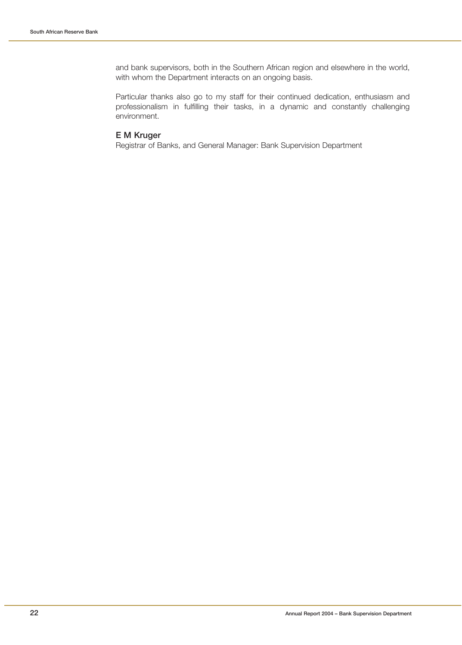and bank supervisors, both in the Southern African region and elsewhere in the world, with whom the Department interacts on an ongoing basis.

Particular thanks also go to my staff for their continued dedication, enthusiasm and professionalism in fulfilling their tasks, in a dynamic and constantly challenging environment.

## **E M Kruger**

Registrar of Banks, and General Manager: Bank Supervision Department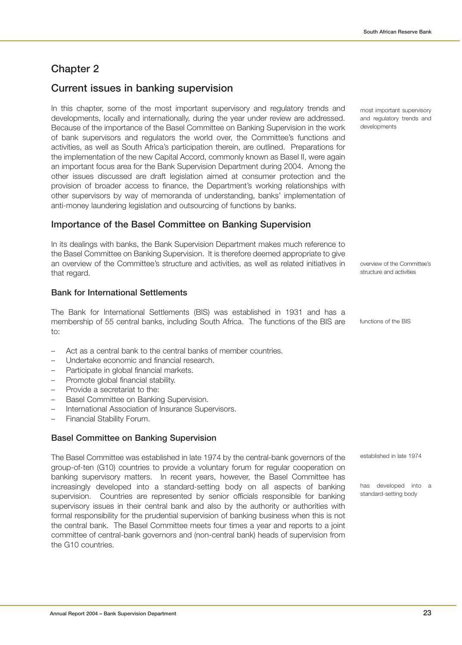## **Chapter 2**

## **Current issues in banking supervision**

In this chapter, some of the most important supervisory and regulatory trends and developments, locally and internationally, during the year under review are addressed. Because of the importance of the Basel Committee on Banking Supervision in the work of bank supervisors and regulators the world over, the Committee's functions and activities, as well as South Africa's participation therein, are outlined. Preparations for the implementation of the new Capital Accord, commonly known as Basel II, were again an important focus area for the Bank Supervision Department during 2004. Among the other issues discussed are draft legislation aimed at consumer protection and the provision of broader access to finance, the Department's working relationships with other supervisors by way of memoranda of understanding, banks' implementation of anti-money laundering legislation and outsourcing of functions by banks.

## **Importance of the Basel Committee on Banking Supervision**

In its dealings with banks, the Bank Supervision Department makes much reference to the Basel Committee on Banking Supervision. It is therefore deemed appropriate to give an overview of the Committee's structure and activities, as well as related initiatives in that regard.

## **Bank for International Settlements**

The Bank for International Settlements (BIS) was established in 1931 and has a membership of 55 central banks, including South Africa. The functions of the BIS are to:

- Act as a central bank to the central banks of member countries.
- Undertake economic and financial research.
- Participate in global financial markets.
- Promote global financial stability.
- Provide a secretariat to the:
- Basel Committee on Banking Supervision.
- International Association of Insurance Supervisors.
- Financial Stability Forum.

#### **Basel Committee on Banking Supervision**

The Basel Committee was established in late 1974 by the central-bank governors of the group-of-ten (G10) countries to provide a voluntary forum for regular cooperation on banking supervisory matters. In recent years, however, the Basel Committee has increasingly developed into a standard-setting body on all aspects of banking supervision. Countries are represented by senior officials responsible for banking supervisory issues in their central bank and also by the authority or authorities with formal responsibility for the prudential supervision of banking business when this is not the central bank. The Basel Committee meets four times a year and reports to a joint committee of central-bank governors and (non-central bank) heads of supervision from the G10 countries.

most important supervisory and regulatory trends and developments

overview of the Committee's structure and activities

functions of the BIS

established in late 1974

has developed into a standard-setting body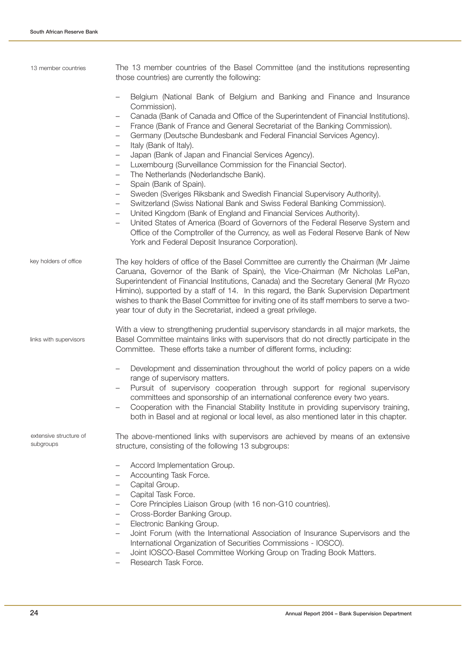| 13 member countries                 | The 13 member countries of the Basel Committee (and the institutions representing<br>those countries) are currently the following:                                                                                                                                                                                                                                                                                                                                                                                                                                                                                             |
|-------------------------------------|--------------------------------------------------------------------------------------------------------------------------------------------------------------------------------------------------------------------------------------------------------------------------------------------------------------------------------------------------------------------------------------------------------------------------------------------------------------------------------------------------------------------------------------------------------------------------------------------------------------------------------|
|                                     | Belgium (National Bank of Belgium and Banking and Finance and Insurance<br>Commission).<br>Canada (Bank of Canada and Office of the Superintendent of Financial Institutions).<br>$\qquad \qquad -$<br>France (Bank of France and General Secretariat of the Banking Commission).<br>$\overline{\phantom{m}}$<br>Germany (Deutsche Bundesbank and Federal Financial Services Agency).<br>$\qquad \qquad -$<br>Italy (Bank of Italy).<br>$\overline{\phantom{0}}$<br>Japan (Bank of Japan and Financial Services Agency).<br>$\qquad \qquad -$                                                                                  |
|                                     | Luxembourg (Surveillance Commission for the Financial Sector).<br>$\qquad \qquad -$<br>The Netherlands (Nederlandsche Bank).<br>$\qquad \qquad -$<br>Spain (Bank of Spain).<br>$\qquad \qquad -$                                                                                                                                                                                                                                                                                                                                                                                                                               |
|                                     | Sweden (Sveriges Riksbank and Swedish Financial Supervisory Authority).<br>$\qquad \qquad -$<br>Switzerland (Swiss National Bank and Swiss Federal Banking Commission).<br>$\overline{\phantom{0}}$<br>United Kingdom (Bank of England and Financial Services Authority).<br>$\qquad \qquad -$<br>United States of America (Board of Governors of the Federal Reserve System and<br>$\qquad \qquad -$<br>Office of the Comptroller of the Currency, as well as Federal Reserve Bank of New<br>York and Federal Deposit Insurance Corporation).                                                                                 |
| key holders of office               | The key holders of office of the Basel Committee are currently the Chairman (Mr Jaime<br>Caruana, Governor of the Bank of Spain), the Vice-Chairman (Mr Nicholas LePan,<br>Superintendent of Financial Institutions, Canada) and the Secretary General (Mr Ryozo<br>Himino), supported by a staff of 14. In this regard, the Bank Supervision Department<br>wishes to thank the Basel Committee for inviting one of its staff members to serve a two-<br>year tour of duty in the Secretariat, indeed a great privilege.                                                                                                       |
| links with supervisors              | With a view to strengthening prudential supervisory standards in all major markets, the<br>Basel Committee maintains links with supervisors that do not directly participate in the<br>Committee. These efforts take a number of different forms, including:                                                                                                                                                                                                                                                                                                                                                                   |
|                                     | Development and dissemination throughout the world of policy papers on a wide<br>$\qquad \qquad -$<br>range of supervisory matters.<br>Pursuit of supervisory cooperation through support for regional supervisory<br>committees and sponsorship of an international conference every two years.<br>Cooperation with the Financial Stability Institute in providing supervisory training,<br>both in Basel and at regional or local level, as also mentioned later in this chapter.                                                                                                                                            |
| extensive structure of<br>subgroups | The above-mentioned links with supervisors are achieved by means of an extensive<br>structure, consisting of the following 13 subgroups:                                                                                                                                                                                                                                                                                                                                                                                                                                                                                       |
|                                     | Accord Implementation Group.<br>Accounting Task Force.<br>—<br>Capital Group.<br>$\qquad \qquad -$<br>Capital Task Force.<br>$\overline{\phantom{m}}$<br>Core Principles Liaison Group (with 16 non-G10 countries).<br>$\qquad \qquad -$<br>Cross-Border Banking Group.<br>$\qquad \qquad -$<br>Electronic Banking Group.<br>$\qquad \qquad -$<br>Joint Forum (with the International Association of Insurance Supervisors and the<br>$\overline{\phantom{m}}$<br>International Organization of Securities Commissions - IOSCO).<br>Joint IOSCO-Basel Committee Working Group on Trading Book Matters.<br>Reception Tack Force |

– Research Task Force.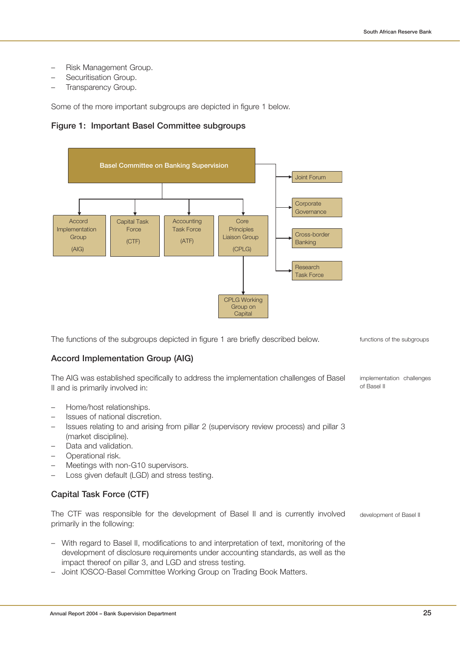- Risk Management Group.
- Securitisation Group.
- Transparency Group.

Some of the more important subgroups are depicted in figure 1 below.

## **Figure 1: Important Basel Committee subgroups**



The functions of the subgroups depicted in figure 1 are briefly described below.

## **Accord Implementation Group (AIG)**

The AIG was established specifically to address the implementation challenges of Basel II and is primarily involved in:

- Home/host relationships.
- Issues of national discretion.
- Issues relating to and arising from pillar 2 (supervisory review process) and pillar 3 (market discipline).
- Data and validation.
- Operational risk.
- Meetings with non-G10 supervisors.
- Loss given default (LGD) and stress testing.

## **Capital Task Force (CTF)**

The CTF was responsible for the development of Basel II and is currently involved primarily in the following: development of Basel II

- With regard to Basel II, modifications to and interpretation of text, monitoring of the development of disclosure requirements under accounting standards, as well as the impact thereof on pillar 3, and LGD and stress testing.
- Joint IOSCO-Basel Committee Working Group on Trading Book Matters.

functions of the subgroups

implementation challenges of Basel II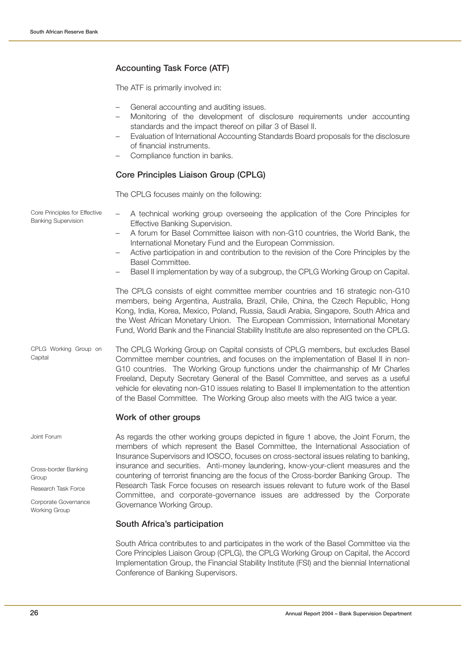## **Accounting Task Force (ATF)**

The ATF is primarily involved in:

- General accounting and auditing issues.
- Monitoring of the development of disclosure requirements under accounting standards and the impact thereof on pillar 3 of Basel II.
- Evaluation of International Accounting Standards Board proposals for the disclosure of financial instruments.
- Compliance function in banks.

## **Core Principles Liaison Group (CPLG)**

The CPLG focuses mainly on the following:

– A technical working group overseeing the application of the Core Principles for Effective Banking Supervision. – A forum for Basel Committee liaison with non-G10 countries, the World Bank, the International Monetary Fund and the European Commission. – Active participation in and contribution to the revision of the Core Principles by the Basel Committee. – Basel II implementation by way of a subgroup, the CPLG Working Group on Capital. The CPLG consists of eight committee member countries and 16 strategic non-G10 members, being Argentina, Australia, Brazil, Chile, China, the Czech Republic, Hong Kong, India, Korea, Mexico, Poland, Russia, Saudi Arabia, Singapore, South Africa and the West African Monetary Union. The European Commission, International Monetary Fund, World Bank and the Financial Stability Institute are also represented on the CPLG. The CPLG Working Group on Capital consists of CPLG members, but excludes Basel Committee member countries, and focuses on the implementation of Basel II in non-G10 countries. The Working Group functions under the chairmanship of Mr Charles Freeland, Deputy Secretary General of the Basel Committee, and serves as a useful vehicle for elevating non-G10 issues relating to Basel II implementation to the attention of the Basel Committee. The Working Group also meets with the AIG twice a year. **Work of other groups** As regards the other working groups depicted in figure 1 above, the Joint Forum, the members of which represent the Basel Committee, the International Association of Insurance Supervisors and IOSCO, focuses on cross-sectoral issues relating to banking, insurance and securities. Anti-money laundering, know-your-client measures and the countering of terrorist financing are the focus of the Cross-border Banking Group. The Research Task Force focuses on research issues relevant to future work of the Basel Committee, and corporate-governance issues are addressed by the Corporate Governance Working Group. Core Principles for Effective Banking Supervision CPLG Working Group on **Capital** Joint Forum Cross-border Banking **Group** Research Task Force Corporate Governance

#### **South Africa's participation**

South Africa contributes to and participates in the work of the Basel Committee via the Core Principles Liaison Group (CPLG), the CPLG Working Group on Capital, the Accord Implementation Group, the Financial Stability Institute (FSI) and the biennial International Conference of Banking Supervisors.

Working Group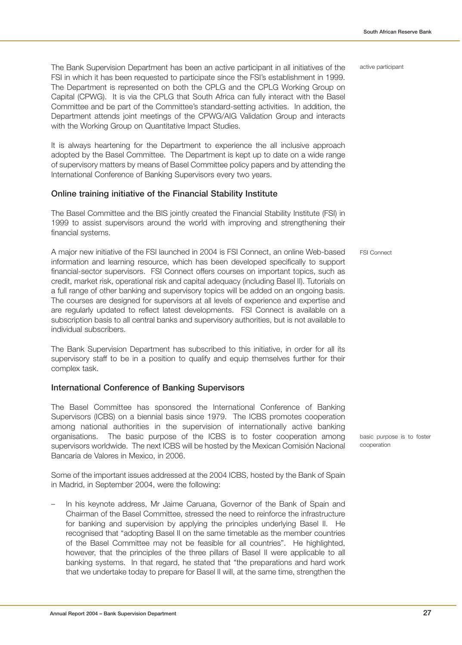active participant

The Bank Supervision Department has been an active participant in all initiatives of the FSI in which it has been requested to participate since the FSI's establishment in 1999. The Department is represented on both the CPLG and the CPLG Working Group on Capital (CPWG). It is via the CPLG that South Africa can fully interact with the Basel Committee and be part of the Committee's standard-setting activities. In addition, the Department attends joint meetings of the CPWG/AIG Validation Group and interacts with the Working Group on Quantitative Impact Studies.

It is always heartening for the Department to experience the all inclusive approach adopted by the Basel Committee. The Department is kept up to date on a wide range of supervisory matters by means of Basel Committee policy papers and by attending the International Conference of Banking Supervisors every two years.

#### **Online training initiative of the Financial Stability Institute**

The Basel Committee and the BIS jointly created the Financial Stability Institute (FSI) in 1999 to assist supervisors around the world with improving and strengthening their financial systems.

A major new initiative of the FSI launched in 2004 is FSI Connect, an online Web-based information and learning resource, which has been developed specifically to support financial-sector supervisors. FSI Connect offers courses on important topics, such as credit, market risk, operational risk and capital adequacy (including Basel II). Tutorials on a full range of other banking and supervisory topics will be added on an ongoing basis. The courses are designed for supervisors at all levels of experience and expertise and are regularly updated to reflect latest developments. FSI Connect is available on a subscription basis to all central banks and supervisory authorities, but is not available to individual subscribers.

The Bank Supervision Department has subscribed to this initiative, in order for all its supervisory staff to be in a position to qualify and equip themselves further for their complex task.

## **International Conference of Banking Supervisors**

The Basel Committee has sponsored the International Conference of Banking Supervisors (ICBS) on a biennial basis since 1979. The ICBS promotes cooperation among national authorities in the supervision of internationally active banking organisations. The basic purpose of the ICBS is to foster cooperation among supervisors worldwide. The next ICBS will be hosted by the Mexican Comisión Nacional Bancaria de Valores in Mexico, in 2006.

Some of the important issues addressed at the 2004 ICBS, hosted by the Bank of Spain in Madrid, in September 2004, were the following:

– In his keynote address, Mr Jaime Caruana, Governor of the Bank of Spain and Chairman of the Basel Committee, stressed the need to reinforce the infrastructure for banking and supervision by applying the principles underlying Basel II. He recognised that "adopting Basel II on the same timetable as the member countries of the Basel Committee may not be feasible for all countries". He highlighted, however, that the principles of the three pillars of Basel II were applicable to all banking systems. In that regard, he stated that "the preparations and hard work that we undertake today to prepare for Basel II will, at the same time, strengthen the

basic purpose is to foster cooperation

FSI Connect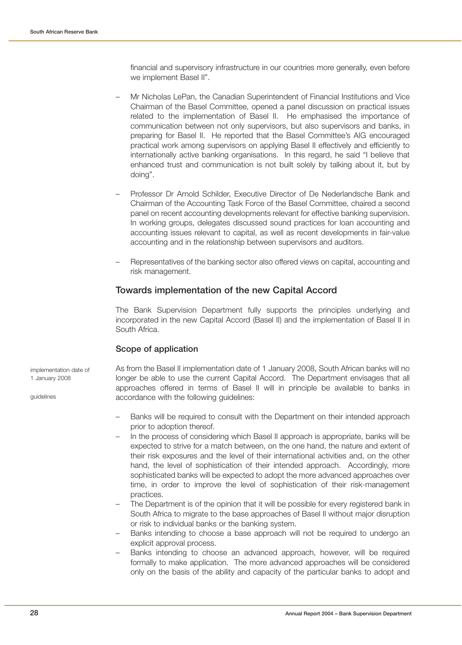financial and supervisory infrastructure in our countries more generally, even before we implement Basel II".

- Mr Nicholas LePan, the Canadian Superintendent of Financial Institutions and Vice Chairman of the Basel Committee, opened a panel discussion on practical issues related to the implementation of Basel II. He emphasised the importance of communication between not only supervisors, but also supervisors and banks, in preparing for Basel II. He reported that the Basel Committee's AIG encouraged practical work among supervisors on applying Basel II effectively and efficiently to internationally active banking organisations. In this regard, he said "I believe that enhanced trust and communication is not built solely by talking about it, but by doing".
- Professor Dr Arnold Schilder, Executive Director of De Nederlandsche Bank and Chairman of the Accounting Task Force of the Basel Committee, chaired a second panel on recent accounting developments relevant for effective banking supervision. In working groups, delegates discussed sound practices for loan accounting and accounting issues relevant to capital, as well as recent developments in fair-value accounting and in the relationship between supervisors and auditors.
- Representatives of the banking sector also offered views on capital, accounting and risk management.

## **Towards implementation of the new Capital Accord**

The Bank Supervision Department fully supports the principles underlying and incorporated in the new Capital Accord (Basel II) and the implementation of Basel II in South Africa.

## **Scope of application**

implementation date of 1 January 2008

guidelines

As from the Basel II implementation date of 1 January 2008, South African banks will no longer be able to use the current Capital Accord. The Department envisages that all approaches offered in terms of Basel II will in principle be available to banks in accordance with the following guidelines:

- Banks will be required to consult with the Department on their intended approach prior to adoption thereof.
- In the process of considering which Basel II approach is appropriate, banks will be expected to strive for a match between, on the one hand, the nature and extent of their risk exposures and the level of their international activities and, on the other hand, the level of sophistication of their intended approach. Accordingly, more sophisticated banks will be expected to adopt the more advanced approaches over time, in order to improve the level of sophistication of their risk-management practices.
- The Department is of the opinion that it will be possible for every registered bank in South Africa to migrate to the base approaches of Basel II without major disruption or risk to individual banks or the banking system.
- Banks intending to choose a base approach will not be required to undergo an explicit approval process.
- Banks intending to choose an advanced approach, however, will be required formally to make application. The more advanced approaches will be considered only on the basis of the ability and capacity of the particular banks to adopt and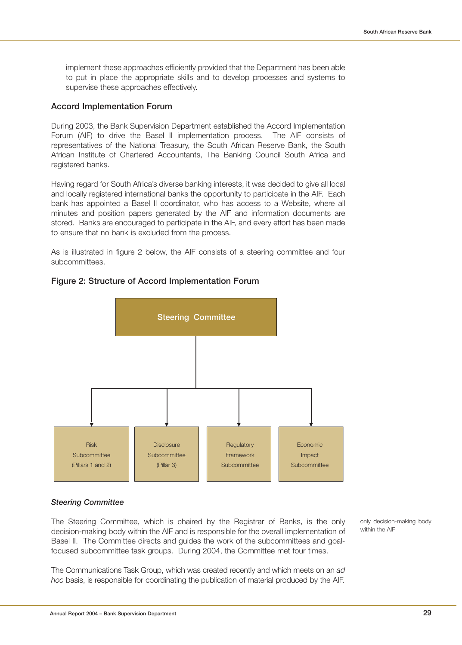implement these approaches efficiently provided that the Department has been able to put in place the appropriate skills and to develop processes and systems to supervise these approaches effectively.

## **Accord Implementation Forum**

During 2003, the Bank Supervision Department established the Accord Implementation Forum (AIF) to drive the Basel II implementation process. The AIF consists of representatives of the National Treasury, the South African Reserve Bank, the South African Institute of Chartered Accountants, The Banking Council South Africa and registered banks.

Having regard for South Africa's diverse banking interests, it was decided to give all local and locally registered international banks the opportunity to participate in the AIF. Each bank has appointed a Basel II coordinator, who has access to a Website, where all minutes and position papers generated by the AIF and information documents are stored. Banks are encouraged to participate in the AIF, and every effort has been made to ensure that no bank is excluded from the process.

As is illustrated in figure 2 below, the AIF consists of a steering committee and four subcommittees.



## **Figure 2: Structure of Accord Implementation Forum**

#### **Steering Committee**

The Steering Committee, which is chaired by the Registrar of Banks, is the only decision-making body within the AIF and is responsible for the overall implementation of Basel II. The Committee directs and guides the work of the subcommittees and goalfocused subcommittee task groups. During 2004, the Committee met four times.

The Communications Task Group, which was created recently and which meets on an ad hoc basis, is responsible for coordinating the publication of material produced by the AIF.

only decision-making body within the AIF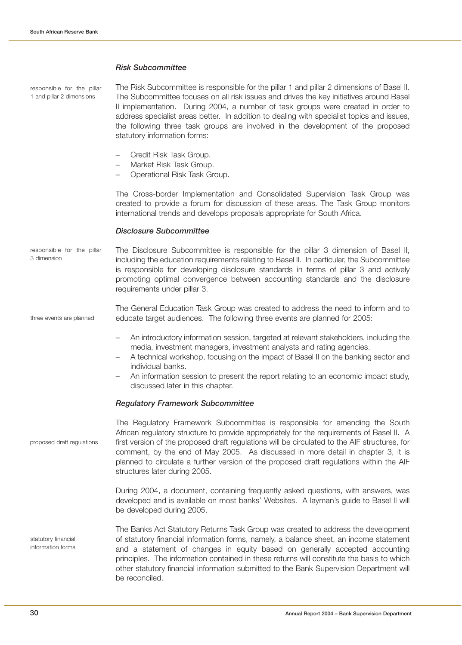## **Risk Subcommittee**

| responsible for the pillar<br>1 and pillar 2 dimensions | The Risk Subcommittee is responsible for the pillar 1 and pillar 2 dimensions of Basel II.<br>The Subcommittee focuses on all risk issues and drives the key initiatives around Basel<br>II implementation. During 2004, a number of task groups were created in order to<br>address specialist areas better. In addition to dealing with specialist topics and issues,<br>the following three task groups are involved in the development of the proposed<br>statutory information forms: |
|---------------------------------------------------------|--------------------------------------------------------------------------------------------------------------------------------------------------------------------------------------------------------------------------------------------------------------------------------------------------------------------------------------------------------------------------------------------------------------------------------------------------------------------------------------------|
|                                                         | Credit Risk Task Group.<br>$\overline{\phantom{m}}$<br>Market Risk Task Group.<br>$\qquad \qquad -$<br>Operational Risk Task Group.<br>$\overline{\phantom{m}}$                                                                                                                                                                                                                                                                                                                            |
|                                                         | The Cross-border Implementation and Consolidated Supervision Task Group was<br>created to provide a forum for discussion of these areas. The Task Group monitors<br>international trends and develops proposals appropriate for South Africa.                                                                                                                                                                                                                                              |
|                                                         | <b>Disclosure Subcommittee</b>                                                                                                                                                                                                                                                                                                                                                                                                                                                             |
| responsible for the pillar<br>3 dimension               | The Disclosure Subcommittee is responsible for the pillar 3 dimension of Basel II,<br>including the education requirements relating to Basel II. In particular, the Subcommittee<br>is responsible for developing disclosure standards in terms of pillar 3 and actively<br>promoting optimal convergence between accounting standards and the disclosure<br>requirements under pillar 3.                                                                                                  |
| three events are planned                                | The General Education Task Group was created to address the need to inform and to<br>educate target audiences. The following three events are planned for 2005:                                                                                                                                                                                                                                                                                                                            |
|                                                         | An introductory information session, targeted at relevant stakeholders, including the<br>$\overline{\phantom{m}}$<br>media, investment managers, investment analysts and rating agencies.<br>A technical workshop, focusing on the impact of Basel II on the banking sector and<br>individual banks.<br>An information session to present the report relating to an economic impact study,<br>discussed later in this chapter.                                                             |
|                                                         | <b>Regulatory Framework Subcommittee</b>                                                                                                                                                                                                                                                                                                                                                                                                                                                   |
| proposed draft regulations                              | The Regulatory Framework Subcommittee is responsible for amending the South<br>African regulatory structure to provide appropriately for the requirements of Basel II. A<br>first version of the proposed draft regulations will be circulated to the AIF structures, for<br>comment, by the end of May 2005. As discussed in more detail in chapter 3, it is<br>planned to circulate a further version of the proposed draft regulations within the AIF<br>structures later during 2005.  |
|                                                         | During 2004, a document, containing frequently asked questions, with answers, was<br>developed and is available on most banks' Websites. A layman's guide to Basel II will<br>be developed during 2005.                                                                                                                                                                                                                                                                                    |
| statutory financial<br>information forms                | The Banks Act Statutory Returns Task Group was created to address the development<br>of statutory financial information forms, namely, a balance sheet, an income statement<br>and a statement of changes in equity based on generally accepted accounting<br>principles. The information contained in these returns will constitute the basis to which<br>other statutory financial information submitted to the Bank Supervision Department will<br>be reconciled.                       |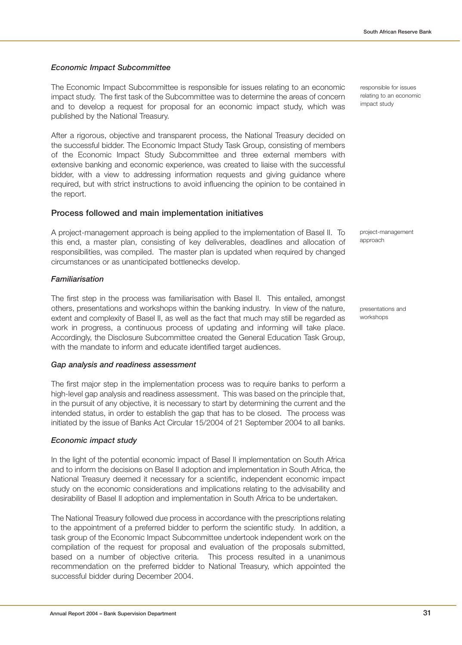## **Economic Impact Subcommittee**

The Economic Impact Subcommittee is responsible for issues relating to an economic impact study. The first task of the Subcommittee was to determine the areas of concern and to develop a request for proposal for an economic impact study, which was published by the National Treasury.

After a rigorous, objective and transparent process, the National Treasury decided on the successful bidder. The Economic Impact Study Task Group, consisting of members of the Economic Impact Study Subcommittee and three external members with extensive banking and economic experience, was created to liaise with the successful bidder, with a view to addressing information requests and giving guidance where required, but with strict instructions to avoid influencing the opinion to be contained in the report.

## **Process followed and main implementation initiatives**

A project-management approach is being applied to the implementation of Basel II. To this end, a master plan, consisting of key deliverables, deadlines and allocation of responsibilities, was compiled. The master plan is updated when required by changed circumstances or as unanticipated bottlenecks develop.

## **Familiarisation**

The first step in the process was familiarisation with Basel II. This entailed, amongst others, presentations and workshops within the banking industry. In view of the nature, extent and complexity of Basel II, as well as the fact that much may still be regarded as work in progress, a continuous process of updating and informing will take place. Accordingly, the Disclosure Subcommittee created the General Education Task Group, with the mandate to inform and educate identified target audiences.

## **Gap analysis and readiness assessment**

The first major step in the implementation process was to require banks to perform a high-level gap analysis and readiness assessment. This was based on the principle that, in the pursuit of any objective, it is necessary to start by determining the current and the intended status, in order to establish the gap that has to be closed. The process was initiated by the issue of Banks Act Circular 15/2004 of 21 September 2004 to all banks.

## **Economic impact study**

In the light of the potential economic impact of Basel II implementation on South Africa and to inform the decisions on Basel II adoption and implementation in South Africa, the National Treasury deemed it necessary for a scientific, independent economic impact study on the economic considerations and implications relating to the advisability and desirability of Basel II adoption and implementation in South Africa to be undertaken.

The National Treasury followed due process in accordance with the prescriptions relating to the appointment of a preferred bidder to perform the scientific study. In addition, a task group of the Economic Impact Subcommittee undertook independent work on the compilation of the request for proposal and evaluation of the proposals submitted, based on a number of objective criteria. This process resulted in a unanimous recommendation on the preferred bidder to National Treasury, which appointed the successful bidder during December 2004.

responsible for issues relating to an economic impact study

project-management approach

presentations and workshops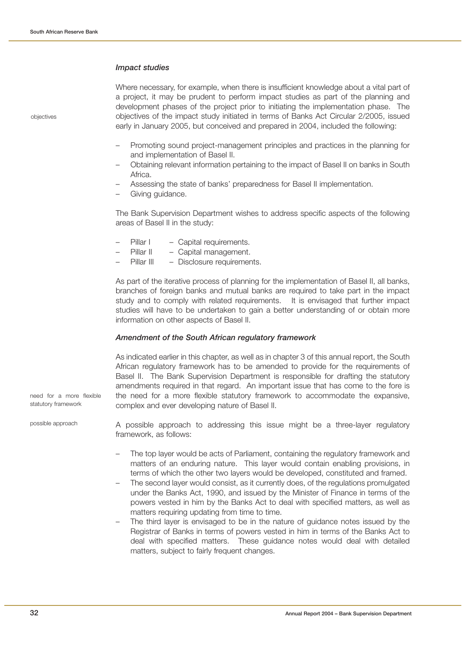#### **Impact studies**

objectives

Where necessary, for example, when there is insufficient knowledge about a vital part of a project, it may be prudent to perform impact studies as part of the planning and development phases of the project prior to initiating the implementation phase. The objectives of the impact study initiated in terms of Banks Act Circular 2/2005, issued early in January 2005, but conceived and prepared in 2004, included the following:

- Promoting sound project-management principles and practices in the planning for and implementation of Basel II.
- Obtaining relevant information pertaining to the impact of Basel II on banks in South Africa.
- Assessing the state of banks' preparedness for Basel II implementation.
- Giving guidance.

The Bank Supervision Department wishes to address specific aspects of the following areas of Basel II in the study:

- Pillar I Capital requirements.
- Pillar II Capital management.
- Pillar III Disclosure requirements.

As part of the iterative process of planning for the implementation of Basel II, all banks, branches of foreign banks and mutual banks are required to take part in the impact study and to comply with related requirements. It is envisaged that further impact studies will have to be undertaken to gain a better understanding of or obtain more information on other aspects of Basel II.

#### **Amendment of the South African regulatory framework**

As indicated earlier in this chapter, as well as in chapter 3 of this annual report, the South African regulatory framework has to be amended to provide for the requirements of Basel II. The Bank Supervision Department is responsible for drafting the statutory amendments required in that regard. An important issue that has come to the fore is the need for a more flexible statutory framework to accommodate the expansive, complex and ever developing nature of Basel II.

need for a more flexible statutory framework

possible approach

A possible approach to addressing this issue might be a three-layer regulatory framework, as follows:

- The top layer would be acts of Parliament, containing the regulatory framework and matters of an enduring nature. This layer would contain enabling provisions, in terms of which the other two layers would be developed, constituted and framed.
- The second layer would consist, as it currently does, of the regulations promulgated under the Banks Act, 1990, and issued by the Minister of Finance in terms of the powers vested in him by the Banks Act to deal with specified matters, as well as matters requiring updating from time to time.
- The third layer is envisaged to be in the nature of guidance notes issued by the Registrar of Banks in terms of powers vested in him in terms of the Banks Act to deal with specified matters. These guidance notes would deal with detailed matters, subject to fairly frequent changes.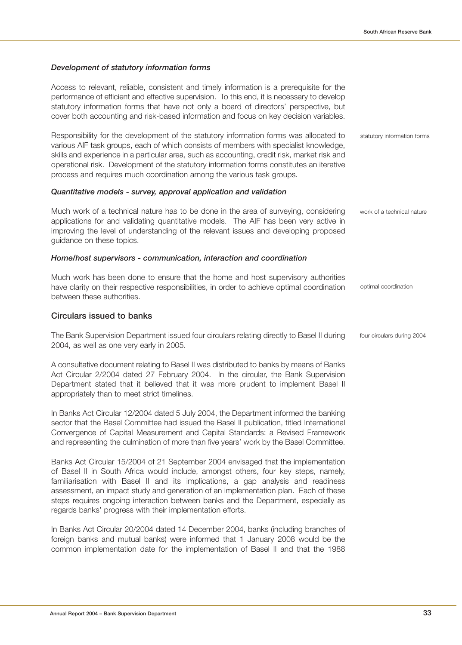#### **Development of statutory information forms**

Access to relevant, reliable, consistent and timely information is a prerequisite for the performance of efficient and effective supervision. To this end, it is necessary to develop statutory information forms that have not only a board of directors' perspective, but cover both accounting and risk-based information and focus on key decision variables.

Responsibility for the development of the statutory information forms was allocated to various AIF task groups, each of which consists of members with specialist knowledge, skills and experience in a particular area, such as accounting, credit risk, market risk and operational risk. Development of the statutory information forms constitutes an iterative process and requires much coordination among the various task groups.

#### **Quantitative models - survey, approval application and validation**

Much work of a technical nature has to be done in the area of surveying, considering applications for and validating quantitative models. The AIF has been very active in improving the level of understanding of the relevant issues and developing proposed guidance on these topics. work of a technical nature

#### **Home/host supervisors - communication, interaction and coordination**

Much work has been done to ensure that the home and host supervisory authorities have clarity on their respective responsibilities, in order to achieve optimal coordination between these authorities.

#### **Circulars issued to banks**

The Bank Supervision Department issued four circulars relating directly to Basel II during 2004, as well as one very early in 2005.

A consultative document relating to Basel II was distributed to banks by means of Banks Act Circular 2/2004 dated 27 February 2004. In the circular, the Bank Supervision Department stated that it believed that it was more prudent to implement Basel II appropriately than to meet strict timelines.

In Banks Act Circular 12/2004 dated 5 July 2004, the Department informed the banking sector that the Basel Committee had issued the Basel II publication, titled International Convergence of Capital Measurement and Capital Standards: a Revised Framework and representing the culmination of more than five years' work by the Basel Committee.

Banks Act Circular 15/2004 of 21 September 2004 envisaged that the implementation of Basel II in South Africa would include, amongst others, four key steps, namely, familiarisation with Basel II and its implications, a gap analysis and readiness assessment, an impact study and generation of an implementation plan. Each of these steps requires ongoing interaction between banks and the Department, especially as regards banks' progress with their implementation efforts.

In Banks Act Circular 20/2004 dated 14 December 2004, banks (including branches of foreign banks and mutual banks) were informed that 1 January 2008 would be the common implementation date for the implementation of Basel II and that the 1988 statutory information forms

optimal coordination

four circulars during 2004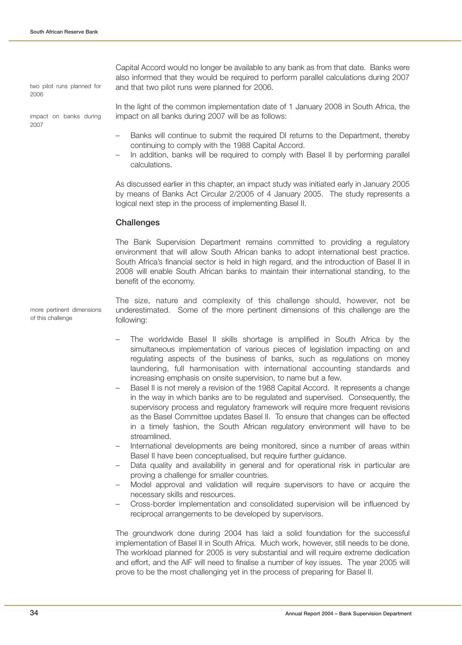two pilot runs planned for 2006

impact on banks during 2007

of this challenge

Capital Accord would no longer be available to any bank as from that date. Banks were also informed that they would be required to perform parallel calculations during 2007 and that two pilot runs were planned for 2006.

In the light of the common implementation date of 1 January 2008 in South Africa, the impact on all banks during 2007 will be as follows:

- Banks will continue to submit the required DI returns to the Department, thereby continuing to comply with the 1988 Capital Accord.
- In addition, banks will be required to comply with Basel II by performing parallel calculations.

As discussed earlier in this chapter, an impact study was initiated early in January 2005 by means of Banks Act Circular 2/2005 of 4 January 2005. The study represents a logical next step in the process of implementing Basel II.

### **Challenges**

The Bank Supervision Department remains committed to providing a regulatory environment that will allow South African banks to adopt international best practice. South Africa's financial sector is held in high regard, and the introduction of Basel II in 2008 will enable South African banks to maintain their international standing, to the benefit of the economy.

The size, nature and complexity of this challenge should, however, not be underestimated. Some of the more pertinent dimensions of this challenge are the following: more pertinent dimensions

- The worldwide Basel II skills shortage is amplified in South Africa by the simultaneous implementation of various pieces of legislation impacting on and regulating aspects of the business of banks, such as regulations on money laundering, full harmonisation with international accounting standards and increasing emphasis on onsite supervision, to name but a few.
- Basel II is not merely a revision of the 1988 Capital Accord. It represents a change in the way in which banks are to be regulated and supervised. Consequently, the supervisory process and regulatory framework will require more frequent revisions as the Basel Committee updates Basel II. To ensure that changes can be effected in a timely fashion, the South African regulatory environment will have to be streamlined.
- International developments are being monitored, since a number of areas within Basel II have been conceptualised, but require further guidance.
- Data quality and availability in general and for operational risk in particular are proving a challenge for smaller countries.
- Model approval and validation will require supervisors to have or acquire the necessary skills and resources.
- Cross-border implementation and consolidated supervision will be influenced by reciprocal arrangements to be developed by supervisors.

The groundwork done during 2004 has laid a solid foundation for the successful implementation of Basel II in South Africa. Much work, however, still needs to be done. The workload planned for 2005 is very substantial and will require extreme dedication and effort, and the AIF will need to finalise a number of key issues. The year 2005 will prove to be the most challenging yet in the process of preparing for Basel II.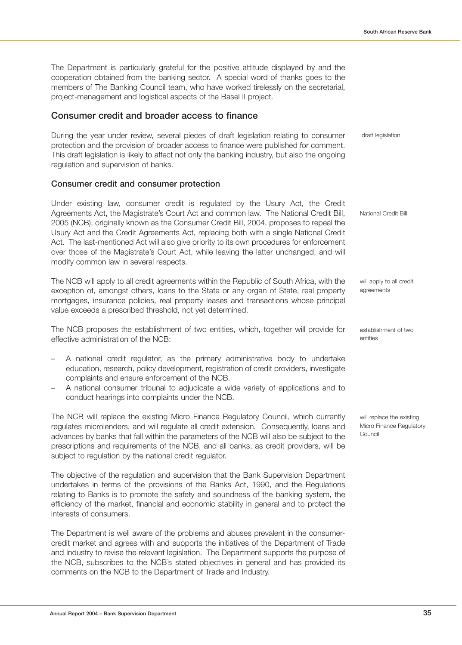The Department is particularly grateful for the positive attitude displayed by and the cooperation obtained from the banking sector. A special word of thanks goes to the members of The Banking Council team, who have worked tirelessly on the secretarial, project-management and logistical aspects of the Basel II project.

## **Consumer credit and broader access to finance**

During the year under review, several pieces of draft legislation relating to consumer protection and the provision of broader access to finance were published for comment. This draft legislation is likely to affect not only the banking industry, but also the ongoing regulation and supervision of banks. draft legislation

## **Consumer credit and consumer protection**

Under existing law, consumer credit is regulated by the Usury Act, the Credit Agreements Act, the Magistrate's Court Act and common law. The National Credit Bill, 2005 (NCB), originally known as the Consumer Credit Bill, 2004, proposes to repeal the Usury Act and the Credit Agreements Act, replacing both with a single National Credit Act. The last-mentioned Act will also give priority to its own procedures for enforcement over those of the Magistrate's Court Act, while leaving the latter unchanged, and will modify common law in several respects.

The NCB will apply to all credit agreements within the Republic of South Africa, with the exception of, amongst others, loans to the State or any organ of State, real property mortgages, insurance policies, real property leases and transactions whose principal value exceeds a prescribed threshold, not yet determined.

The NCB proposes the establishment of two entities, which, together will provide for effective administration of the NCB:

- A national credit regulator, as the primary administrative body to undertake education, research, policy development, registration of credit providers, investigate complaints and ensure enforcement of the NCB.
- A national consumer tribunal to adjudicate a wide variety of applications and to conduct hearings into complaints under the NCB.

The NCB will replace the existing Micro Finance Regulatory Council, which currently regulates microlenders, and will regulate all credit extension. Consequently, loans and advances by banks that fall within the parameters of the NCB will also be subject to the prescriptions and requirements of the NCB, and all banks, as credit providers, will be subject to regulation by the national credit regulator.

The objective of the regulation and supervision that the Bank Supervision Department undertakes in terms of the provisions of the Banks Act, 1990, and the Regulations relating to Banks is to promote the safety and soundness of the banking system, the efficiency of the market, financial and economic stability in general and to protect the interests of consumers.

The Department is well aware of the problems and abuses prevalent in the consumercredit market and agrees with and supports the initiatives of the Department of Trade and Industry to revise the relevant legislation. The Department supports the purpose of the NCB, subscribes to the NCB's stated objectives in general and has provided its comments on the NCB to the Department of Trade and Industry.

National Credit Bill

will apply to all credit agreements

establishment of two entities

will replace the existing Micro Finance Regulatory Council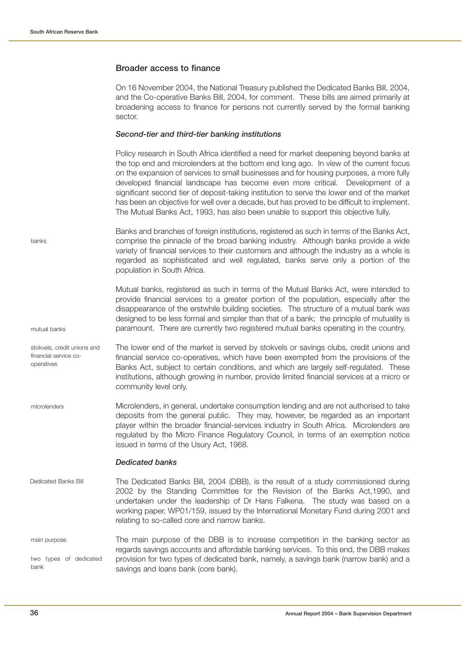### **Broader access to finance**

On 16 November 2004, the National Treasury published the Dedicated Banks Bill, 2004, and the Co-operative Banks Bill, 2004, for comment. These bills are aimed primarily at broadening access to finance for persons not currently served by the formal banking sector.

#### **Second-tier and third-tier banking institutions**

Policy research in South Africa identified a need for market deepening beyond banks at the top end and microlenders at the bottom end long ago. In view of the current focus on the expansion of services to small businesses and for housing purposes, a more fully developed financial landscape has become even more critical. Development of a significant second tier of deposit-taking institution to serve the lower end of the market has been an objective for well over a decade, but has proved to be difficult to implement. The Mutual Banks Act, 1993, has also been unable to support this objective fully.

Banks and branches of foreign institutions, registered as such in terms of the Banks Act, comprise the pinnacle of the broad banking industry. Although banks provide a wide variety of financial services to their customers and although the industry as a whole is regarded as sophisticated and well regulated, banks serve only a portion of the population in South Africa. banks

> Mutual banks, registered as such in terms of the Mutual Banks Act, were intended to provide financial services to a greater portion of the population, especially after the disappearance of the erstwhile building societies. The structure of a mutual bank was designed to be less formal and simpler than that of a bank; the principle of mutuality is paramount. There are currently two registered mutual banks operating in the country.

The lower end of the market is served by stokvels or savings clubs, credit unions and financial service co-operatives, which have been exempted from the provisions of the Banks Act, subject to certain conditions, and which are largely self-regulated. These institutions, although growing in number, provide limited financial services at a micro or community level only. stokvels, credit unions and financial service cooperatives

Microlenders, in general, undertake consumption lending and are not authorised to take deposits from the general public. They may, however, be regarded as an important player within the broader financial-services industry in South Africa. Microlenders are regulated by the Micro Finance Regulatory Council, in terms of an exemption notice issued in terms of the Usury Act, 1968. microlenders

#### **Dedicated banks**

- The Dedicated Banks Bill, 2004 (DBB), is the result of a study commissioned during 2002 by the Standing Committee for the Revision of the Banks Act,1990, and undertaken under the leadership of Dr Hans Falkena. The study was based on a working paper, WP01/159, issued by the International Monetary Fund during 2001 and relating to so-called core and narrow banks. Dedicated Banks Bill
- The main purpose of the DBB is to increase competition in the banking sector as regards savings accounts and affordable banking services. To this end, the DBB makes provision for two types of dedicated bank, namely, a savings bank (narrow bank) and a savings and loans bank (core bank). main purpose two types of dedicated bank

mutual banks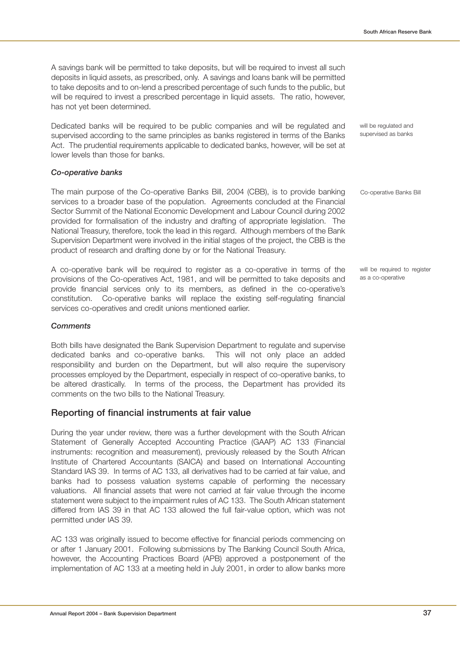A savings bank will be permitted to take deposits, but will be required to invest all such deposits in liquid assets, as prescribed, only. A savings and loans bank will be permitted to take deposits and to on-lend a prescribed percentage of such funds to the public, but will be required to invest a prescribed percentage in liquid assets. The ratio, however, has not yet been determined.

Dedicated banks will be required to be public companies and will be regulated and supervised according to the same principles as banks registered in terms of the Banks Act. The prudential requirements applicable to dedicated banks, however, will be set at lower levels than those for banks.

### **Co-operative banks**

The main purpose of the Co-operative Banks Bill, 2004 (CBB), is to provide banking services to a broader base of the population. Agreements concluded at the Financial Sector Summit of the National Economic Development and Labour Council during 2002 provided for formalisation of the industry and drafting of appropriate legislation. The National Treasury, therefore, took the lead in this regard. Although members of the Bank Supervision Department were involved in the initial stages of the project, the CBB is the product of research and drafting done by or for the National Treasury.

A co-operative bank will be required to register as a co-operative in terms of the provisions of the Co-operatives Act, 1981, and will be permitted to take deposits and provide financial services only to its members, as defined in the co-operative's constitution. Co-operative banks will replace the existing self-regulating financial services co-operatives and credit unions mentioned earlier.

#### **Comments**

Both bills have designated the Bank Supervision Department to regulate and supervise dedicated banks and co-operative banks. This will not only place an added responsibility and burden on the Department, but will also require the supervisory processes employed by the Department, especially in respect of co-operative banks, to be altered drastically. In terms of the process, the Department has provided its comments on the two bills to the National Treasury.

### **Reporting of financial instruments at fair value**

During the year under review, there was a further development with the South African Statement of Generally Accepted Accounting Practice (GAAP) AC 133 (Financial instruments: recognition and measurement), previously released by the South African Institute of Chartered Accountants (SAICA) and based on International Accounting Standard IAS 39. In terms of AC 133, all derivatives had to be carried at fair value, and banks had to possess valuation systems capable of performing the necessary valuations. All financial assets that were not carried at fair value through the income statement were subject to the impairment rules of AC 133. The South African statement differed from IAS 39 in that AC 133 allowed the full fair-value option, which was not permitted under IAS 39.

AC 133 was originally issued to become effective for financial periods commencing on or after 1 January 2001. Following submissions by The Banking Council South Africa, however, the Accounting Practices Board (APB) approved a postponement of the implementation of AC 133 at a meeting held in July 2001, in order to allow banks more

will be regulated and supervised as banks

Co-operative Banks Bill

will be required to register as a co-operative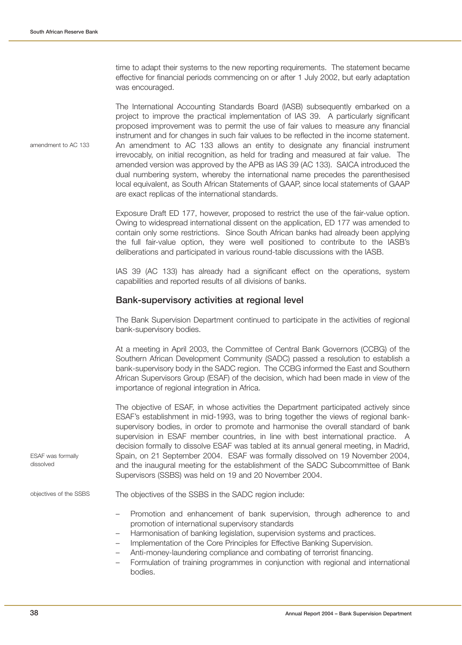time to adapt their systems to the new reporting requirements. The statement became effective for financial periods commencing on or after 1 July 2002, but early adaptation was encouraged.

The International Accounting Standards Board (IASB) subsequently embarked on a project to improve the practical implementation of IAS 39. A particularly significant proposed improvement was to permit the use of fair values to measure any financial instrument and for changes in such fair values to be reflected in the income statement. An amendment to AC 133 allows an entity to designate any financial instrument irrevocably, on initial recognition, as held for trading and measured at fair value. The amended version was approved by the APB as IAS 39 (AC 133). SAICA introduced the dual numbering system, whereby the international name precedes the parenthesised local equivalent, as South African Statements of GAAP, since local statements of GAAP are exact replicas of the international standards.

Exposure Draft ED 177, however, proposed to restrict the use of the fair-value option. Owing to widespread international dissent on the application, ED 177 was amended to contain only some restrictions. Since South African banks had already been applying the full fair-value option, they were well positioned to contribute to the IASB's deliberations and participated in various round-table discussions with the IASB.

IAS 39 (AC 133) has already had a significant effect on the operations, system capabilities and reported results of all divisions of banks.

### **Bank-supervisory activities at regional level**

The Bank Supervision Department continued to participate in the activities of regional bank-supervisory bodies.

At a meeting in April 2003, the Committee of Central Bank Governors (CCBG) of the Southern African Development Community (SADC) passed a resolution to establish a bank-supervisory body in the SADC region. The CCBG informed the East and Southern African Supervisors Group (ESAF) of the decision, which had been made in view of the importance of regional integration in Africa.

The objective of ESAF, in whose activities the Department participated actively since ESAF's establishment in mid-1993, was to bring together the views of regional banksupervisory bodies, in order to promote and harmonise the overall standard of bank supervision in ESAF member countries, in line with best international practice. A decision formally to dissolve ESAF was tabled at its annual general meeting, in Madrid, Spain, on 21 September 2004. ESAF was formally dissolved on 19 November 2004, and the inaugural meeting for the establishment of the SADC Subcommittee of Bank Supervisors (SSBS) was held on 19 and 20 November 2004.

The objectives of the SSBS in the SADC region include:

- Promotion and enhancement of bank supervision, through adherence to and promotion of international supervisory standards
- Harmonisation of banking legislation, supervision systems and practices.
- Implementation of the Core Principles for Effective Banking Supervision.
- Anti-money-laundering compliance and combating of terrorist financing.
- Formulation of training programmes in conjunction with regional and international bodies.

amendment to AC 133

ESAF was formally dissolved

objectives of the SSBS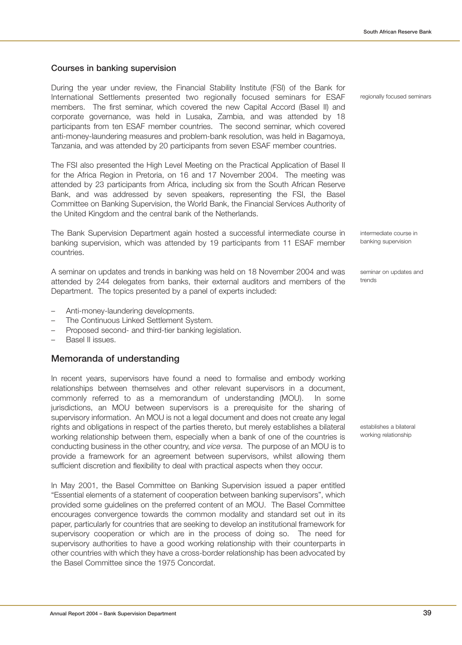# **Courses in banking supervision**

During the year under review, the Financial Stability Institute (FSI) of the Bank for International Settlements presented two regionally focused seminars for ESAF members. The first seminar, which covered the new Capital Accord (Basel II) and corporate governance, was held in Lusaka, Zambia, and was attended by 18 participants from ten ESAF member countries. The second seminar, which covered anti-money-laundering measures and problem-bank resolution, was held in Bagamoya, Tanzania, and was attended by 20 participants from seven ESAF member countries.

The FSI also presented the High Level Meeting on the Practical Application of Basel II for the Africa Region in Pretoria, on 16 and 17 November 2004. The meeting was attended by 23 participants from Africa, including six from the South African Reserve Bank, and was addressed by seven speakers, representing the FSI, the Basel Committee on Banking Supervision, the World Bank, the Financial Services Authority of the United Kingdom and the central bank of the Netherlands.

The Bank Supervision Department again hosted a successful intermediate course in banking supervision, which was attended by 19 participants from 11 ESAF member countries.

A seminar on updates and trends in banking was held on 18 November 2004 and was attended by 244 delegates from banks, their external auditors and members of the Department. The topics presented by a panel of experts included:

- Anti-money-laundering developments.
- The Continuous Linked Settlement System.
- Proposed second- and third-tier banking legislation.
- Basel II issues.

# **Memoranda of understanding**

In recent years, supervisors have found a need to formalise and embody working relationships between themselves and other relevant supervisors in a document, commonly referred to as a memorandum of understanding (MOU). In some jurisdictions, an MOU between supervisors is a prerequisite for the sharing of supervisory information. An MOU is not a legal document and does not create any legal rights and obligations in respect of the parties thereto, but merely establishes a bilateral working relationship between them, especially when a bank of one of the countries is conducting business in the other country, and vice versa. The purpose of an MOU is to provide a framework for an agreement between supervisors, whilst allowing them sufficient discretion and flexibility to deal with practical aspects when they occur.

In May 2001, the Basel Committee on Banking Supervision issued a paper entitled "Essential elements of a statement of cooperation between banking supervisors", which provided some guidelines on the preferred content of an MOU. The Basel Committee encourages convergence towards the common modality and standard set out in its paper, particularly for countries that are seeking to develop an institutional framework for supervisory cooperation or which are in the process of doing so. The need for supervisory authorities to have a good working relationship with their counterparts in other countries with which they have a cross-border relationship has been advocated by the Basel Committee since the 1975 Concordat.

regionally focused seminars

intermediate course in banking supervision

seminar on updates and trends

establishes a bilateral working relationship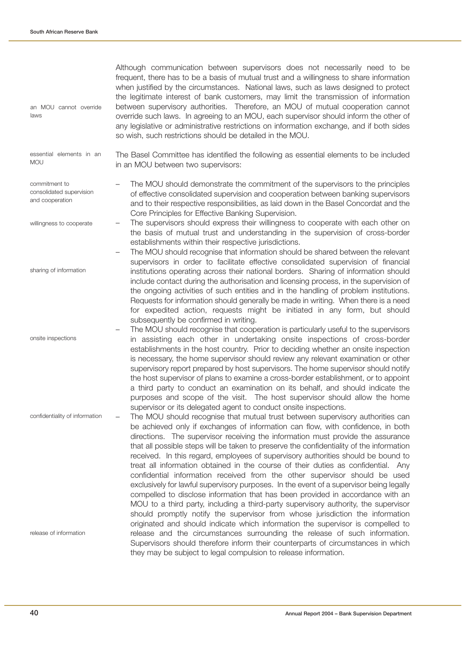Although communication between supervisors does not necessarily need to be frequent, there has to be a basis of mutual trust and a willingness to share information when justified by the circumstances. National laws, such as laws designed to protect the legitimate interest of bank customers, may limit the transmission of information between supervisory authorities. Therefore, an MOU of mutual cooperation cannot override such laws. In agreeing to an MOU, each supervisor should inform the other of any legislative or administrative restrictions on information exchange, and if both sides so wish, such restrictions should be detailed in the MOU. The Basel Committee has identified the following as essential elements to be included in an MOU between two supervisors: – The MOU should demonstrate the commitment of the supervisors to the principles of effective consolidated supervision and cooperation between banking supervisors and to their respective responsibilities, as laid down in the Basel Concordat and the Core Principles for Effective Banking Supervision. – The supervisors should express their willingness to cooperate with each other on the basis of mutual trust and understanding in the supervision of cross-border establishments within their respective jurisdictions. – The MOU should recognise that information should be shared between the relevant supervisors in order to facilitate effective consolidated supervision of financial institutions operating across their national borders. Sharing of information should include contact during the authorisation and licensing process, in the supervision of the ongoing activities of such entities and in the handling of problem institutions. Requests for information should generally be made in writing. When there is a need for expedited action, requests might be initiated in any form, but should subsequently be confirmed in writing. – The MOU should recognise that cooperation is particularly useful to the supervisors in assisting each other in undertaking onsite inspections of cross-border establishments in the host country. Prior to deciding whether an onsite inspection is necessary, the home supervisor should review any relevant examination or other supervisory report prepared by host supervisors. The home supervisor should notify the host supervisor of plans to examine a cross-border establishment, or to appoint a third party to conduct an examination on its behalf, and should indicate the purposes and scope of the visit. The host supervisor should allow the home supervisor or its delegated agent to conduct onsite inspections. – The MOU should recognise that mutual trust between supervisory authorities can be achieved only if exchanges of information can flow, with confidence, in both directions. The supervisor receiving the information must provide the assurance that all possible steps will be taken to preserve the confidentiality of the information received. In this regard, employees of supervisory authorities should be bound to treat all information obtained in the course of their duties as confidential. Any confidential information received from the other supervisor should be used exclusively for lawful supervisory purposes. In the event of a supervisor being legally compelled to disclose information that has been provided in accordance with an MOU to a third party, including a third-party supervisory authority, the supervisor should promptly notify the supervisor from whose jurisdiction the information originated and should indicate which information the supervisor is compelled to release and the circumstances surrounding the release of such information. Supervisors should therefore inform their counterparts of circumstances in which they may be subject to legal compulsion to release information. an MOU cannot override laws release of information confidentiality of information onsite inspections sharing of information willingness to cooperate commitment to consolidated supervision and cooperation essential elements in an MOLI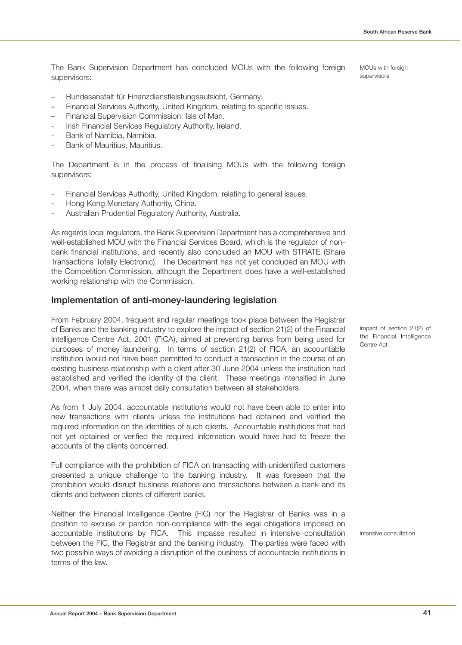The Bank Supervision Department has concluded MOUs with the following foreign supervisors:

- Bundesanstalt für Finanzdienstleistungsaufsicht, Germany.
- Financial Services Authority, United Kingdom, relating to specific issues.
- Financial Supervision Commission, Isle of Man.
- Irish Financial Services Regulatory Authority, Ireland.
- Bank of Namibia, Namibia.
- Bank of Mauritius, Mauritius.

The Department is in the process of finalising MOUs with the following foreign supervisors:

- Financial Services Authority, United Kingdom, relating to general issues.
- Hong Kong Monetary Authority, China.
- Australian Prudential Regulatory Authority, Australia.

As regards local regulators, the Bank Supervision Department has a comprehensive and well-established MOU with the Financial Services Board, which is the regulator of nonbank financial institutions, and recently also concluded an MOU with STRATE (Share Transactions Totally Electronic). The Department has not yet concluded an MOU with the Competition Commission, although the Department does have a well-established working relationship with the Commission.

# **Implementation of anti-money-laundering legislation**

From February 2004, frequent and regular meetings took place between the Registrar of Banks and the banking industry to explore the impact of section 21(2) of the Financial Intelligence Centre Act, 2001 (FICA), aimed at preventing banks from being used for purposes of money laundering. In terms of section 21(2) of FICA, an accountable institution would not have been permitted to conduct a transaction in the course of an existing business relationship with a client after 30 June 2004 unless the institution had established and verified the identity of the client. These meetings intensified in June 2004, when there was almost daily consultation between all stakeholders.

As from 1 July 2004, accountable institutions would not have been able to enter into new transactions with clients unless the institutions had obtained and verified the required information on the identities of such clients. Accountable institutions that had not yet obtained or verified the required information would have had to freeze the accounts of the clients concerned.

Full compliance with the prohibition of FICA on transacting with unidentified customers presented a unique challenge to the banking industry. It was foreseen that the prohibition would disrupt business relations and transactions between a bank and its clients and between clients of different banks.

Neither the Financial Intelligence Centre (FIC) nor the Registrar of Banks was in a position to excuse or pardon non-compliance with the legal obligations imposed on accountable institutions by FICA. This impasse resulted in intensive consultation between the FIC, the Registrar and the banking industry. The parties were faced with two possible ways of avoiding a disruption of the business of accountable institutions in terms of the law.

impact of section 21(2) of the Financial Intelligence Centre Act

intensive consultation

MOUs with foreign supervisors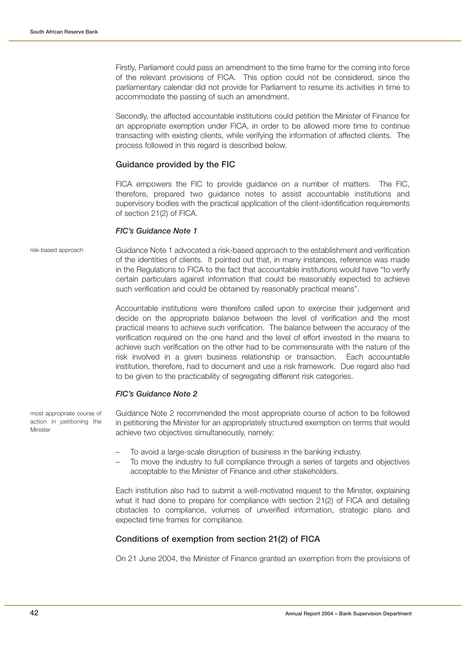Firstly, Parliament could pass an amendment to the time frame for the coming into force of the relevant provisions of FICA. This option could not be considered, since the parliamentary calendar did not provide for Parliament to resume its activities in time to accommodate the passing of such an amendment.

Secondly, the affected accountable institutions could petition the Minister of Finance for an appropriate exemption under FICA, in order to be allowed more time to continue transacting with existing clients, while verifying the information of affected clients. The process followed in this regard is described below.

#### **Guidance provided by the FIC**

FICA empowers the FIC to provide guidance on a number of matters. The FIC, therefore, prepared two guidance notes to assist accountable institutions and supervisory bodies with the practical application of the client-identification requirements of section 21(2) of FICA.

#### **FIC's Guidance Note 1**

risk-based approach

Guidance Note 1 advocated a risk-based approach to the establishment and verification of the identities of clients. It pointed out that, in many instances, reference was made in the Regulations to FICA to the fact that accountable institutions would have "to verify certain particulars against information that could be reasonably expected to achieve such verification and could be obtained by reasonably practical means".

Accountable institutions were therefore called upon to exercise their judgement and decide on the appropriate balance between the level of verification and the most practical means to achieve such verification. The balance between the accuracy of the verification required on the one hand and the level of effort invested in the means to achieve such verification on the other had to be commensurate with the nature of the risk involved in a given business relationship or transaction. Each accountable institution, therefore, had to document and use a risk framework. Due regard also had to be given to the practicability of segregating different risk categories.

#### **FIC's Guidance Note 2**

most appropriate course of action in petitioning the Minister

Guidance Note 2 recommended the most appropriate course of action to be followed in petitioning the Minister for an appropriately structured exemption on terms that would achieve two objectives simultaneously, namely:

- To avoid a large-scale disruption of business in the banking industry.
- To move the industry to full compliance through a series of targets and objectives acceptable to the Minister of Finance and other stakeholders.

Each institution also had to submit a well-motivated request to the Minster, explaining what it had done to prepare for compliance with section 21(2) of FICA and detailing obstacles to compliance, volumes of unverified information, strategic plans and expected time frames for compliance.

### **Conditions of exemption from section 21(2) of FICA**

On 21 June 2004, the Minister of Finance granted an exemption from the provisions of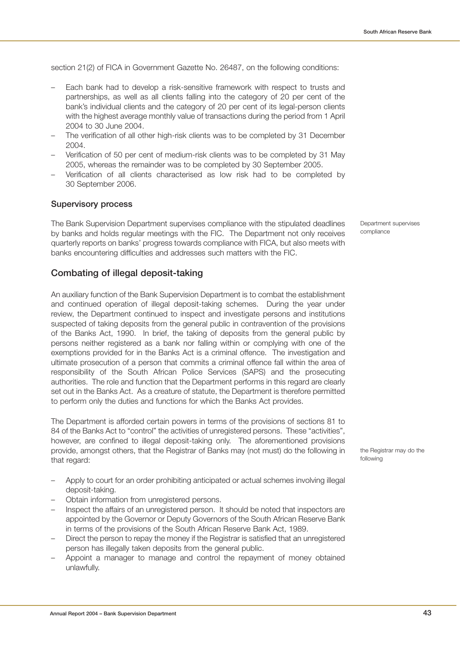section 21(2) of FICA in Government Gazette No. 26487, on the following conditions:

- Each bank had to develop a risk-sensitive framework with respect to trusts and partnerships, as well as all clients falling into the category of 20 per cent of the bank's individual clients and the category of 20 per cent of its legal-person clients with the highest average monthly value of transactions during the period from 1 April 2004 to 30 June 2004.
- The verification of all other high-risk clients was to be completed by 31 December 2004.
- Verification of 50 per cent of medium-risk clients was to be completed by 31 May 2005, whereas the remainder was to be completed by 30 September 2005.
- Verification of all clients characterised as low risk had to be completed by 30 September 2006.

# **Supervisory process**

The Bank Supervision Department supervises compliance with the stipulated deadlines by banks and holds regular meetings with the FIC. The Department not only receives quarterly reports on banks' progress towards compliance with FICA, but also meets with banks encountering difficulties and addresses such matters with the FIC.

# **Combating of illegal deposit-taking**

An auxiliary function of the Bank Supervision Department is to combat the establishment and continued operation of illegal deposit-taking schemes. During the year under review, the Department continued to inspect and investigate persons and institutions suspected of taking deposits from the general public in contravention of the provisions of the Banks Act, 1990. In brief, the taking of deposits from the general public by persons neither registered as a bank nor falling within or complying with one of the exemptions provided for in the Banks Act is a criminal offence. The investigation and ultimate prosecution of a person that commits a criminal offence fall within the area of responsibility of the South African Police Services (SAPS) and the prosecuting authorities. The role and function that the Department performs in this regard are clearly set out in the Banks Act. As a creature of statute, the Department is therefore permitted to perform only the duties and functions for which the Banks Act provides.

The Department is afforded certain powers in terms of the provisions of sections 81 to 84 of the Banks Act to "control" the activities of unregistered persons. These "activities", however, are confined to illegal deposit-taking only. The aforementioned provisions provide, amongst others, that the Registrar of Banks may (not must) do the following in that regard:

- Apply to court for an order prohibiting anticipated or actual schemes involving illegal deposit-taking.
- Obtain information from unregistered persons.
- Inspect the affairs of an unregistered person. It should be noted that inspectors are appointed by the Governor or Deputy Governors of the South African Reserve Bank in terms of the provisions of the South African Reserve Bank Act, 1989.
- Direct the person to repay the money if the Registrar is satisfied that an unregistered person has illegally taken deposits from the general public.
- Appoint a manager to manage and control the repayment of money obtained unlawfully.

Department supervises compliance

the Registrar may do the following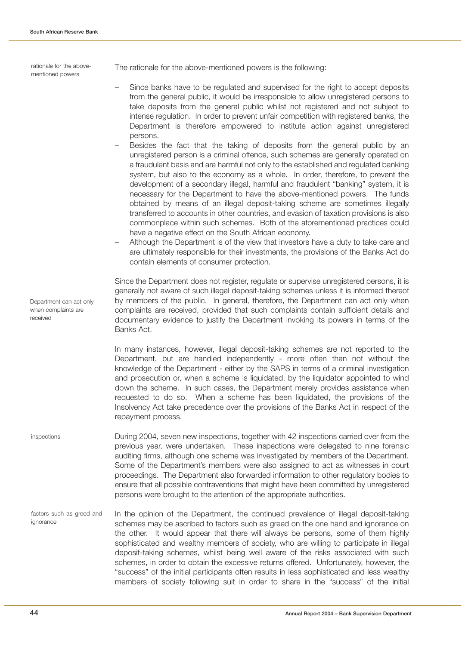rationale for the abovementioned powers

Department can act only when complaints are

received

The rationale for the above-mentioned powers is the following:

- Since banks have to be regulated and supervised for the right to accept deposits from the general public, it would be irresponsible to allow unregistered persons to take deposits from the general public whilst not registered and not subject to intense regulation. In order to prevent unfair competition with registered banks, the Department is therefore empowered to institute action against unregistered persons.
- Besides the fact that the taking of deposits from the general public by an unregistered person is a criminal offence, such schemes are generally operated on a fraudulent basis and are harmful not only to the established and regulated banking system, but also to the economy as a whole. In order, therefore, to prevent the development of a secondary illegal, harmful and fraudulent "banking" system, it is necessary for the Department to have the above-mentioned powers. The funds obtained by means of an illegal deposit-taking scheme are sometimes illegally transferred to accounts in other countries, and evasion of taxation provisions is also commonplace within such schemes. Both of the aforementioned practices could have a negative effect on the South African economy.
- Although the Department is of the view that investors have a duty to take care and are ultimately responsible for their investments, the provisions of the Banks Act do contain elements of consumer protection.

Since the Department does not register, regulate or supervise unregistered persons, it is generally not aware of such illegal deposit-taking schemes unless it is informed thereof by members of the public. In general, therefore, the Department can act only when complaints are received, provided that such complaints contain sufficient details and documentary evidence to justify the Department invoking its powers in terms of the Banks Act.

In many instances, however, illegal deposit-taking schemes are not reported to the Department, but are handled independently - more often than not without the knowledge of the Department - either by the SAPS in terms of a criminal investigation and prosecution or, when a scheme is liquidated, by the liquidator appointed to wind down the scheme. In such cases, the Department merely provides assistance when requested to do so. When a scheme has been liquidated, the provisions of the Insolvency Act take precedence over the provisions of the Banks Act in respect of the repayment process.

- During 2004, seven new inspections, together with 42 inspections carried over from the previous year, were undertaken. These inspections were delegated to nine forensic auditing firms, although one scheme was investigated by members of the Department. Some of the Department's members were also assigned to act as witnesses in court proceedings. The Department also forwarded information to other regulatory bodies to ensure that all possible contraventions that might have been committed by unregistered persons were brought to the attention of the appropriate authorities. inspections
- In the opinion of the Department, the continued prevalence of illegal deposit-taking schemes may be ascribed to factors such as greed on the one hand and ignorance on the other. It would appear that there will always be persons, some of them highly sophisticated and wealthy members of society, who are willing to participate in illegal deposit-taking schemes, whilst being well aware of the risks associated with such schemes, in order to obtain the excessive returns offered. Unfortunately, however, the "success" of the initial participants often results in less sophisticated and less wealthy members of society following suit in order to share in the "success" of the initial factors such as greed and ignorance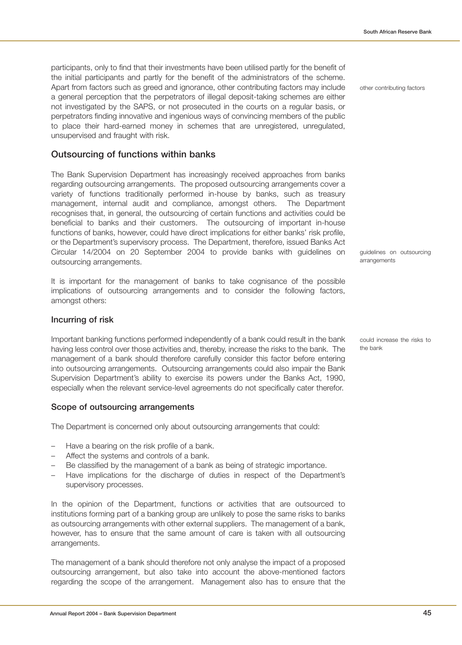participants, only to find that their investments have been utilised partly for the benefit of the initial participants and partly for the benefit of the administrators of the scheme. Apart from factors such as greed and ignorance, other contributing factors may include a general perception that the perpetrators of illegal deposit-taking schemes are either not investigated by the SAPS, or not prosecuted in the courts on a regular basis, or perpetrators finding innovative and ingenious ways of convincing members of the public to place their hard-earned money in schemes that are unregistered, unregulated, unsupervised and fraught with risk.

### **Outsourcing of functions within banks**

The Bank Supervision Department has increasingly received approaches from banks regarding outsourcing arrangements. The proposed outsourcing arrangements cover a variety of functions traditionally performed in-house by banks, such as treasury management, internal audit and compliance, amongst others. The Department recognises that, in general, the outsourcing of certain functions and activities could be beneficial to banks and their customers. The outsourcing of important in-house functions of banks, however, could have direct implications for either banks' risk profile, or the Department's supervisory process. The Department, therefore, issued Banks Act Circular 14/2004 on 20 September 2004 to provide banks with guidelines on outsourcing arrangements.

It is important for the management of banks to take cognisance of the possible implications of outsourcing arrangements and to consider the following factors, amongst others:

### **Incurring of risk**

Important banking functions performed independently of a bank could result in the bank having less control over those activities and, thereby, increase the risks to the bank. The management of a bank should therefore carefully consider this factor before entering into outsourcing arrangements. Outsourcing arrangements could also impair the Bank Supervision Department's ability to exercise its powers under the Banks Act, 1990, especially when the relevant service-level agreements do not specifically cater therefor.

#### **Scope of outsourcing arrangements**

The Department is concerned only about outsourcing arrangements that could:

- Have a bearing on the risk profile of a bank.
- Affect the systems and controls of a bank.
- Be classified by the management of a bank as being of strategic importance.
- Have implications for the discharge of duties in respect of the Department's supervisory processes.

In the opinion of the Department, functions or activities that are outsourced to institutions forming part of a banking group are unlikely to pose the same risks to banks as outsourcing arrangements with other external suppliers. The management of a bank, however, has to ensure that the same amount of care is taken with all outsourcing arrangements.

The management of a bank should therefore not only analyse the impact of a proposed outsourcing arrangement, but also take into account the above-mentioned factors regarding the scope of the arrangement. Management also has to ensure that the

other contributing factors

guidelines on outsourcing arrangements

could increase the risks to the bank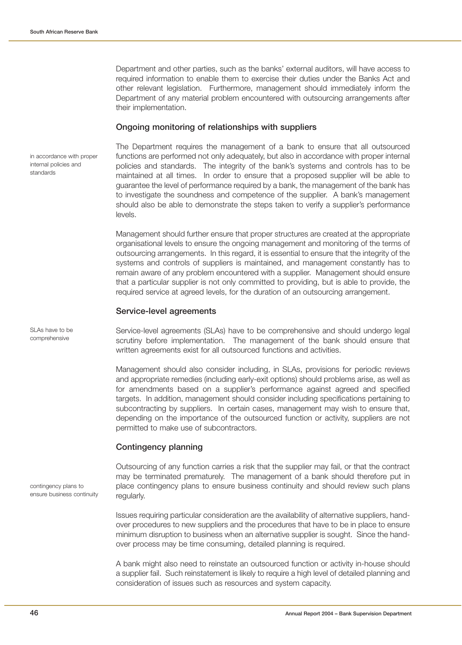in accordance with proper internal policies and

standards

SLAs have to be comprehensive

Department and other parties, such as the banks' external auditors, will have access to required information to enable them to exercise their duties under the Banks Act and other relevant legislation. Furthermore, management should immediately inform the Department of any material problem encountered with outsourcing arrangements after their implementation.

### **Ongoing monitoring of relationships with suppliers**

The Department requires the management of a bank to ensure that all outsourced functions are performed not only adequately, but also in accordance with proper internal policies and standards. The integrity of the bank's systems and controls has to be maintained at all times. In order to ensure that a proposed supplier will be able to guarantee the level of performance required by a bank, the management of the bank has to investigate the soundness and competence of the supplier. A bank's management should also be able to demonstrate the steps taken to verify a supplier's performance levels.

Management should further ensure that proper structures are created at the appropriate organisational levels to ensure the ongoing management and monitoring of the terms of outsourcing arrangements. In this regard, it is essential to ensure that the integrity of the systems and controls of suppliers is maintained, and management constantly has to remain aware of any problem encountered with a supplier. Management should ensure that a particular supplier is not only committed to providing, but is able to provide, the required service at agreed levels, for the duration of an outsourcing arrangement.

#### **Service-level agreements**

Service-level agreements (SLAs) have to be comprehensive and should undergo legal scrutiny before implementation. The management of the bank should ensure that written agreements exist for all outsourced functions and activities.

Management should also consider including, in SLAs, provisions for periodic reviews and appropriate remedies (including early-exit options) should problems arise, as well as for amendments based on a supplier's performance against agreed and specified targets. In addition, management should consider including specifications pertaining to subcontracting by suppliers. In certain cases, management may wish to ensure that, depending on the importance of the outsourced function or activity, suppliers are not permitted to make use of subcontractors.

### **Contingency planning**

Outsourcing of any function carries a risk that the supplier may fail, or that the contract may be terminated prematurely. The management of a bank should therefore put in place contingency plans to ensure business continuity and should review such plans regularly.

Issues requiring particular consideration are the availability of alternative suppliers, handover procedures to new suppliers and the procedures that have to be in place to ensure minimum disruption to business when an alternative supplier is sought. Since the handover process may be time consuming, detailed planning is required.

A bank might also need to reinstate an outsourced function or activity in-house should a supplier fail. Such reinstatement is likely to require a high level of detailed planning and consideration of issues such as resources and system capacity.

contingency plans to ensure business continuity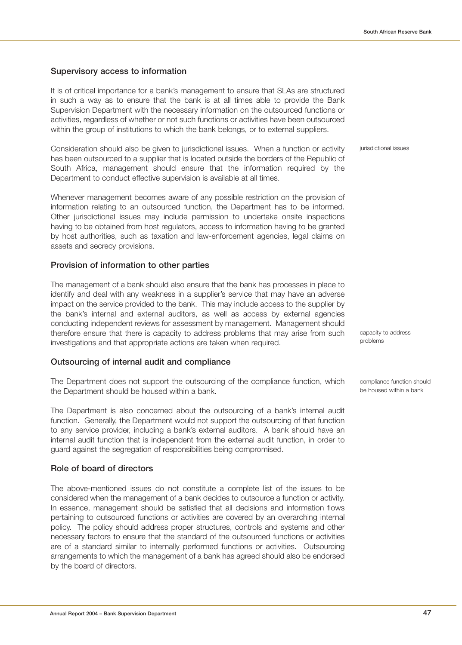# **Supervisory access to information**

It is of critical importance for a bank's management to ensure that SLAs are structured in such a way as to ensure that the bank is at all times able to provide the Bank Supervision Department with the necessary information on the outsourced functions or activities, regardless of whether or not such functions or activities have been outsourced within the group of institutions to which the bank belongs, or to external suppliers.

Consideration should also be given to jurisdictional issues. When a function or activity has been outsourced to a supplier that is located outside the borders of the Republic of South Africa, management should ensure that the information required by the Department to conduct effective supervision is available at all times.

Whenever management becomes aware of any possible restriction on the provision of information relating to an outsourced function, the Department has to be informed. Other jurisdictional issues may include permission to undertake onsite inspections having to be obtained from host regulators, access to information having to be granted by host authorities, such as taxation and law-enforcement agencies, legal claims on assets and secrecy provisions.

# **Provision of information to other parties**

The management of a bank should also ensure that the bank has processes in place to identify and deal with any weakness in a supplier's service that may have an adverse impact on the service provided to the bank. This may include access to the supplier by the bank's internal and external auditors, as well as access by external agencies conducting independent reviews for assessment by management. Management should therefore ensure that there is capacity to address problems that may arise from such investigations and that appropriate actions are taken when required.

# **Outsourcing of internal audit and compliance**

The Department does not support the outsourcing of the compliance function, which the Department should be housed within a bank.

The Department is also concerned about the outsourcing of a bank's internal audit function. Generally, the Department would not support the outsourcing of that function to any service provider, including a bank's external auditors. A bank should have an internal audit function that is independent from the external audit function, in order to guard against the segregation of responsibilities being compromised.

# **Role of board of directors**

The above-mentioned issues do not constitute a complete list of the issues to be considered when the management of a bank decides to outsource a function or activity. In essence, management should be satisfied that all decisions and information flows pertaining to outsourced functions or activities are covered by an overarching internal policy. The policy should address proper structures, controls and systems and other necessary factors to ensure that the standard of the outsourced functions or activities are of a standard similar to internally performed functions or activities. Outsourcing arrangements to which the management of a bank has agreed should also be endorsed by the board of directors.

jurisdictional issues

capacity to address problems

compliance function should be housed within a bank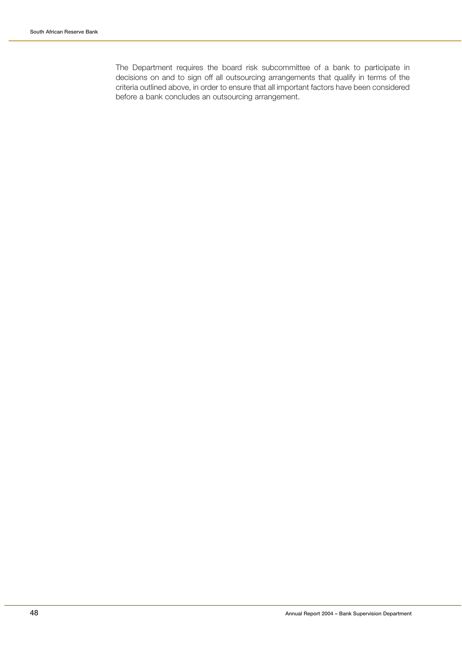The Department requires the board risk subcommittee of a bank to participate in decisions on and to sign off all outsourcing arrangements that qualify in terms of the criteria outlined above, in order to ensure that all important factors have been considered before a bank concludes an outsourcing arrangement.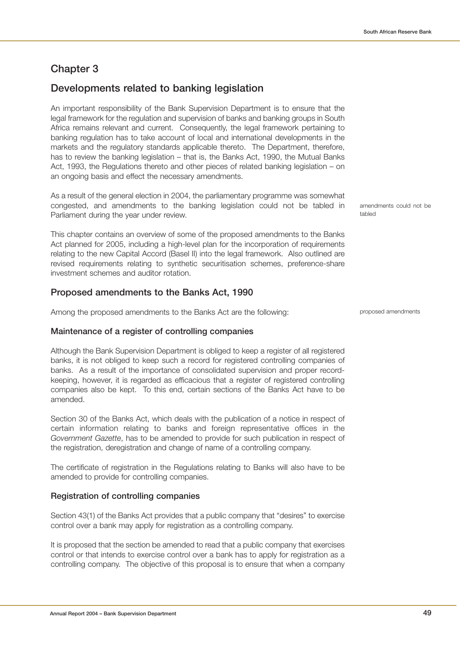# **Chapter 3**

# **Developments related to banking legislation**

An important responsibility of the Bank Supervision Department is to ensure that the legal framework for the regulation and supervision of banks and banking groups in South Africa remains relevant and current. Consequently, the legal framework pertaining to banking regulation has to take account of local and international developments in the markets and the regulatory standards applicable thereto. The Department, therefore, has to review the banking legislation – that is, the Banks Act, 1990, the Mutual Banks Act, 1993, the Regulations thereto and other pieces of related banking legislation – on an ongoing basis and effect the necessary amendments.

As a result of the general election in 2004, the parliamentary programme was somewhat congested, and amendments to the banking legislation could not be tabled in Parliament during the year under review.

This chapter contains an overview of some of the proposed amendments to the Banks Act planned for 2005, including a high-level plan for the incorporation of requirements relating to the new Capital Accord (Basel II) into the legal framework. Also outlined are revised requirements relating to synthetic securitisation schemes, preference-share investment schemes and auditor rotation.

### **Proposed amendments to the Banks Act, 1990**

Among the proposed amendments to the Banks Act are the following:

### **Maintenance of a register of controlling companies**

Although the Bank Supervision Department is obliged to keep a register of all registered banks, it is not obliged to keep such a record for registered controlling companies of banks. As a result of the importance of consolidated supervision and proper recordkeeping, however, it is regarded as efficacious that a register of registered controlling companies also be kept. To this end, certain sections of the Banks Act have to be amended.

Section 30 of the Banks Act, which deals with the publication of a notice in respect of certain information relating to banks and foreign representative offices in the Government Gazette, has to be amended to provide for such publication in respect of the registration, deregistration and change of name of a controlling company.

The certificate of registration in the Regulations relating to Banks will also have to be amended to provide for controlling companies.

### **Registration of controlling companies**

Section 43(1) of the Banks Act provides that a public company that "desires" to exercise control over a bank may apply for registration as a controlling company.

It is proposed that the section be amended to read that a public company that exercises control or that intends to exercise control over a bank has to apply for registration as a controlling company. The objective of this proposal is to ensure that when a company amendments could not be tabled

proposed amendments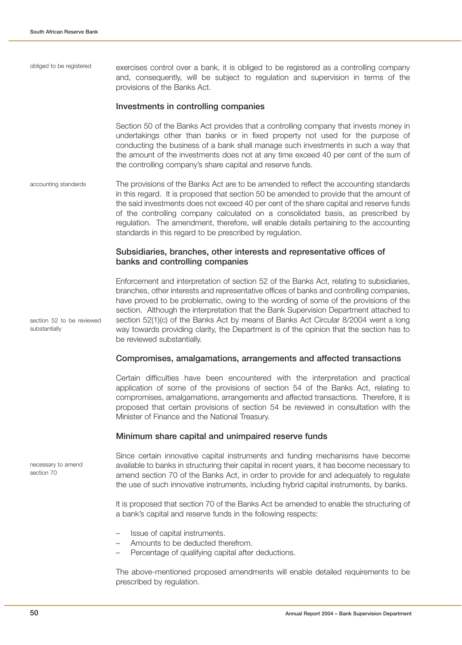exercises control over a bank, it is obliged to be registered as a controlling company and, consequently, will be subject to regulation and supervision in terms of the provisions of the Banks Act. obliged to be registered

#### **Investments in controlling companies**

Section 50 of the Banks Act provides that a controlling company that invests money in undertakings other than banks or in fixed property not used for the purpose of conducting the business of a bank shall manage such investments in such a way that the amount of the investments does not at any time exceed 40 per cent of the sum of the controlling company's share capital and reserve funds.

The provisions of the Banks Act are to be amended to reflect the accounting standards in this regard. It is proposed that section 50 be amended to provide that the amount of the said investments does not exceed 40 per cent of the share capital and reserve funds of the controlling company calculated on a consolidated basis, as prescribed by regulation. The amendment, therefore, will enable details pertaining to the accounting standards in this regard to be prescribed by regulation. accounting standards

### **Subsidiaries, branches, other interests and representative offices of banks and controlling companies**

Enforcement and interpretation of section 52 of the Banks Act, relating to subsidiaries, branches, other interests and representative offices of banks and controlling companies, have proved to be problematic, owing to the wording of some of the provisions of the section. Although the interpretation that the Bank Supervision Department attached to section 52(1)(c) of the Banks Act by means of Banks Act Circular 8/2004 went a long way towards providing clarity, the Department is of the opinion that the section has to be reviewed substantially.

#### **Compromises, amalgamations, arrangements and affected transactions**

Certain difficulties have been encountered with the interpretation and practical application of some of the provisions of section 54 of the Banks Act, relating to compromises, amalgamations, arrangements and affected transactions. Therefore, it is proposed that certain provisions of section 54 be reviewed in consultation with the Minister of Finance and the National Treasury.

#### **Minimum share capital and unimpaired reserve funds**

necessary to amend section 70

section 52 to be reviewed

substantially

Since certain innovative capital instruments and funding mechanisms have become available to banks in structuring their capital in recent years, it has become necessary to amend section 70 of the Banks Act, in order to provide for and adequately to regulate the use of such innovative instruments, including hybrid capital instruments, by banks.

It is proposed that section 70 of the Banks Act be amended to enable the structuring of a bank's capital and reserve funds in the following respects:

- Issue of capital instruments.
- Amounts to be deducted therefrom.
- Percentage of qualifying capital after deductions.

The above-mentioned proposed amendments will enable detailed requirements to be prescribed by regulation.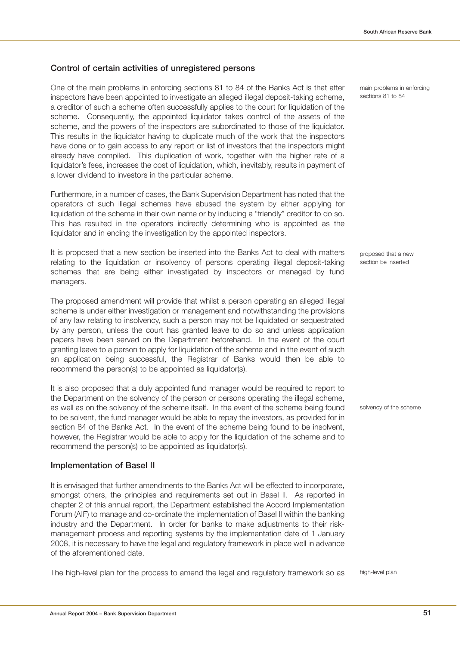# **Control of certain activities of unregistered persons**

One of the main problems in enforcing sections 81 to 84 of the Banks Act is that after inspectors have been appointed to investigate an alleged illegal deposit-taking scheme, a creditor of such a scheme often successfully applies to the court for liquidation of the scheme. Consequently, the appointed liquidator takes control of the assets of the scheme, and the powers of the inspectors are subordinated to those of the liquidator. This results in the liquidator having to duplicate much of the work that the inspectors have done or to gain access to any report or list of investors that the inspectors might already have compiled. This duplication of work, together with the higher rate of a liquidator's fees, increases the cost of liquidation, which, inevitably, results in payment of a lower dividend to investors in the particular scheme.

Furthermore, in a number of cases, the Bank Supervision Department has noted that the operators of such illegal schemes have abused the system by either applying for liquidation of the scheme in their own name or by inducing a "friendly" creditor to do so. This has resulted in the operators indirectly determining who is appointed as the liquidator and in ending the investigation by the appointed inspectors.

It is proposed that a new section be inserted into the Banks Act to deal with matters relating to the liquidation or insolvency of persons operating illegal deposit-taking schemes that are being either investigated by inspectors or managed by fund managers.

The proposed amendment will provide that whilst a person operating an alleged illegal scheme is under either investigation or management and notwithstanding the provisions of any law relating to insolvency, such a person may not be liquidated or sequestrated by any person, unless the court has granted leave to do so and unless application papers have been served on the Department beforehand. In the event of the court granting leave to a person to apply for liquidation of the scheme and in the event of such an application being successful, the Registrar of Banks would then be able to recommend the person(s) to be appointed as liquidator(s).

It is also proposed that a duly appointed fund manager would be required to report to the Department on the solvency of the person or persons operating the illegal scheme, as well as on the solvency of the scheme itself. In the event of the scheme being found to be solvent, the fund manager would be able to repay the investors, as provided for in section 84 of the Banks Act. In the event of the scheme being found to be insolvent, however, the Registrar would be able to apply for the liquidation of the scheme and to recommend the person(s) to be appointed as liquidator(s).

### **Implementation of Basel II**

It is envisaged that further amendments to the Banks Act will be effected to incorporate, amongst others, the principles and requirements set out in Basel II. As reported in chapter 2 of this annual report, the Department established the Accord Implementation Forum (AIF) to manage and co-ordinate the implementation of Basel II within the banking industry and the Department. In order for banks to make adjustments to their riskmanagement process and reporting systems by the implementation date of 1 January 2008, it is necessary to have the legal and regulatory framework in place well in advance of the aforementioned date.

The high-level plan for the process to amend the legal and regulatory framework so as

main problems in enforcing sections 81 to 84

proposed that a new section be inserted

solvency of the scheme

high-level plan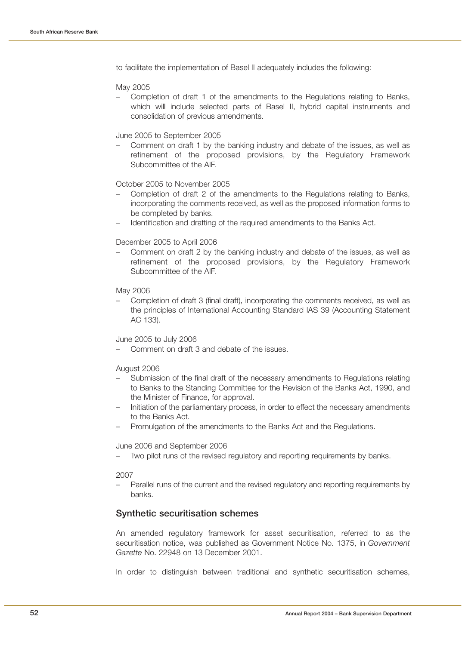to facilitate the implementation of Basel II adequately includes the following:

#### May 2005

– Completion of draft 1 of the amendments to the Regulations relating to Banks, which will include selected parts of Basel II, hybrid capital instruments and consolidation of previous amendments.

#### June 2005 to September 2005

– Comment on draft 1 by the banking industry and debate of the issues, as well as refinement of the proposed provisions, by the Regulatory Framework Subcommittee of the AIF.

#### October 2005 to November 2005

- Completion of draft 2 of the amendments to the Regulations relating to Banks, incorporating the comments received, as well as the proposed information forms to be completed by banks.
- Identification and drafting of the required amendments to the Banks Act.

#### December 2005 to April 2006

– Comment on draft 2 by the banking industry and debate of the issues, as well as refinement of the proposed provisions, by the Regulatory Framework Subcommittee of the AIF.

#### May 2006

– Completion of draft 3 (final draft), incorporating the comments received, as well as the principles of International Accounting Standard IAS 39 (Accounting Statement AC 133).

#### June 2005 to July 2006

– Comment on draft 3 and debate of the issues.

#### August 2006

- Submission of the final draft of the necessary amendments to Regulations relating to Banks to the Standing Committee for the Revision of the Banks Act, 1990, and the Minister of Finance, for approval.
- Initiation of the parliamentary process, in order to effect the necessary amendments to the Banks Act.
- Promulgation of the amendments to the Banks Act and the Regulations.

#### June 2006 and September 2006

– Two pilot runs of the revised regulatory and reporting requirements by banks.

#### 2007

– Parallel runs of the current and the revised regulatory and reporting requirements by banks.

### **Synthetic securitisation schemes**

An amended regulatory framework for asset securitisation, referred to as the securitisation notice, was published as Government Notice No. 1375, in Government Gazette No. 22948 on 13 December 2001.

In order to distinguish between traditional and synthetic securitisation schemes,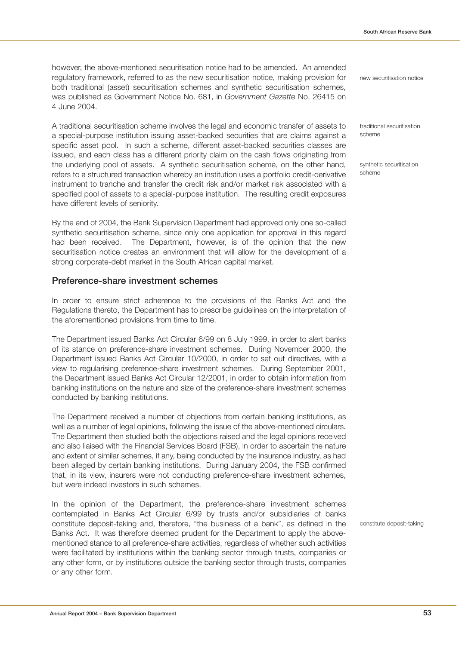however, the above-mentioned securitisation notice had to be amended. An amended regulatory framework, referred to as the new securitisation notice, making provision for both traditional (asset) securitisation schemes and synthetic securitisation schemes, was published as Government Notice No. 681, in Government Gazette No. 26415 on 4 June 2004.

A traditional securitisation scheme involves the legal and economic transfer of assets to a special-purpose institution issuing asset-backed securities that are claims against a specific asset pool. In such a scheme, different asset-backed securities classes are issued, and each class has a different priority claim on the cash flows originating from the underlying pool of assets. A synthetic securitisation scheme, on the other hand, refers to a structured transaction whereby an institution uses a portfolio credit-derivative instrument to tranche and transfer the credit risk and/or market risk associated with a specified pool of assets to a special-purpose institution. The resulting credit exposures have different levels of seniority.

By the end of 2004, the Bank Supervision Department had approved only one so-called synthetic securitisation scheme, since only one application for approval in this regard had been received. The Department, however, is of the opinion that the new securitisation notice creates an environment that will allow for the development of a strong corporate-debt market in the South African capital market.

### **Preference-share investment schemes**

In order to ensure strict adherence to the provisions of the Banks Act and the Regulations thereto, the Department has to prescribe guidelines on the interpretation of the aforementioned provisions from time to time.

The Department issued Banks Act Circular 6/99 on 8 July 1999, in order to alert banks of its stance on preference-share investment schemes. During November 2000, the Department issued Banks Act Circular 10/2000, in order to set out directives, with a view to regularising preference-share investment schemes. During September 2001, the Department issued Banks Act Circular 12/2001, in order to obtain information from banking institutions on the nature and size of the preference-share investment schemes conducted by banking institutions.

The Department received a number of objections from certain banking institutions, as well as a number of legal opinions, following the issue of the above-mentioned circulars. The Department then studied both the objections raised and the legal opinions received and also liaised with the Financial Services Board (FSB), in order to ascertain the nature and extent of similar schemes, if any, being conducted by the insurance industry, as had been alleged by certain banking institutions. During January 2004, the FSB confirmed that, in its view, insurers were not conducting preference-share investment schemes, but were indeed investors in such schemes.

In the opinion of the Department, the preference-share investment schemes contemplated in Banks Act Circular 6/99 by trusts and/or subsidiaries of banks constitute deposit-taking and, therefore, "the business of a bank", as defined in the Banks Act. It was therefore deemed prudent for the Department to apply the abovementioned stance to all preference-share activities, regardless of whether such activities were facilitated by institutions within the banking sector through trusts, companies or any other form, or by institutions outside the banking sector through trusts, companies or any other form.

new securitisation notice

traditional securitisation scheme

synthetic securitisation scheme

constitute deposit-taking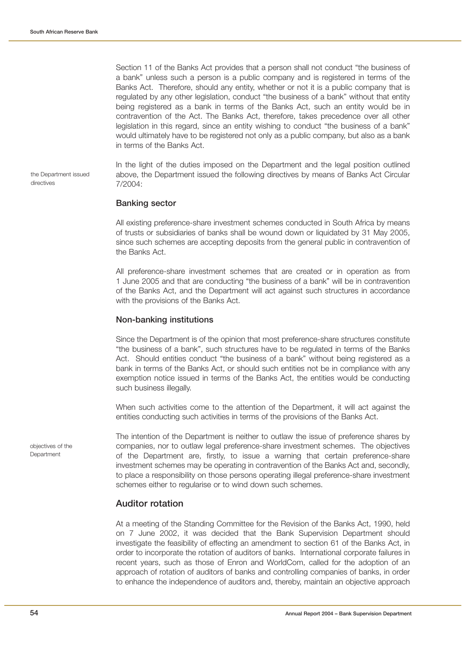the Department issued

directives

Section 11 of the Banks Act provides that a person shall not conduct "the business of a bank" unless such a person is a public company and is registered in terms of the Banks Act. Therefore, should any entity, whether or not it is a public company that is regulated by any other legislation, conduct "the business of a bank" without that entity being registered as a bank in terms of the Banks Act, such an entity would be in contravention of the Act. The Banks Act, therefore, takes precedence over all other legislation in this regard, since an entity wishing to conduct "the business of a bank" would ultimately have to be registered not only as a public company, but also as a bank in terms of the Banks Act.

In the light of the duties imposed on the Department and the legal position outlined above, the Department issued the following directives by means of Banks Act Circular 7/2004:

#### **Banking sector**

All existing preference-share investment schemes conducted in South Africa by means of trusts or subsidiaries of banks shall be wound down or liquidated by 31 May 2005, since such schemes are accepting deposits from the general public in contravention of the Banks Act.

All preference-share investment schemes that are created or in operation as from 1 June 2005 and that are conducting "the business of a bank" will be in contravention of the Banks Act, and the Department will act against such structures in accordance with the provisions of the Banks Act.

#### **Non-banking institutions**

Since the Department is of the opinion that most preference-share structures constitute "the business of a bank", such structures have to be regulated in terms of the Banks Act. Should entities conduct "the business of a bank" without being registered as a bank in terms of the Banks Act, or should such entities not be in compliance with any exemption notice issued in terms of the Banks Act, the entities would be conducting such business illegally.

When such activities come to the attention of the Department, it will act against the entities conducting such activities in terms of the provisions of the Banks Act.

The intention of the Department is neither to outlaw the issue of preference shares by companies, nor to outlaw legal preference-share investment schemes. The objectives of the Department are, firstly, to issue a warning that certain preference-share investment schemes may be operating in contravention of the Banks Act and, secondly, to place a responsibility on those persons operating illegal preference-share investment schemes either to regularise or to wind down such schemes.

### **Auditor rotation**

At a meeting of the Standing Committee for the Revision of the Banks Act, 1990, held on 7 June 2002, it was decided that the Bank Supervision Department should investigate the feasibility of effecting an amendment to section 61 of the Banks Act, in order to incorporate the rotation of auditors of banks. International corporate failures in recent years, such as those of Enron and WorldCom, called for the adoption of an approach of rotation of auditors of banks and controlling companies of banks, in order to enhance the independence of auditors and, thereby, maintain an objective approach

objectives of the **Department**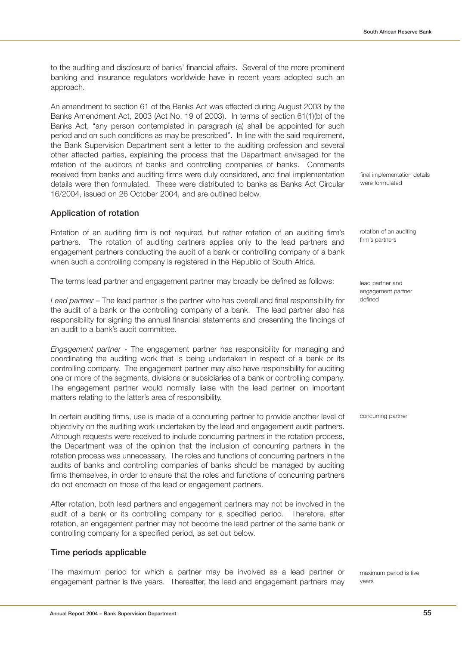to the auditing and disclosure of banks' financial affairs. Several of the more prominent banking and insurance regulators worldwide have in recent years adopted such an approach.

An amendment to section 61 of the Banks Act was effected during August 2003 by the Banks Amendment Act, 2003 (Act No. 19 of 2003). In terms of section 61(1)(b) of the Banks Act, "any person contemplated in paragraph (a) shall be appointed for such period and on such conditions as may be prescribed". In line with the said requirement, the Bank Supervision Department sent a letter to the auditing profession and several other affected parties, explaining the process that the Department envisaged for the rotation of the auditors of banks and controlling companies of banks. Comments received from banks and auditing firms were duly considered, and final implementation details were then formulated. These were distributed to banks as Banks Act Circular 16/2004, issued on 26 October 2004, and are outlined below.

### **Application of rotation**

Rotation of an auditing firm is not required, but rather rotation of an auditing firm's partners. The rotation of auditing partners applies only to the lead partners and engagement partners conducting the audit of a bank or controlling company of a bank when such a controlling company is registered in the Republic of South Africa.

The terms lead partner and engagement partner may broadly be defined as follows:

Lead partner – The lead partner is the partner who has overall and final responsibility for the audit of a bank or the controlling company of a bank. The lead partner also has responsibility for signing the annual financial statements and presenting the findings of an audit to a bank's audit committee.

Engagement partner - The engagement partner has responsibility for managing and coordinating the auditing work that is being undertaken in respect of a bank or its controlling company. The engagement partner may also have responsibility for auditing one or more of the segments, divisions or subsidiaries of a bank or controlling company. The engagement partner would normally liaise with the lead partner on important matters relating to the latter's area of responsibility.

In certain auditing firms, use is made of a concurring partner to provide another level of objectivity on the auditing work undertaken by the lead and engagement audit partners. Although requests were received to include concurring partners in the rotation process, the Department was of the opinion that the inclusion of concurring partners in the rotation process was unnecessary. The roles and functions of concurring partners in the audits of banks and controlling companies of banks should be managed by auditing firms themselves, in order to ensure that the roles and functions of concurring partners do not encroach on those of the lead or engagement partners.

After rotation, both lead partners and engagement partners may not be involved in the audit of a bank or its controlling company for a specified period. Therefore, after rotation, an engagement partner may not become the lead partner of the same bank or controlling company for a specified period, as set out below.

#### **Time periods applicable**

The maximum period for which a partner may be involved as a lead partner or engagement partner is five years. Thereafter, the lead and engagement partners may final implementation details were formulated

rotation of an auditing firm's partners

lead partner and engagement partner defined

concurring partner

maximum period is five years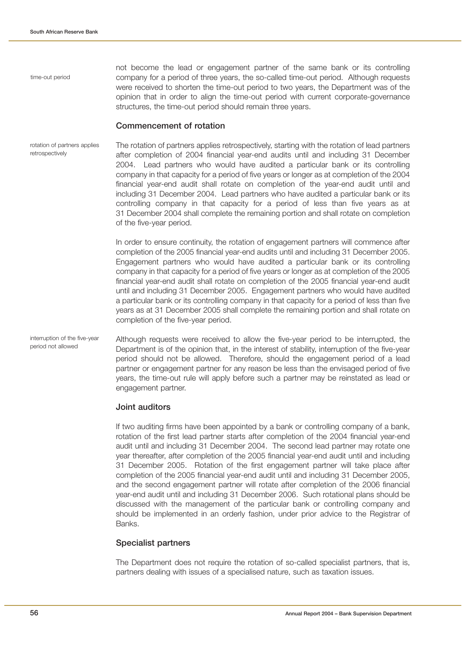time-out period

not become the lead or engagement partner of the same bank or its controlling company for a period of three years, the so-called time-out period. Although requests were received to shorten the time-out period to two years, the Department was of the opinion that in order to align the time-out period with current corporate-governance structures, the time-out period should remain three years.

#### **Commencement of rotation**

The rotation of partners applies retrospectively, starting with the rotation of lead partners after completion of 2004 financial year-end audits until and including 31 December 2004. Lead partners who would have audited a particular bank or its controlling company in that capacity for a period of five years or longer as at completion of the 2004 financial year-end audit shall rotate on completion of the year-end audit until and including 31 December 2004. Lead partners who have audited a particular bank or its controlling company in that capacity for a period of less than five years as at 31 December 2004 shall complete the remaining portion and shall rotate on completion of the five-year period. rotation of partners applies retrospectively

> In order to ensure continuity, the rotation of engagement partners will commence after completion of the 2005 financial year-end audits until and including 31 December 2005. Engagement partners who would have audited a particular bank or its controlling company in that capacity for a period of five years or longer as at completion of the 2005 financial year-end audit shall rotate on completion of the 2005 financial year-end audit until and including 31 December 2005. Engagement partners who would have audited a particular bank or its controlling company in that capacity for a period of less than five years as at 31 December 2005 shall complete the remaining portion and shall rotate on completion of the five-year period.

Although requests were received to allow the five-year period to be interrupted, the Department is of the opinion that, in the interest of stability, interruption of the five-year period should not be allowed. Therefore, should the engagement period of a lead partner or engagement partner for any reason be less than the envisaged period of five years, the time-out rule will apply before such a partner may be reinstated as lead or engagement partner. interruption of the five-year period not allowed

#### **Joint auditors**

If two auditing firms have been appointed by a bank or controlling company of a bank, rotation of the first lead partner starts after completion of the 2004 financial year-end audit until and including 31 December 2004. The second lead partner may rotate one year thereafter, after completion of the 2005 financial year-end audit until and including 31 December 2005. Rotation of the first engagement partner will take place after completion of the 2005 financial year-end audit until and including 31 December 2005, and the second engagement partner will rotate after completion of the 2006 financial year-end audit until and including 31 December 2006. Such rotational plans should be discussed with the management of the particular bank or controlling company and should be implemented in an orderly fashion, under prior advice to the Registrar of Banks.

#### **Specialist partners**

The Department does not require the rotation of so-called specialist partners, that is, partners dealing with issues of a specialised nature, such as taxation issues.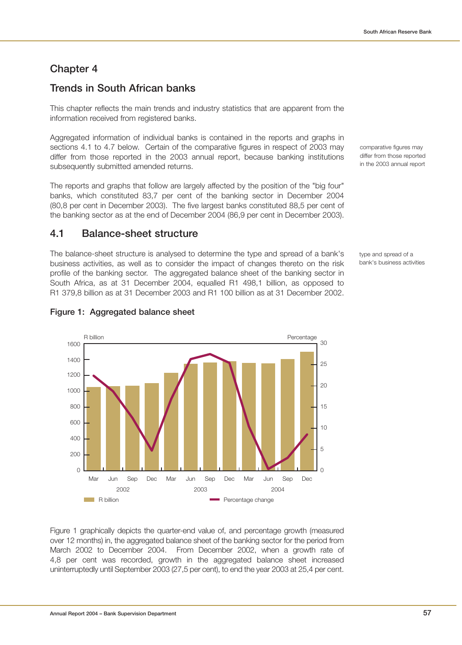# **Chapter 4**

# **Trends in South African banks**

This chapter reflects the main trends and industry statistics that are apparent from the information received from registered banks.

Aggregated information of individual banks is contained in the reports and graphs in sections 4.1 to 4.7 below. Certain of the comparative figures in respect of 2003 may differ from those reported in the 2003 annual report, because banking institutions subsequently submitted amended returns.

The reports and graphs that follow are largely affected by the position of the "big four" banks, which constituted 83,7 per cent of the banking sector in December 2004 (80,8 per cent in December 2003). The five largest banks constituted 88,5 per cent of the banking sector as at the end of December 2004 (86,9 per cent in December 2003).

# **4.1 Balance-sheet structure**

The balance-sheet structure is analysed to determine the type and spread of a bank's business activities, as well as to consider the impact of changes thereto on the risk profile of the banking sector. The aggregated balance sheet of the banking sector in South Africa, as at 31 December 2004, equalled R1 498,1 billion, as opposed to R1 379,8 billion as at 31 December 2003 and R1 100 billion as at 31 December 2002.

comparative figures may differ from those reported in the 2003 annual report

type and spread of a bank's business activities



### **Figure 1: Aggregated balance sheet**

Figure 1 graphically depicts the quarter-end value of, and percentage growth (measured over 12 months) in, the aggregated balance sheet of the banking sector for the period from March 2002 to December 2004. From December 2002, when a growth rate of 4,8 per cent was recorded, growth in the aggregated balance sheet increased uninterruptedly until September 2003 (27,5 per cent), to end the year 2003 at 25,4 per cent.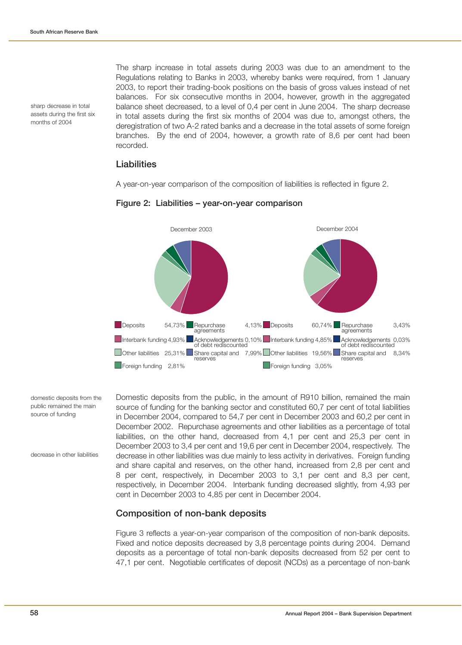sharp decrease in total assets during the first six months of 2004

The sharp increase in total assets during 2003 was due to an amendment to the Regulations relating to Banks in 2003, whereby banks were required, from 1 January 2003, to report their trading-book positions on the basis of gross values instead of net balances. For six consecutive months in 2004, however, growth in the aggregated balance sheet decreased, to a level of 0,4 per cent in June 2004. The sharp decrease in total assets during the first six months of 2004 was due to, amongst others, the deregistration of two A-2 rated banks and a decrease in the total assets of some foreign branches. By the end of 2004, however, a growth rate of 8,6 per cent had been recorded.

### **Liabilities**

A year-on-year comparison of the composition of liabilities is reflected in figure 2.



#### **Figure 2: Liabilities – year-on-year comparison**

domestic deposits from the public remained the main source of funding

decrease in other liabilities

Domestic deposits from the public, in the amount of R910 billion, remained the main source of funding for the banking sector and constituted 60,7 per cent of total liabilities in December 2004, compared to 54,7 per cent in December 2003 and 60,2 per cent in December 2002. Repurchase agreements and other liabilities as a percentage of total liabilities, on the other hand, decreased from 4,1 per cent and 25,3 per cent in December 2003 to 3,4 per cent and 19,6 per cent in December 2004, respectively. The decrease in other liabilities was due mainly to less activity in derivatives. Foreign funding and share capital and reserves, on the other hand, increased from 2,8 per cent and 8 per cent, respectively, in December 2003 to 3,1 per cent and 8,3 per cent, respectively, in December 2004. Interbank funding decreased slightly, from 4,93 per cent in December 2003 to 4,85 per cent in December 2004.

# **Composition of non-bank deposits**

Figure 3 reflects a year-on-year comparison of the composition of non-bank deposits. Fixed and notice deposits decreased by 3,8 percentage points during 2004. Demand deposits as a percentage of total non-bank deposits decreased from 52 per cent to 47,1 per cent. Negotiable certificates of deposit (NCDs) as a percentage of non-bank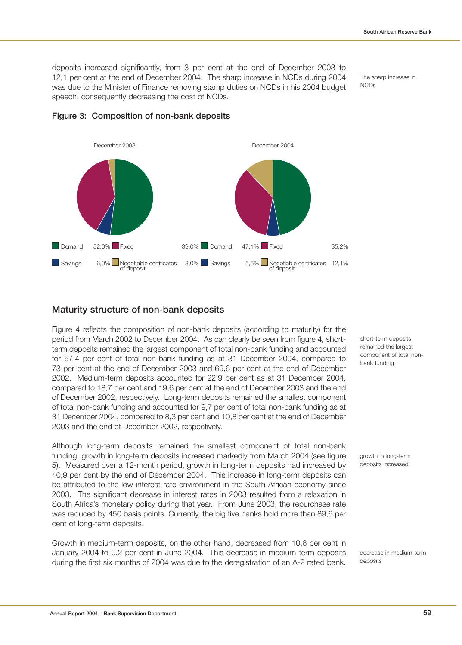deposits increased significantly, from 3 per cent at the end of December 2003 to 12,1 per cent at the end of December 2004. The sharp increase in NCDs during 2004 was due to the Minister of Finance removing stamp duties on NCDs in his 2004 budget speech, consequently decreasing the cost of NCDs.

The sharp increase in NCDs



**Figure 3: Composition of non-bank deposits**

### **Maturity structure of non-bank deposits**

Figure 4 reflects the composition of non-bank deposits (according to maturity) for the period from March 2002 to December 2004. As can clearly be seen from figure 4, shortterm deposits remained the largest component of total non-bank funding and accounted for 67,4 per cent of total non-bank funding as at 31 December 2004, compared to 73 per cent at the end of December 2003 and 69,6 per cent at the end of December 2002. Medium-term deposits accounted for 22,9 per cent as at 31 December 2004, compared to 18,7 per cent and 19,6 per cent at the end of December 2003 and the end of December 2002, respectively. Long-term deposits remained the smallest component of total non-bank funding and accounted for 9,7 per cent of total non-bank funding as at 31 December 2004, compared to 8,3 per cent and 10,8 per cent at the end of December 2003 and the end of December 2002, respectively.

Although long-term deposits remained the smallest component of total non-bank funding, growth in long-term deposits increased markedly from March 2004 (see figure 5). Measured over a 12-month period, growth in long-term deposits had increased by 40,9 per cent by the end of December 2004. This increase in long-term deposits can be attributed to the low interest-rate environment in the South African economy since 2003. The significant decrease in interest rates in 2003 resulted from a relaxation in South Africa's monetary policy during that year. From June 2003, the repurchase rate was reduced by 450 basis points. Currently, the big five banks hold more than 89,6 per cent of long-term deposits.

Growth in medium-term deposits, on the other hand, decreased from 10,6 per cent in January 2004 to 0,2 per cent in June 2004. This decrease in medium-term deposits during the first six months of 2004 was due to the deregistration of an A-2 rated bank. short-term deposits remained the largest component of total nonbank funding

growth in long-term deposits increased

decrease in medium-term deposits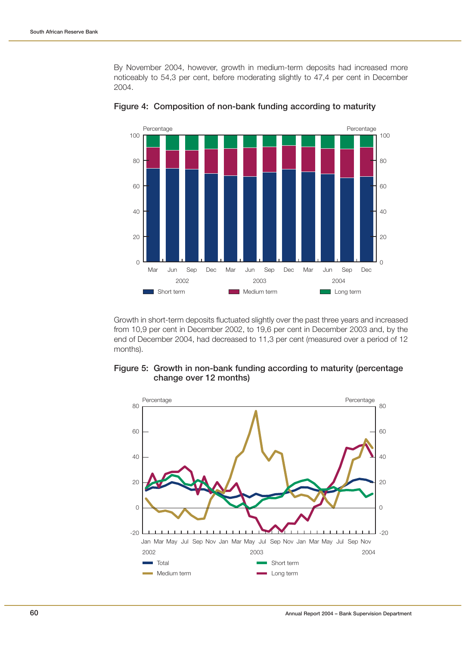By November 2004, however, growth in medium-term deposits had increased more noticeably to 54,3 per cent, before moderating slightly to 47,4 per cent in December 2004.



**Figure 4: Composition of non-bank funding according to maturity**

Growth in short-term deposits fluctuated slightly over the past three years and increased from 10,9 per cent in December 2002, to 19,6 per cent in December 2003 and, by the end of December 2004, had decreased to 11,3 per cent (measured over a period of 12 months).



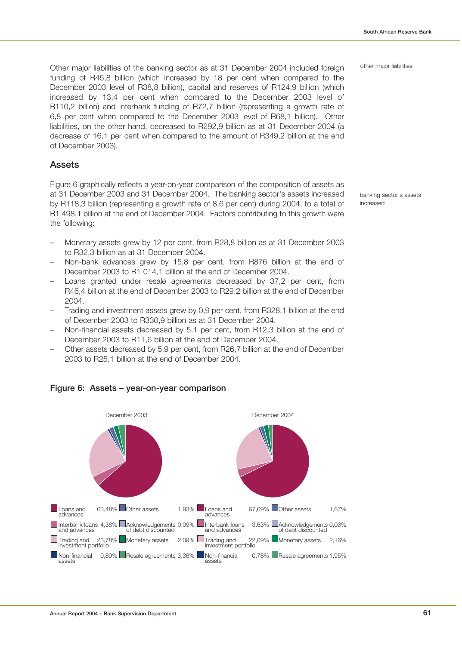other major liabilities

Other major liabilities of the banking sector as at 31 December 2004 included foreign funding of R45,8 billion (which increased by 18 per cent when compared to the December 2003 level of R38,8 billion), capital and reserves of R124,9 billion (which increased by 13,4 per cent when compared to the December 2003 level of R110,2 billion) and interbank funding of R72,7 billion (representing a growth rate of 6,8 per cent when compared to the December 2003 level of R68,1 billion). Other liabilities, on the other hand, decreased to R292,9 billion as at 31 December 2004 (a decrease of 16,1 per cent when compared to the amount of R349,2 billion at the end of December 2003).

### **Assets**

Figure 6 graphically reflects a year-on-year comparison of the composition of assets as at 31 December 2003 and 31 December 2004. The banking sector's assets increased by R118,3 billion (representing a growth rate of 8,6 per cent) during 2004, to a total of R1 498,1 billion at the end of December 2004. Factors contributing to this growth were the following:

banking sector's assets increased

- Monetary assets grew by 12 per cent, from R28,8 billion as at 31 December 2003 to R32,3 billion as at 31 December 2004.
- Non-bank advances grew by 15,8 per cent, from R876 billion at the end of December 2003 to R1 014,1 billion at the end of December 2004.
- Loans granted under resale agreements decreased by 37,2 per cent, from R46,4 billion at the end of December 2003 to R29,2 billion at the end of December 2004.
- Trading and investment assets grew by 0,9 per cent, from R328,1 billion at the end of December 2003 to R330,9 billion as at 31 December 2004.
- Non-financial assets decreased by 5,1 per cent, from R12,3 billion at the end of December 2003 to R11,6 billion at the end of December 2004.
- Other assets decreased by 5,9 per cent, from R26,7 billion at the end of December 2003 to R25,1 billion at the end of December 2004.



### **Figure 6: Assets – year-on-year comparison**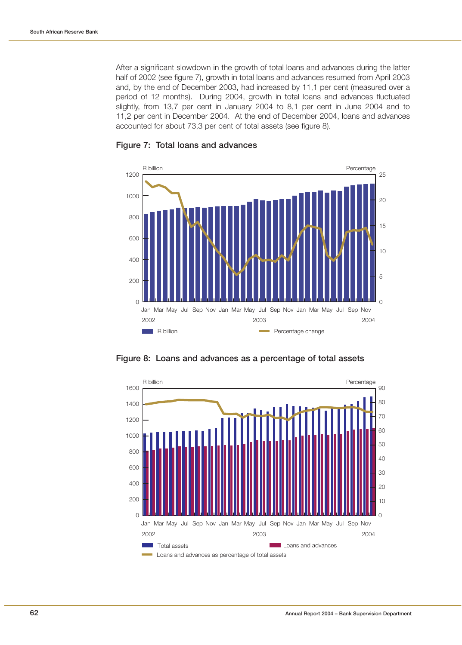After a significant slowdown in the growth of total loans and advances during the latter half of 2002 (see figure 7), growth in total loans and advances resumed from April 2003 and, by the end of December 2003, had increased by 11,1 per cent (measured over a period of 12 months). During 2004, growth in total loans and advances fluctuated slightly, from 13,7 per cent in January 2004 to 8,1 per cent in June 2004 and to 11,2 per cent in December 2004. At the end of December 2004, loans and advances accounted for about 73,3 per cent of total assets (see figure 8).



**Figure 7: Total loans and advances**



**Figure 8: Loans and advances as a percentage of total assets**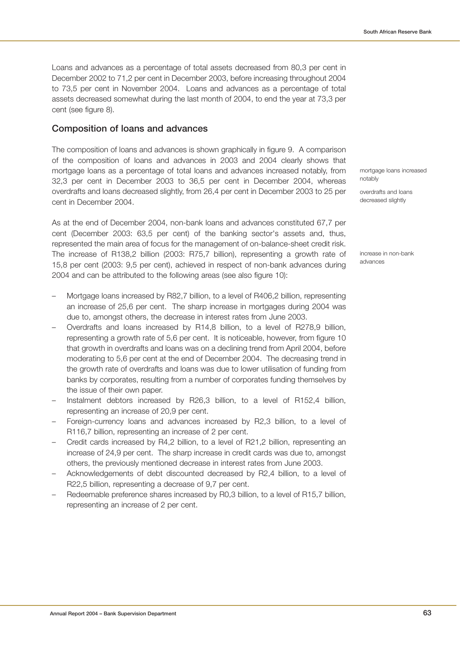Loans and advances as a percentage of total assets decreased from 80,3 per cent in December 2002 to 71,2 per cent in December 2003, before increasing throughout 2004 to 73,5 per cent in November 2004. Loans and advances as a percentage of total assets decreased somewhat during the last month of 2004, to end the year at 73,3 per cent (see figure 8).

### **Composition of loans and advances**

The composition of loans and advances is shown graphically in figure 9. A comparison of the composition of loans and advances in 2003 and 2004 clearly shows that mortgage loans as a percentage of total loans and advances increased notably, from 32,3 per cent in December 2003 to 36,5 per cent in December 2004, whereas overdrafts and loans decreased slightly, from 26,4 per cent in December 2003 to 25 per cent in December 2004.

As at the end of December 2004, non-bank loans and advances constituted 67,7 per cent (December 2003: 63,5 per cent) of the banking sector's assets and, thus, represented the main area of focus for the management of on-balance-sheet credit risk. The increase of R138,2 billion (2003: R75,7 billion), representing a growth rate of 15,8 per cent (2003: 9,5 per cent), achieved in respect of non-bank advances during 2004 and can be attributed to the following areas (see also figure 10):

- Mortgage loans increased by R82,7 billion, to a level of R406,2 billion, representing an increase of 25,6 per cent. The sharp increase in mortgages during 2004 was due to, amongst others, the decrease in interest rates from June 2003.
- Overdrafts and loans increased by R14,8 billion, to a level of R278,9 billion, representing a growth rate of 5,6 per cent. It is noticeable, however, from figure 10 that growth in overdrafts and loans was on a declining trend from April 2004, before moderating to 5,6 per cent at the end of December 2004. The decreasing trend in the growth rate of overdrafts and loans was due to lower utilisation of funding from banks by corporates, resulting from a number of corporates funding themselves by the issue of their own paper.
- Instalment debtors increased by R26,3 billion, to a level of R152,4 billion, representing an increase of 20,9 per cent.
- Foreign-currency loans and advances increased by R2,3 billion, to a level of R116,7 billion, representing an increase of 2 per cent.
- Credit cards increased by R4,2 billion, to a level of R21,2 billion, representing an increase of 24,9 per cent. The sharp increase in credit cards was due to, amongst others, the previously mentioned decrease in interest rates from June 2003.
- Acknowledgements of debt discounted decreased by R2,4 billion, to a level of R22,5 billion, representing a decrease of 9,7 per cent.
- Redeemable preference shares increased by R0,3 billion, to a level of R15,7 billion, representing an increase of 2 per cent.

mortgage loans increased notably

overdrafts and loans decreased slightly

increase in non-bank advances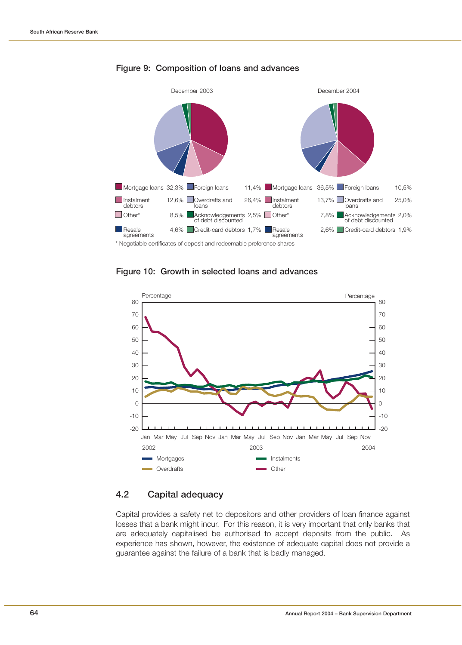

#### **Figure 9: Composition of loans and advances**





### **4.2 Capital adequacy**

Capital provides a safety net to depositors and other providers of loan finance against losses that a bank might incur. For this reason, it is very important that only banks that are adequately capitalised be authorised to accept deposits from the public. As experience has shown, however, the existence of adequate capital does not provide a guarantee against the failure of a bank that is badly managed.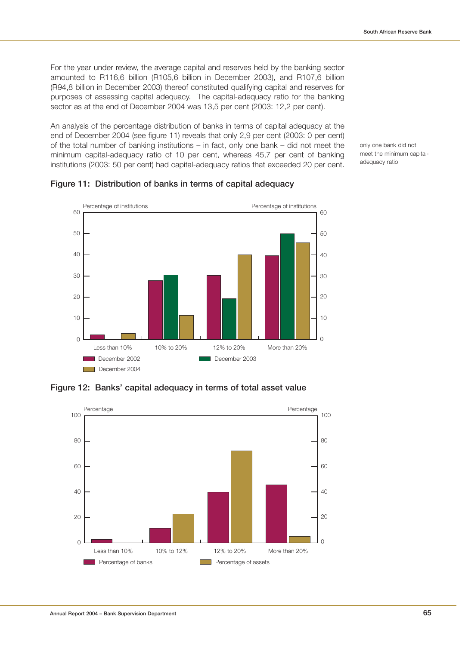For the year under review, the average capital and reserves held by the banking sector amounted to R116,6 billion (R105,6 billion in December 2003), and R107,6 billion (R94,8 billion in December 2003) thereof constituted qualifying capital and reserves for purposes of assessing capital adequacy. The capital-adequacy ratio for the banking sector as at the end of December 2004 was 13,5 per cent (2003: 12,2 per cent).

An analysis of the percentage distribution of banks in terms of capital adequacy at the end of December 2004 (see figure 11) reveals that only 2,9 per cent (2003: 0 per cent) of the total number of banking institutions – in fact, only one bank – did not meet the minimum capital-adequacy ratio of 10 per cent, whereas 45,7 per cent of banking institutions (2003: 50 per cent) had capital-adequacy ratios that exceeded 20 per cent.

only one bank did not meet the minimum capitaladequacy ratio



# **Figure 11: Distribution of banks in terms of capital adequacy**

**Figure 12: Banks' capital adequacy in terms of total asset value**

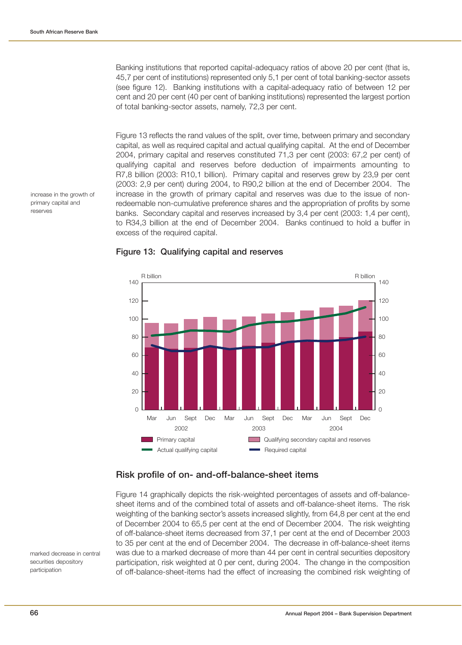Banking institutions that reported capital-adequacy ratios of above 20 per cent (that is, 45,7 per cent of institutions) represented only 5,1 per cent of total banking-sector assets (see figure 12). Banking institutions with a capital-adequacy ratio of between 12 per cent and 20 per cent (40 per cent of banking institutions) represented the largest portion of total banking-sector assets, namely, 72,3 per cent.

Figure 13 reflects the rand values of the split, over time, between primary and secondary capital, as well as required capital and actual qualifying capital. At the end of December 2004, primary capital and reserves constituted 71,3 per cent (2003: 67,2 per cent) of qualifying capital and reserves before deduction of impairments amounting to R7,8 billion (2003: R10,1 billion). Primary capital and reserves grew by 23,9 per cent (2003: 2,9 per cent) during 2004, to R90,2 billion at the end of December 2004. The increase in the growth of primary capital and reserves was due to the issue of nonredeemable non-cumulative preference shares and the appropriation of profits by some banks. Secondary capital and reserves increased by 3,4 per cent (2003: 1,4 per cent), to R34,3 billion at the end of December 2004. Banks continued to hold a buffer in excess of the required capital.







### **Risk profile of on- and-off-balance-sheet items**

Figure 14 graphically depicts the risk-weighted percentages of assets and off-balancesheet items and of the combined total of assets and off-balance-sheet items. The risk weighting of the banking sector's assets increased slightly, from 64,8 per cent at the end of December 2004 to 65,5 per cent at the end of December 2004. The risk weighting of off-balance-sheet items decreased from 37,1 per cent at the end of December 2003 to 35 per cent at the end of December 2004. The decrease in off-balance-sheet items was due to a marked decrease of more than 44 per cent in central securities depository participation, risk weighted at 0 per cent, during 2004. The change in the composition of off-balance-sheet-items had the effect of increasing the combined risk weighting of

marked decrease in central securities depository participation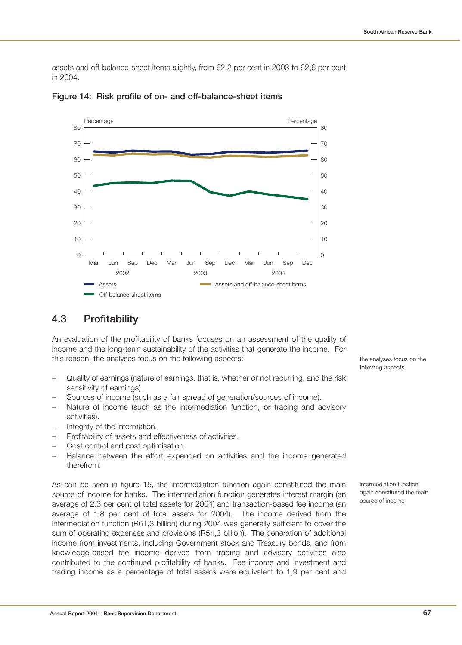assets and off-balance-sheet items slightly, from 62,2 per cent in 2003 to 62,6 per cent in 2004.



**Figure 14: Risk profile of on- and off-balance-sheet items**

# **4.3 Profitability**

An evaluation of the profitability of banks focuses on an assessment of the quality of income and the long-term sustainability of the activities that generate the income. For this reason, the analyses focus on the following aspects:

- Quality of earnings (nature of earnings, that is, whether or not recurring, and the risk sensitivity of earnings).
- Sources of income (such as a fair spread of generation/sources of income).
- Nature of income (such as the intermediation function, or trading and advisory activities).
- Integrity of the information.
- Profitability of assets and effectiveness of activities.
- Cost control and cost optimisation.
- Balance between the effort expended on activities and the income generated therefrom.

As can be seen in figure 15, the intermediation function again constituted the main source of income for banks. The intermediation function generates interest margin (an average of 2,3 per cent of total assets for 2004) and transaction-based fee income (an average of 1,8 per cent of total assets for 2004). The income derived from the intermediation function (R61,3 billion) during 2004 was generally sufficient to cover the sum of operating expenses and provisions (R54,3 billion). The generation of additional income from investments, including Government stock and Treasury bonds, and from knowledge-based fee income derived from trading and advisory activities also contributed to the continued profitability of banks. Fee income and investment and trading income as a percentage of total assets were equivalent to 1,9 per cent and the analyses focus on the following aspects

intermediation function again constituted the main source of income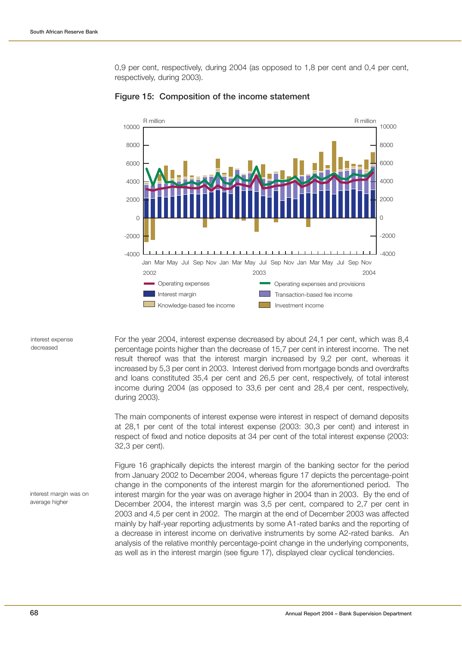0,9 per cent, respectively, during 2004 (as opposed to 1,8 per cent and 0,4 per cent, respectively, during 2003).



### **Figure 15: Composition of the income statement**

interest expense decreased

For the year 2004, interest expense decreased by about 24,1 per cent, which was 8,4 percentage points higher than the decrease of 15,7 per cent in interest income. The net result thereof was that the interest margin increased by 9,2 per cent, whereas it increased by 5,3 per cent in 2003. Interest derived from mortgage bonds and overdrafts and loans constituted 35,4 per cent and 26,5 per cent, respectively, of total interest income during 2004 (as opposed to 33,6 per cent and 28,4 per cent, respectively, during 2003).

The main components of interest expense were interest in respect of demand deposits at 28,1 per cent of the total interest expense (2003: 30,3 per cent) and interest in respect of fixed and notice deposits at 34 per cent of the total interest expense (2003: 32,3 per cent).

Figure 16 graphically depicts the interest margin of the banking sector for the period from January 2002 to December 2004, whereas figure 17 depicts the percentage-point change in the components of the interest margin for the aforementioned period. The interest margin for the year was on average higher in 2004 than in 2003. By the end of December 2004, the interest margin was 3,5 per cent, compared to 2,7 per cent in 2003 and 4,5 per cent in 2002. The margin at the end of December 2003 was affected mainly by half-year reporting adjustments by some A1-rated banks and the reporting of a decrease in interest income on derivative instruments by some A2-rated banks. An analysis of the relative monthly percentage-point change in the underlying components, as well as in the interest margin (see figure 17), displayed clear cyclical tendencies.

interest margin was on average higher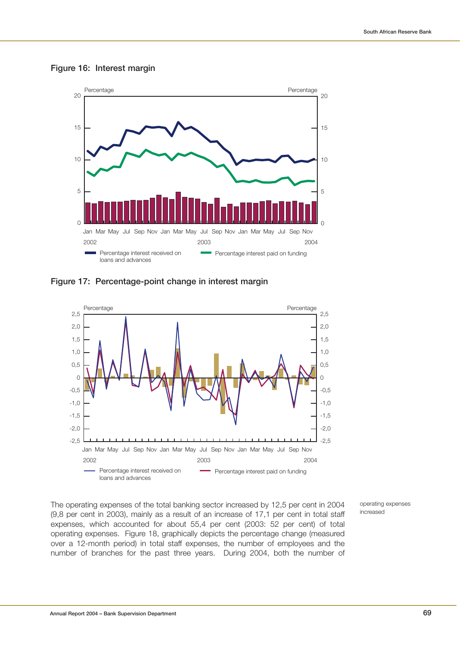



**Figure 17: Percentage-point change in interest margin**



The operating expenses of the total banking sector increased by 12,5 per cent in 2004 (9,8 per cent in 2003), mainly as a result of an increase of 17,1 per cent in total staff expenses, which accounted for about 55,4 per cent (2003: 52 per cent) of total operating expenses. Figure 18, graphically depicts the percentage change (measured over a 12-month period) in total staff expenses, the number of employees and the number of branches for the past three years. During 2004, both the number of

operating expenses increased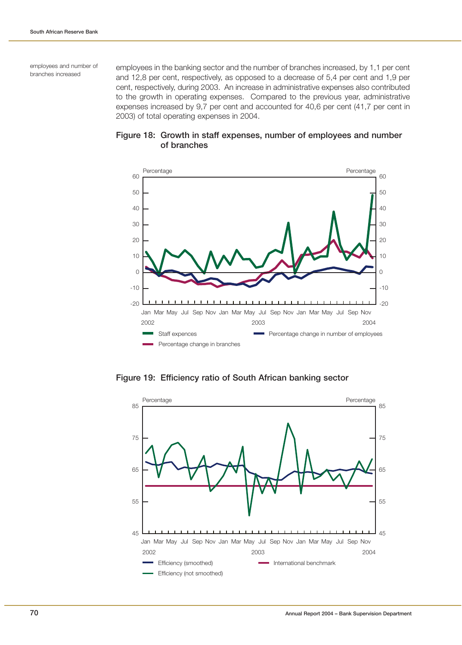employees and number of branches increased

employees in the banking sector and the number of branches increased, by 1,1 per cent and 12,8 per cent, respectively, as opposed to a decrease of 5,4 per cent and 1,9 per cent, respectively, during 2003. An increase in administrative expenses also contributed to the growth in operating expenses. Compared to the previous year, administrative expenses increased by 9,7 per cent and accounted for 40,6 per cent (41,7 per cent in 2003) of total operating expenses in 2004.





**Figure 19: Efficiency ratio of South African banking sector**

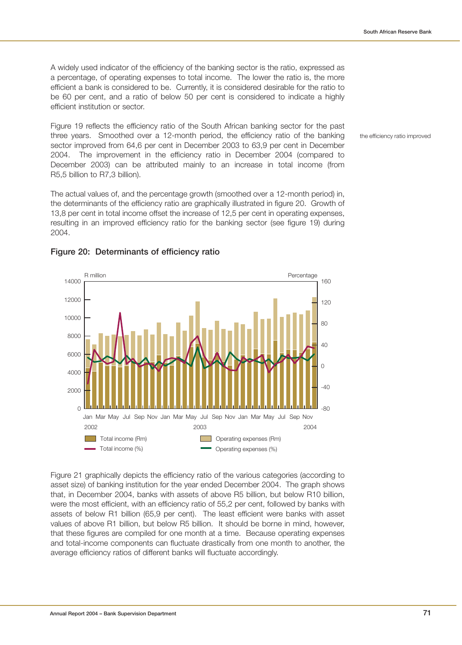A widely used indicator of the efficiency of the banking sector is the ratio, expressed as a percentage, of operating expenses to total income. The lower the ratio is, the more efficient a bank is considered to be. Currently, it is considered desirable for the ratio to be 60 per cent, and a ratio of below 50 per cent is considered to indicate a highly efficient institution or sector.

Figure 19 reflects the efficiency ratio of the South African banking sector for the past three years. Smoothed over a 12-month period, the efficiency ratio of the banking sector improved from 64,6 per cent in December 2003 to 63,9 per cent in December 2004. The improvement in the efficiency ratio in December 2004 (compared to December 2003) can be attributed mainly to an increase in total income (from R5,5 billion to R7,3 billion).

The actual values of, and the percentage growth (smoothed over a 12-month period) in, the determinants of the efficiency ratio are graphically illustrated in figure 20. Growth of 13,8 per cent in total income offset the increase of 12,5 per cent in operating expenses, resulting in an improved efficiency ratio for the banking sector (see figure 19) during 2004.



### **Figure 20: Determinants of efficiency ratio**

Figure 21 graphically depicts the efficiency ratio of the various categories (according to asset size) of banking institution for the year ended December 2004. The graph shows that, in December 2004, banks with assets of above R5 billion, but below R10 billion, were the most efficient, with an efficiency ratio of 55,2 per cent, followed by banks with assets of below R1 billion (65,9 per cent). The least efficient were banks with asset values of above R1 billion, but below R5 billion. It should be borne in mind, however, that these figures are compiled for one month at a time. Because operating expenses and total-income components can fluctuate drastically from one month to another, the average efficiency ratios of different banks will fluctuate accordingly.

the efficiency ratio improved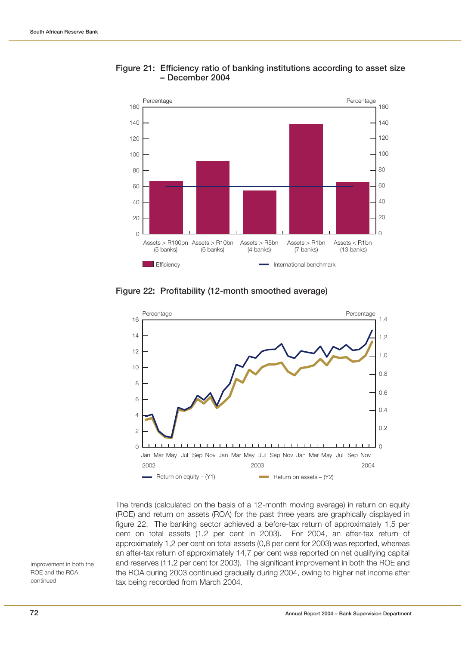

### **Figure 21: Efficiency ratio of banking institutions according to asset size – December 2004**

**Figure 22: Profitability (12-month smoothed average)**



The trends (calculated on the basis of a 12-month moving average) in return on equity (ROE) and return on assets (ROA) for the past three years are graphically displayed in figure 22. The banking sector achieved a before-tax return of approximately 1,5 per cent on total assets (1,2 per cent in 2003). For 2004, an after-tax return of approximately 1,2 per cent on total assets (0,8 per cent for 2003) was reported, whereas an after-tax return of approximately 14,7 per cent was reported on net qualifying capital and reserves (11,2 per cent for 2003). The significant improvement in both the ROE and the ROA during 2003 continued gradually during 2004, owing to higher net income after tax being recorded from March 2004.

improvement in both the ROE and the ROA continued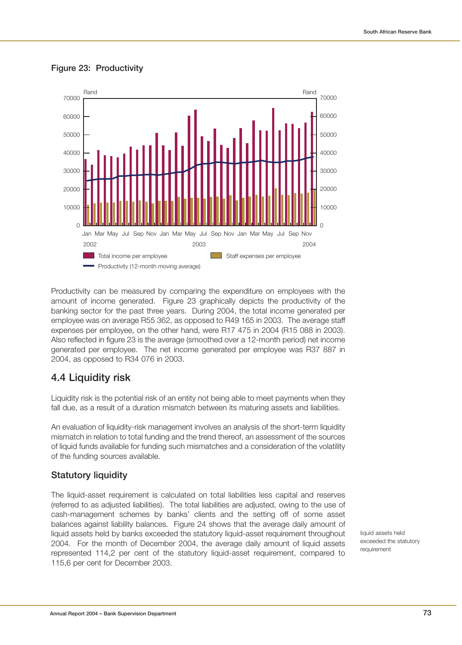

### **Figure 23: Productivity**

Productivity can be measured by comparing the expenditure on employees with the amount of income generated. Figure 23 graphically depicts the productivity of the banking sector for the past three years. During 2004, the total income generated per employee was on average R55 362, as opposed to R49 165 in 2003. The average staff expenses per employee, on the other hand, were R17 475 in 2004 (R15 088 in 2003). Also reflected in figure 23 is the average (smoothed over a 12-month period) net income generated per employee. The net income generated per employee was R37 887 in 2004, as opposed to R34 076 in 2003.

## **4.4 Liquidity risk**

Liquidity risk is the potential risk of an entity not being able to meet payments when they fall due, as a result of a duration mismatch between its maturing assets and liabilities.

An evaluation of liquidity-risk management involves an analysis of the short-term liquidity mismatch in relation to total funding and the trend thereof, an assessment of the sources of liquid funds available for funding such mismatches and a consideration of the volatility of the funding sources available.

## **Statutory liquidity**

The liquid-asset requirement is calculated on total liabilities less capital and reserves (referred to as adjusted liabilities). The total liabilities are adjusted, owing to the use of cash-management schemes by banks' clients and the setting off of some asset balances against liability balances. Figure 24 shows that the average daily amount of liquid assets held by banks exceeded the statutory liquid-asset requirement throughout 2004. For the month of December 2004, the average daily amount of liquid assets represented 114,2 per cent of the statutory liquid-asset requirement, compared to 115,6 per cent for December 2003.

liquid assets held exceeded the statutory requirement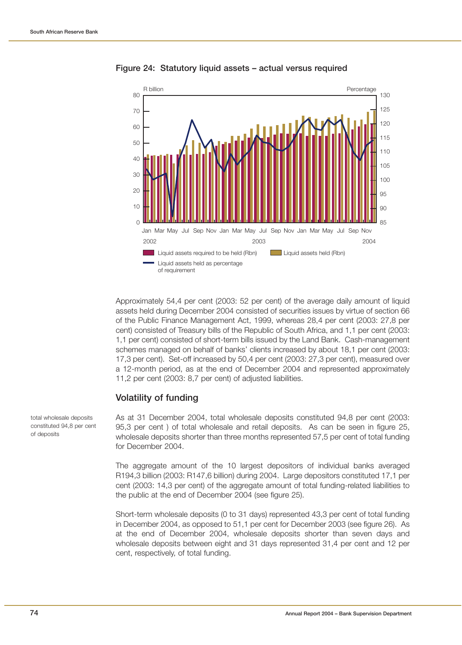

#### **Figure 24: Statutory liquid assets – actual versus required**

Approximately 54,4 per cent (2003: 52 per cent) of the average daily amount of liquid assets held during December 2004 consisted of securities issues by virtue of section 66 of the Public Finance Management Act, 1999, whereas 28,4 per cent (2003: 27,8 per cent) consisted of Treasury bills of the Republic of South Africa, and 1,1 per cent (2003: 1,1 per cent) consisted of short-term bills issued by the Land Bank. Cash-management schemes managed on behalf of banks' clients increased by about 18,1 per cent (2003: 17,3 per cent). Set-off increased by 50,4 per cent (2003: 27,3 per cent), measured over a 12-month period, as at the end of December 2004 and represented approximately 11,2 per cent (2003: 8,7 per cent) of adjusted liabilities.

### **Volatility of funding**

As at 31 December 2004, total wholesale deposits constituted 94,8 per cent (2003: 95,3 per cent ) of total wholesale and retail deposits. As can be seen in figure 25, wholesale deposits shorter than three months represented 57,5 per cent of total funding for December 2004.

The aggregate amount of the 10 largest depositors of individual banks averaged R194,3 billion (2003: R147,6 billion) during 2004. Large depositors constituted 17,1 per cent (2003: 14,3 per cent) of the aggregate amount of total funding-related liabilities to the public at the end of December 2004 (see figure 25).

Short-term wholesale deposits (0 to 31 days) represented 43,3 per cent of total funding in December 2004, as opposed to 51,1 per cent for December 2003 (see figure 26). As at the end of December 2004, wholesale deposits shorter than seven days and wholesale deposits between eight and 31 days represented 31,4 per cent and 12 per cent, respectively, of total funding.

total wholesale deposits constituted 94,8 per cent of deposits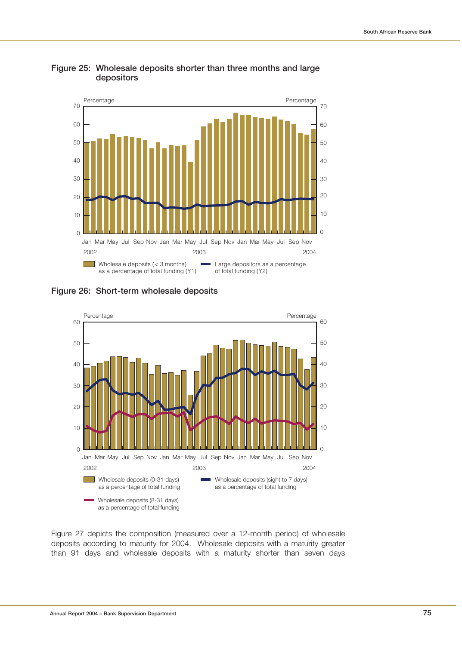

**Figure 25: Wholesale deposits shorter than three months and large depositors**

**Figure 26: Short-term wholesale deposits**



Figure 27 depicts the composition (measured over a 12-month period) of wholesale deposits according to maturity for 2004. Wholesale deposits with a maturity greater than 91 days and wholesale deposits with a maturity shorter than seven days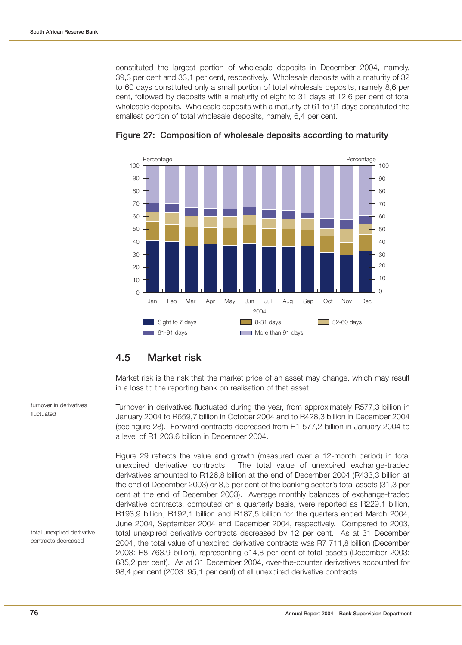constituted the largest portion of wholesale deposits in December 2004, namely, 39,3 per cent and 33,1 per cent, respectively. Wholesale deposits with a maturity of 32 to 60 days constituted only a small portion of total wholesale deposits, namely 8,6 per cent, followed by deposits with a maturity of eight to 31 days at 12,6 per cent of total wholesale deposits. Wholesale deposits with a maturity of 61 to 91 days constituted the smallest portion of total wholesale deposits, namely, 6,4 per cent.



#### **Figure 27: Composition of wholesale deposits according to maturity**

## **4.5 Market risk**

Market risk is the risk that the market price of an asset may change, which may result in a loss to the reporting bank on realisation of that asset.

Turnover in derivatives fluctuated during the year, from approximately R577,3 billion in January 2004 to R659,7 billion in October 2004 and to R428,3 billion in December 2004 (see figure 28). Forward contracts decreased from R1 577,2 billion in January 2004 to a level of R1 203,6 billion in December 2004.

Figure 29 reflects the value and growth (measured over a 12-month period) in total unexpired derivative contracts. The total value of unexpired exchange-traded derivatives amounted to R126,8 billion at the end of December 2004 (R433,3 billion at the end of December 2003) or 8,5 per cent of the banking sector's total assets (31,3 per cent at the end of December 2003). Average monthly balances of exchange-traded derivative contracts, computed on a quarterly basis, were reported as R229,1 billion, R193,9 billion, R192,1 billion and R187,5 billion for the quarters ended March 2004, June 2004, September 2004 and December 2004, respectively. Compared to 2003, total unexpired derivative contracts decreased by 12 per cent. As at 31 December 2004, the total value of unexpired derivative contracts was R7 711,8 billion (December 2003: R8 763,9 billion), representing 514,8 per cent of total assets (December 2003: 635,2 per cent). As at 31 December 2004, over-the-counter derivatives accounted for 98,4 per cent (2003: 95,1 per cent) of all unexpired derivative contracts.

turnover in derivatives fluctuated

total unexpired derivative contracts decreased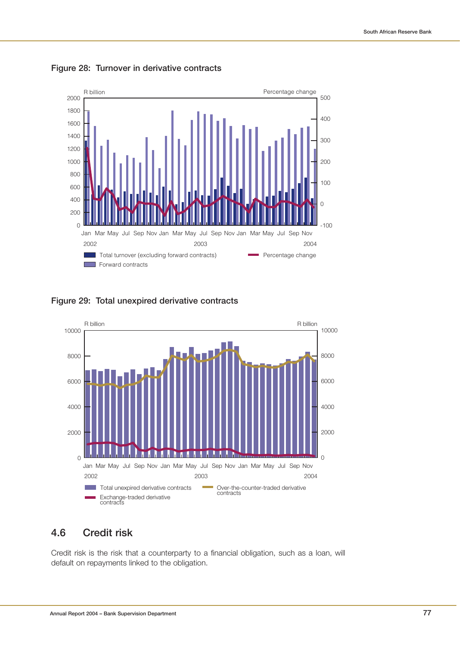

**Figure 28: Turnover in derivative contracts**

**Figure 29: Total unexpired derivative contracts**



## **4.6 Credit risk**

Credit risk is the risk that a counterparty to a financial obligation, such as a loan, will default on repayments linked to the obligation.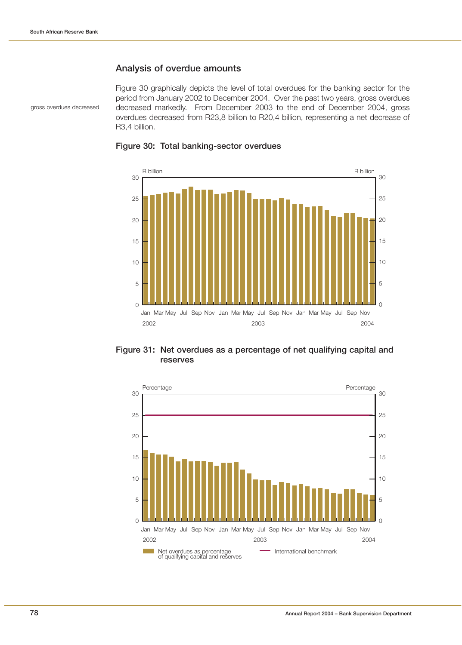### **Analysis of overdue amounts**

gross overdues decreased

Figure 30 graphically depicts the level of total overdues for the banking sector for the period from January 2002 to December 2004. Over the past two years, gross overdues decreased markedly. From December 2003 to the end of December 2004, gross overdues decreased from R23,8 billion to R20,4 billion, representing a net decrease of R3,4 billion.



#### **Figure 30: Total banking-sector overdues**

**Figure 31: Net overdues as a percentage of net qualifying capital and reserves**

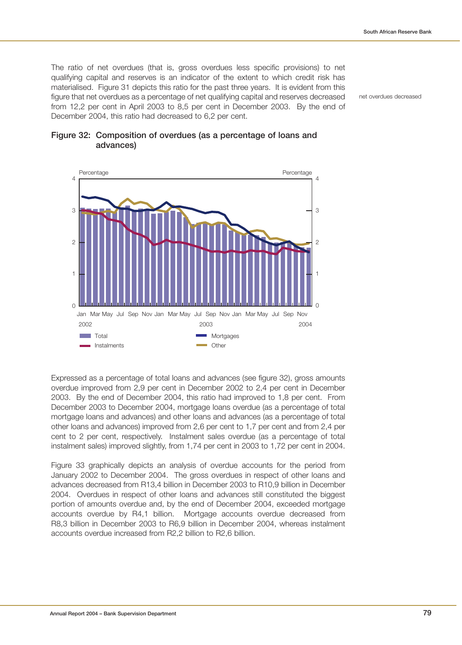The ratio of net overdues (that is, gross overdues less specific provisions) to net qualifying capital and reserves is an indicator of the extent to which credit risk has materialised. Figure 31 depicts this ratio for the past three years. It is evident from this figure that net overdues as a percentage of net qualifying capital and reserves decreased from 12,2 per cent in April 2003 to 8,5 per cent in December 2003. By the end of December 2004, this ratio had decreased to 6,2 per cent.

net overdues decreased



### **Figure 32: Composition of overdues (as a percentage of loans and advances)**

Expressed as a percentage of total loans and advances (see figure 32), gross amounts overdue improved from 2,9 per cent in December 2002 to 2,4 per cent in December 2003. By the end of December 2004, this ratio had improved to 1,8 per cent. From December 2003 to December 2004, mortgage loans overdue (as a percentage of total mortgage loans and advances) and other loans and advances (as a percentage of total other loans and advances) improved from 2,6 per cent to 1,7 per cent and from 2,4 per cent to 2 per cent, respectively. Instalment sales overdue (as a percentage of total instalment sales) improved slightly, from 1,74 per cent in 2003 to 1,72 per cent in 2004.

Figure 33 graphically depicts an analysis of overdue accounts for the period from January 2002 to December 2004. The gross overdues in respect of other loans and advances decreased from R13,4 billion in December 2003 to R10,9 billion in December 2004. Overdues in respect of other loans and advances still constituted the biggest portion of amounts overdue and, by the end of December 2004, exceeded mortgage accounts overdue by R4,1 billion. Mortgage accounts overdue decreased from R8,3 billion in December 2003 to R6,9 billion in December 2004, whereas instalment accounts overdue increased from R2,2 billion to R2,6 billion.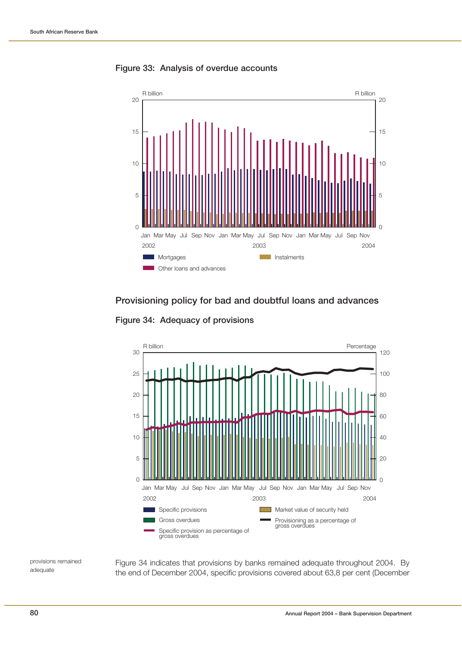

**Figure 33: Analysis of overdue accounts**

### **Provisioning policy for bad and doubtful loans and advances**

**Figure 34: Adequacy of provisions**



provisions remained adequate

Figure 34 indicates that provisions by banks remained adequate throughout 2004. By the end of December 2004, specific provisions covered about 63,8 per cent (December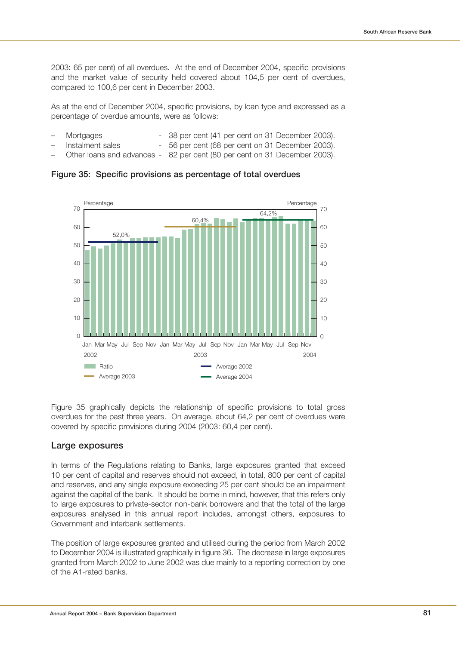2003: 65 per cent) of all overdues. At the end of December 2004, specific provisions and the market value of security held covered about 104,5 per cent of overdues, compared to 100,6 per cent in December 2003.

As at the end of December 2004, specific provisions, by loan type and expressed as a percentage of overdue amounts, were as follows:

- Mortgages 38 per cent (41 per cent on 31 December 2003).
- Instalment sales 56 per cent (68 per cent on 31 December 2003).
- Other loans and advances 82 per cent (80 per cent on 31 December 2003).

**Figure 35: Specific provisions as percentage of total overdues**



Figure 35 graphically depicts the relationship of specific provisions to total gross overdues for the past three years. On average, about 64,2 per cent of overdues were covered by specific provisions during 2004 (2003: 60,4 per cent).

### **Large exposures**

In terms of the Regulations relating to Banks, large exposures granted that exceed 10 per cent of capital and reserves should not exceed, in total, 800 per cent of capital and reserves, and any single exposure exceeding 25 per cent should be an impairment against the capital of the bank. It should be borne in mind, however, that this refers only to large exposures to private-sector non-bank borrowers and that the total of the large exposures analysed in this annual report includes, amongst others, exposures to Government and interbank settlements.

The position of large exposures granted and utilised during the period from March 2002 to December 2004 is illustrated graphically in figure 36. The decrease in large exposures granted from March 2002 to June 2002 was due mainly to a reporting correction by one of the A1-rated banks.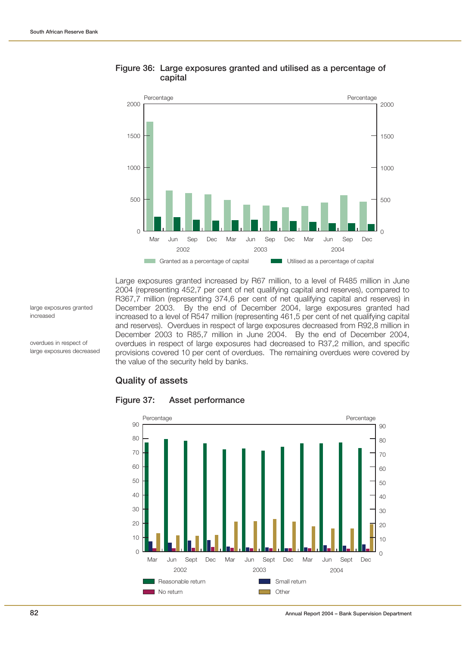

### **Figure 36: Large exposures granted and utilised as a percentage of capital**

Large exposures granted increased by R67 million, to a level of R485 million in June 2004 (representing 452,7 per cent of net qualifying capital and reserves), compared to R367,7 million (representing 374,6 per cent of net qualifying capital and reserves) in December 2003. By the end of December 2004, large exposures granted had increased to a level of R547 million (representing 461,5 per cent of net qualifying capital and reserves). Overdues in respect of large exposures decreased from R92,8 million in December 2003 to R85,7 million in June 2004. By the end of December 2004, overdues in respect of large exposures had decreased to R37,2 million, and specific provisions covered 10 per cent of overdues. The remaining overdues were covered by the value of the security held by banks.

### **Quality of assets**



#### **Figure 37: Asset performance**

large exposures granted increased

overdues in respect of large exposures decreased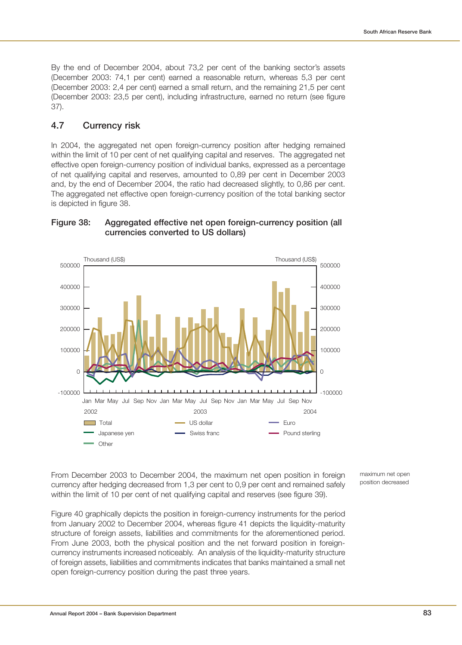By the end of December 2004, about 73,2 per cent of the banking sector's assets (December 2003: 74,1 per cent) earned a reasonable return, whereas 5,3 per cent (December 2003: 2,4 per cent) earned a small return, and the remaining 21,5 per cent (December 2003: 23,5 per cent), including infrastructure, earned no return (see figure 37).

### **4.7 Currency risk**

In 2004, the aggregated net open foreign-currency position after hedging remained within the limit of 10 per cent of net qualifying capital and reserves. The aggregated net effective open foreign-currency position of individual banks, expressed as a percentage of net qualifying capital and reserves, amounted to 0,89 per cent in December 2003 and, by the end of December 2004, the ratio had decreased slightly, to 0,86 per cent. The aggregated net effective open foreign-currency position of the total banking sector is depicted in figure 38.





From December 2003 to December 2004, the maximum net open position in foreign currency after hedging decreased from 1,3 per cent to 0,9 per cent and remained safely within the limit of 10 per cent of net qualifying capital and reserves (see figure 39).

Figure 40 graphically depicts the position in foreign-currency instruments for the period from January 2002 to December 2004, whereas figure 41 depicts the liquidity-maturity structure of foreign assets, liabilities and commitments for the aforementioned period. From June 2003, both the physical position and the net forward position in foreigncurrency instruments increased noticeably. An analysis of the liquidity-maturity structure of foreign assets, liabilities and commitments indicates that banks maintained a small net open foreign-currency position during the past three years.

maximum net open position decreased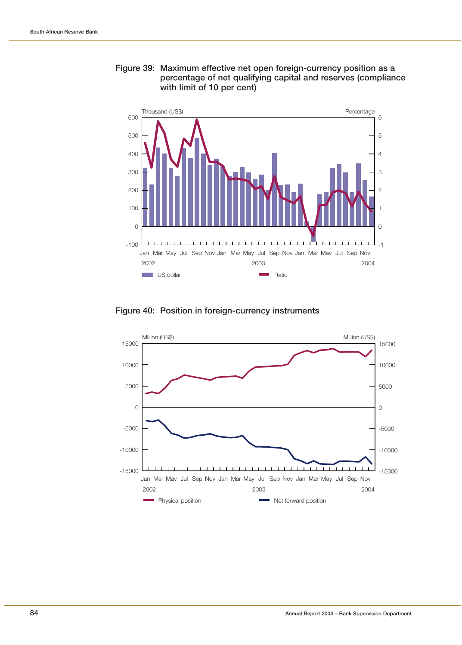



### **Figure 40: Position in foreign-currency instruments**

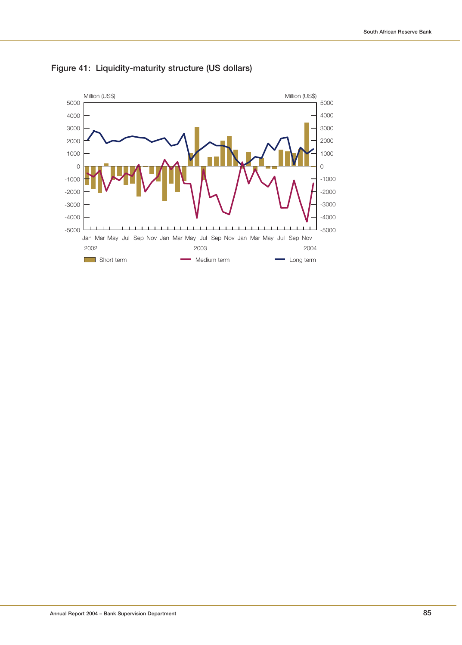

**Figure 41: Liquidity-maturity structure (US dollars)**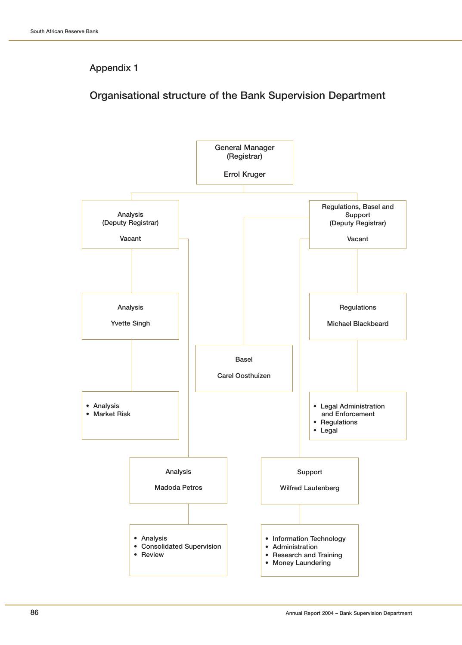# **Organisational structure of the Bank Supervision Department**

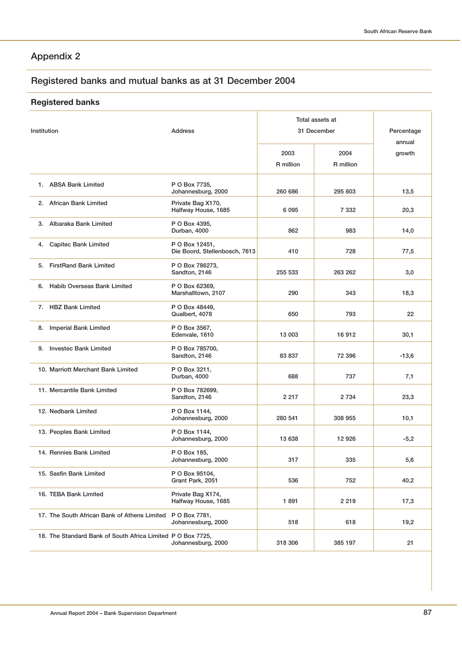# **Registered banks and mutual banks as at 31 December 2004**

# **Registered banks**

|                                                             |                                                 |                   | Total assets at   |                      |
|-------------------------------------------------------------|-------------------------------------------------|-------------------|-------------------|----------------------|
| Institution                                                 | <b>Address</b>                                  | 31 December       |                   | Percentage<br>annual |
|                                                             |                                                 | 2003<br>R million | 2004<br>R million | growth               |
| 1. ABSA Bank Limited                                        | P O Box 7735,<br>Johannesburg, 2000             | 260 686           | 295 803           | 13,5                 |
| 2. African Bank Limited                                     | Private Bag X170,<br>Halfway House, 1685        | 6 0 9 5           | 7 3 3 2           | 20,3                 |
| 3. Albaraka Bank Limited                                    | P O Box 4395,<br>Durban, 4000                   | 862               | 983               | 14,0                 |
| <b>Capitec Bank Limited</b><br>4.                           | P O Box 12451,<br>Die Boord, Stellenbosch, 7613 | 410               | 728               | 77,5                 |
| 5. FirstRand Bank Limited                                   | P O Box 786273,<br>Sandton, 2146                | 255 533           | 263 262           | 3,0                  |
| 6. Habib Overseas Bank Limited                              | P O Box 62369,<br>Marshalltown, 2107            | 290               | 343               | 18,3                 |
| 7. HBZ Bank Limited                                         | P O Box 48449,<br>Qualbert, 4078                | 650               | 793               | 22                   |
| <b>Imperial Bank Limited</b><br>8.                          | P O Box 3567,<br>Edenvale, 1610                 | 13 003            | 16 912            | 30,1                 |
| 9. Investec Bank Limited                                    | P O Box 785700,<br>Sandton, 2146                | 83 837            | 72 396            | $-13,6$              |
| 10. Marriott Merchant Bank Limited                          | P O Box 3211,<br>Durban, 4000                   | 688               | 737               | 7,1                  |
| 11. Mercantile Bank Limited                                 | P O Box 782699,<br>Sandton, 2146                | 2 2 1 7           | 2 7 3 4           | 23,3                 |
| 12. Nedbank Limited                                         | P O Box 1144,<br>Johannesburg, 2000             | 280 541           | 308 955           | 10,1                 |
| 13. Peoples Bank Limited                                    | P O Box 1144,<br>Johannesburg, 2000             | 13 638            | 12 926            | $-5,2$               |
| 14. Rennies Bank Limited                                    | P O Box 185,<br>Johannesburg, 2000              | 317               | 335               | 5,6                  |
| 15. Sasfin Bank Limited                                     | P O Box 95104,<br>Grant Park, 2051              | 536               | 752               | 40,2                 |
| 16. TEBA Bank Limited                                       | Private Bag X174,<br>Halfway House, 1685        | 1891              | 2 2 1 9           | 17,3                 |
| 17. The South African Bank of Athens Limited                | P O Box 7781,<br>Johannesburg, 2000             | 518               | 618               | 19,2                 |
| 18. The Standard Bank of South Africa Limited P O Box 7725, | Johannesburg, 2000                              | 318 306           | 385 197           | 21                   |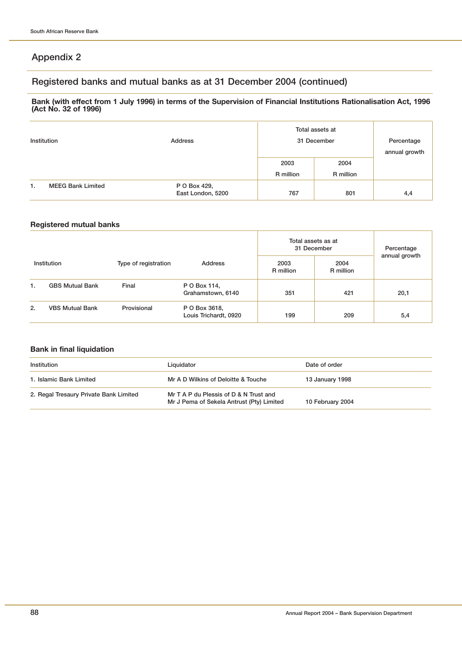## **Registered banks and mutual banks as at 31 December 2004 (continued)**

#### **Bank (with effect from 1 July 1996) in terms of the Supervision of Financial Institutions Rationalisation Act, 1996 (Act No. 32 of 1996)**

| Institution |                          | Address                           | Total assets at<br>31 December |           | Percentage<br>annual growth |
|-------------|--------------------------|-----------------------------------|--------------------------------|-----------|-----------------------------|
|             |                          |                                   | 2003                           | 2004      |                             |
|             |                          |                                   | R million                      | R million |                             |
| 1.          | <b>MEEG Bank Limited</b> | P O Box 429,<br>East London, 5200 | 767                            | 801       | 4,4                         |

### **Registered mutual banks**

| Institution<br>Type of registration |                        |             | Total assets as at<br>31 December      |                   | Percentage        |               |
|-------------------------------------|------------------------|-------------|----------------------------------------|-------------------|-------------------|---------------|
|                                     |                        |             | <b>Address</b>                         | 2003<br>R million | 2004<br>R million | annual growth |
| 1.                                  | <b>GBS Mutual Bank</b> | Final       | P O Box 114,<br>Grahamstown, 6140      | 351               | 421               | 20,1          |
| 2.                                  | <b>VBS Mutual Bank</b> | Provisional | P O Box 3618,<br>Louis Trichardt, 0920 | 199               | 209               | 5,4           |

### **Bank in final liquidation**

| Institution                            | Liquidator                                                                          | Date of order    |
|----------------------------------------|-------------------------------------------------------------------------------------|------------------|
| 1. Islamic Bank Limited                | Mr A D Wilkins of Deloitte & Touche                                                 | 13 January 1998  |
| 2. Regal Tresaury Private Bank Limited | Mr T A P du Plessis of D & N Trust and<br>Mr J Pema of Sekela Antrust (Pty) Limited | 10 February 2004 |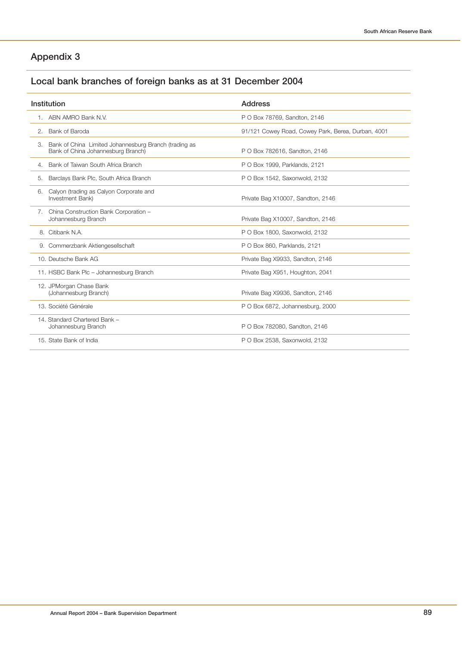# **Local bank branches of foreign banks as at 31 December 2004**

| Institution      |                                                                                             | <b>Address</b>                                     |
|------------------|---------------------------------------------------------------------------------------------|----------------------------------------------------|
|                  | 1. ABN AMRO Bank N.V.                                                                       | P O Box 78769, Sandton, 2146                       |
| 2.               | Bank of Baroda                                                                              | 91/121 Cowey Road, Cowey Park, Berea, Durban, 4001 |
| З.               | Bank of China Limited Johannesburg Branch (trading as<br>Bank of China Johannesburg Branch) | P O Box 782616, Sandton, 2146                      |
| 4.               | Bank of Taiwan South Africa Branch                                                          | P O Box 1999, Parklands, 2121                      |
| 5.               | Barclays Bank Plc, South Africa Branch                                                      | P O Box 1542, Saxonwold, 2132                      |
| 6.               | Calyon (trading as Calyon Corporate and<br>Investment Bank)                                 | Private Bag X10007, Sandton, 2146                  |
| 7.               | China Construction Bank Corporation -<br>Johannesburg Branch                                | Private Bag X10007, Sandton, 2146                  |
| 8. Citibank N.A. |                                                                                             | P O Box 1800, Saxonwold, 2132                      |
|                  | 9. Commerzbank Aktiengesellschaft                                                           | P O Box 860, Parklands, 2121                       |
|                  | 10. Deutsche Bank AG                                                                        | Private Bag X9933, Sandton, 2146                   |
|                  | 11. HSBC Bank Plc - Johannesburg Branch                                                     | Private Bag X951, Houghton, 2041                   |
|                  | 12. JPMorgan Chase Bank<br>(Johannesburg Branch)                                            | Private Bag X9936, Sandton, 2146                   |
|                  | 13. Société Générale                                                                        | P O Box 6872, Johannesburg, 2000                   |
|                  | 14. Standard Chartered Bank -<br>Johannesburg Branch                                        | P O Box 782080, Sandton, 2146                      |
|                  | 15. State Bank of India                                                                     | P O Box 2538, Saxonwold, 2132                      |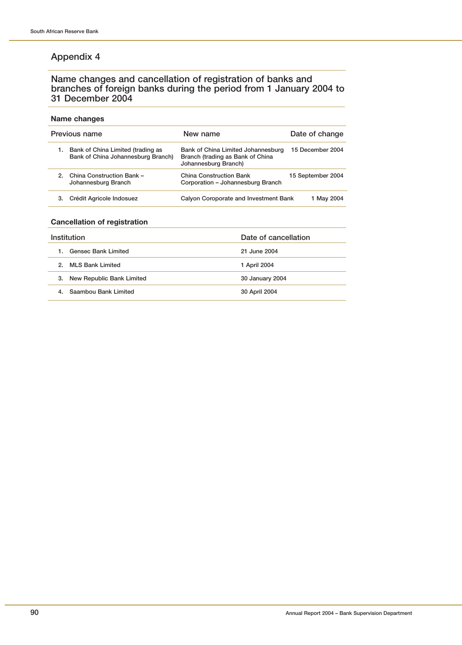### **Name changes and cancellation of registration of banks and branches of foreign banks during the period from 1 January 2004 to 31 December 2004**

#### **Name changes**

|    | Previous name                                                           | New name                                                                                       | Date of change    |
|----|-------------------------------------------------------------------------|------------------------------------------------------------------------------------------------|-------------------|
| 1. | Bank of China Limited (trading as<br>Bank of China Johannesburg Branch) | Bank of China Limited Johannesburg<br>Branch (trading as Bank of China<br>Johannesburg Branch) | 15 December 2004  |
|    | 2. China Construction Bank -<br>Johannesburg Branch                     | <b>China Construction Bank</b><br>Corporation - Johannesburg Branch                            | 15 September 2004 |
|    | Crédit Agricole Indosuez                                                | Calyon Coroporate and Investment Bank                                                          | 1 May 2004        |

#### **Cancellation of registration**

| Institution                      | Date of cancellation |
|----------------------------------|----------------------|
| <b>Gensec Bank Limited</b><br>1. | 21 June 2004         |
| <b>MLS Bank Limited</b><br>2     | 1 April 2004         |
| New Republic Bank Limited<br>3.  | 30 January 2004      |
| Saambou Bank Limited<br>4.       | 30 April 2004        |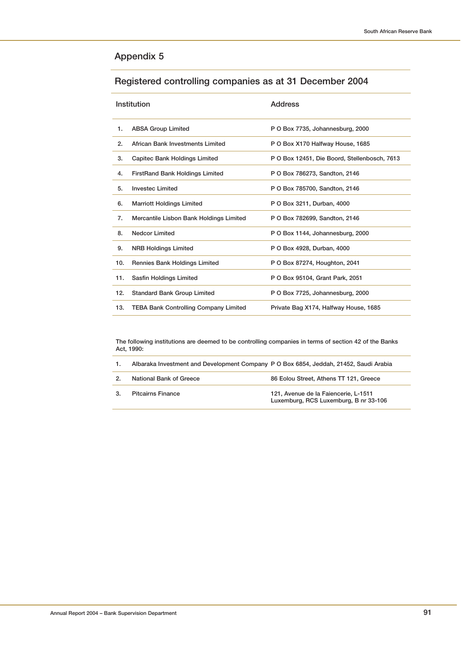# **Registered controlling companies as at 31 December 2004**

|     | <b>Institution</b>                           | <b>Address</b>                               |
|-----|----------------------------------------------|----------------------------------------------|
| 1.  | <b>ABSA Group Limited</b>                    | P O Box 7735, Johannesburg, 2000             |
| 2.  | African Bank Investments Limited             | P O Box X170 Halfway House, 1685             |
| 3.  | Capitec Bank Holdings Limited                | P O Box 12451, Die Boord, Stellenbosch, 7613 |
| 4.  | <b>FirstRand Bank Holdings Limited</b>       | P O Box 786273, Sandton, 2146                |
| 5.  | <b>Investec Limited</b>                      | P O Box 785700, Sandton, 2146                |
| 6.  | <b>Marriott Holdings Limited</b>             | P O Box 3211, Durban, 4000                   |
| 7.  | Mercantile Lisbon Bank Holdings Limited      | P O Box 782699, Sandton, 2146                |
| 8.  | <b>Nedcor Limited</b>                        | P O Box 1144, Johannesburg, 2000             |
| 9.  | <b>NRB Holdings Limited</b>                  | P O Box 4928, Durban, 4000                   |
| 10. | <b>Rennies Bank Holdings Limited</b>         | P O Box 87274, Houghton, 2041                |
| 11. | Sasfin Holdings Limited                      | P O Box 95104, Grant Park, 2051              |
| 12. | <b>Standard Bank Group Limited</b>           | P O Box 7725, Johannesburg, 2000             |
| 13. | <b>TEBA Bank Controlling Company Limited</b> | Private Bag X174, Halfway House, 1685        |

**The following institutions are deemed to be controlling companies in terms of section 42 of the Banks Act, 1990:**

| Albaraka Investment and Development Company P O Box 6854, Jeddah, 21452, Saudi Arabia |  |  |  |  |  |
|---------------------------------------------------------------------------------------|--|--|--|--|--|
|---------------------------------------------------------------------------------------|--|--|--|--|--|

| 2. | National Bank of Greece  | 86 Eolou Street, Athens TT 121, Greece                                        |
|----|--------------------------|-------------------------------------------------------------------------------|
| 3. | <b>Pitcairns Finance</b> | 121. Avenue de la Faiencerie. L-1511<br>Luxemburg, RCS Luxemburg, B nr 33-106 |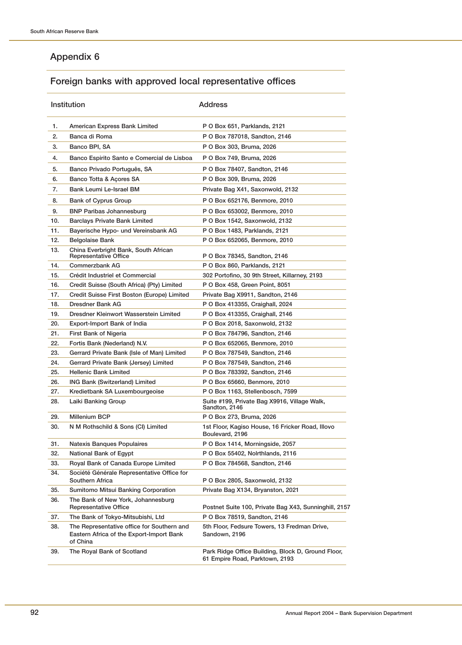# **Foreign banks with approved local representative offices**

|            | Institution                                                                                        | <b>Address</b>                                                                       |
|------------|----------------------------------------------------------------------------------------------------|--------------------------------------------------------------------------------------|
| 1.         | American Express Bank Limited                                                                      | P O Box 651, Parklands, 2121                                                         |
| 2.         | Banca di Roma                                                                                      | P O Box 787018, Sandton, 2146                                                        |
| 3.         | Banco BPI, SA                                                                                      | P O Box 303, Bruma, 2026                                                             |
| 4.         | Banco Espirito Santo e Comercial de Lisboa                                                         | P O Box 749, Bruma, 2026                                                             |
| 5.         | Banco Privado Português, SA                                                                        | P O Box 78407, Sandton, 2146                                                         |
| 6.         | Banco Totta & Açores SA                                                                            | P O Box 309, Bruma, 2026                                                             |
| 7.         | Bank Leumi Le-Israel BM                                                                            | Private Bag X41, Saxonwold, 2132                                                     |
| 8.         | <b>Bank of Cyprus Group</b>                                                                        | P O Box 652176, Benmore, 2010                                                        |
| 9.         | <b>BNP Paribas Johannesburg</b>                                                                    | P O Box 653002, Benmore, 2010                                                        |
| 10.        | <b>Barclays Private Bank Limited</b>                                                               | P O Box 1542, Saxonwold, 2132                                                        |
| 11.        | Bayerische Hypo- und Vereinsbank AG                                                                | P O Box 1483, Parklands, 2121                                                        |
| 12.        | <b>Belgolaise Bank</b>                                                                             | P O Box 652065, Benmore, 2010                                                        |
| 13.        | China Everbright Bank, South African                                                               |                                                                                      |
|            | Representative Office                                                                              | P O Box 78345, Sandton, 2146                                                         |
| 14.        | Commerzbank AG                                                                                     | P O Box 860, Parklands, 2121                                                         |
| 15.<br>16. | Crédit Industriel et Commercial<br>Credit Suisse (South Africa) (Pty) Limited                      | 302 Portofino, 30 9th Street, Killarney, 2193<br>P O Box 458, Green Point, 8051      |
| 17.        | Credit Suisse First Boston (Europe) Limited                                                        | Private Bag X9911, Sandton, 2146                                                     |
| 18.        | Dresdner Bank AG                                                                                   | P O Box 413355, Craighall, 2024                                                      |
| 19.        | Dresdner Kleinwort Wasserstein Limited                                                             | P O Box 413355, Craighall, 2146                                                      |
| 20.        | Export-Import Bank of India                                                                        | P O Box 2018, Saxonwold, 2132                                                        |
| 21.        | First Bank of Nigeria                                                                              | P O Box 784796, Sandton, 2146                                                        |
| 22.        | Fortis Bank (Nederland) N.V.                                                                       | P O Box 652065, Benmore, 2010                                                        |
| 23.        | Gerrard Private Bank (Isle of Man) Limited                                                         | P O Box 787549, Sandton, 2146                                                        |
| 24.        | Gerrard Private Bank (Jersey) Limited                                                              | P O Box 787549, Sandton, 2146                                                        |
| 25.        | <b>Hellenic Bank Limited</b>                                                                       | P O Box 783392, Sandton, 2146                                                        |
| 26.        | ING Bank (Switzerland) Limited                                                                     | P O Box 65660, Benmore, 2010                                                         |
| 27.        | Kredietbank SA Luxembourgeoise                                                                     | P O Box 1163, Stellenbosch, 7599                                                     |
| 28.        | Laiki Banking Group                                                                                | Suite #199, Private Bag X9916, Village Walk,<br>Sandton, 2146                        |
| 29.        | Millenium BCP                                                                                      | P O Box 273, Bruma, 2026                                                             |
| 30.        | N M Rothschild & Sons (CI) Limited                                                                 | 1st Floor, Kagiso House, 16 Fricker Road, Illovo<br>Boulevard, 2196                  |
| 31.        | Natexis Banques Populaires                                                                         | P O Box 1414, Morningside, 2057                                                      |
| 32.        | National Bank of Egypt                                                                             | P O Box 55402, Nolrthlands, 2116                                                     |
| 33.        | Royal Bank of Canada Europe Limited                                                                | P O Box 784568, Sandton, 2146                                                        |
| 34.        | Société Générale Representative Office for<br>Southern Africa                                      | P O Box 2805, Saxonwold, 2132                                                        |
| 35.        | Sumitomo Mitsui Banking Corporation                                                                | Private Bag X134, Bryanston, 2021                                                    |
| 36.        | The Bank of New York, Johannesburg<br><b>Representative Office</b>                                 | Postnet Suite 100, Private Bag X43, Sunninghill, 2157                                |
| 37.        | The Bank of Tokyo-Mitsubishi, Ltd                                                                  | P O Box 78519, Sandton, 2146                                                         |
| 38.        | The Representative office for Southern and<br>Eastern Africa of the Export-Import Bank<br>of China | 5th Floor, Fedsure Towers, 13 Fredman Drive,<br>Sandown, 2196                        |
| 39.        | The Royal Bank of Scotland                                                                         | Park Ridge Office Building, Block D, Ground Floor,<br>61 Empire Road, Parktown, 2193 |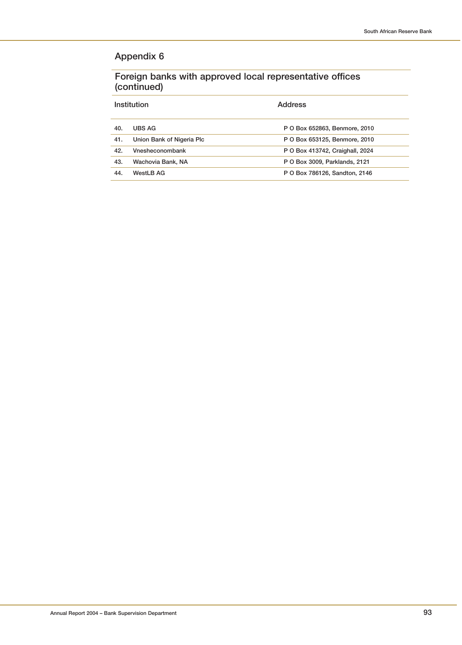**Foreign banks with approved local representative offices (continued)**

|     | Institution               | Address                         |
|-----|---------------------------|---------------------------------|
| 40. | UBS AG                    | P O Box 652863, Benmore, 2010   |
| 41. | Union Bank of Nigeria Plc | P O Box 653125, Benmore, 2010   |
| 42. | Vnesheconombank           | P O Box 413742, Craighall, 2024 |
| 43. | Wachovia Bank, NA         | P O Box 3009, Parklands, 2121   |
| 44. | WestLB AG                 | P O Box 786126, Sandton, 2146   |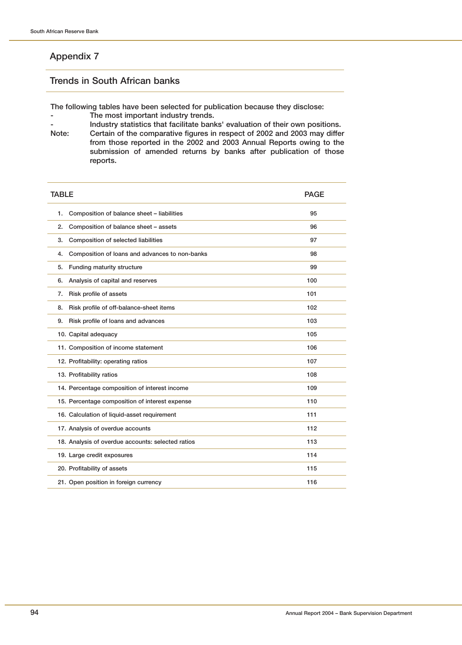### **Trends in South African banks**

**The following tables have been selected for publication because they disclose:**

- **The most important industry trends.**
- **-** Industry statistics that facilitate banks' evaluation of their own positions.<br>Note: Certain of the comparative figures in respect of 2002 and 2003 may differ Certain of the comparative figures in respect of 2002 and 2003 may differ **from those reported in the 2002 and 2003 Annual Reports owing to the submission of amended returns by banks after publication of those reports.**

| <b>TABLE</b>                                         | <b>PAGE</b> |
|------------------------------------------------------|-------------|
| Composition of balance sheet - liabilities<br>1.     | 95          |
| Composition of balance sheet - assets<br>2.          | 96          |
| Composition of selected liabilities<br>3.            | 97          |
| Composition of loans and advances to non-banks<br>4. | 98          |
| Funding maturity structure<br>5.                     | 99          |
| Analysis of capital and reserves<br>6.               | 100         |
| Risk profile of assets<br>7.                         | 101         |
| Risk profile of off-balance-sheet items<br>8.        | 102         |
| Risk profile of loans and advances<br>9.             | 103         |
| 10. Capital adequacy                                 | 105         |
| 11. Composition of income statement                  | 106         |
| 12. Profitability: operating ratios                  | 107         |
| 13. Profitability ratios                             | 108         |
| 14. Percentage composition of interest income        | 109         |
| 15. Percentage composition of interest expense       | 110         |
| 16. Calculation of liquid-asset requirement          | 111         |
| 17. Analysis of overdue accounts                     | 112         |
| 18. Analysis of overdue accounts: selected ratios    | 113         |
| 19. Large credit exposures                           | 114         |
| 20. Profitability of assets                          | 115         |
| 21. Open position in foreign currency                | 116         |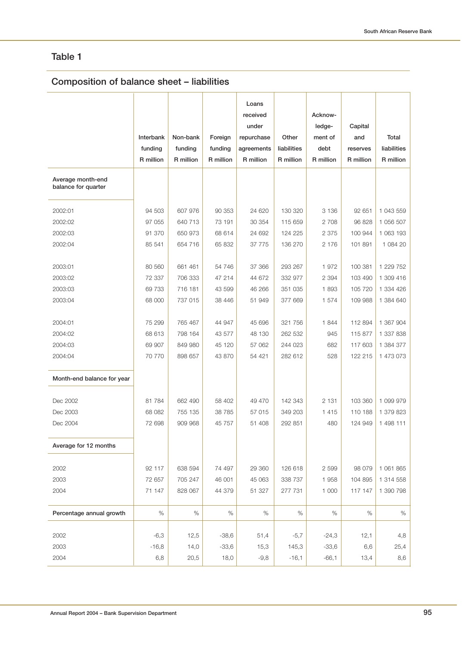# **Composition of balance sheet – liabilities**

|                                          | Interbank<br>funding<br>R million | Non-bank<br>funding<br>R million | Foreign<br>funding<br>R million | Loans<br>received<br>under<br>repurchase<br>agreements<br>R million | Other<br>liabilities<br>R million | Acknow-<br>ledge-<br>ment of<br>debt<br>R million | Capital<br>and<br>reserves<br>R million | Total<br>liabilities<br>R million |
|------------------------------------------|-----------------------------------|----------------------------------|---------------------------------|---------------------------------------------------------------------|-----------------------------------|---------------------------------------------------|-----------------------------------------|-----------------------------------|
| Average month-end<br>balance for quarter |                                   |                                  |                                 |                                                                     |                                   |                                                   |                                         |                                   |
| 2002:01                                  | 94 503                            | 607 976                          | 90 353                          | 24 620                                                              | 130 320                           | 3 1 3 6                                           | 92 651                                  | 1 043 559                         |
| 2002:02                                  | 97 055                            | 640 713                          | 73 191                          | 30 354                                                              | 115 659                           | 2 7 0 8                                           | 96 828                                  | 1 056 507                         |
| 2002:03                                  | 91 370                            | 650 973                          | 68 614                          | 24 692                                                              | 124 225                           | 2 3 7 5                                           | 100 944                                 | 1 063 193                         |
| 2002:04                                  | 85 541                            | 654 716                          | 65 832                          | 37 775                                                              | 136 270                           | 2 176                                             | 101 891                                 | 1 084 20                          |
| 2003:01                                  | 80 560                            | 661 461                          | 54 746                          | 37 366                                                              | 293 267                           | 1972                                              | 100 381                                 | 1 229 752                         |
| 2003:02                                  | 72 337                            | 706 333                          | 47 214                          | 44 672                                                              | 332 977                           | 2 3 9 4                                           | 103 490                                 | 1 309 416                         |
| 2003:03                                  | 69 733                            | 716 181                          | 43 599                          | 46 266                                                              | 351 035                           | 1893                                              | 105 720                                 | 1 334 426                         |
| 2003:04                                  | 68 000                            | 737 015                          | 38 446                          | 51 949                                                              | 377 669                           | 1 574                                             | 109 988                                 | 1 384 640                         |
| 2004:01                                  | 75 299                            | 765 467                          | 44 947                          | 45 696                                                              | 321 756                           | 1844                                              | 112 894                                 | 1 367 904                         |
| 2004:02                                  | 68 613                            | 798 164                          | 43 577                          | 48 130                                                              | 262 532                           | 945                                               | 115 877                                 | 1 337 838                         |
| 2004:03                                  | 69 907                            | 849 980                          | 45 120                          | 57 062                                                              | 244 023                           | 682                                               | 117 603                                 | 1 384 377                         |
| 2004:04                                  | 70 770                            | 898 657                          | 43 870                          | 54 421                                                              | 282 612                           | 528                                               | 122 215                                 | 1 473 073                         |
| Month-end balance for year               |                                   |                                  |                                 |                                                                     |                                   |                                                   |                                         |                                   |
| Dec 2002                                 | 81 784                            | 662 490                          | 58 402                          | 49 470                                                              | 142 343                           | 2 1 3 1                                           | 103 360                                 | 1 099 979                         |
| Dec 2003                                 | 68 082                            | 755 135                          | 38 785                          | 57 015                                                              | 349 203                           | 1415                                              | 110 188                                 | 1 379 823                         |
| Dec 2004                                 | 72 698                            | 909 968                          | 45 757                          | 51 408                                                              | 292 851                           | 480                                               | 124 949                                 | 1 498 111                         |
| Average for 12 months                    |                                   |                                  |                                 |                                                                     |                                   |                                                   |                                         |                                   |
| 2002                                     | 92 117                            | 638 594                          | 74 497                          | 29 360                                                              | 126 618                           | 2 5 9 9                                           | 98 0 79                                 | 1 061 865                         |
| 2003                                     | 72 657                            | 705 247                          | 46 001                          | 45 063                                                              | 338 737                           | 1958                                              | 104 895                                 | 1 314 558                         |
| 2004                                     | 71 147                            | 828 067                          | 44 379                          | 51 327                                                              | 277 731                           | 1 000                                             | 117 147                                 | 1 390 798                         |
| Percentage annual growth                 | %                                 | %                                | %                               | $\%$                                                                | %                                 | $\%$                                              | %                                       | $\%$                              |
|                                          |                                   |                                  |                                 |                                                                     |                                   |                                                   |                                         |                                   |
| 2002                                     | $-6,3$                            | 12,5                             | $-38,6$                         | 51,4                                                                | $-5,7$                            | $-24,3$                                           | 12,1                                    | 4,8                               |
| 2003                                     | $-16,8$                           | 14,0                             | $-33,6$                         | 15,3                                                                | 145,3                             | $-33,6$                                           | 6,6                                     | 25,4                              |
| 2004                                     | 6,8                               | 20,5                             | 18,0                            | $-9,8$                                                              | $-16,1$                           | $-66,1$                                           | 13,4                                    | 8,6                               |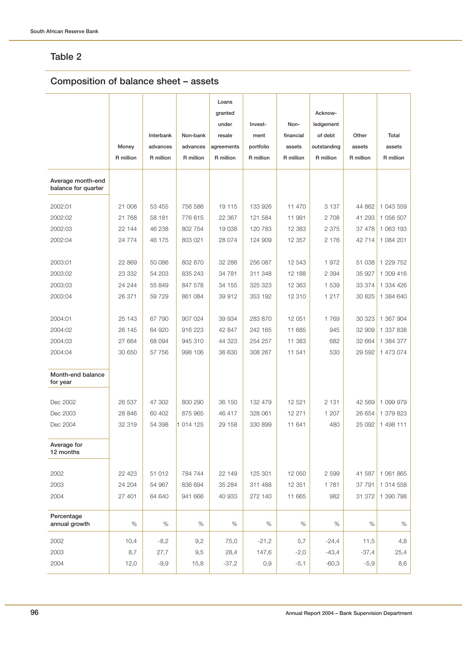# **Composition of balance sheet – assets**

|                                          |           |           |           | Loans<br>granted |           |           | Acknow-     |           |           |
|------------------------------------------|-----------|-----------|-----------|------------------|-----------|-----------|-------------|-----------|-----------|
|                                          |           |           |           | under            | Invest-   | Non-      | ledgement   |           |           |
|                                          |           | Interbank | Non-bank  | resale           | ment      | financial | of debt     | Other     | Total     |
|                                          | Money     | advances  | advances  | agreements       | portfolio | assets    | outstanding | assets    | assets    |
|                                          | R million | R million | R million | R million        | R million | R million | R million   | R million | R million |
| Average month-end<br>balance for quarter |           |           |           |                  |           |           |             |           |           |
| 2002:01                                  | 21 008    | 53 455    | 756 586   | 19 115           | 133 926   | 11 470    | 3 1 3 7     | 44 862    | 1 043 559 |
| 2002:02                                  | 21 768    | 58 181    | 776 615   | 22 367           | 121 584   | 11 991    | 2 708       | 41 293    | 1 056 507 |
| 2002:03                                  | 22 144    | 46 238    | 802 754   | 19 038           | 120 783   | 12 383    | 2 3 7 5     | 37 478    | 1 063 193 |
| 2002:04                                  | 24 774    | 46 175    | 803 021   | 28 074           | 124 909   | 12 357    | 2 176       | 42 714    | 1 084 201 |
|                                          |           |           |           |                  |           |           |             |           |           |
| 2003:01                                  | 22 869    | 50 086    | 802 870   | 32 286           | 256 087   | 12 543    | 1972        | 51 038    | 1 229 752 |
| 2003:02                                  | 23 332    | 54 203    | 835 243   | 34 781           | 311 348   | 12 188    | 2 3 9 4     | 35 927    | 1 309 416 |
| 2003:03                                  | 24 244    | 55 849    | 847 578   | 34 155           | 325 323   | 12 3 63   | 1 539       | 33 374    | 1 334 426 |
| 2003:04                                  | 26 371    | 59 729    | 861 084   | 39 912           | 353 192   | 12 310    | 1 2 1 7     | 30 825    | 1 384 640 |
| 2004:01                                  | 25 143    | 67 790    | 907 024   | 39 934           | 283 870   | 12 051    | 1769        | 30 323    | 1 367 904 |
| 2004:02                                  | 26 145    | 64 920    | 916 223   | 42 847           | 242 165   | 11 685    | 945         | 32 909    | 1 337 838 |
| 2004:03                                  | 27 664    | 68 094    | 945 310   | 44 323           | 254 257   | 11 383    | 682         | 32 664    | 1 384 377 |
| 2004:04                                  | 30 650    | 57 756    | 998 106   | 36 630           | 308 267   | 11 541    | 530         | 29 592    | 1 473 074 |
| Month-end balance<br>for year            |           |           |           |                  |           |           |             |           |           |
| Dec 2002                                 | 26 537    | 47 302    | 800 290   | 36 150           | 132 479   | 12 5 21   | 2 1 3 1     | 42 569    | 1 099 979 |
| Dec 2003                                 | 28 846    | 60 402    | 875 965   | 46 417           | 328 061   | 12 271    | 1 207       | 26 654    | 1 379 823 |
| Dec 2004                                 | 32 319    | 54 398    | 1 014 125 | 29 158           | 330 899   | 11 641    | 480         | 25 092    | 1 498 111 |
| Average for<br>12 months                 |           |           |           |                  |           |           |             |           |           |
| 2002                                     | 22 4 23   | 51 012    | 784 744   | 22 149           | 125 301   | 12 050    | 2 5 9 9     | 41 587    | 1 061 865 |
| 2003                                     | 24 204    | 54 967    | 836 694   | 35 284           | 311 488   | 12 351    | 1781        | 37 791    | 1 314 558 |
| 2004                                     | 27 401    | 64 640    | 941 666   | 40 933           | 272 140   | 11 665    | 982         | 31 372    | 1 390 798 |
| Percentage<br>annual growth              | $\%$      | $\%$      | $\%$      | %                | $\%$      | $\%$      | $\%$        | %         | $\%$      |
| 2002                                     | 10,4      | $-8,2$    | 9,2       | 75,0             | $-21,2$   | 5,7       | $-24,4$     | 11,5      | 4,8       |
| 2003                                     | 8,7       | 27,7      | 9,5       | 28,4             | 147,6     | $-2,0$    | $-43,4$     | $-37,4$   | 25,4      |
| 2004                                     | 12,0      | $-9,9$    | 15,8      | $-37,2$          | 0,9       | $-5,1$    | $-60,3$     | $-5,9$    | 8,6       |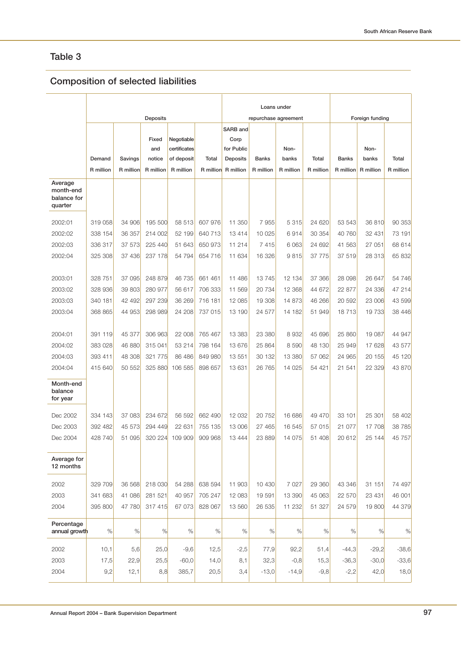# **Composition of selected liabilities**

|                                                |                     |                      |                                     |                                                       |                    | Loans under                                                    |                           |                            |                    |                           |                            |                           |
|------------------------------------------------|---------------------|----------------------|-------------------------------------|-------------------------------------------------------|--------------------|----------------------------------------------------------------|---------------------------|----------------------------|--------------------|---------------------------|----------------------------|---------------------------|
|                                                |                     |                      | Deposits                            |                                                       |                    |                                                                |                           | repurchase agreement       |                    |                           | Foreign funding            |                           |
|                                                | Demand<br>R million | Savings<br>R million | Fixed<br>and<br>notice<br>R million | Negotiable<br>certificates<br>of deposit<br>R million | Total<br>R million | SARB and<br>Corp<br>for Public<br><b>Deposits</b><br>R million | <b>Banks</b><br>R million | Non-<br>banks<br>R million | Total<br>R million | <b>Banks</b><br>R million | Non-<br>banks<br>R million | <b>Total</b><br>R million |
| Average<br>month-end<br>balance for<br>quarter |                     |                      |                                     |                                                       |                    |                                                                |                           |                            |                    |                           |                            |                           |
| 2002:01                                        | 319 058             | 34 906               | 195 500                             | 58 513                                                | 607 976            | 11 350                                                         | 7955                      | 5 3 1 5                    | 24 620             | 53 543                    | 36 810                     | 90 353                    |
| 2002:02                                        | 338 154             | 36 357               | 214 002                             | 52 199                                                | 640 713            | 13 4 14                                                        | 10 0 25                   | 6914                       | 30 354             | 40 760                    | 32 431                     | 73 191                    |
| 2002:03                                        | 336 317             | 37 573               | 225 440                             | 51 643                                                | 650 973            | 11 214                                                         | 7415                      | 6 0 63                     | 24 692             | 41 563                    | 27 051                     | 68 614                    |
| 2002:04                                        | 325 308             | 37 436               | 237 178                             | 54 794                                                | 654 716            | 11 634                                                         | 16 326                    | 9815                       | 37 775             | 37 519                    | 28 313                     | 65 832                    |
| 2003:01                                        | 328 751             | 37 095               | 248 879                             | 46 735                                                | 661 461            | 11 486                                                         | 13745                     | 12 134                     | 37 366             | 28 098                    | 26 647                     | 54 746                    |
| 2003:02                                        | 328 936             | 39 803               | 280 977                             | 56 617                                                | 706 333            | 11 569                                                         | 20 734                    | 12 3 68                    | 44 672             | 22 877                    | 24 336                     | 47 214                    |
| 2003:03                                        | 340 181             | 42 492               | 297 239                             | 36 269                                                | 716 181            | 12 085                                                         | 19 308                    | 14 873                     | 46 266             | 20 592                    | 23 006                     | 43 599                    |
| 2003:04                                        | 368 865             | 44 953               | 298 989                             | 24 208                                                | 737 015            | 13 190                                                         | 24 577                    | 14 182                     | 51 949             | 18713                     | 19 733                     | 38 446                    |
|                                                |                     |                      |                                     |                                                       |                    |                                                                |                           |                            |                    |                           |                            |                           |
| 2004:01                                        | 391 119             | 45 377               | 306 963                             | 22 008                                                | 765 467            | 13 383                                                         | 23 380                    | 8932                       | 45 696             | 25 860                    | 19 087                     | 44 947                    |
| 2004:02                                        | 383 028             | 46 880               | 315 041                             | 53 214                                                | 798 164            | 13 676                                                         | 25 864                    | 8 5 9 0                    | 48 130             | 25 949                    | 17 628                     | 43 577                    |
| 2004:03                                        | 393 411             | 48 308               | 321 775                             | 86 486                                                | 849 980            | 13 551                                                         | 30 132                    | 13 380                     | 57 062             | 24 965                    | 20 155                     | 45 120                    |
| 2004:04                                        | 415 640             | 50 552               | 325 880                             | 106 585                                               | 898 657            | 13 631                                                         | 26 765                    | 14 0 25                    | 54 421             | 21 541                    | 22 329                     | 43 870                    |
| Month-end<br>balance<br>for year               |                     |                      |                                     |                                                       |                    |                                                                |                           |                            |                    |                           |                            |                           |
| Dec 2002                                       | 334 143             | 37 083               | 234 672                             | 56 592                                                | 662 490            | 12 032                                                         | 20 752                    | 16 686                     | 49 470             | 33 101                    | 25 301                     | 58 402                    |
| Dec 2003                                       | 392 482             | 45 573               | 294 449                             | 22 631                                                | 755 135            | 13 006                                                         | 27 465                    | 16 545                     | 57 015             | 21 077                    | 17 708                     | 38 785                    |
| Dec 2004                                       | 428 740             | 51 095               | 320 224                             | 109 909                                               | 909 968            | 13 4 44                                                        | 23 889                    | 14 075                     | 51 408             | 20 612                    | 25 144                     | 45 757                    |
| Average for<br>12 months                       |                     |                      |                                     |                                                       |                    |                                                                |                           |                            |                    |                           |                            |                           |
| 2002                                           | 329 709             | 36 568               | 218 030                             | 54 288                                                | 638 594            | 11 903                                                         | 10 430                    | 7 0 2 7                    | 29 360             | 43 346                    | 31 151                     | 74 497                    |
| 2003                                           | 341 683             | 41 086               | 281 521                             | 40 957                                                | 705 247            | 12 083                                                         | 19 591                    | 13 390                     | 45 063             | 22 570                    | 23 4 31                    | 46 001                    |
| 2004                                           | 395 800             | 47 780               | 317 415                             | 67 073                                                | 828 067            | 13 560                                                         | 26 535                    | 11 232                     | 51 327             | 24 579                    | 19 800                     | 44 379                    |
| Percentage<br>annual growth                    | %                   | $\%$                 | %                                   | $\%$                                                  | $\%$               | $\%$                                                           | %                         | $\%$                       | $\%$               | %                         | %                          | %                         |
| 2002                                           | 10,1                | 5,6                  | 25,0                                | $-9,6$                                                | 12,5               | $-2,5$                                                         | 77,9                      | 92,2                       | 51,4               | -44,3                     | $-29,2$                    | $-38,6$                   |
| 2003                                           | 17,5                | 22,9                 | 25,5                                | $-60,0$                                               | 14,0               | 8,1                                                            | 32,3                      | $-0,8$                     | 15,3               | $-36,3$                   | $-30,0$                    | $-33,6$                   |
| 2004                                           | 9,2                 | 12,1                 | 8,8                                 | 385,7                                                 | 20,5               | 3,4                                                            | $-13,0$                   | $-14,9$                    | $-9,8$             | $-2,2$                    | 42,0                       | 18,0                      |
|                                                |                     |                      |                                     |                                                       |                    |                                                                |                           |                            |                    |                           |                            |                           |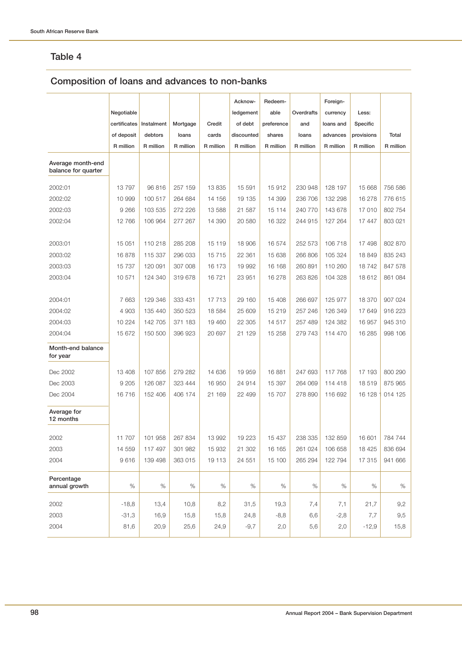# **Composition of loans and advances to non-banks**

|                                          |              |            |           |           | Acknow-    | Redeem-    |            | Foreign-  |            |           |
|------------------------------------------|--------------|------------|-----------|-----------|------------|------------|------------|-----------|------------|-----------|
|                                          | Negotiable   |            |           |           | ledgement  | able       | Overdrafts | currency  | Less:      |           |
|                                          | certificates | Instalment | Mortgage  | Credit    | of debt    | preference | and        | loans and | Specific   |           |
|                                          | of deposit   | debtors    | loans     | cards     | discounted | shares     | loans      | advances  | provisions | Total     |
|                                          | R million    | R million  | R million | R million | R million  | R million  | R million  | R million | R million  | R million |
| Average month-end<br>balance for quarter |              |            |           |           |            |            |            |           |            |           |
| 2002:01                                  | 13797        | 96 816     | 257 159   | 13 8 35   | 15 591     | 15912      | 230 948    | 128 197   | 15 668     | 756 586   |
| 2002:02                                  | 10 999       | 100 517    | 264 684   | 14 156    | 19 135     | 14 399     | 236 706    | 132 298   | 16 278     | 776 615   |
| 2002:03                                  | 9 2 6 6      | 103 535    | 272 226   | 13 588    | 21 587     | 15 114     | 240 770    | 143 678   | 17 010     | 802 754   |
| 2002:04                                  | 12 766       | 106 964    | 277 267   | 14 390    | 20 580     | 16 322     | 244 915    | 127 264   | 17 447     | 803 021   |
|                                          |              |            |           |           |            |            |            |           |            |           |
| 2003:01                                  | 15 051       | 110 218    | 285 208   | 15 119    | 18 906     | 16 574     | 252 573    | 106 718   | 17 498     | 802 870   |
| 2003:02                                  | 16878        | 115 337    | 296 033   | 15 7 15   | 22 361     | 15 638     | 266 806    | 105 324   | 18 849     | 835 243   |
| 2003:03                                  | 15 7 37      | 120 091    | 307 008   | 16 173    | 19 992     | 16 168     | 260 891    | 110 260   | 18742      | 847 578   |
| 2003:04                                  | 10 571       | 124 340    | 319 678   | 16721     | 23 951     | 16 278     | 263 826    | 104 328   | 18 612     | 861 084   |
|                                          |              |            |           |           |            |            |            |           |            |           |
| 2004:01                                  | 7663         | 129 346    | 333 431   | 17 713    | 29 160     | 15 408     | 266 697    | 125 977   | 18 370     | 907 024   |
| 2004:02                                  | 4 9 0 3      | 135 440    | 350 523   | 18 5 84   | 25 609     | 15 219     | 257 246    | 126 349   | 17 649     | 916 223   |
| 2004:03                                  | 10 224       | 142 705    | 371 183   | 19 460    | 22 305     | 14 517     | 257 489    | 124 382   | 16 957     | 945 310   |
| 2004:04                                  | 15 672       | 150 500    | 396 923   | 20 697    | 21 129     | 15 258     | 279 743    | 114 470   | 16 285     | 998 106   |
| Month-end balance<br>for year            |              |            |           |           |            |            |            |           |            |           |
| Dec 2002                                 | 13 408       | 107 856    | 279 282   | 14 636    | 19 959     | 16881      | 247 693    | 117 768   | 17 193     | 800 290   |
| Dec 2003                                 | 9 2 0 5      | 126 087    | 323 444   | 16 950    | 24 914     | 15 397     | 264 069    | 114 418   | 18519      | 875 965   |
| Dec 2004                                 | 16716        | 152 406    | 406 174   | 21 169    | 22 499     | 15 707     | 278 890    | 116 692   | 16 128     | 014 125   |
| Average for<br>12 months                 |              |            |           |           |            |            |            |           |            |           |
| 2002                                     | 11 707       | 101 958    | 267 834   | 13 992    | 19 223     | 15 437     | 238 335    | 132 859   | 16 601     | 784 744   |
| 2003                                     | 14 559       | 117 497    | 301 982   | 15 932    | 21 302     | 16 165     | 261 024    | 106 658   | 18 4 25    | 836 694   |
| 2004                                     | 9616         | 139 498    | 363 015   | 19 113    | 24 551     | 15 100     | 265 294    | 122 794   | 17 315     | 941 666   |
| Percentage<br>annual growth              | %            | $\%$       | $\%$      | %         | $\%$       | $\%$       | %          | %         | %          | $\%$      |
| 2002                                     | $-18,8$      | 13,4       | 10,8      | 8,2       | 31,5       | 19,3       | 7,4        | 7,1       | 21,7       | 9,2       |
| 2003                                     | $-31,3$      | 16,9       | 15,8      | 15,8      | 24,8       | $-8,8$     | 6,6        | $-2,8$    | 7,7        | 9,5       |
| 2004                                     | 81,6         | 20,9       | 25,6      | 24,9      | $-9,7$     | 2,0        | 5,6        | 2,0       | $-12,9$    | 15,8      |
|                                          |              |            |           |           |            |            |            |           |            |           |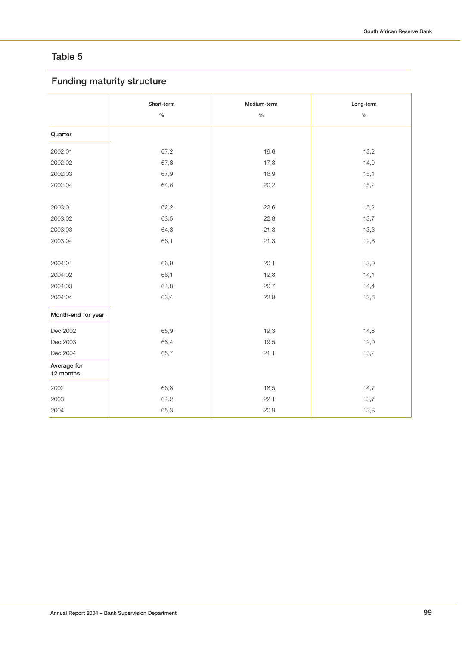# **Funding maturity structure**

|                          | Short-term<br>$\frac{1}{2}$ | Medium-term<br>$\frac{1}{2}$ | Long-term<br>$\%$ |
|--------------------------|-----------------------------|------------------------------|-------------------|
| Quarter                  |                             |                              |                   |
| 2002:01                  | 67,2                        | 19,6                         | 13,2              |
| 2002:02                  | 67,8                        | 17,3                         | 14,9              |
| 2002:03                  | 67,9                        | 16,9                         | 15,1              |
| 2002:04                  | 64,6                        | 20,2                         | 15,2              |
|                          |                             |                              |                   |
| 2003:01                  | 62,2                        | 22,6                         | 15,2              |
| 2003:02                  | 63,5                        | 22,8                         | 13,7              |
| 2003:03                  | 64,8                        | 21,8                         | 13,3              |
| 2003:04                  | 66,1                        | 21,3                         | 12,6              |
|                          |                             |                              |                   |
| 2004:01                  | 66,9                        | 20,1                         | 13,0              |
| 2004:02                  | 66,1                        | 19,8                         | 14,1              |
| 2004:03                  | 64,8                        | 20,7                         | 14,4              |
| 2004:04                  | 63,4                        | 22,9                         | 13,6              |
| Month-end for year       |                             |                              |                   |
| Dec 2002                 | 65,9                        | 19,3                         | 14,8              |
| Dec 2003                 | 68,4                        | 19,5                         | 12,0              |
| Dec 2004                 | 65,7                        | 21,1                         | 13,2              |
| Average for<br>12 months |                             |                              |                   |
| 2002                     | 66,8                        | 18,5                         | 14,7              |
| 2003                     | 64,2                        | 22,1                         | 13,7              |
| 2004                     | 65,3                        | 20,9                         | 13,8              |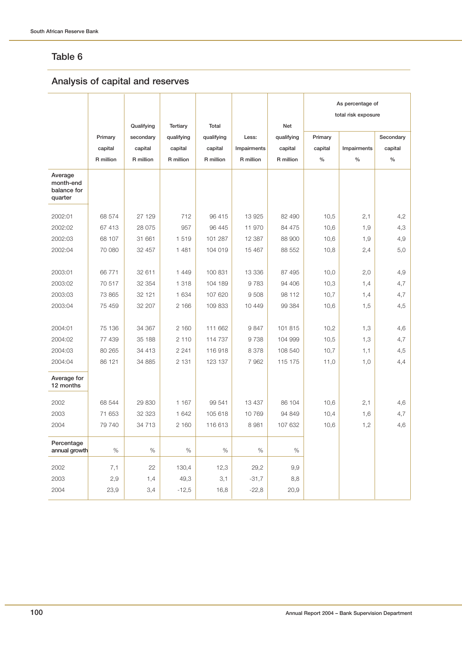# **Analysis of capital and reserves**

|                                                |           |            |                 |            |             |            | As percentage of<br>total risk exposure |             |           |
|------------------------------------------------|-----------|------------|-----------------|------------|-------------|------------|-----------------------------------------|-------------|-----------|
|                                                |           | Qualifying | <b>Tertiary</b> | Total      |             | <b>Net</b> |                                         |             |           |
|                                                | Primary   | secondary  | qualifying      | qualifying | Less:       | qualifying | Primary                                 |             | Secondary |
|                                                | capital   | capital    | capital         | capital    | Impairments | capital    | capital                                 | Impairments | capital   |
|                                                | R million | R million  | R million       | R million  | R million   | R million  | $\%$                                    | $\%$        | $\%$      |
| Average<br>month-end<br>balance for<br>quarter |           |            |                 |            |             |            |                                         |             |           |
| 2002:01                                        | 68 574    | 27 129     | 712             | 96 415     | 13 925      | 82 490     | 10,5                                    | 2,1         | 4,2       |
| 2002:02                                        | 67 413    | 28 075     | 957             | 96 445     | 11 970      | 84 475     | 10,6                                    | 1,9         | 4,3       |
| 2002:03                                        | 68 107    | 31 661     | 1 5 1 9         | 101 287    | 12 387      | 88 900     | 10,6                                    | 1,9         | 4,9       |
| 2002:04                                        | 70 080    | 32 457     | 1 4 8 1         | 104 019    | 15 467      | 88 552     | 10,8                                    | 2,4         | 5,0       |
| 2003:01                                        | 66 771    | 32 611     | 1 4 4 9         | 100 831    | 13 336      | 87 495     | 10,0                                    | 2,0         | 4,9       |
| 2003:02                                        | 70 517    | 32 354     | 1 3 1 8         | 104 189    | 9783        | 94 406     | 10,3                                    | 1,4         | 4,7       |
| 2003:03                                        | 73 865    | 32 121     | 1 634           | 107 620    | 9508        | 98 112     | 10,7                                    | 1,4         | 4,7       |
| 2003:04                                        | 75 459    | 32 207     | 2 166           | 109 833    | 10 449      | 99 384     | 10,6                                    | 1,5         | 4,5       |
| 2004:01                                        | 75 136    | 34 367     | 2 160           | 111 662    | 9847        | 101 815    | 10,2                                    | 1,3         | 4,6       |
| 2004:02                                        | 77 439    | 35 188     | 2 1 1 0         | 114 737    | 9738        | 104 999    | 10,5                                    | 1,3         | 4,7       |
| 2004:03                                        | 80 265    | 34 413     | 2 2 4 1         | 116 918    | 8 3 7 8     | 108 540    | 10,7                                    | 1,1         | 4,5       |
| 2004:04                                        | 86 121    | 34 885     | 2 1 3 1         | 123 137    | 7 9 6 2     | 115 175    | 11,0                                    | 1,0         | 4,4       |
| Average for<br>12 months                       |           |            |                 |            |             |            |                                         |             |           |
| 2002                                           | 68 544    | 29 830     | 1 1 6 7         | 99 541     | 13 437      | 86 104     | 10,6                                    | 2,1         | 4,6       |
| 2003                                           | 71 653    | 32 323     | 1 642           | 105 618    | 10 769      | 94 849     | 10,4                                    | 1,6         | 4,7       |
| 2004                                           | 79 740    | 34 713     | 2 160           | 116 613    | 8 9 8 1     | 107 632    | 10,6                                    | 1,2         | 4,6       |
| Percentage<br>annual growth                    | $\%$      | $\%$       | %               | $\%$       | $\%$        | $\%$       |                                         |             |           |
| 2002                                           | 7,1       | 22         | 130,4           | 12,3       | 29,2        | 9,9        |                                         |             |           |
| 2003                                           | 2,9       | 1,4        | 49,3            | 3,1        | $-31,7$     | 8,8        |                                         |             |           |
| 2004                                           | 23,9      | 3,4        | $-12,5$         | 16,8       | $-22,8$     | 20,9       |                                         |             |           |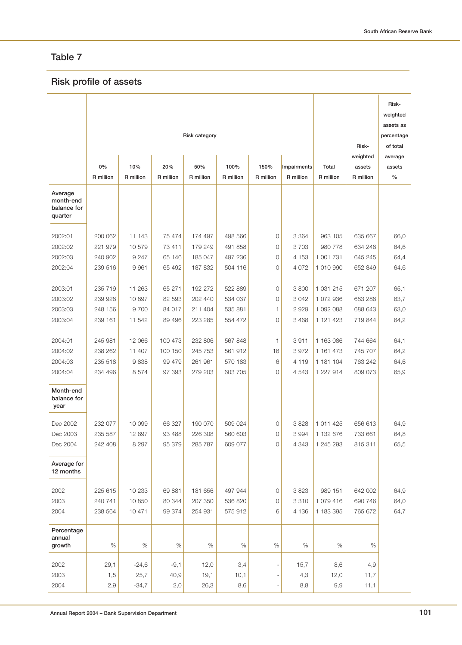# **Risk profile of assets**

| 0%<br>10%<br>20%<br>50%<br>100%<br>150%<br>Impairments<br>Total<br>assets<br>assets<br>R million<br>R million<br>R million<br>R million<br>R million<br>R million<br>R million<br>R million<br>R million<br>$\%$<br>Average<br>month-end<br>balance for<br>quarter<br>2002:01<br>200 062<br>11 143<br>75 474<br>174 497<br>498 566<br>0<br>3 3 6 4<br>963 105<br>635 667<br>66,0<br>2002:02<br>221 979<br>10 579<br>73 411<br>179 249<br>491 858<br>$\mathbf 0$<br>3 7 0 3<br>980 778<br>634 248<br>64,6<br>2002:03<br>240 902<br>9 2 4 7<br>65 146<br>185 047<br>497 236<br>0<br>4 1 5 3<br>1 001 731<br>645 245<br>64,4<br>2002:04<br>239 516<br>9 9 6 1<br>65 492<br>187 832<br>504 116<br>0<br>4 0 7 2<br>1010990<br>652 849<br>64,6<br>2003:01<br>235 719<br>11 263<br>65 271<br>192 272<br>522 889<br>0<br>3800<br>1 031 215<br>671 207<br>65,1<br>10 897<br>2003:02<br>239 928<br>82 593<br>202 440<br>534 037<br>0<br>3 0 4 2<br>1 072 936<br>683 288<br>63,7<br>2003:03<br>248 156<br>9700<br>84 017<br>211 404<br>535 881<br>1<br>2929<br>1 092 088<br>688 643<br>63,0<br>2003:04<br>239 161<br>11 542<br>89 496<br>223 285<br>554 472<br>0<br>3 4 6 8<br>1 121 423<br>719 844<br>64,2<br>2004:01<br>245 981<br>12 066<br>100 473<br>232 806<br>567 848<br>3911<br>1 163 086<br>744 664<br>64,1<br>1<br>11 407<br>561 912<br>2004:02<br>238 262<br>100 150<br>245 753<br>16<br>3972<br>1 161 473<br>745 707<br>64,2<br>235 518<br>9838<br>2004:03<br>99 479<br>261 961<br>570 183<br>6<br>4 1 1 9<br>1 181 104<br>763 242<br>64,6<br>2004:04<br>234 496<br>8574<br>97 393<br>279 203<br>603 705<br>0<br>4 5 4 3<br>1 227 914<br>809 073<br>65,9<br>Month-end<br>balance for<br>year<br>Dec 2002<br>232 077<br>10 099<br>66 327<br>190 070<br>509 024<br>0<br>3828<br>1 011 425<br>656 613<br>64,9<br>560 603<br>3 9 9 4<br>Dec 2003<br>235 587<br>12 697<br>93 488<br>226 308<br>0<br>1 132 676<br>733 661<br>64,8<br>Dec 2004<br>8 2 9 7<br>95 379<br>285 787<br>609 077<br>$\mathbf 0$<br>4 3 4 3<br>1 245 293<br>815 311<br>65,5<br>242 408<br>Average for<br>12 months<br>10 233<br>497 944<br>3 8 2 3<br>989 151<br>2002<br>225 615<br>69 881<br>181 656<br>0<br>642 002<br>64,9<br>2003<br>10 850<br>207 350<br>1 079 416<br>240 741<br>80 344<br>536 820<br>0<br>3 3 1 0<br>690 746<br>64,0<br>64,7<br>2004<br>238 564<br>10 471<br>99 374<br>254 931<br>575 912<br>6<br>4 1 3 6<br>1 183 395<br>765 672<br>Percentage<br>annual<br>growth<br>$\%$<br>$\%$<br>$\%$<br>$\%$<br>$\%$<br>$\%$<br>$\%$<br>$\%$<br>$\%$<br>2002<br>4,9<br>29,1<br>$-24,6$<br>$-9,1$<br>12,0<br>3,4<br>15,7<br>8,6<br>2003<br>25,7<br>40,9<br>10,1<br>12,0<br>11,7<br>1,5<br>19,1<br>4,3<br>2004<br>$-34,7$<br>9,9<br>2,9<br>2,0<br>26,3<br>8,6<br>8,8<br>11,1 |  | Risk category |  | Risk- | Risk-<br>weighted<br>assets as<br>percentage<br>of total |          |         |
|-----------------------------------------------------------------------------------------------------------------------------------------------------------------------------------------------------------------------------------------------------------------------------------------------------------------------------------------------------------------------------------------------------------------------------------------------------------------------------------------------------------------------------------------------------------------------------------------------------------------------------------------------------------------------------------------------------------------------------------------------------------------------------------------------------------------------------------------------------------------------------------------------------------------------------------------------------------------------------------------------------------------------------------------------------------------------------------------------------------------------------------------------------------------------------------------------------------------------------------------------------------------------------------------------------------------------------------------------------------------------------------------------------------------------------------------------------------------------------------------------------------------------------------------------------------------------------------------------------------------------------------------------------------------------------------------------------------------------------------------------------------------------------------------------------------------------------------------------------------------------------------------------------------------------------------------------------------------------------------------------------------------------------------------------------------------------------------------------------------------------------------------------------------------------------------------------------------------------------------------------------------------------------------------------------------------------------------------------------------------------------------------------------------------------------------------------------------------------------------------------------------------------------------------------------------------------------------------------------------------------------------------------------------------------------------------------------------------------------------------------------------|--|---------------|--|-------|----------------------------------------------------------|----------|---------|
|                                                                                                                                                                                                                                                                                                                                                                                                                                                                                                                                                                                                                                                                                                                                                                                                                                                                                                                                                                                                                                                                                                                                                                                                                                                                                                                                                                                                                                                                                                                                                                                                                                                                                                                                                                                                                                                                                                                                                                                                                                                                                                                                                                                                                                                                                                                                                                                                                                                                                                                                                                                                                                                                                                                                                           |  |               |  |       |                                                          | weighted | average |
|                                                                                                                                                                                                                                                                                                                                                                                                                                                                                                                                                                                                                                                                                                                                                                                                                                                                                                                                                                                                                                                                                                                                                                                                                                                                                                                                                                                                                                                                                                                                                                                                                                                                                                                                                                                                                                                                                                                                                                                                                                                                                                                                                                                                                                                                                                                                                                                                                                                                                                                                                                                                                                                                                                                                                           |  |               |  |       |                                                          |          |         |
|                                                                                                                                                                                                                                                                                                                                                                                                                                                                                                                                                                                                                                                                                                                                                                                                                                                                                                                                                                                                                                                                                                                                                                                                                                                                                                                                                                                                                                                                                                                                                                                                                                                                                                                                                                                                                                                                                                                                                                                                                                                                                                                                                                                                                                                                                                                                                                                                                                                                                                                                                                                                                                                                                                                                                           |  |               |  |       |                                                          |          |         |
|                                                                                                                                                                                                                                                                                                                                                                                                                                                                                                                                                                                                                                                                                                                                                                                                                                                                                                                                                                                                                                                                                                                                                                                                                                                                                                                                                                                                                                                                                                                                                                                                                                                                                                                                                                                                                                                                                                                                                                                                                                                                                                                                                                                                                                                                                                                                                                                                                                                                                                                                                                                                                                                                                                                                                           |  |               |  |       |                                                          |          |         |
|                                                                                                                                                                                                                                                                                                                                                                                                                                                                                                                                                                                                                                                                                                                                                                                                                                                                                                                                                                                                                                                                                                                                                                                                                                                                                                                                                                                                                                                                                                                                                                                                                                                                                                                                                                                                                                                                                                                                                                                                                                                                                                                                                                                                                                                                                                                                                                                                                                                                                                                                                                                                                                                                                                                                                           |  |               |  |       |                                                          |          |         |
|                                                                                                                                                                                                                                                                                                                                                                                                                                                                                                                                                                                                                                                                                                                                                                                                                                                                                                                                                                                                                                                                                                                                                                                                                                                                                                                                                                                                                                                                                                                                                                                                                                                                                                                                                                                                                                                                                                                                                                                                                                                                                                                                                                                                                                                                                                                                                                                                                                                                                                                                                                                                                                                                                                                                                           |  |               |  |       |                                                          |          |         |
|                                                                                                                                                                                                                                                                                                                                                                                                                                                                                                                                                                                                                                                                                                                                                                                                                                                                                                                                                                                                                                                                                                                                                                                                                                                                                                                                                                                                                                                                                                                                                                                                                                                                                                                                                                                                                                                                                                                                                                                                                                                                                                                                                                                                                                                                                                                                                                                                                                                                                                                                                                                                                                                                                                                                                           |  |               |  |       |                                                          |          |         |
|                                                                                                                                                                                                                                                                                                                                                                                                                                                                                                                                                                                                                                                                                                                                                                                                                                                                                                                                                                                                                                                                                                                                                                                                                                                                                                                                                                                                                                                                                                                                                                                                                                                                                                                                                                                                                                                                                                                                                                                                                                                                                                                                                                                                                                                                                                                                                                                                                                                                                                                                                                                                                                                                                                                                                           |  |               |  |       |                                                          |          |         |
|                                                                                                                                                                                                                                                                                                                                                                                                                                                                                                                                                                                                                                                                                                                                                                                                                                                                                                                                                                                                                                                                                                                                                                                                                                                                                                                                                                                                                                                                                                                                                                                                                                                                                                                                                                                                                                                                                                                                                                                                                                                                                                                                                                                                                                                                                                                                                                                                                                                                                                                                                                                                                                                                                                                                                           |  |               |  |       |                                                          |          |         |
|                                                                                                                                                                                                                                                                                                                                                                                                                                                                                                                                                                                                                                                                                                                                                                                                                                                                                                                                                                                                                                                                                                                                                                                                                                                                                                                                                                                                                                                                                                                                                                                                                                                                                                                                                                                                                                                                                                                                                                                                                                                                                                                                                                                                                                                                                                                                                                                                                                                                                                                                                                                                                                                                                                                                                           |  |               |  |       |                                                          |          |         |
|                                                                                                                                                                                                                                                                                                                                                                                                                                                                                                                                                                                                                                                                                                                                                                                                                                                                                                                                                                                                                                                                                                                                                                                                                                                                                                                                                                                                                                                                                                                                                                                                                                                                                                                                                                                                                                                                                                                                                                                                                                                                                                                                                                                                                                                                                                                                                                                                                                                                                                                                                                                                                                                                                                                                                           |  |               |  |       |                                                          |          |         |
|                                                                                                                                                                                                                                                                                                                                                                                                                                                                                                                                                                                                                                                                                                                                                                                                                                                                                                                                                                                                                                                                                                                                                                                                                                                                                                                                                                                                                                                                                                                                                                                                                                                                                                                                                                                                                                                                                                                                                                                                                                                                                                                                                                                                                                                                                                                                                                                                                                                                                                                                                                                                                                                                                                                                                           |  |               |  |       |                                                          |          |         |
|                                                                                                                                                                                                                                                                                                                                                                                                                                                                                                                                                                                                                                                                                                                                                                                                                                                                                                                                                                                                                                                                                                                                                                                                                                                                                                                                                                                                                                                                                                                                                                                                                                                                                                                                                                                                                                                                                                                                                                                                                                                                                                                                                                                                                                                                                                                                                                                                                                                                                                                                                                                                                                                                                                                                                           |  |               |  |       |                                                          |          |         |
|                                                                                                                                                                                                                                                                                                                                                                                                                                                                                                                                                                                                                                                                                                                                                                                                                                                                                                                                                                                                                                                                                                                                                                                                                                                                                                                                                                                                                                                                                                                                                                                                                                                                                                                                                                                                                                                                                                                                                                                                                                                                                                                                                                                                                                                                                                                                                                                                                                                                                                                                                                                                                                                                                                                                                           |  |               |  |       |                                                          |          |         |
|                                                                                                                                                                                                                                                                                                                                                                                                                                                                                                                                                                                                                                                                                                                                                                                                                                                                                                                                                                                                                                                                                                                                                                                                                                                                                                                                                                                                                                                                                                                                                                                                                                                                                                                                                                                                                                                                                                                                                                                                                                                                                                                                                                                                                                                                                                                                                                                                                                                                                                                                                                                                                                                                                                                                                           |  |               |  |       |                                                          |          |         |
|                                                                                                                                                                                                                                                                                                                                                                                                                                                                                                                                                                                                                                                                                                                                                                                                                                                                                                                                                                                                                                                                                                                                                                                                                                                                                                                                                                                                                                                                                                                                                                                                                                                                                                                                                                                                                                                                                                                                                                                                                                                                                                                                                                                                                                                                                                                                                                                                                                                                                                                                                                                                                                                                                                                                                           |  |               |  |       |                                                          |          |         |
|                                                                                                                                                                                                                                                                                                                                                                                                                                                                                                                                                                                                                                                                                                                                                                                                                                                                                                                                                                                                                                                                                                                                                                                                                                                                                                                                                                                                                                                                                                                                                                                                                                                                                                                                                                                                                                                                                                                                                                                                                                                                                                                                                                                                                                                                                                                                                                                                                                                                                                                                                                                                                                                                                                                                                           |  |               |  |       |                                                          |          |         |
|                                                                                                                                                                                                                                                                                                                                                                                                                                                                                                                                                                                                                                                                                                                                                                                                                                                                                                                                                                                                                                                                                                                                                                                                                                                                                                                                                                                                                                                                                                                                                                                                                                                                                                                                                                                                                                                                                                                                                                                                                                                                                                                                                                                                                                                                                                                                                                                                                                                                                                                                                                                                                                                                                                                                                           |  |               |  |       |                                                          |          |         |
|                                                                                                                                                                                                                                                                                                                                                                                                                                                                                                                                                                                                                                                                                                                                                                                                                                                                                                                                                                                                                                                                                                                                                                                                                                                                                                                                                                                                                                                                                                                                                                                                                                                                                                                                                                                                                                                                                                                                                                                                                                                                                                                                                                                                                                                                                                                                                                                                                                                                                                                                                                                                                                                                                                                                                           |  |               |  |       |                                                          |          |         |
|                                                                                                                                                                                                                                                                                                                                                                                                                                                                                                                                                                                                                                                                                                                                                                                                                                                                                                                                                                                                                                                                                                                                                                                                                                                                                                                                                                                                                                                                                                                                                                                                                                                                                                                                                                                                                                                                                                                                                                                                                                                                                                                                                                                                                                                                                                                                                                                                                                                                                                                                                                                                                                                                                                                                                           |  |               |  |       |                                                          |          |         |
|                                                                                                                                                                                                                                                                                                                                                                                                                                                                                                                                                                                                                                                                                                                                                                                                                                                                                                                                                                                                                                                                                                                                                                                                                                                                                                                                                                                                                                                                                                                                                                                                                                                                                                                                                                                                                                                                                                                                                                                                                                                                                                                                                                                                                                                                                                                                                                                                                                                                                                                                                                                                                                                                                                                                                           |  |               |  |       |                                                          |          |         |
|                                                                                                                                                                                                                                                                                                                                                                                                                                                                                                                                                                                                                                                                                                                                                                                                                                                                                                                                                                                                                                                                                                                                                                                                                                                                                                                                                                                                                                                                                                                                                                                                                                                                                                                                                                                                                                                                                                                                                                                                                                                                                                                                                                                                                                                                                                                                                                                                                                                                                                                                                                                                                                                                                                                                                           |  |               |  |       |                                                          |          |         |
|                                                                                                                                                                                                                                                                                                                                                                                                                                                                                                                                                                                                                                                                                                                                                                                                                                                                                                                                                                                                                                                                                                                                                                                                                                                                                                                                                                                                                                                                                                                                                                                                                                                                                                                                                                                                                                                                                                                                                                                                                                                                                                                                                                                                                                                                                                                                                                                                                                                                                                                                                                                                                                                                                                                                                           |  |               |  |       |                                                          |          |         |
|                                                                                                                                                                                                                                                                                                                                                                                                                                                                                                                                                                                                                                                                                                                                                                                                                                                                                                                                                                                                                                                                                                                                                                                                                                                                                                                                                                                                                                                                                                                                                                                                                                                                                                                                                                                                                                                                                                                                                                                                                                                                                                                                                                                                                                                                                                                                                                                                                                                                                                                                                                                                                                                                                                                                                           |  |               |  |       |                                                          |          |         |
|                                                                                                                                                                                                                                                                                                                                                                                                                                                                                                                                                                                                                                                                                                                                                                                                                                                                                                                                                                                                                                                                                                                                                                                                                                                                                                                                                                                                                                                                                                                                                                                                                                                                                                                                                                                                                                                                                                                                                                                                                                                                                                                                                                                                                                                                                                                                                                                                                                                                                                                                                                                                                                                                                                                                                           |  |               |  |       |                                                          |          |         |
|                                                                                                                                                                                                                                                                                                                                                                                                                                                                                                                                                                                                                                                                                                                                                                                                                                                                                                                                                                                                                                                                                                                                                                                                                                                                                                                                                                                                                                                                                                                                                                                                                                                                                                                                                                                                                                                                                                                                                                                                                                                                                                                                                                                                                                                                                                                                                                                                                                                                                                                                                                                                                                                                                                                                                           |  |               |  |       |                                                          |          |         |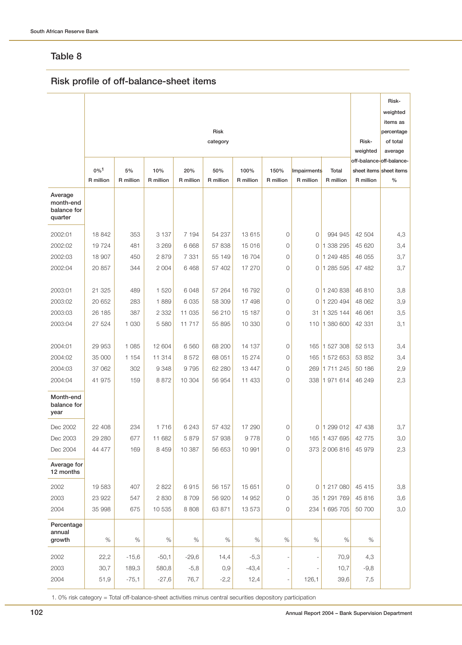# **Risk profile of off-balance-sheet items**

|                                                |           |           |           |           |             |           |           |              |               |                                      | Risk-                   |
|------------------------------------------------|-----------|-----------|-----------|-----------|-------------|-----------|-----------|--------------|---------------|--------------------------------------|-------------------------|
|                                                |           |           |           |           |             |           |           |              |               |                                      | weighted<br>items as    |
|                                                |           |           |           |           | <b>Risk</b> |           |           |              |               |                                      | percentage              |
|                                                |           |           |           |           | category    |           |           |              |               | Risk-                                | of total                |
|                                                |           |           |           |           |             |           |           |              |               | weighted<br>off-balance-off-balance- | average                 |
|                                                | $0\%1$    | 5%        | 10%       | 20%       | 50%         | 100%      | 150%      | Impairments  | Total         |                                      | sheet items sheet items |
|                                                | R million | R million | R million | R million | R million   | R million | R million | R million    | R million     | R million                            | $\%$                    |
| Average<br>month-end<br>balance for<br>quarter |           |           |           |           |             |           |           |              |               |                                      |                         |
| 2002:01                                        | 18 842    | 353       | 3 1 3 7   | 7 194     | 54 237      | 13 615    | 0         | $\mathbf{0}$ | 994 945       | 42 504                               | 4,3                     |
| 2002:02                                        | 19724     | 481       | 3 2 6 9   | 6 6 6 8   | 57 838      | 15 016    | 0         | 0            | 1 338 295     | 45 620                               | 3,4                     |
| 2002:03                                        | 18 907    | 450       | 2879      | 7 3 3 1   | 55 149      | 16 704    | 0         | 0            | 1 249 485     | 46 055                               | 3,7                     |
| 2002:04                                        | 20 857    | 344       | 2 0 0 4   | 6468      | 57 402      | 17 270    | 0         | 0            | 1 285 595     | 47 482                               | 3,7                     |
| 2003:01                                        | 21 325    | 489       | 1 5 2 0   | 6048      | 57 264      | 16 792    | 0         |              | 0 1 240 838   | 46 810                               | 3,8                     |
| 2003:02                                        | 20 652    | 283       | 1889      | 6 0 3 5   | 58 309      | 17 498    | 0         | 0            | 1 220 494     | 48 062                               | 3,9                     |
| 2003:03                                        | 26 185    | 387       | 2 3 3 2   | 11 035    | 56 210      | 15 187    | 0         | 31           | 1 325 144     | 46 061                               | 3,5                     |
| 2003:04                                        | 27 524    | 1 0 3 0   | 5 5 8 0   | 11 717    | 55 895      | 10 330    | $\circ$   |              | 110 1 380 600 | 42 331                               | 3,1                     |
| 2004:01                                        | 29 953    | 1 0 8 5   | 12 604    | 6 560     | 68 200      | 14 137    | 0         |              | 165 1 527 308 | 52 513                               | 3,4                     |
| 2004:02                                        | 35 000    | 1 1 5 4   | 11 314    | 8572      | 68 051      | 15 274    | $\circ$   |              | 165 1 572 653 | 53 852                               | 3,4                     |
| 2004:03                                        | 37 062    | 302       | 9 3 4 8   | 9795      | 62 280      | 13 4 4 7  | 0         |              | 269 1711 245  | 50 186                               | 2,9                     |
| 2004:04                                        | 41 975    | 159       | 8872      | 10 304    | 56 954      | 11 433    | 0         |              | 338 1 971 614 | 46 249                               | 2,3                     |
| Month-end<br>balance for<br>year               |           |           |           |           |             |           |           |              |               |                                      |                         |
| Dec 2002                                       | 22 408    | 234       | 1716      | 6 243     | 57 432      | 17 290    | 0         |              | 0 1299012     | 47 438                               | 3,7                     |
| Dec 2003                                       | 29 280    | 677       | 11 682    | 5879      | 57 938      | 9778      | 0         |              | 165 1 437 695 | 42 775                               | 3,0                     |
| Dec 2004                                       | 44 477    | 169       | 8 4 5 9   | 10 387    | 56 653      | 10 991    | 0         |              | 373 2 006 816 | 45 979                               | 2,3                     |
| Average for<br>12 months                       |           |           |           |           |             |           |           |              |               |                                      |                         |
| 2002                                           | 19 583    | 407       | 2 8 2 2   | 6915      | 56 157      | 15 651    | 0         | 0            | 1 217 080     | 45 415                               | 3,8                     |
| 2003                                           | 23 922    | 547       | 2 8 3 0   | 8709      | 56 920      | 14 952    | 0         | 35           | 1 291 769     | 45 816                               | 3,6                     |
| 2004                                           | 35 998    | 675       | 10 535    | 8 8 0 8   | 63 871      | 13 573    | 0         |              | 234 1 695 705 | 50 700                               | 3,0                     |
| Percentage<br>annual                           |           |           |           |           |             |           |           |              |               |                                      |                         |
| growth                                         | $\%$      | $\%$      | $\%$      | $\%$      | $\%$        | $\%$      | $\%$      | $\%$         | $\%$          | %                                    |                         |
| 2002                                           | 22,2      | $-15,6$   | $-50,1$   | $-29,6$   | 14,4        | $-5,3$    |           |              | 70,9          | 4,3                                  |                         |
| 2003                                           | 30,7      | 189,3     | 580,8     | $-5,8$    | 0,9         | $-43,4$   |           |              | 10,7          | $-9,8$                               |                         |
| 2004                                           | 51,9      | $-75,1$   | $-27,6$   | 76,7      | $-2,2$      | 12,4      |           | 126,1        | 39,6          | 7,5                                  |                         |

1. 0% risk category = Total off-balance-sheet activities minus central securities depository participation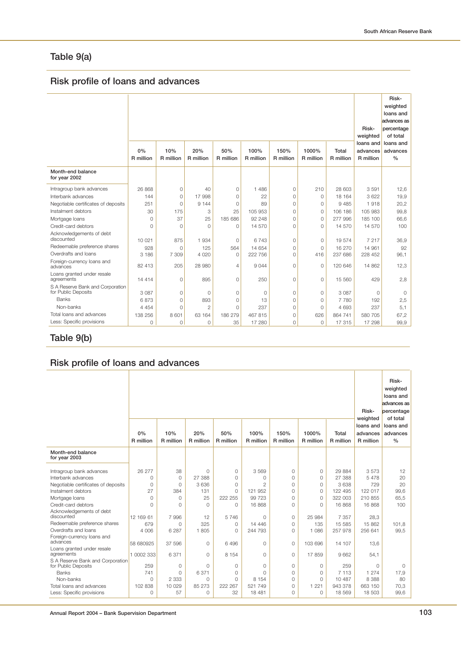# **Table 9(a)**

# **Risk profile of loans and advances**

|                                                         | 0%<br>R million | 10%<br>R million | 20%<br>R million | 50%<br>R million | 100%<br>R million | 150%<br>R million | 1000%<br>R million | Total<br>R million | Risk-<br>weighted<br>loans and<br>advances<br>R million | Risk-<br>weighted<br>loans and<br>advances as<br>percentage<br>of total<br>loans and<br>advances<br>$\frac{0}{0}$ |
|---------------------------------------------------------|-----------------|------------------|------------------|------------------|-------------------|-------------------|--------------------|--------------------|---------------------------------------------------------|-------------------------------------------------------------------------------------------------------------------|
| Month-end balance<br>for year 2002                      |                 |                  |                  |                  |                   |                   |                    |                    |                                                         |                                                                                                                   |
| Intragroup bank advances                                | 26868           | 0                | 40               | $\circ$          | 1 4 8 6           | $\circ$           | 210                | 28 603             | 3591                                                    | 12,6                                                                                                              |
| Interbank advances                                      | 144             | $\Omega$         | 17 998           | $\Omega$         | 22                | $\Omega$          | $\circ$            | 18 164             | 3 6 2 2                                                 | 19,9                                                                                                              |
| Negotiable certificates of deposits                     | 251             | $\Omega$         | 9 1 4 4          | $\circ$          | 89                | $\mathbf 0$       | $\circ$            | 9 4 8 5            | 1918                                                    | 20,2                                                                                                              |
| Instalment debtors                                      | 30              | 175              | 3                | 25               | 105 953           | $\mathbf 0$       | $\circ$            | 106 186            | 105 983                                                 | 99,8                                                                                                              |
| Mortgage loans                                          | $\Omega$        | 37               | 25               | 185 686          | 92 248            | $\Omega$          | 0                  | 277 996            | 185 100                                                 | 66,6                                                                                                              |
| Credit-card debtors                                     | $\Omega$        | $\Omega$         | $\Omega$         | $\Omega$         | 14 570            | $\Omega$          | 0                  | 14 570             | 14 570                                                  | 100                                                                                                               |
| Acknowledgements of debt<br>discounted                  | 10 0 21         | 875              | 1 9 3 4          | $\Omega$         | 6 7 4 3           | $\Omega$          | 0                  | 19574              | 7 217                                                   | 36,9                                                                                                              |
| Redeemable preference shares                            | 928             | $\Omega$         | 125              | 564              | 14 654            | $\mathbf 0$       | $\circ$            | 16 270             | 14 961                                                  | 92                                                                                                                |
| Overdrafts and loans                                    | 3 1 8 6         | 7 3 0 9          | 4 0 2 0          | $\circ$          | 222 756           | $\Omega$          | 416                | 237 686            | 228 452                                                 | 96,1                                                                                                              |
| Foreign-currency loans and<br>advances                  | 82 413          | 205              | 28 980           | $\overline{4}$   | 9044              | $\Omega$          | $\circ$            | 120 646            | 14 862                                                  | 12,3                                                                                                              |
| Loans granted under resale<br>agreements                | 14 4 14         | $\circ$          | 895              | $\overline{0}$   | 250               | $\circ$           | $\circ$            | 15 560             | 429                                                     | 2,8                                                                                                               |
| S A Reserve Bank and Corporation<br>for Public Deposits | 3 0 8 7         | $\Omega$         | $\circ$          | $\circ$          | $\circ$           | $\circ$           | $\circ$            | 3 0 8 7            | $\circ$                                                 | $\Omega$                                                                                                          |
| Banks                                                   | 6873            | $\Omega$         | 893              | $\circ$          | 13                | $\circ$           | 0                  | 7 7 8 0            | 192                                                     | 2,5                                                                                                               |
| Non-banks                                               | 4 4 5 4         | $\Omega$         | $\overline{a}$   | $\Omega$         | 237               | $\Omega$          | $\circ$            | 4 6 9 3            | 237                                                     | 5,1                                                                                                               |
| Total loans and advances                                | 138 256         | 8 601            | 63 164           | 186 279          | 467 815           | $\circ$           | 626                | 864 741            | 580 705                                                 | 67.2                                                                                                              |
| Less: Specific provisions                               | 0               | 0                | $\mathbf{0}$     | 35               | 17 280            | $\Omega$          | $\circ$            | 17 315             | 17 298                                                  | 99,9                                                                                                              |

## **Table 9(b)**

# **Risk profile of loans and advances**

|                                                         | 0%<br>R million | 10%<br>R million | 20%<br>R million | 50%<br>R million | 100%<br>R million | 150%<br>R million | 1000%<br>R million | Total<br>R million | weighted<br>loans and<br>advances<br>R million | of total<br>loans and<br>advances<br>$\frac{0}{0}$ |  |  |  |
|---------------------------------------------------------|-----------------|------------------|------------------|------------------|-------------------|-------------------|--------------------|--------------------|------------------------------------------------|----------------------------------------------------|--|--|--|
| Month-end balance<br>for year 2003                      |                 |                  |                  |                  |                   |                   |                    |                    |                                                |                                                    |  |  |  |
| Intragroup bank advances                                | 26 277          | 38               | $\Omega$         | $\Omega$         | 3 5 6 9           | 0                 | 0                  | 29 884             | 3573                                           | 12                                                 |  |  |  |
| Interbank advances                                      | $\Omega$        | $\Omega$         | 27 388           | $\Omega$         | $\Omega$          | 0                 | $\Omega$           | 27 388             | 5 4 7 8                                        | 20                                                 |  |  |  |
| Negotiable certificates of deposits                     | $\circ$         | $\circ$          | 3 6 3 6          | $\Omega$         | $\overline{2}$    | 0                 | $\Omega$           | 3 6 3 8            | 729                                            | 20                                                 |  |  |  |
| Instalment debtors                                      | 27              | 384              | 131              | $\Omega$         | 121 952           | 0                 | 0                  | 122 495            | 122 017                                        | 99,6                                               |  |  |  |
| Mortgage loans                                          | $\circ$         | $\circ$          | 25               | 222 255          | 99 723            | 0                 | 0                  | 322 003            | 210 855                                        | 65,5                                               |  |  |  |
| Credit-card debtors                                     | $\Omega$        | $\Omega$         | $\Omega$         | $\Omega$         | 16 868            | 0                 | $\Omega$           | 16 868             | 16 868                                         | 100                                                |  |  |  |
| Acknowledgements of debt<br>discounted                  | 12 169 61       | 7 9 9 6          | 12               | 5746             | $\Omega$          | $\circ$           | 25 984             | 7 3 5 7            | 28,3                                           |                                                    |  |  |  |
| Redeemable preference shares                            | 679             | $\Omega$         | 325              | $\Omega$         | 14 4 4 6          | 0                 | 135                | 15 5 85            | 15 862                                         | 101,8                                              |  |  |  |
| Overdrafts and loans                                    | 4 0 0 6         | 6 2 8 7          | 1 805            | $\Omega$         | 244 793           | 0                 | 1 0 8 6            | 257 978            | 256 641                                        | 99,5                                               |  |  |  |
| Foreign-currency loans and<br>advances                  | 58 680925       | 37 596           | $\Omega$         | 6 4 9 6          | $\mathbf{0}$      | 0                 | 103 696            | 14 107             | 13,6                                           |                                                    |  |  |  |
| Loans granted under resale<br>agreements                | 1 0002 333      | 6 3 7 1          | $\Omega$         | 8 1 5 4          | $\Omega$          | 0                 | 17859              | 9 6 6 2            | 54,1                                           |                                                    |  |  |  |
| S A Reserve Bank and Corporation<br>for Public Deposits | 259             | $\circ$          | $\Omega$         | $\circ$          | $\mathbf{0}$      | 0                 | 0                  | 259                | $\Omega$                                       | 0                                                  |  |  |  |
| <b>Banks</b>                                            | 741             | $\Omega$         | 6 3 7 1          | $\Omega$         | $\Omega$          | 0                 | $\Omega$           | 7 1 1 3            | 1 274                                          | 17,9                                               |  |  |  |
| Non-banks                                               | $\Omega$        | 2 3 3 3          | $\Omega$         | $\Omega$         | 8 1 5 4           | 0                 | $\Omega$           | 10 487             | 8 3 8 8                                        | 80                                                 |  |  |  |
| Total loans and advances                                | 102 838         | 10 0 29          | 85 273           | 222 267          | 521 749           | 0                 | 1 2 2 1            | 943 378            | 663 150                                        | 70,3                                               |  |  |  |
| Less: Specific provisions                               | 0               | 57               | $\Omega$         | 32               | 18 481            | 0                 | 0                  | 18 569             | 18 503                                         | 99,6                                               |  |  |  |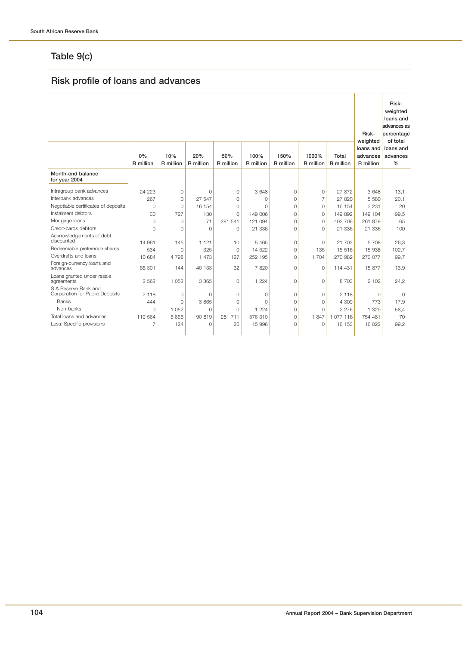# **Table 9(c)**

# **Risk profile of loans and advances**

|                                                         | 0%<br>R million | 10%<br>R million | 20%<br>R million | 50%<br>R million | 100%<br>R million | 150%<br>R million | 1000%<br>R million | Total<br>R million | Risk-<br>weighted<br>loans and<br>advances<br>R million | Risk-<br>weighted<br>loans and<br>advances as<br>percentage<br>of total<br>loans and<br>advances<br>$\%$ |
|---------------------------------------------------------|-----------------|------------------|------------------|------------------|-------------------|-------------------|--------------------|--------------------|---------------------------------------------------------|----------------------------------------------------------------------------------------------------------|
| Month-end balance<br>for year 2004                      |                 |                  |                  |                  |                   |                   |                    |                    |                                                         |                                                                                                          |
| Intragroup bank advances                                | 24 223          | 0                | $\Omega$         | 0                | 3 6 4 8           | 0                 | $\mathbf{0}$       | 27872              | 3648                                                    | 13,1                                                                                                     |
| Interbank advances                                      | 267             | 0                | 27 547           | $\Omega$         | $\Omega$          | $\mathbf 0$       | $\overline{7}$     | 27 820             | 5 5 8 0                                                 | 20,1                                                                                                     |
| Negotiable certificates of deposits                     | $\Omega$        | $\Omega$         | 16 154           | $\Omega$         | $\Omega$          | $\Omega$          | $\mathbf{0}$       | 16 154             | 3 2 3 1                                                 | 20                                                                                                       |
| Instalment debtors                                      | 30              | 727              | 130              | $\Omega$         | 149 006           | $\mathbf 0$       | $\mathbf{0}$       | 149 892            | 149 104                                                 | 99,5                                                                                                     |
| Mortgage loans                                          | $\Omega$        | $\Omega$         | 71               | 281 541          | 121 094           | $\Omega$          | $\circ$            | 402 706            | 261 879                                                 | 65                                                                                                       |
| Credit-cards debtors                                    | $\Omega$        | $\Omega$         | $\Omega$         | $\Omega$         | 21 336            | $\Omega$          | $\Omega$           | 21 336             | 21 336                                                  | 100                                                                                                      |
| Acknowledgements of debt<br>discounted                  | 14 961          | 145              | 1 1 2 1          | 10               | 5 4 6 5           | $\Omega$          | $\overline{0}$     | 21 702             | 5708                                                    | 26,3                                                                                                     |
| Redeemable preference shares                            | 534             | $\mathbf 0$      | 325              | $\Omega$         | 14 5 22           | $\mathbf 0$       | 135                | 15 516             | 15 938                                                  | 102,7                                                                                                    |
| Overdrafts and loans                                    | 10 684          | 4 7 9 8          | 1 473            | 127              | 252 195           | $\Omega$          | 1 704              | 270 982            | 270 077                                                 | 99,7                                                                                                     |
| Foreign-currency loans and<br>advances                  | 66 301          | 144              | 40 133           | 32               | 7820              | $\Omega$          | $\Omega$           | 114 431            | 15877                                                   | 13,9                                                                                                     |
| Loans granted under resale<br>agreements                | 2 5 6 2         | 1 0 5 2          | 3 8 6 5          | 0                | 1 2 2 4           | $\mathbf 0$       | $\overline{0}$     | 8 7 0 3            | 2 102                                                   | 24.2                                                                                                     |
| S A Reserve Bank and<br>Corporation for Public Deposits | 2 1 1 8         | 0                | $\Omega$         | 0                | $\circ$           | $\mathbf 0$       | $\circ$            | 2 1 1 8            | 0                                                       | 0                                                                                                        |
| <b>Banks</b>                                            | 444             | $\Omega$         | 3 8 6 5          | 0                | $\Omega$          | 0                 | 0                  | 4 3 0 9            | 773                                                     | 17,9                                                                                                     |
| Non-banks                                               | $\Omega$        | 1 0 5 2          | $\Omega$         | $\Omega$         | 1 2 2 4           | $\Omega$          | $\Omega$           | 2 2 7 6            | 1 3 2 9                                                 | 58,4                                                                                                     |
| Total loans and advances                                | 119 564         | 6866             | 90 819           | 281 711          | 576 310           | $\Omega$          | 1847               | 1 077 116          | 754 481                                                 | 70                                                                                                       |
| Less: Specific provisions                               |                 | 124              | 0                | 26               | 15 996            | $\Omega$          | 0                  | 16 153             | 16 022                                                  | 99,2                                                                                                     |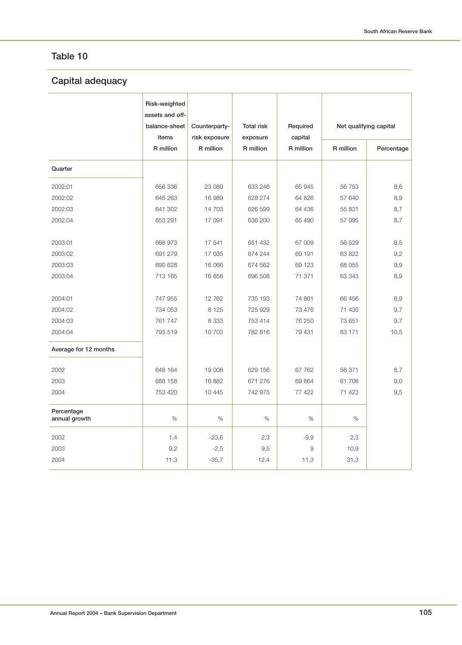# **Capital adequacy**

|                             | Risk-weighted<br>assets and off-<br>balance-sheet<br>items | Counterparty-<br>risk exposure | <b>Total risk</b><br>exposure | Required<br>capital | Net qualifying capital |            |  |
|-----------------------------|------------------------------------------------------------|--------------------------------|-------------------------------|---------------------|------------------------|------------|--|
|                             | R million                                                  | R million                      | R million                     | R million           | R million              | Percentage |  |
| Quarter                     |                                                            |                                |                               |                     |                        |            |  |
| 2002:01                     | 656 336                                                    | 23 089                         | 633 246                       | 65 945              | 56 753                 | 8,6        |  |
| 2002:02                     | 645 263                                                    | 16 989                         | 628 274                       | 64 826              | 57 640                 | 8,9        |  |
| 2002:03                     | 641 302                                                    | 14 703                         | 626 599                       | 64 436              | 55 831                 | 8,7        |  |
| 2002:04                     | 653 291                                                    | 17 091                         | 636 200                       | 65 490              | 57 095                 | 8,7        |  |
| 2003:01                     | 668 973                                                    | 17 541                         | 651 432                       | 67 009              | 56 529                 | 8,5        |  |
| 2003:02                     | 691 279                                                    | 17 035                         | 674 244                       | 69 191              | 63 822                 | 9,2        |  |
| 2003:03                     | 690 628                                                    | 16 066                         | 674 562                       | 69 123              | 68 055                 | 9,9        |  |
| 2003:04                     | 713 165                                                    | 16 658                         | 696 508                       | 71 371              | 63 343                 | 8,9        |  |
| 2004:01                     | 747 955                                                    | 12 762                         | 735 193                       | 74 861              | 66 456                 | 8,9        |  |
| 2004:02                     | 734 053                                                    | 8 1 2 5                        | 725 929                       | 73 476              | 71 435                 | 9,7        |  |
| 2004:03                     | 761 747                                                    | 8 3 3 3                        | 753 414                       | 76 250              | 73 651                 | 9,7        |  |
| 2004:04                     | 793 519                                                    | 10 703                         | 782 816                       | 79 431              | 83 171                 | 10,5       |  |
| Average for 12 months       |                                                            |                                |                               |                     |                        |            |  |
| 2002                        | 648 164                                                    | 19 008                         | 629 156                       | 67 762              | 56 371                 | 8,7        |  |
| 2003                        | 688 158                                                    | 16 882                         | 671 276                       | 69 864              | 61 708                 | 9,0        |  |
| 2004                        | 753 420                                                    | 10 4 45                        | 742 975                       | 77 422              | 71 423                 | 9,5        |  |
| Percentage<br>annual growth | %                                                          | $\%$                           | $\%$                          | $\%$                | $\%$                   |            |  |
| 2002                        | 1,4                                                        | $-23,6$                        | 2,3                           | $-9,9$              | 2,3                    |            |  |
| 2003                        | 9,2                                                        | $-2,5$                         | 9,5                           | 9                   | 10,9                   |            |  |
| 2004                        | 11,3                                                       | $-35,7$                        | 12,4                          | 11,3                | 31,3                   |            |  |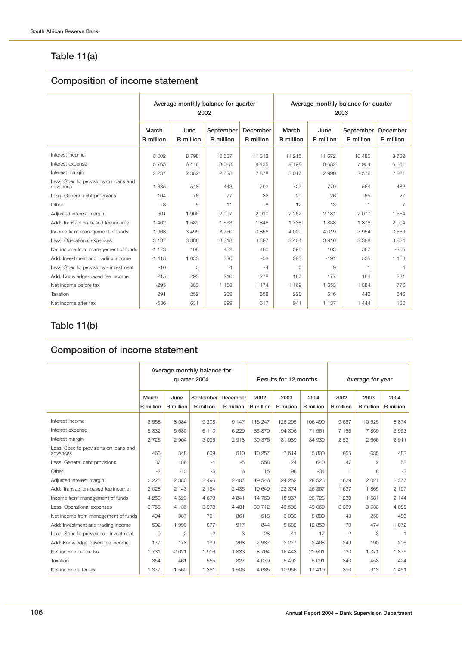# **Table 11(a)**

# **Composition of income statement**

|                                                    | Average monthly balance for quarter<br>2002 |                   |                        |                       | Average monthly balance for quarter<br>2003 |                   |                        |                       |  |
|----------------------------------------------------|---------------------------------------------|-------------------|------------------------|-----------------------|---------------------------------------------|-------------------|------------------------|-----------------------|--|
|                                                    | March<br>R million                          | June<br>R million | September<br>R million | December<br>R million | March<br>R million                          | June<br>R million | September<br>R million | December<br>R million |  |
| Interest income                                    | 8 0 0 2                                     | 8 7 9 8           | 10 637                 | 11 313                | 11 215                                      | 11 672            | 10 480                 | 8 7 3 2               |  |
| Interest expense                                   | 5765                                        | 6416              | 8 0 0 8                | 8 4 3 5               | 8 1 9 8                                     | 8682              | 7 9 0 4                | 6 6 5 1               |  |
| Interest margin                                    | 2 2 3 7                                     | 2 3 8 2           | 2 6 2 8                | 2878                  | 3017                                        | 2 9 9 0           | 2576                   | 2 0 8 1               |  |
| Less: Specific provisions on loans and<br>advances | 1 6 3 5                                     | 548               | 443                    | 793                   | 722                                         | 770               | 564                    | 482                   |  |
| Less: General debt provisions                      | 104                                         | $-76$             | 77                     | 82                    | 20                                          | 26                | $-65$                  | 27                    |  |
| Other                                              | $-3$                                        | 5                 | 11                     | -8                    | 12                                          | 13                | 1                      | $\overline{7}$        |  |
| Adjusted interest margin                           | 501                                         | 1 906             | 2 0 9 7                | 2 0 1 0               | 2 2 6 2                                     | 2 181             | 2077                   | 1 564                 |  |
| Add: Transaction-based fee income                  | 1 4 6 2                                     | 1 589             | 1 653                  | 1846                  | 1 738                                       | 1838              | 1878                   | 2 0 0 4               |  |
| Income from management of funds                    | 1963                                        | 3 4 9 5           | 3750                   | 3856                  | 4 0 0 0                                     | 4 0 1 9           | 3954                   | 3 5 6 9               |  |
| Less: Operational expenses                         | 3 1 3 7                                     | 3 3 8 6           | 3 3 1 8                | 3 3 9 7               | 3 4 0 4                                     | 3916              | 3 3 8 8                | 3824                  |  |
| Net income from management of funds                | $-1173$                                     | 108               | 432                    | 460                   | 596                                         | 103               | 567                    | $-255$                |  |
| Add: Investment and trading income                 | $-1418$                                     | 1 0 3 3           | 720                    | $-53$                 | 393                                         | $-191$            | 525                    | 1 1 6 8               |  |
| Less: Specific provisions - investment             | $-10$                                       | $\Omega$          | 4                      | $-4$                  | $\Omega$                                    | 9                 | 1                      | $\overline{4}$        |  |
| Add: Knowledge-based fee income                    | 215                                         | 293               | 210                    | 278                   | 167                                         | 177               | 184                    | 231                   |  |
| Net income before tax                              | $-295$                                      | 883               | 1 1 5 8                | 1 174                 | 1 1 6 9                                     | 1 653             | 1884                   | 776                   |  |
| Taxation                                           | 291                                         | 252               | 259                    | 558                   | 228                                         | 516               | 440                    | 646                   |  |
| Net income after tax                               | $-586$                                      | 631               | 899                    | 617                   | 941                                         | 1 1 3 7           | 1 4 4 4                | 130                   |  |

# **Table 11(b)**

# **Composition of income statement**

|                                                    | Average monthly balance for<br>quarter 2004 |                   |           |                                 | Results for 12 months |                   |                   | Average for year  |                   |                   |
|----------------------------------------------------|---------------------------------------------|-------------------|-----------|---------------------------------|-----------------------|-------------------|-------------------|-------------------|-------------------|-------------------|
|                                                    | March<br>R million                          | June<br>R million | R million | September December<br>R million | 2002<br>R million     | 2003<br>R million | 2004<br>R million | 2002<br>R million | 2003<br>R million | 2004<br>R million |
|                                                    |                                             |                   |           |                                 |                       |                   |                   |                   |                   |                   |
| Interest income                                    | 8 5 5 8                                     | 8 5 8 4           | 9 2 0 8   | 9 1 4 7                         | 116 247               | 126 295           | 106 490           | 9687              | 10 525            | 8 8 7 4           |
| Interest expense                                   | 5 8 3 2                                     | 5 680             | 6 1 1 3   | 6 2 2 9                         | 85 870                | 94 306            | 71 561            | 7 1 5 6           | 7859              | 5963              |
| Interest margin                                    | 2 7 2 6                                     | 2 9 0 4           | 3 0 9 5   | 2918                            | 30 376                | 31 989            | 34 930            | 2 5 3 1           | 2 6 6 6           | 2911              |
| Less: Specific provisions on loans and<br>advances | 466                                         | 348               | 609       | 510                             | 10 257                | 7614              | 5 800             | 855               | 635               | 483               |
| Less: General debt provisions                      | 37                                          | 186               | -4        | -5                              | 558                   | 24                | 640               | 47                | $\overline{c}$    | 53                |
| Other                                              | $-2$                                        | $-10$             | -5        | 6                               | 15                    | 98                | $-34$             |                   | 8                 | $-3$              |
| Adjusted interest margin                           | 2 2 2 5                                     | 2 380             | 2 4 9 6   | 2 4 0 7                         | 19546                 | 24 25 2           | 28 5 23           | 1 6 2 9           | 2 0 2 1           | 2 3 7 7           |
| Add: Transaction-based fee income                  | 2 0 2 8                                     | 2 1 4 3           | 2 1 8 4   | 2 4 3 5                         | 19 649                | 22 374            | 26 367            | 1 637             | 1865              | 2 197             |
| Income from management of funds                    | 4 2 5 3                                     | 4 5 2 3           | 4679      | 4 8 4 1                         | 14 760                | 18 967            | 25 7 28           | 1 2 3 0           | 1 581             | 2 144             |
| Less: Operational expenses                         | 3758                                        | 4 1 3 6           | 3978      | 4 4 8 1                         | 39 712                | 43 593            | 49 060            | 3 3 0 9           | 3633              | 4 0 8 8           |
| Net income from management of funds                | 494                                         | 387               | 701       | 361                             | $-518$                | 3 0 3 3           | 5 8 3 0           | $-43$             | 253               | 486               |
| Add: Investment and trading income                 | 502                                         | 990               | 877       | 917                             | 844                   | 5 6 8 2           | 12 859            | 70                | 474               | 1 0 7 2           |
| Less: Specific provisions - investment             | -9                                          | $-2$              | 2         | 3                               | $-28$                 | 41                | $-17$             | $-2$              | 3                 | $-1$              |
| Add: Knowledge-based fee income                    | 177                                         | 178               | 199       | 268                             | 2987                  | 2 2 7 7           | 2 4 6 8           | 249               | 190               | 206               |
| Net income before tax                              | 1 7 3 1                                     | 2 0 2 1           | 1916      | 1833                            | 8764                  | 16 448            | 22 501            | 730               | 1 371             | 1875              |
| Taxation                                           | 354                                         | 461               | 555       | 327                             | 4 0 7 9               | 5 4 9 2           | 5 0 9 1           | 340               | 458               | 424               |
| Net income after tax                               | 1 377                                       | 1 560             | 1 3 6 1   | 1 506                           | 4 6 8 5               | 10 956            | 17 410            | 390               | 913               | 1451              |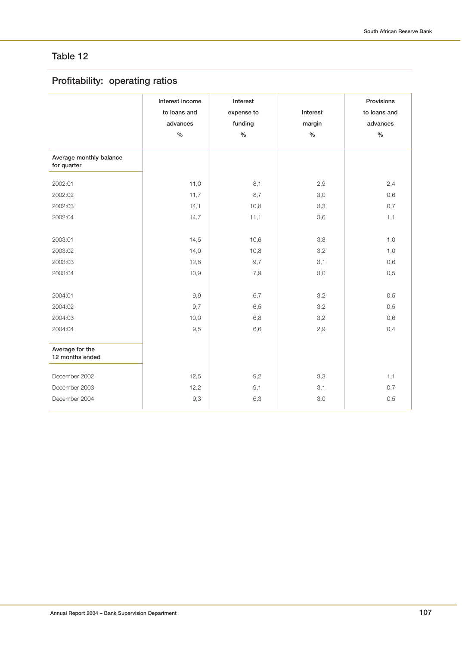# **Profitability: operating ratios**

|                                        | Interest income<br>to loans and<br>advances<br>$\frac{1}{2}$ | Interest<br>expense to<br>funding<br>$\frac{1}{2}$ | Interest<br>margin<br>$\%$ | Provisions<br>to loans and<br>advances<br>$\%$ |
|----------------------------------------|--------------------------------------------------------------|----------------------------------------------------|----------------------------|------------------------------------------------|
| Average monthly balance<br>for quarter |                                                              |                                                    |                            |                                                |
| 2002:01                                | 11,0                                                         | 8,1                                                | 2,9                        | 2,4                                            |
| 2002:02                                | 11,7                                                         | 8,7                                                | 3,0                        | 0,6                                            |
| 2002:03                                | 14,1                                                         | 10,8                                               | 3,3                        | 0,7                                            |
| 2002:04                                | 14,7                                                         | 11,1                                               | 3,6                        | 1,1                                            |
| 2003:01                                | 14,5                                                         | 10,6                                               | 3,8                        | 1,0                                            |
| 2003:02                                | 14,0                                                         | 10,8                                               | 3,2                        | 1,0                                            |
| 2003:03                                | 12,8                                                         | 9,7                                                | 3,1                        | 0,6                                            |
| 2003:04                                | 10,9                                                         | 7,9                                                | 3,0                        | 0,5                                            |
| 2004:01                                | 9,9                                                          | 6,7                                                | 3,2                        | 0,5                                            |
| 2004:02                                | 9,7                                                          | 6,5                                                | 3,2                        | 0,5                                            |
| 2004:03                                | 10,0                                                         | 6,8                                                | 3,2                        | 0,6                                            |
| 2004:04                                | 9,5                                                          | 6,6                                                | 2,9                        | 0,4                                            |
| Average for the<br>12 months ended     |                                                              |                                                    |                            |                                                |
| December 2002                          | 12,5                                                         | 9,2                                                | 3,3                        | 1,1                                            |
| December 2003                          | 12,2                                                         | 9,1                                                | 3,1                        | 0,7                                            |
| December 2004                          | 9,3                                                          | 6,3                                                | 3,0                        | 0,5                                            |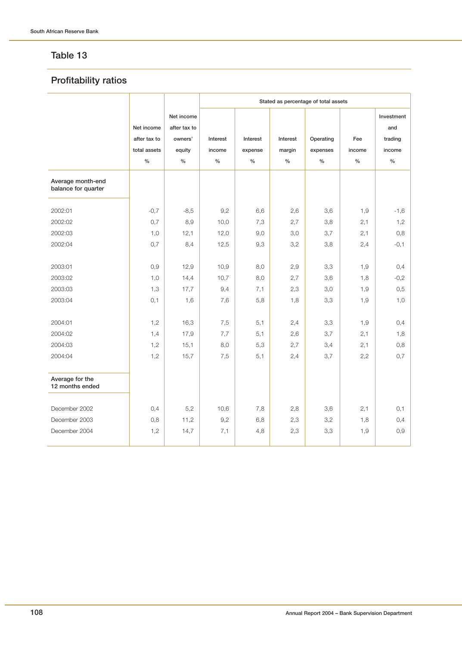### **Profitability ratios**

|                                          |                                                    |                                                         | Stated as percentage of total assets |                             |                            |                               |                       |                                                |  |  |
|------------------------------------------|----------------------------------------------------|---------------------------------------------------------|--------------------------------------|-----------------------------|----------------------------|-------------------------------|-----------------------|------------------------------------------------|--|--|
|                                          | Net income<br>after tax to<br>total assets<br>$\%$ | Net income<br>after tax to<br>owners'<br>equity<br>$\%$ | Interest<br>income<br>$\%$           | Interest<br>expense<br>$\%$ | Interest<br>margin<br>$\%$ | Operating<br>expenses<br>$\%$ | Fee<br>income<br>$\%$ | Investment<br>and<br>trading<br>income<br>$\%$ |  |  |
| Average month-end<br>balance for quarter |                                                    |                                                         |                                      |                             |                            |                               |                       |                                                |  |  |
| 2002:01                                  | $-0,7$                                             | $-8,5$                                                  | 9,2                                  | 6,6                         | 2,6                        | 3,6                           | 1,9                   | $-1,6$                                         |  |  |
| 2002:02                                  | 0,7                                                | 8,9                                                     | 10,0                                 | 7,3                         | 2,7                        | 3,8                           | 2,1                   | 1,2                                            |  |  |
| 2002:03                                  | 1,0                                                | 12,1                                                    | 12,0                                 | 9,0                         | 3,0                        | 3,7                           | 2,1                   | 0,8                                            |  |  |
| 2002:04                                  | 0,7                                                | 8,4                                                     | 12,5                                 | 9,3                         | 3,2                        | 3,8                           | 2,4                   | $-0,1$                                         |  |  |
| 2003:01                                  | 0,9                                                | 12,9                                                    | 10,9                                 | 8,0                         | 2,9                        | 3,3                           | 1,9                   | 0,4                                            |  |  |
| 2003:02                                  | 1,0                                                | 14,4                                                    | 10,7                                 | 8,0                         | 2,7                        | 3,6                           | 1,8                   | $-0,2$                                         |  |  |
| 2003:03                                  | 1,3                                                | 17,7                                                    | 9,4                                  | 7,1                         | 2,3                        | 3,0                           | 1,9                   | 0,5                                            |  |  |
| 2003:04                                  | 0,1                                                | 1,6                                                     | 7,6                                  | 5,8                         | 1,8                        | 3,3                           | 1,9                   | 1,0                                            |  |  |
| 2004:01                                  | 1,2                                                | 16,3                                                    | 7,5                                  | 5,1                         | 2,4                        | 3,3                           | 1,9                   | 0,4                                            |  |  |
| 2004:02                                  | 1,4                                                | 17,9                                                    | 7,7                                  | 5,1                         | 2,6                        | 3,7                           | 2,1                   | 1,8                                            |  |  |
| 2004:03                                  | 1,2                                                | 15,1                                                    | 8,0                                  | 5,3                         | 2,7                        | 3,4                           | 2,1                   | 0,8                                            |  |  |
| 2004:04                                  | 1,2                                                | 15,7                                                    | 7,5                                  | 5,1                         | 2,4                        | 3,7                           | 2,2                   | 0,7                                            |  |  |
| Average for the<br>12 months ended       |                                                    |                                                         |                                      |                             |                            |                               |                       |                                                |  |  |
| December 2002                            | 0,4                                                | 5,2                                                     | 10,6                                 | 7,8                         | 2,8                        | 3,6                           | 2,1                   | 0,1                                            |  |  |
| December 2003                            | 0,8                                                | 11,2                                                    | 9,2                                  | 6,8                         | 2,3                        | 3,2                           | 1,8                   | 0,4                                            |  |  |
| December 2004                            | 1,2                                                | 14,7                                                    | 7,1                                  | 4,8                         | 2,3                        | 3,3                           | 1,9                   | 0,9                                            |  |  |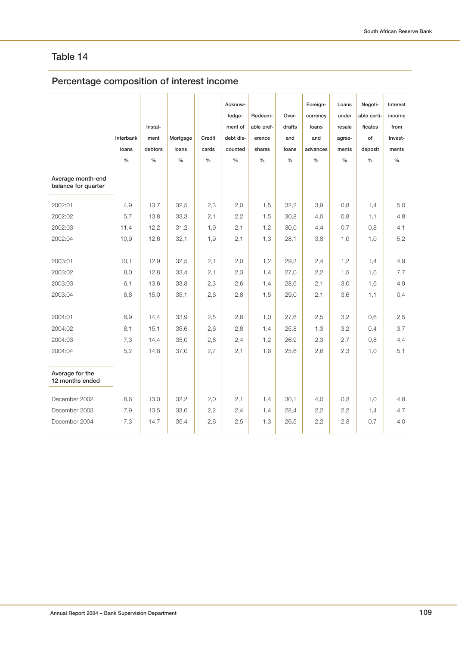# **Percentage composition of interest income**

|                                          | Interbank<br>loans<br>$\frac{0}{0}$ | Instal-<br>ment<br>debtors<br>$\frac{0}{0}$ | Mortgage<br>loans<br>$\frac{0}{0}$ | Credit<br>cards<br>$\frac{0}{0}$ | Acknow-<br>ledge-<br>ment of<br>debt dis-<br>counted<br>$\frac{0}{0}$ | Redeem-<br>able pref-<br>erence<br>shares<br>$\frac{0}{0}$ | Over-<br>drafts<br>and<br>loans<br>$\frac{0}{0}$ | Foreign-<br>currency<br>loans<br>and<br>advances<br>$\frac{0}{0}$ | Loans<br>under<br>resale<br>agree-<br>ments<br>$\frac{0}{0}$ | Negoti-<br>able certi-<br>ficates<br>of<br>deposit<br>$\frac{0}{0}$ | Interest<br>income<br>from<br>invest-<br>ments<br>$\frac{0}{0}$ |
|------------------------------------------|-------------------------------------|---------------------------------------------|------------------------------------|----------------------------------|-----------------------------------------------------------------------|------------------------------------------------------------|--------------------------------------------------|-------------------------------------------------------------------|--------------------------------------------------------------|---------------------------------------------------------------------|-----------------------------------------------------------------|
| Average month-end<br>balance for quarter |                                     |                                             |                                    |                                  |                                                                       |                                                            |                                                  |                                                                   |                                                              |                                                                     |                                                                 |
| 2002:01                                  | 4,9                                 | 13,7                                        | 32,5                               | 2,3                              | 2,0                                                                   | 1,5                                                        | 32,2                                             | 3,9                                                               | 0,8                                                          | 1,4                                                                 | 5,0                                                             |
| 2002:02                                  | 5,7                                 | 13,8                                        | 33,3                               | 2,1                              | 2,2                                                                   | 1,5                                                        | 30,8                                             | 4,0                                                               | 0,8                                                          | 1,1                                                                 | 4,8                                                             |
| 2002:03                                  | 11,4                                | 12,2                                        | 31,2                               | 1,9                              | 2,1                                                                   | 1,2                                                        | 30,0                                             | 4,4                                                               | 0,7                                                          | 0,8                                                                 | 4,1                                                             |
| 2002:04                                  | 10,9                                | 12,6                                        | 32,1                               | 1,9                              | 2,1                                                                   | 1,3                                                        | 28,1                                             | 3,8                                                               | 1,0                                                          | 1,0                                                                 | 5,2                                                             |
| 2003:01                                  | 10,1                                | 12,9                                        | 32,5                               | 2,1                              | 2,0                                                                   | 1,2                                                        | 29,3                                             | 2,4                                                               | 1,2                                                          | 1,4                                                                 | 4,9                                                             |
| 2003:02                                  | 8,0                                 | 12,8                                        | 33,4                               | 2,1                              | 2,3                                                                   | 1,4                                                        | 27,0                                             | 2,2                                                               | 1,5                                                          | 1,6                                                                 | 7,7                                                             |
| 2003:03                                  | 6,1                                 | 13,6                                        | 33,8                               | 2,3                              | 2,6                                                                   | 1,4                                                        | 28,6                                             | 2,1                                                               | 3,0                                                          | 1,6                                                                 | 4,9                                                             |
| 2003:04                                  | 6,8                                 | 15,0                                        | 35,1                               | 2,6                              | 2,8                                                                   | 1,5                                                        | 29,0                                             | 2,1                                                               | 3,6                                                          | 1,1                                                                 | 0,4                                                             |
| 2004:01                                  | 8,9                                 | 14,4                                        | 33,9                               | 2,5                              | 2,8                                                                   | 1,0                                                        | 27,6                                             | 2,5                                                               | 3,2                                                          | 0,6                                                                 | 2,5                                                             |
| 2004:02                                  | 8,1                                 | 15,1                                        | 35,6                               | 2,6                              | 2,8                                                                   | 1,4                                                        | 25,8                                             | 1,3                                                               | 3,2                                                          | 0,4                                                                 | 3,7                                                             |
| 2004:03                                  | 7,3                                 | 14,4                                        | 35,0                               | 2,6                              | 2,4                                                                   | 1,2                                                        | 26,9                                             | 2,3                                                               | 2,7                                                          | 0,8                                                                 | 4,4                                                             |
| 2004:04                                  | 5,2                                 | 14,8                                        | 37,0                               | 2,7                              | 2,1                                                                   | 1,6                                                        | 25,6                                             | 2,6                                                               | 2,3                                                          | 1,0                                                                 | 5,1                                                             |
| Average for the<br>12 months ended       |                                     |                                             |                                    |                                  |                                                                       |                                                            |                                                  |                                                                   |                                                              |                                                                     |                                                                 |
| December 2002                            | 8,6                                 | 13,0                                        | 32,2                               | 2,0                              | 2,1                                                                   | 1,4                                                        | 30,1                                             | 4,0                                                               | 0,8                                                          | 1,0                                                                 | 4,8                                                             |
| December 2003                            | 7,9                                 | 13,5                                        | 33,6                               | 2,2                              | 2,4                                                                   | 1,4                                                        | 28,4                                             | 2,2                                                               | 2,2                                                          | 1,4                                                                 | 4,7                                                             |
| December 2004                            | 7,3                                 | 14,7                                        | 35,4                               | 2,6                              | 2,5                                                                   | 1,3                                                        | 26,5                                             | 2,2                                                               | 2,8                                                          | 0,7                                                                 | 4,0                                                             |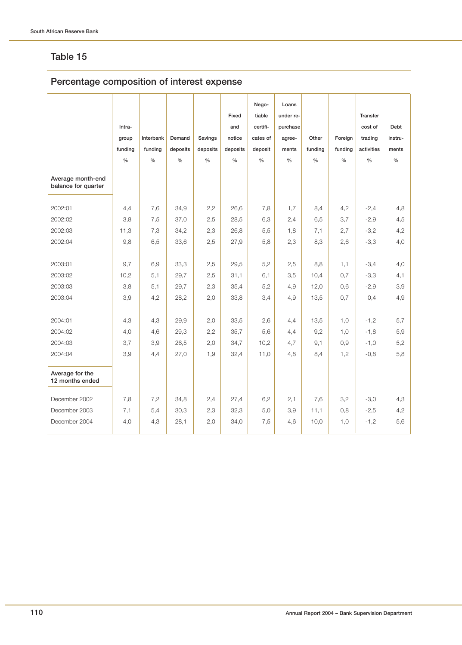# **Percentage composition of interest expense**

|                                          |               |               |               |               |               | Nego-         | Loans         |               |               |               |               |
|------------------------------------------|---------------|---------------|---------------|---------------|---------------|---------------|---------------|---------------|---------------|---------------|---------------|
|                                          |               |               |               |               | Fixed         | tiable        | under re-     |               |               | Transfer      |               |
|                                          | Intra-        |               |               |               | and           | certifi-      | purchase      |               |               | cost of       | Debt          |
|                                          | group         | Interbank     | Demand        | Savings       | notice        | cates of      | agree-        | Other         | Foreign       | trading       | instru-       |
|                                          | funding       | funding       | deposits      | deposits      | deposits      | deposit       | ments         | funding       | funding       | activities    | ments         |
|                                          | $\frac{0}{0}$ | $\frac{0}{0}$ | $\frac{0}{0}$ | $\frac{0}{0}$ | $\frac{0}{0}$ | $\frac{0}{0}$ | $\frac{0}{0}$ | $\frac{0}{0}$ | $\frac{0}{0}$ | $\frac{0}{0}$ | $\frac{0}{0}$ |
| Average month-end<br>balance for quarter |               |               |               |               |               |               |               |               |               |               |               |
| 2002:01                                  | 4,4           | 7,6           | 34,9          | 2,2           | 26,6          | 7,8           | 1,7           | 8,4           | 4,2           | $-2,4$        | 4,8           |
| 2002:02                                  | 3,8           | 7,5           | 37,0          | 2,5           | 28,5          | 6,3           | 2,4           | 6,5           | 3,7           | $-2,9$        | 4,5           |
| 2002:03                                  | 11,3          | 7,3           | 34,2          | 2,3           | 26,8          | 5,5           | 1,8           | 7,1           | 2,7           | $-3,2$        | 4,2           |
| 2002:04                                  | 9,8           | 6,5           | 33,6          | 2,5           | 27,9          | 5,8           | 2,3           | 8,3           | 2,6           | $-3,3$        | 4,0           |
| 2003:01                                  | 9,7           | 6,9           | 33,3          | 2,5           | 29,5          | 5,2           | 2,5           | 8,8           | 1,1           | $-3,4$        | 4,0           |
| 2003:02                                  | 10,2          | 5,1           | 29,7          | 2,5           | 31,1          | 6,1           | 3,5           | 10,4          | 0,7           | $-3,3$        | 4,1           |
| 2003:03                                  | 3,8           | 5,1           | 29,7          | 2,3           | 35,4          | 5,2           | 4,9           | 12,0          | 0,6           | $-2,9$        | 3,9           |
| 2003:04                                  | 3,9           | 4,2           | 28,2          | 2,0           | 33,8          | 3,4           | 4,9           | 13,5          | 0.7           | 0,4           | 4,9           |
| 2004:01                                  | 4,3           | 4,3           | 29,9          | 2,0           | 33,5          | 2,6           | 4,4           | 13,5          | 1,0           | $-1,2$        | 5,7           |
| 2004:02                                  | 4,0           | 4,6           | 29,3          | 2,2           | 35,7          | 5,6           | 4,4           | 9,2           | 1,0           | $-1,8$        | 5,9           |
| 2004:03                                  | 3,7           | 3,9           | 26,5          | 2,0           | 34,7          | 10,2          | 4,7           | 9,1           | 0,9           | $-1,0$        | 5,2           |
| 2004:04                                  | 3,9           | 4,4           | 27,0          | 1,9           | 32,4          | 11,0          | 4,8           | 8,4           | 1,2           | $-0.8$        | 5,8           |
| Average for the<br>12 months ended       |               |               |               |               |               |               |               |               |               |               |               |
| December 2002                            | 7,8           | 7,2           | 34,8          | 2,4           | 27,4          | 6,2           | 2,1           | 7,6           | 3,2           | $-3,0$        | 4,3           |
| December 2003                            | 7,1           | 5,4           | 30,3          | 2,3           | 32,3          | 5,0           | 3,9           | 11,1          | 0,8           | $-2,5$        | 4,2           |
| December 2004                            | 4,0           | 4,3           | 28,1          | 2,0           | 34,0          | 7,5           | 4,6           | 10,0          | 1,0           | $-1,2$        | 5,6           |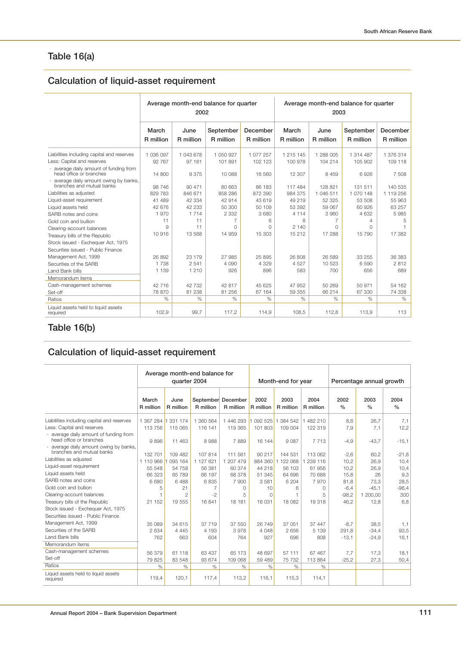# **Table 16(a)**

# **Calculation of liquid-asset requirement**

|                                                                                                                    |                             | 2002                        | Average month-end balance for quarter |                             | Average month-end balance for quarter<br>2003 |                               |                               |                               |  |
|--------------------------------------------------------------------------------------------------------------------|-----------------------------|-----------------------------|---------------------------------------|-----------------------------|-----------------------------------------------|-------------------------------|-------------------------------|-------------------------------|--|
|                                                                                                                    | March<br>R million          | June<br>R million           | September<br>R million                | December<br>R million       | March<br>R million                            | June<br>R million             | September<br>R million        | December<br>R million         |  |
| Liabilities including capital and reserves<br>Less: Capital and reserves<br>- average daily amount of funding from | 1 036 097<br>92 767         | 1 043 678<br>97 161         | 1 050 927<br>101 891                  | 1 077 257<br>102 123        | 1 215 145<br>100 978                          | 1 288 005<br>104 214          | 1 314 487<br>105 902          | 1 376 314<br>109 118          |  |
| head office or branches<br>- average daily amount owing by banks,<br>branches and mutual banks                     | 14 800<br>98 746            | 9375<br>90 471              | 10 088<br>80 663                      | 16 560<br>86 183            | 12 307<br>117 484                             | 8 4 5 9<br>128 821            | 6.926<br>131 511              | 7 508<br>140 535              |  |
| Liabilities as adjusted<br>Liquid-asset requirement<br>Liquid assets held                                          | 829 783<br>41 489<br>42 676 | 846 671<br>42 334<br>42 233 | 858 286<br>42 914<br>50 300           | 872 390<br>43 619<br>50 109 | 984 375<br>49 219<br>53 392                   | 1 046 511<br>52 325<br>59 067 | 1 070 148<br>53 508<br>60 926 | 1 119 256<br>55 963<br>63 257 |  |
| SARB notes and coins<br>Gold coin and bullion                                                                      | 1970<br>11                  | 1 7 1 4<br>11               | 2 3 3 2                               | 3 6 8 0<br>6                | 4 1 1 4<br>8                                  | 3 9 6 0<br>7                  | 4 6 3 2<br>4                  | 5985<br>5                     |  |
| Clearing-account balances<br>Treasury bills of the Republic<br>Stock issued - Exchequer Act, 1975                  | $\Omega$<br>10 916          | 11<br>13 568                | O<br>14 959                           | $\Omega$<br>15 303          | 2 140<br>15 21 2                              | $\Omega$<br>17 288            | O<br>15 790                   | 17 382                        |  |
| Securities issued - Public Finance<br>Management Act, 1999                                                         | 26 892                      | 23 179                      | 27 985                                | 25 895                      | 26 808                                        | 26 589                        | 33 255                        | 36 383                        |  |
| Securities of the SARB<br><b>Land Bank bills</b><br>Memorandum items                                               | 1 7 3 8<br>1 1 3 9          | 2 5 4 1<br>1 2 1 0          | 4 0 9 0<br>926                        | 4 3 2 9<br>896              | 4527<br>583                                   | 10 523<br>700                 | 6590<br>656                   | 2812<br>689                   |  |
| Cash-management schemes<br>Set-off                                                                                 | 42 716<br>78 870            | 42 732<br>81 238            | 42 817<br>81 256                      | 45 625<br>67 164            | 47 952<br>59 355                              | 50 269<br>66 214              | 50 971<br>67 330              | 54 162<br>74 338              |  |
| Ratios<br>Liquid assets held to liquid assets<br>required                                                          | $\%$<br>102,9               | $\%$<br>99.7                | $\%$<br>117,2                         | $\%$<br>114,9               | $\%$<br>108,5                                 | $\%$<br>112.8                 | $\%$<br>113.9                 | $\%$<br>113                   |  |

# **Table 16(b)**

# **Calculation of liquid-asset requirement**

|                                                                     | Average month-end balance for<br>quarter 2004 |                   |                  |                                 | Month-end for year |                   |                   | Percentage annual growth |                       |                       |
|---------------------------------------------------------------------|-----------------------------------------------|-------------------|------------------|---------------------------------|--------------------|-------------------|-------------------|--------------------------|-----------------------|-----------------------|
|                                                                     | March<br>R million                            | June<br>R million | R million        | September December<br>R million | 2002<br>R million  | 2003<br>R million | 2004<br>R million | 2002<br>$\frac{0}{0}$    | 2003<br>$\frac{0}{0}$ | 2004<br>$\frac{0}{0}$ |
| Liabilities including capital and reserves                          | 1 367 284                                     | 1 331 174         | 1 360 564        | 1 446 293                       | 092 525            | 1 384 542         | 1 482 210         | 8,6                      | 26,7                  | 7,1                   |
| Less: Capital and reserves                                          | 113 756                                       | 115 065           | 116 141          | 119 365                         | 101 803            | 109 004           | 122 319           | 7,9                      | 7,1                   | 12,2                  |
| - average daily amount of funding from<br>head office or branches   | 9896                                          | 11 463            | 8988             | 7889                            | 16 144             | 9 0 8 7           | 7 7 1 3           | $-4,9$                   | $-43.7$               | $-15,1$               |
| - average daily amount owing by banks,<br>branches and mutual banks |                                               |                   |                  |                                 |                    |                   |                   |                          |                       |                       |
| Liabilities as adjusted                                             | 132 701                                       | 109 482           | 107 814          | 111 561                         | 90 217             | 144 531           | 113 062           | $-2,6$                   | 60.2                  | $-21,8$               |
| Liquid-asset requirement                                            | 1 110 966                                     | 095 164           | 1 127 621        | 1 207 479                       | 884 360            | 122 068<br>1.     | 239 116           | 10,2                     | 26,9                  | 10,4                  |
| Liquid assets held                                                  | 55 548<br>66 323                              | 54 758<br>65 789  | 56 381<br>66 197 | 60 374<br>68 378                | 44 218<br>51 345   | 56 103<br>64 696  | 61 956<br>70 688  | 10,2                     | 26,9<br>26            | 10,4                  |
| SARB notes and coins                                                | 6 6 8 0                                       | 6488              | 6835             | 7 900                           | 3581               | 6 204             | 7970              | 15,8<br>81,8             | 73,3                  | 9,3<br>28,5           |
| Gold coin and bullion                                               | 5                                             | 21                |                  | $\Omega$                        | 10                 | 6                 | $\Omega$          | $-6,4$                   | $-45.1$               | $-96,4$               |
| Clearing-account balances                                           |                                               | $\overline{2}$    | $-2$             | 5                               | $\Omega$           |                   | 5                 | $-98,2$                  | 1 200,00              | 300                   |
| Treasury bills of the Republic                                      | 21 152                                        | 19 555            | 16841            | 18 18 1                         | 16 031             | 18 082            | 19318             | 46,2                     | 12,8                  | 6,8                   |
| Stock issued - Exchequer Act, 1975                                  |                                               |                   |                  |                                 |                    |                   |                   |                          |                       |                       |
| Securities issued - Public Finance                                  |                                               |                   |                  |                                 |                    |                   |                   |                          |                       |                       |
| Management Act, 1999                                                | 35 089                                        | 34 615            | 37 719           | 37 550                          | 26749              | 37 051            | 37 447            | $-8,7$                   | 38,5                  | 1,1                   |
| Securities of the SARB                                              | 2 6 3 4                                       | 4 4 4 5           | 4 1 9 3          | 3978                            | 4 0 4 8            | 2 6 5 6           | 5 1 3 9           | 291.8                    | $-34.4$               | 93,5                  |
| Land Bank bills                                                     | 762                                           | 663               | 604              | 764                             | 927                | 696               | 808               | $-13.1$                  | $-24,9$               | 16,1                  |
| Memorandum items                                                    |                                               |                   |                  |                                 |                    |                   |                   |                          |                       |                       |
| Cash-management schemes                                             | 56 379                                        | 61 118            | 63 437           | 65 173                          | 48 697             | 57 111            | 67 467            | 7.7                      | 17,3                  | 18,1                  |
| Set-off                                                             | 79 825                                        | 83 548            | 93 674           | 109 068                         | 59 489             | 75 732            | 113 864           | $-25,2$                  | 27,3                  | 50,4                  |
| Ratios                                                              | $\%$                                          | $\%$              | %                | $\%$                            | $\%$               | $\%$              | $\%$              |                          |                       |                       |
| Liquid assets held to liquid assets<br>required                     | 119,4                                         | 120,1             | 117,4            | 113,2                           | 116.1              | 115,3             | 114,1             |                          |                       |                       |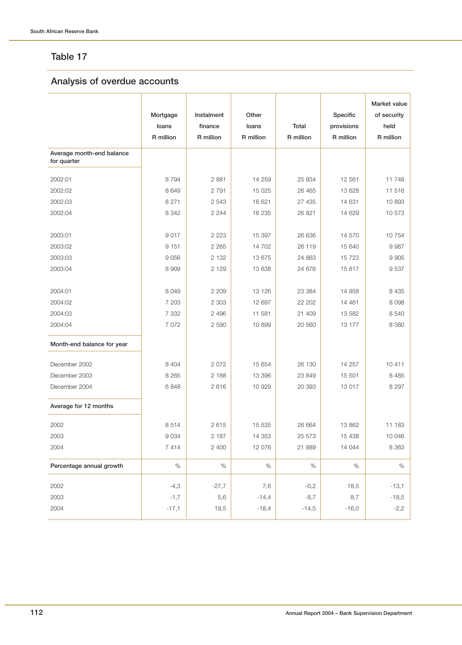### **Analysis of overdue accounts**

|                                          | Mortgage<br>loans<br>R million | Instalment<br>finance<br>R million | Other<br>loans<br>R million | <b>Total</b><br>R million | Specific<br>provisions<br>R million | Market value<br>of security<br>held<br>R million |
|------------------------------------------|--------------------------------|------------------------------------|-----------------------------|---------------------------|-------------------------------------|--------------------------------------------------|
| Average month-end balance<br>for quarter |                                |                                    |                             |                           |                                     |                                                  |
| 2002:01                                  | 8794                           | 2881                               | 14 259                      | 25 934                    | 12 561                              | 11748                                            |
| 2002:02                                  | 8 6 4 9                        | 2 7 9 1                            | 15 0 25                     | 26 4 65                   | 13 628                              | 11 516                                           |
| 2002:03                                  | 8 2 7 1                        | 2 5 4 3                            | 16 621                      | 27 435                    | 14 631                              | 10893                                            |
| 2002:04                                  | 8 3 4 2                        | 2 2 4 4                            | 16 235                      | 26 821                    | 14 629                              | 10 573                                           |
| 2003:01                                  | 9017                           | 2 2 2 3                            | 15 397                      | 26 636                    | 14 570                              | 10754                                            |
| 2003:02                                  | 9 1 5 1                        | 2 2 6 5                            | 14 702                      | 26 119                    | 15 640                              | 9 9 8 7                                          |
| 2003:03                                  | 9 0 5 6                        | 2 1 3 2                            | 13 675                      | 24 863                    | 15 723                              | 9 9 0 5                                          |
| 2003:04                                  | 8 9 0 9                        | 2 1 2 9                            | 13 638                      | 24 676                    | 15 817                              | 9537                                             |
| 2004:01                                  | 8 0 4 9                        | 2 2 0 9                            | 13 126                      | 23 384                    | 14 958                              | 8 4 3 5                                          |
| 2004:02                                  | 7 203                          | 2 3 0 3                            | 12 697                      | 22 202                    | 14 4 61                             | 8 0 9 8                                          |
| 2004:03                                  | 7 3 3 2                        | 2 4 9 6                            | 11 581                      | 21 409                    | 13 582                              | 8 5 4 0                                          |
| 2004:04                                  | 7 0 7 2                        | 2 5 9 0                            | 10899                       | 20 560                    | 13 177                              | 8 3 8 0                                          |
| Month-end balance for year               |                                |                                    |                             |                           |                                     |                                                  |
| December 2002                            | 8 4 0 4                        | 2 0 7 2                            | 15 654                      | 26 130                    | 14 257                              | 10 411                                           |
| December 2003                            | 8 2 6 5                        | 2 1 8 8                            | 13 396                      | 23 849                    | 15 501                              | 8 4 8 5                                          |
| December 2004                            | 6848                           | 2616                               | 10 929                      | 20 393                    | 13 017                              | 8 2 9 7                                          |
| Average for 12 months                    |                                |                                    |                             |                           |                                     |                                                  |
| 2002                                     | 8514                           | 2615                               | 15 5 35                     | 26 664                    | 13 862                              | 11 183                                           |
| 2003                                     | 9 0 3 4                        | 2 187                              | 14 353                      | 25 573                    | 15 4 38                             | 10 046                                           |
| 2004                                     | 7 4 1 4                        | 2 400                              | 12 076                      | 21 889                    | 14 044                              | 8 3 6 3                                          |
| Percentage annual growth                 | $\%$                           | $\%$                               | $\%$                        | $\%$                      | $\%$                                | $\%$                                             |
| 2002                                     | $-4,3$                         | $-27,7$                            | 7,6                         | $-0,2$                    | 18,5                                | $-13,1$                                          |
| 2003                                     | $-1,7$                         | 5,6                                | $-14,4$                     | $-8,7$                    | 8,7                                 | $-18,5$                                          |
| 2004                                     | $-17,1$                        | 19,5                               | $-18,4$                     | $-14,5$                   | $-16,0$                             | $-2,2$                                           |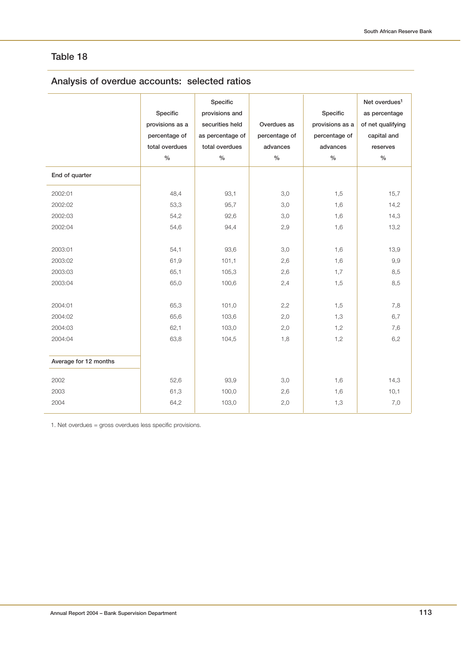# **Analysis of overdue accounts: selected ratios**

|                                                                                      | Specific<br>provisions as a<br>percentage of<br>total overdues<br>$\frac{0}{0}$ | Specific<br>provisions and<br>securities held<br>as percentage of<br>total overdues<br>$\frac{0}{0}$ | Overdues as<br>percentage of<br>advances<br>$\%$     | Specific<br>provisions as a<br>percentage of<br>advances<br>$\frac{0}{0}$ | Net overdues <sup>1</sup><br>as percentage<br>of net qualifying<br>capital and<br>reserves<br>$\%$ |
|--------------------------------------------------------------------------------------|---------------------------------------------------------------------------------|------------------------------------------------------------------------------------------------------|------------------------------------------------------|---------------------------------------------------------------------------|----------------------------------------------------------------------------------------------------|
| End of quarter                                                                       |                                                                                 |                                                                                                      |                                                      |                                                                           |                                                                                                    |
| 2002:01                                                                              | 48,4                                                                            | 93,1                                                                                                 | 3,0                                                  | 1,5                                                                       | 15,7                                                                                               |
| 2002:02                                                                              | 53,3                                                                            | 95,7                                                                                                 | 3,0                                                  | 1,6                                                                       | 14,2                                                                                               |
| 2002:03                                                                              | 54,2                                                                            | 92,6                                                                                                 | 3,0                                                  | 1,6                                                                       | 14,3                                                                                               |
| 2002:04                                                                              | 54,6                                                                            | 94,4                                                                                                 | 2,9                                                  | 1,6                                                                       | 13,2                                                                                               |
| 2003:01<br>2003:02<br>2003:03<br>2003:04<br>2004:01<br>2004:02<br>2004:03<br>2004:04 | 54,1<br>61,9<br>65,1<br>65,0<br>65,3<br>65,6<br>62,1<br>63,8                    | 93,6<br>101,1<br>105,3<br>100,6<br>101,0<br>103,6<br>103,0<br>104,5                                  | 3,0<br>2,6<br>2,6<br>2,4<br>2,2<br>2,0<br>2,0<br>1,8 | 1,6<br>1,6<br>1,7<br>1,5<br>1,5<br>1,3<br>1,2<br>1,2                      | 13,9<br>9,9<br>8,5<br>8,5<br>7,8<br>6,7<br>7,6<br>6,2                                              |
| Average for 12 months                                                                |                                                                                 |                                                                                                      |                                                      |                                                                           |                                                                                                    |
| 2002                                                                                 | 52,6                                                                            | 93,9                                                                                                 | 3,0                                                  | 1,6                                                                       | 14,3                                                                                               |
| 2003<br>2004                                                                         | 61,3<br>64,2                                                                    | 100,0<br>103,0                                                                                       | 2,6<br>2,0                                           | 1,6<br>1,3                                                                | 10,1<br>7,0                                                                                        |

1. Net overdues = gross overdues less specific provisions.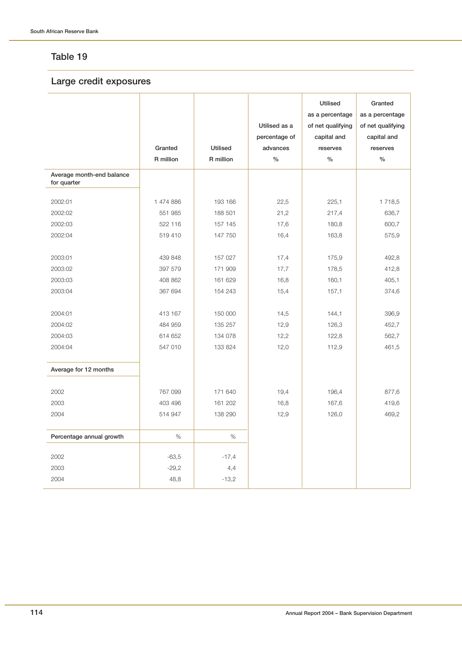### **Large credit exposures**

|                                          | Granted<br>R million | <b>Utilised</b><br>R million | Utilised as a<br>percentage of<br>advances<br>$\%$ | <b>Utilised</b><br>as a percentage<br>of net qualifying<br>capital and<br>reserves<br>$\frac{0}{0}$ | Granted<br>as a percentage<br>of net qualifying<br>capital and<br>reserves<br>$\%$ |
|------------------------------------------|----------------------|------------------------------|----------------------------------------------------|-----------------------------------------------------------------------------------------------------|------------------------------------------------------------------------------------|
| Average month-end balance<br>for quarter |                      |                              |                                                    |                                                                                                     |                                                                                    |
| 2002:01                                  | 1 474 886            | 193 166                      | 22,5                                               | 225,1                                                                                               | 1718,5                                                                             |
| 2002:02                                  | 551 985              | 188 501                      | 21,2                                               | 217,4                                                                                               | 636,7                                                                              |
| 2002:03                                  | 522 116              | 157 145                      | 17,6                                               | 180,8                                                                                               | 600,7                                                                              |
| 2002:04                                  | 519 410              | 147 750                      | 16,4                                               | 163,8                                                                                               | 575,9                                                                              |
| 2003:01                                  | 439 848              | 157 027                      | 17,4                                               | 175,9                                                                                               | 492,8                                                                              |
| 2003:02                                  | 397 579              | 171 909                      | 17,7                                               | 178,5                                                                                               | 412,8                                                                              |
| 2003:03                                  | 408 862              | 161 629                      | 16,8                                               | 160,1                                                                                               | 405,1                                                                              |
| 2003:04                                  | 367 694              | 154 243                      | 15,4                                               | 157,1                                                                                               | 374,6                                                                              |
| 2004:01                                  | 413 167              | 150 000                      | 14,5                                               | 144,1                                                                                               | 396,9                                                                              |
| 2004:02                                  | 484 959              | 135 257                      | 12,9                                               | 126,3                                                                                               | 452,7                                                                              |
| 2004:03                                  | 614 652              | 134 078                      | 12,2                                               | 122,8                                                                                               | 562,7                                                                              |
| 2004:04                                  | 547 010              | 133 824                      | 12,0                                               | 112,9                                                                                               | 461,5                                                                              |
| Average for 12 months                    |                      |                              |                                                    |                                                                                                     |                                                                                    |
| 2002                                     | 767 099              | 171 640                      | 19,4                                               | 196,4                                                                                               | 877,6                                                                              |
| 2003                                     | 403 496              | 161 202                      | 16,8                                               | 167,6                                                                                               | 419,6                                                                              |
| 2004                                     | 514 947              | 138 290                      | 12,9                                               | 126,0                                                                                               | 469,2                                                                              |
| Percentage annual growth                 | $\%$                 | $\%$                         |                                                    |                                                                                                     |                                                                                    |
| 2002                                     | $-63,5$              | $-17,4$                      |                                                    |                                                                                                     |                                                                                    |
| 2003                                     | $-29,2$              | 4,4                          |                                                    |                                                                                                     |                                                                                    |
| 2004                                     | 48,8                 | $-13,2$                      |                                                    |                                                                                                     |                                                                                    |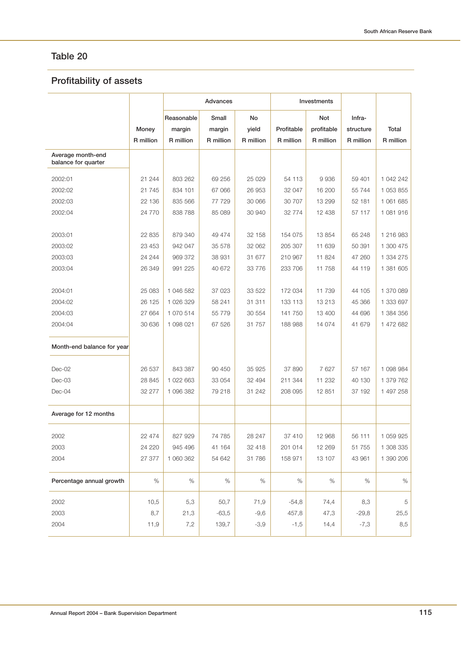# **Profitability of assets**

|                                          |           | Advances   |           |           |            | Investments |           |           |
|------------------------------------------|-----------|------------|-----------|-----------|------------|-------------|-----------|-----------|
|                                          |           | Reasonable | Small     | No        |            | <b>Not</b>  | Infra-    |           |
|                                          | Money     | margin     | margin    | yield     | Profitable | profitable  | structure | Total     |
|                                          | R million | R million  | R million | R million | R million  | R million   | R million | R million |
| Average month-end<br>balance for quarter |           |            |           |           |            |             |           |           |
| 2002:01                                  | 21 244    | 803 262    | 69 25 6   | 25 0 29   | 54 113     | 9936        | 59 401    | 1 042 242 |
| 2002:02                                  | 21 745    | 834 101    | 67 066    | 26 953    | 32 047     | 16 200      | 55 744    | 1 053 855 |
| 2002:03                                  | 22 136    | 835 566    | 77 729    | 30 066    | 30 707     | 13 299      | 52 181    | 1 061 685 |
| 2002:04                                  | 24 770    | 838 788    | 85 089    | 30 940    | 32 774     | 12 4 38     | 57 117    | 1 081 916 |
| 2003:01                                  | 22 835    | 879 340    | 49 474    | 32 158    | 154 075    | 13 854      | 65 248    | 1 216 983 |
| 2003:02                                  | 23 453    | 942 047    | 35 578    | 32 062    | 205 307    | 11 639      | 50 391    | 1 300 475 |
| 2003:03                                  | 24 244    | 969 372    | 38 931    | 31 677    | 210 967    | 11 824      | 47 260    | 1 334 275 |
| 2003:04                                  | 26 349    | 991 225    | 40 672    | 33 776    | 233 706    | 11 758      | 44 119    | 1 381 605 |
|                                          |           |            |           |           |            |             |           |           |
| 2004:01                                  | 25 083    | 1 046 582  | 37 0 23   | 33 522    | 172 034    | 11 739      | 44 105    | 1 370 089 |
| 2004:02                                  | 26 125    | 1 026 329  | 58 241    | 31 311    | 133 113    | 13 213      | 45 366    | 1 333 697 |
| 2004:03                                  | 27 664    | 1 070 514  | 55 779    | 30 554    | 141 750    | 13 400      | 44 696    | 1 384 356 |
| 2004:04                                  | 30 636    | 1 098 021  | 67 526    | 31 757    | 188 988    | 14 0 74     | 41 679    | 1 472 682 |
| Month-end balance for year               |           |            |           |           |            |             |           |           |
| Dec-02                                   | 26 537    | 843 387    | 90 450    | 35 925    | 37 890     | 7 627       | 57 167    | 1 098 984 |
| Dec-03                                   | 28 845    | 1 022 663  | 33 054    | 32 494    | 211 344    | 11 232      | 40 130    | 1 379 762 |
| Dec-04                                   | 32 277    | 1 096 382  | 79 218    | 31 242    | 208 095    | 12 851      | 37 192    | 1 497 258 |
| Average for 12 months                    |           |            |           |           |            |             |           |           |
| 2002                                     | 22 474    | 827 929    | 74 785    | 28 247    | 37 410     | 12 968      | 56 111    | 1 059 925 |
| 2003                                     | 24 220    | 945 496    | 41 164    | 32 418    | 201 014    | 12 269      | 51 755    | 1 308 335 |
| 2004                                     | 27 377    | 1 060 362  | 54 642    | 31 786    | 158 971    | 13 107      | 43 961    | 1 390 206 |
| Percentage annual growth                 | $\%$      | $\%$       | $\%$      | $\%$      | $\%$       | $\%$        | $\%$      | $\%$      |
| 2002                                     | 10,5      | 5,3        | 50,7      | 71,9      | $-54,8$    | 74,4        | 8,3       | 5         |
| 2003                                     | 8,7       | 21,3       | $-63,5$   | $-9,6$    | 457,8      | 47,3        | $-29,8$   | 25,5      |
| 2004                                     | 11,9      | 7,2        | 139,7     | $-3,9$    | $-1,5$     | 14,4        | $-7,3$    | 8,5       |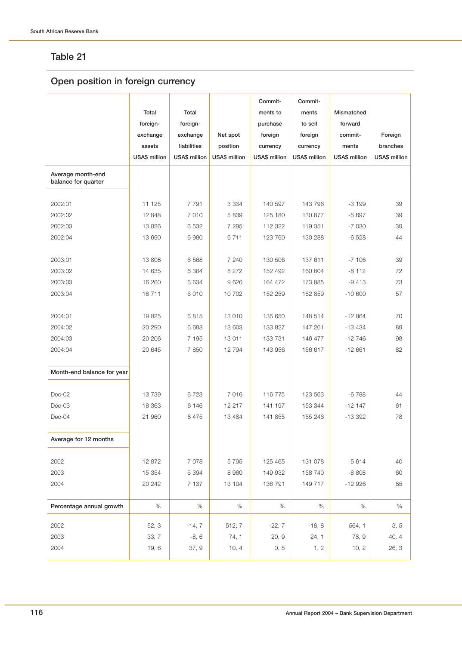# **Open position in foreign currency**

|                                          |                      |                      |                      | Commit-              | Commit-              |                      |               |
|------------------------------------------|----------------------|----------------------|----------------------|----------------------|----------------------|----------------------|---------------|
|                                          | Total                | Total                |                      | ments to             | ments                | Mismatched           |               |
|                                          | foreign-             | foreign-             |                      | purchase             | to sell              | forward              |               |
|                                          | exchange             | exchange             | Net spot             | foreign              | foreign              | commit-              | Foreign       |
|                                          | assets               | liabilities          | position             | currency             | currency             | ments                | branches      |
|                                          | <b>USA\$</b> million | <b>USA\$</b> million | <b>USA\$</b> million | <b>USA\$</b> million | <b>USA\$</b> million | <b>USA\$</b> million | USA\$ million |
| Average month-end<br>balance for quarter |                      |                      |                      |                      |                      |                      |               |
| 2002:01                                  | 11 125               | 7 7 9 1              | 3 3 3 4              | 140 597              | 143 796              | $-3199$              | 39            |
| 2002:02                                  | 12 848               | 7 0 1 0              | 5 8 3 9              | 125 180              | 130 877              | $-5697$              | 39            |
| 2002:03                                  | 13826                | 6 5 3 2              | 7 2 9 5              | 112 322              | 119 351              | $-7030$              | 39            |
| 2002:04                                  | 13 690               | 6 9 8 0              | 6711                 | 123 760              | 130 288              | $-6528$              | 44            |
|                                          |                      |                      |                      |                      |                      |                      |               |
| 2003:01                                  | 13 808               | 6 5 6 8              | 7 240                | 130 506              | 137 611              | $-7106$              | 39            |
| 2003:02                                  | 14 635               | 6 3 6 4              | 8 2 7 2              | 152 492              | 160 604              | $-8112$              | 72            |
| 2003:03                                  | 16 260               | 6 6 3 4              | 9626                 | 164 472              | 173 885              | $-9413$              | 73            |
| 2003:04                                  | 16711                | 6010                 | 10 702               | 152 259              | 162 859              | $-10600$             | 57            |
|                                          |                      |                      |                      |                      |                      |                      |               |
| 2004:01                                  | 19825                | 6815                 | 13 010               | 135 650              | 148 514              | $-12864$             | 70            |
| 2004:02                                  | 20 290               | 6 6 8 8              | 13 603               | 133 827              | 147 261              | $-13434$             | 89            |
| 2004:03                                  | 20 20 6              | 7 1 9 5              | 13 011               | 133 731              | 146 477              | $-12746$             | 98            |
| 2004:04                                  | 20 645               | 7850                 | 12 794               | 143 956              | 156 617              | $-12661$             | 82            |
| Month-end balance for year               |                      |                      |                      |                      |                      |                      |               |
| $Dec-02$                                 | 13739                | 6723                 | 7 0 1 6              | 116 775              | 123 563              | $-6788$              | 44            |
| Dec-03                                   | 18 363               | 6 1 4 6              | 12 217               | 141 197              | 153 344              | $-12147$             | 61            |
| Dec-04                                   | 21 960               | 8 4 7 5              | 13 4 84              | 141 855              | 155 246              | $-13392$             | 78            |
| Average for 12 months                    |                      |                      |                      |                      |                      |                      |               |
| 2002                                     | 12 872               | 7 0 7 8              | 5 7 9 5              | 125 465              | 131 078              | $-5614$              | 40            |
| 2003                                     | 15 354               | 6 3 9 4              | 8 9 6 0              | 149 932              | 158 740              | $-8808$              | 60            |
| 2004                                     | 20 24 2              | 7 1 3 7              | 13 104               | 136 791              | 149 717              | $-12926$             | 85            |
| Percentage annual growth                 | $\%$                 | $\%$                 | $\%$                 | $\%$                 | $\%$                 | $\%$                 | $\%$          |
| 2002                                     | 52, 3                | $-14, 7$             | 512, 7               | $-22, 7$             | $-18, 8$             | 564, 1               | 3, 5          |
| 2003                                     | 33, 7                | $-8, 6$              | 74, 1                | 20, 9                | 24, 1                | 78, 9                | 40, 4         |
| 2004                                     | 19,6                 | 37, 9                | 10, 4                | 0, 5                 | 1, 2                 | 10, 2                | 26, 3         |
|                                          |                      |                      |                      |                      |                      |                      |               |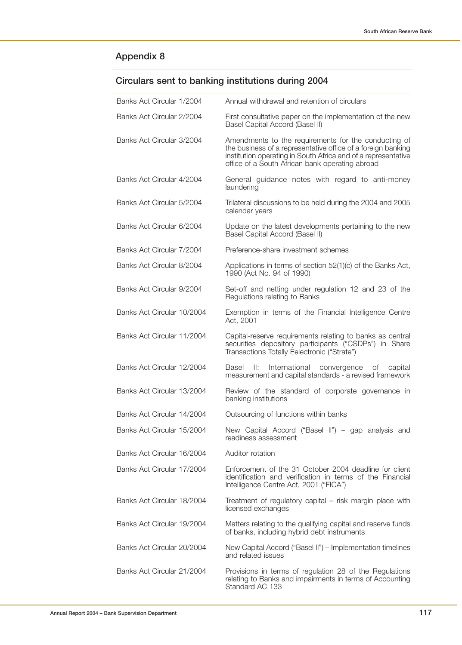# **Circulars sent to banking institutions during 2004**

| Banks Act Circular 1/2004  | Annual withdrawal and retention of circulars                                                                                                                                                                                             |
|----------------------------|------------------------------------------------------------------------------------------------------------------------------------------------------------------------------------------------------------------------------------------|
| Banks Act Circular 2/2004  | First consultative paper on the implementation of the new<br>Basel Capital Accord (Basel II)                                                                                                                                             |
| Banks Act Circular 3/2004  | Amendments to the requirements for the conducting of<br>the business of a representative office of a foreign banking<br>institution operating in South Africa and of a representative<br>office of a South African bank operating abroad |
| Banks Act Circular 4/2004  | General guidance notes with regard to anti-money<br>laundering                                                                                                                                                                           |
| Banks Act Circular 5/2004  | Trilateral discussions to be held during the 2004 and 2005<br>calendar years                                                                                                                                                             |
| Banks Act Circular 6/2004  | Update on the latest developments pertaining to the new<br>Basel Capital Accord (Basel II)                                                                                                                                               |
| Banks Act Circular 7/2004  | Preference-share investment schemes                                                                                                                                                                                                      |
| Banks Act Circular 8/2004  | Applications in terms of section 52(1)(c) of the Banks Act,<br>1990 (Act No. 94 of 1990)                                                                                                                                                 |
| Banks Act Circular 9/2004  | Set-off and netting under regulation 12 and 23 of the<br>Regulations relating to Banks                                                                                                                                                   |
| Banks Act Circular 10/2004 | Exemption in terms of the Financial Intelligence Centre<br>Act, 2001                                                                                                                                                                     |
| Banks Act Circular 11/2004 | Capital-reserve requirements relating to banks as central<br>securities depository participants ("CSDPs") in Share<br>Transactions Totally Eelectronic ("Strate")                                                                        |
| Banks Act Circular 12/2004 | II:<br>International<br>Basel<br>convergence<br>of<br>capital<br>measurement and capital standards - a revised framework                                                                                                                 |
| Banks Act Circular 13/2004 | Review of the standard of corporate governance in<br>banking institutions                                                                                                                                                                |
| Banks Act Circular 14/2004 | Outsourcing of functions within banks                                                                                                                                                                                                    |
| Banks Act Circular 15/2004 | New Capital Accord ("Basel II") - gap analysis and<br>readiness assessment                                                                                                                                                               |
| Banks Act Circular 16/2004 | Auditor rotation                                                                                                                                                                                                                         |
| Banks Act Circular 17/2004 | Enforcement of the 31 October 2004 deadline for client<br>identification and verification in terms of the Financial<br>Intelligence Centre Act, 2001 ("FICA")                                                                            |
| Banks Act Circular 18/2004 | Treatment of regulatory capital - risk margin place with<br>licensed exchanges                                                                                                                                                           |
| Banks Act Circular 19/2004 | Matters relating to the qualifying capital and reserve funds<br>of banks, including hybrid debt instruments                                                                                                                              |
| Banks Act Circular 20/2004 | New Capital Accord ("Basel II") – Implementation timelines<br>and related issues                                                                                                                                                         |
| Banks Act Circular 21/2004 | Provisions in terms of regulation 28 of the Regulations<br>relating to Banks and impairments in terms of Accounting<br>Standard AC 133                                                                                                   |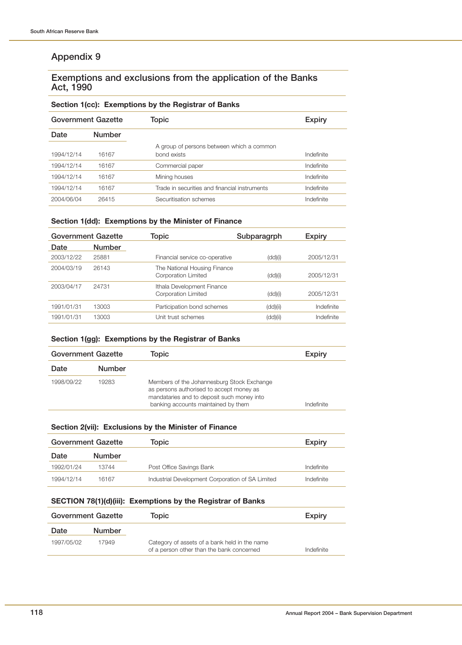#### **Exemptions and exclusions from the application of the Banks Act, 1990**

#### **Section 1(cc): Exemptions by the Registrar of Banks**

|            | <b>Government Gazette</b> | Topic                                                    | <b>Expiry</b> |  |
|------------|---------------------------|----------------------------------------------------------|---------------|--|
| Date       | <b>Number</b>             |                                                          |               |  |
| 1994/12/14 | 16167                     | A group of persons between which a common<br>bond exists | Indefinite    |  |
| 1994/12/14 | 16167                     | Commercial paper                                         | Indefinite    |  |
| 1994/12/14 | 16167                     | Mining houses                                            | Indefinite    |  |
| 1994/12/14 | 16167                     | Trade in securities and financial instruments            | Indefinite    |  |
| 2004/06/04 | 26415                     | Securitisation schemes                                   | Indefinite    |  |

#### **Section 1(dd): Exemptions by the Minister of Finance**

| Government Gazette |               | Topic                                               | Subparagrph | <b>Expiry</b> |
|--------------------|---------------|-----------------------------------------------------|-------------|---------------|
| Date               | <b>Number</b> |                                                     |             |               |
| 2003/12/22         | 25881         | Financial service co-operative                      | (dd)(i)     | 2005/12/31    |
| 2004/03/19         | 26143         | The National Housing Finance<br>Corporation Limited | (dd)(i)     | 2005/12/31    |
| 2003/04/17         | 24731         | Ithala Development Finance<br>Corporation Limited   | (dd)(i)     | 2005/12/31    |
| 1991/01/31         | 13003         | Participation bond schemes                          | (dd)(ii)    | Indefinite    |
| 1991/01/31         | 13003         | Unit trust schemes                                  | (dd)(ii)    | Indefinite    |
|                    |               |                                                     |             |               |

#### **Section 1(gg): Exemptions by the Registrar of Banks**

| <b>Government Gazette</b> |               | Topic                                                                                                                                                                       | Expiry     |
|---------------------------|---------------|-----------------------------------------------------------------------------------------------------------------------------------------------------------------------------|------------|
| Date                      | <b>Number</b> |                                                                                                                                                                             |            |
| 1998/09/22                | 19283         | Members of the Johannesburg Stock Exchange<br>as persons authorised to accept money as<br>mandataries and to deposit such money into<br>banking accounts maintained by them | Indefinite |

#### **Section 2(vii): Exclusions by the Minister of Finance**

| <b>Government Gazette</b> |               | Topic                                            | Expiry     |
|---------------------------|---------------|--------------------------------------------------|------------|
| Date                      | <b>Number</b> |                                                  |            |
| 1992/01/24                | 13744         | Post Office Savings Bank                         | Indefinite |
| 1994/12/14                | 16167         | Industrial Development Corporation of SA Limited | Indefinite |

#### **SECTION 78(1)(d)(iii): Exemptions by the Registrar of Banks**

| <b>Government Gazette</b> |               | Topic                                                                                      | <b>Expiry</b> |
|---------------------------|---------------|--------------------------------------------------------------------------------------------|---------------|
| Date                      | <b>Number</b> |                                                                                            |               |
| 1997/05/02                | 17949         | Category of assets of a bank held in the name<br>of a person other than the bank concerned | Indefinite    |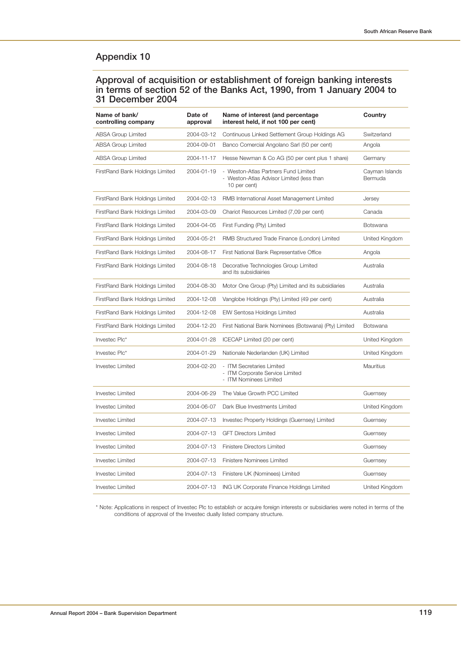#### **Approval of acquisition or establishment of foreign banking interests in terms of section 52 of the Banks Act, 1990, from 1 January 2004 to 31 December 2004**

| Name of bank/<br>controlling company | Date of<br>approval | Name of interest (and percentage<br>interest held, if not 100 per cent)                           | Country                   |
|--------------------------------------|---------------------|---------------------------------------------------------------------------------------------------|---------------------------|
| <b>ABSA Group Limited</b>            | 2004-03-12          | Continuous Linked Settlement Group Holdings AG                                                    | Switzerland               |
| ABSA Group Limited                   | 2004-09-01          | Banco Comercial Angolano Sarl (50 per cent)                                                       | Angola                    |
| <b>ABSA Group Limited</b>            | 2004-11-17          | Hesse Newman & Co AG (50 per cent plus 1 share)                                                   | Germany                   |
| FirstRand Bank Holdings Limited      | 2004-01-19          | - Weston-Atlas Partners Fund Limited<br>- Weston-Atlas Advisor Limited (less than<br>10 per cent) | Cayman Islands<br>Bermuda |
| FirstRand Bank Holdings Limited      | 2004-02-13          | RMB International Asset Management Limited                                                        | Jersey                    |
| FirstRand Bank Holdings Limited      | 2004-03-09          | Chariot Resources Limited (7,09 per cent)                                                         | Canada                    |
| FirstRand Bank Holdings Limited      | 2004-04-05          | First Funding (Pty) Limited                                                                       | Botswana                  |
| FirstRand Bank Holdings Limited      | 2004-05-21          | RMB Structured Trade Finance (London) Limited                                                     | United Kingdom            |
| FirstRand Bank Holdings Limited      | 2004-08-17          | First National Bank Representative Office                                                         | Angola                    |
| FirstRand Bank Holdings Limited      | 2004-08-18          | Decorative Technologies Group Limited<br>and its subsidiairies                                    | Australia                 |
| FirstRand Bank Holdings Limited      | 2004-08-30          | Motor One Group (Pty) Limited and its subsidiaries                                                | Australia                 |
| FirstRand Bank Holdings Limited      | 2004-12-08          | Vanglobe Holdings (Pty) Limited (49 per cent)                                                     | Australia                 |
| FirstRand Bank Holdings Limited      | 2004-12-08          | EIW Sentosa Holdings Limited                                                                      | Australia                 |
| FirstRand Bank Holdings Limited      | 2004-12-20          | First National Bank Nominees (Botswana) (Pty) Limited                                             | Botswana                  |
| Investec Plc*                        | 2004-01-28          | ICECAP Limited (20 per cent)                                                                      | United Kingdom            |
| Investec Plc*                        | 2004-01-29          | Nationale Nederlanden (UK) Limited                                                                | United Kingdom            |
| Investec Limited                     | 2004-02-20          | - ITM Secretaries Limited<br>- ITM Corporate Service Limited<br>- ITM Nominees Limited            | Mauritius                 |
| Investec Limited                     | 2004-06-29          | The Value Growth PCC Limited                                                                      | Guernsey                  |
| Investec Limited                     | 2004-06-07          | Dark Blue Investments Limited                                                                     | United Kingdom            |
| Investec Limited                     | 2004-07-13          | Investec Property Holdings (Guernsey) Limited                                                     | Guernsey                  |
| Investec Limited                     | 2004-07-13          | <b>GFT Directors Limited</b>                                                                      | Guernsey                  |
| <b>Investec Limited</b>              | 2004-07-13          | Finistere Directors Limited                                                                       | Guernsey                  |
| Investec Limited                     | 2004-07-13          | Finistere Nominees Limited                                                                        | Guernsey                  |
| Investec Limited                     | 2004-07-13          | Finistere UK (Nominees) Limited                                                                   | Guernsey                  |
| Investec Limited                     | 2004-07-13          | <b>ING UK Corporate Finance Holdings Limited</b>                                                  | United Kingdom            |

\* Note: Applications in respect of Investec Plc to establish or acquire foreign interests or subsidiaries were noted in terms of the conditions of approval of the Investec dually listed company structure.